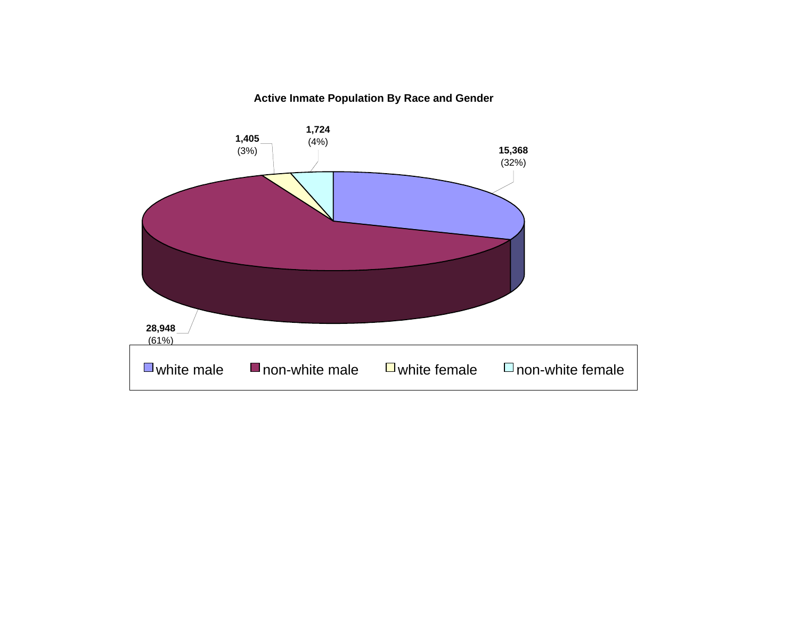#### **Active Inmate Population By Race and Gender**

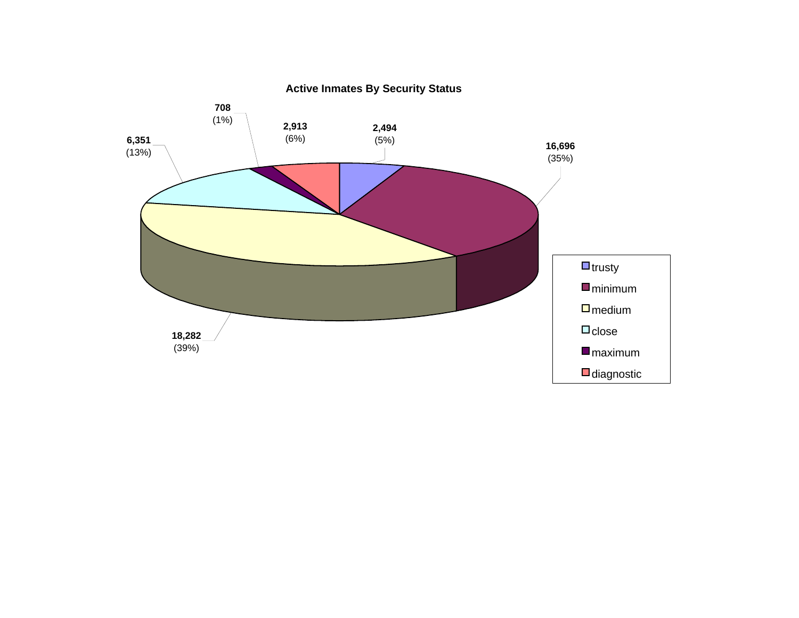

**Active Inmates By Security Status**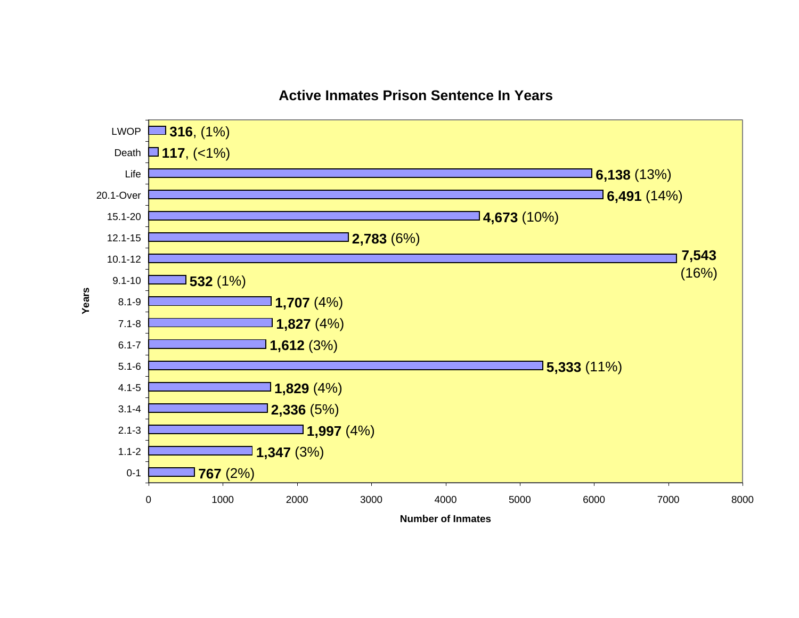

#### **Active Inmates Prison Sentence In Years**

**Number of Inmates**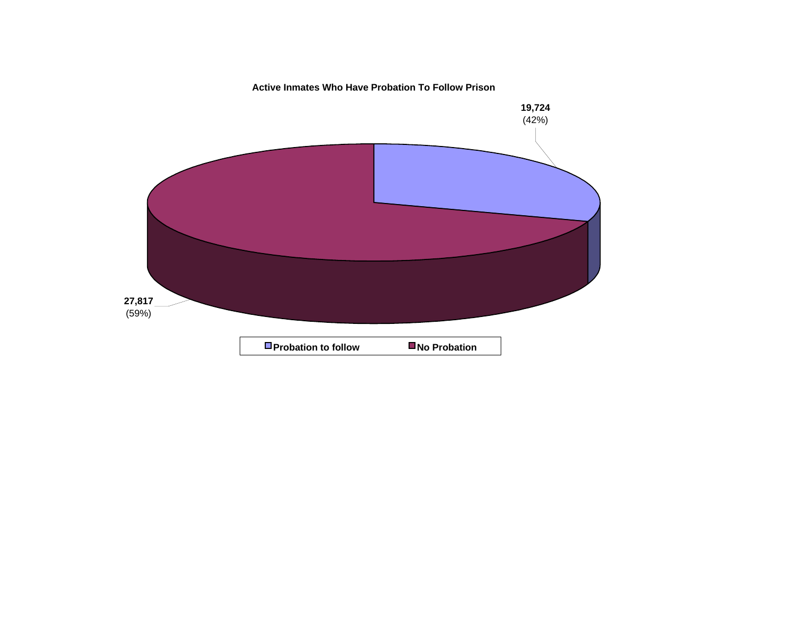**Active Inmates Who Have Probation To Follow Prison**

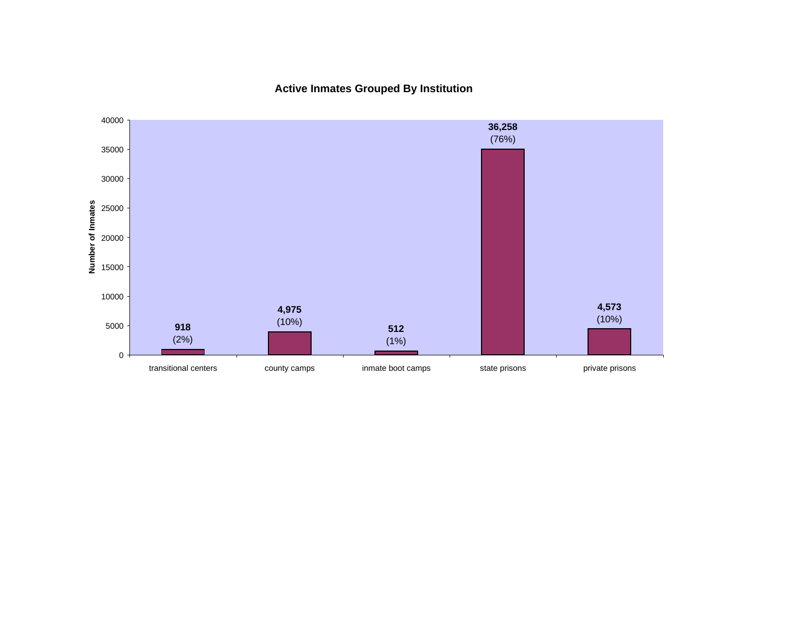**Active Inmates Grouped By Institution**

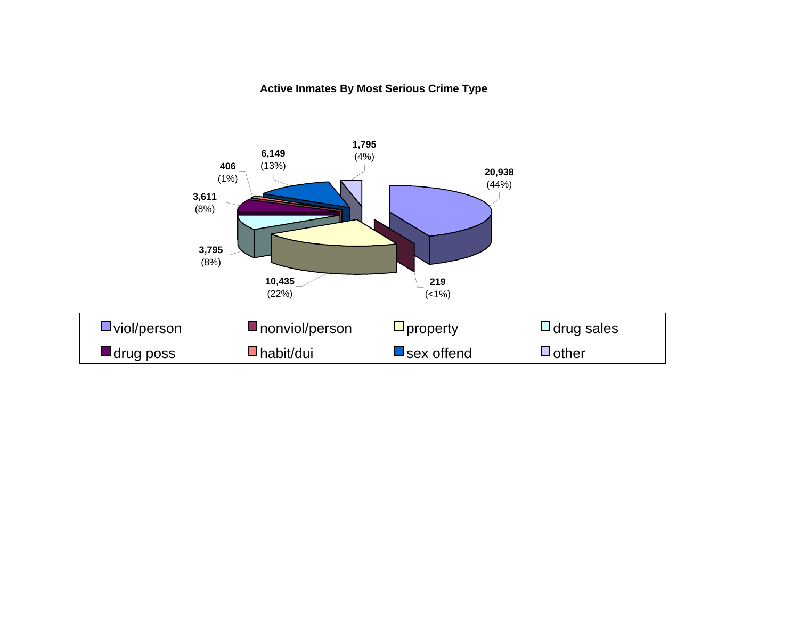#### **Active Inmates By Most Serious Crime Type**

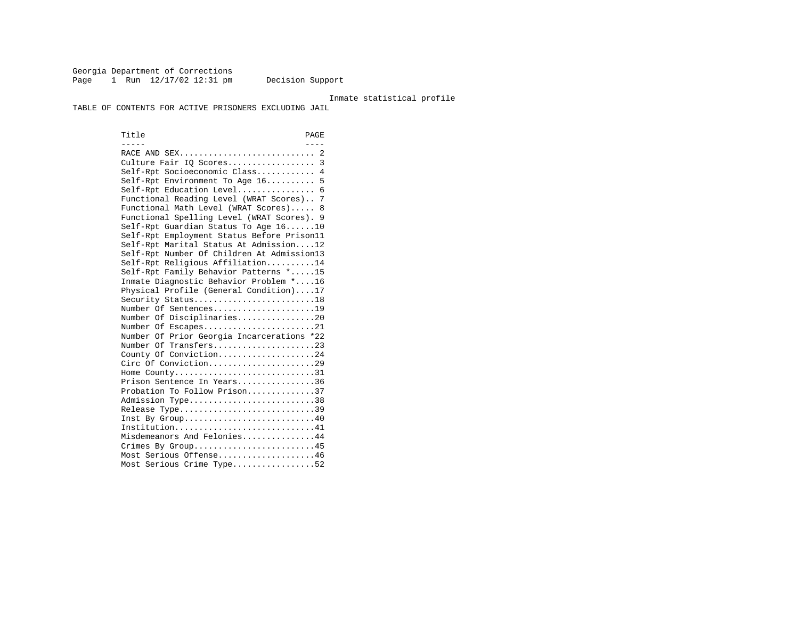Georgia Department of Corrections Page 1 Run  $12/17/02$  12:31 pm Decision Support

#### Inmate statistical profile

TABLE OF CONTENTS FOR ACTIVE PRISONERS EXCLUDING JAIL

Title PAGE ----- ---- RACE AND SEX............................ 2 Culture Fair IQ Scores.................. 3 Self-Rpt Socioeconomic Class............ 4 Self-Rpt Environment To Age 16.......... 5 Self-Rpt Education Level................ 6 Functional Reading Level (WRAT Scores).. 7 Functional Math Level (WRAT Scores)..... 8 Functional Spelling Level (WRAT Scores). 9 Self-Rpt Guardian Status To Age 16......10 Self-Rpt Employment Status Before Prison11 Self-Rpt Marital Status At Admission....12 Self-Rpt Number Of Children At Admission13 Self-Rpt Religious Affiliation..........14 Self-Rpt Family Behavior Patterns \*.....15 Inmate Diagnostic Behavior Problem \*....16 Physical Profile (General Condition)....17 Security Status...........................18 Number Of Sentences.....................19 Number Of Disciplinaries................20 Number Of Escapes........................21 Number Of Prior Georgia Incarcerations \*22 Number Of Transfers.....................23 County Of Conviction....................24 Circ Of Conviction......................29 Home County.............................31 Prison Sentence In Years................36 Probation To Follow Prison..............37Admission Type.............................38 Release Type...............................39 Inst By Group.............................40 Institution................................41 Misdemeanors And Felonies...............44 Crimes By Group...........................45 Most Serious Offense....................46 Most Serious Crime Type.................52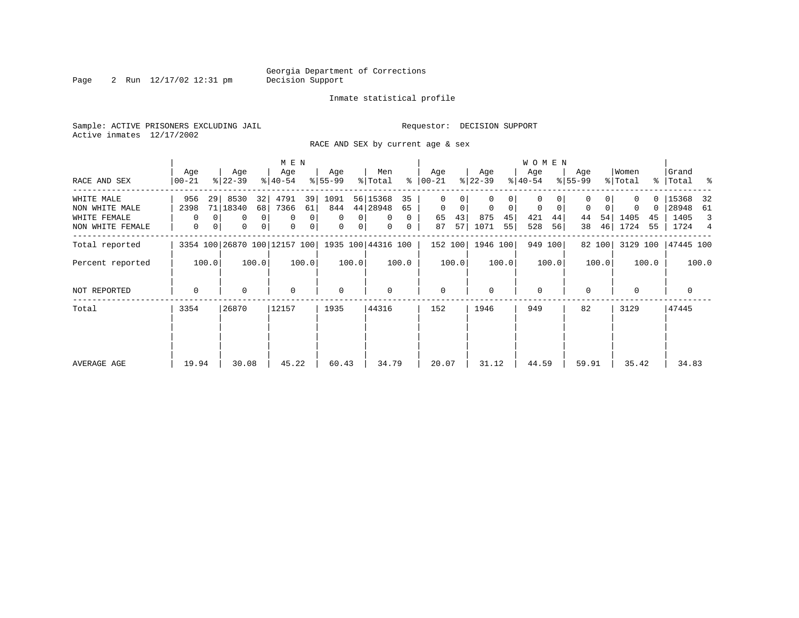Page 2 Run  $12/17/02$  12:31 pm

#### Inmate statistical profile

Sample: ACTIVE PRISONERS EXCLUDING JAIL **Requestor: DECISION SUPPORT** Active inmates 12/17/2002

RACE AND SEX by current age & sex

|                  |             |              |           |                | M E N                        |       |             |                |                    |          |             |       |           |       | W O M E N    |         |           |        |          |       |              |       |
|------------------|-------------|--------------|-----------|----------------|------------------------------|-------|-------------|----------------|--------------------|----------|-------------|-------|-----------|-------|--------------|---------|-----------|--------|----------|-------|--------------|-------|
|                  | Age         |              | Age       |                | Age                          |       | Age         |                | Men                |          | Age         |       | Age       |       | Age          |         | Age       |        | Women    |       | Grand        |       |
| RACE AND SEX     | 00-21       |              | $ 22-39 $ |                | $8 40-54$                    |       | $ 55-99 $   |                | % Total            | ွေ       | 00-21       |       | $ 22-39 $ |       | $ 40-54 $    |         | $8 55-99$ |        | % Total  |       | %   Total %  |       |
| WHITE MALE       | 956         | 29           | 8530      | 32             | 4791                         | 39    | 1091        |                | 56 15368           | 35       | 0           | 0     | 0         | 0     | 0            |         | 0         |        |          |       | 0   15368    | 32    |
| NON WHITE MALE   | 2398        |              | 71 18340  | 68             | 7366                         | 61    | 844         |                | 44 28948           | 65       | $\mathbf 0$ | 0     | 0         | 0     | 0            | 0       | 0         |        | 0        |       | 0   28948    | 61    |
| WHITE FEMALE     | $\Omega$    |              | 0         | $\overline{0}$ | $\mathbf 0$                  | 0     | $\Omega$    | $\Omega$       | $\Omega$           | $\Omega$ | 65          | 43    | 875       | 45    | 421          | 44      | 44        | 54     | 1405     | 45    | 1405         | 3     |
| NON WHITE FEMALE | 0           | $\mathbf{0}$ | 0         | 0 <sup>1</sup> | 0                            | 0     | 0           | 0 <sup>1</sup> | $\mathbf{0}$       | 0        | 87          | 57    | 1071      | 55    | 528          | 56      | 38        | 46     | 1724     | 55    | 1724 4       |       |
| Total reported   |             |              |           |                | 3354 100 26870 100 12157 100 |       |             |                | 1935 100 44316 100 |          | 152 100     |       | 1946 100  |       |              | 949 100 |           | 82 100 | 3129 100 |       | 47445 100    |       |
| Percent reported |             | 100.0        |           | 100.0          |                              | 100.0 |             | 100.0          |                    | 100.0    |             | 100.0 |           | 100.0 |              | 100.0   |           | 100.0  |          | 100.0 |              | 100.0 |
| NOT REPORTED     | $\mathbf 0$ |              | 0         |                | $\mathbf 0$                  |       | $\mathbf 0$ |                | 0                  |          | $\mathbf 0$ |       | 0         |       | $\mathbf{0}$ |         | $\Omega$  |        | 0        |       | $\mathbf{0}$ |       |
| Total            | 3354        |              | 26870     |                | 12157                        |       | 1935        |                | 44316              |          | 152         |       | 1946      |       | 949          |         | 82        |        | 3129     |       | 47445        |       |
|                  |             |              |           |                |                              |       |             |                |                    |          |             |       |           |       |              |         |           |        |          |       |              |       |
| AVERAGE AGE      | 19.94       |              | 30.08     |                | 45.22                        |       | 60.43       |                | 34.79              |          | 20.07       |       | 31.12     |       | 44.59        |         | 59.91     |        | 35.42    |       | 34.83        |       |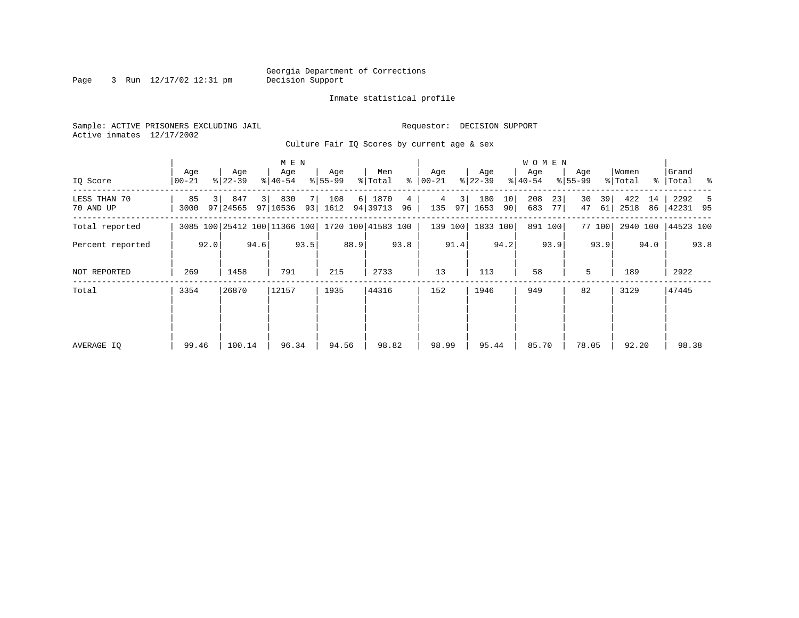Page 3 Run  $12/17/02$  12:31 pm

#### Inmate statistical profile

Sample: ACTIVE PRISONERS EXCLUDING JAIL **Requestor: DECISION SUPPORT** Active inmates 12/17/2002

Culture Fair IQ Scores by current age & sex

|                           |              |      |                                                 |      | M E N            |      |                  |      |                    |                       |                      |          |                  |          | W O M E N        |          |                  |          |                  |          |                      |      |
|---------------------------|--------------|------|-------------------------------------------------|------|------------------|------|------------------|------|--------------------|-----------------------|----------------------|----------|------------------|----------|------------------|----------|------------------|----------|------------------|----------|----------------------|------|
| IQ Score                  | Age<br>00-21 |      | Age<br>$ 22-39 $                                |      | Age<br>$8 40-54$ |      | Age<br>$8 55-99$ |      | Men<br>% Total     |                       | Age<br>$8   00 - 21$ |          | Age<br>$ 22-39 $ |          | Age<br>$ 40-54 $ |          | Age<br>$8 55-99$ |          | Women<br>% Total |          | Grand<br>%   Total % |      |
| LESS THAN 70<br>70 AND UP | 85<br>3000   |      | 847<br>97   24565                               | 3    | 830<br>97 10536  | 71   | 108<br>93 1612   |      | 6 1870<br>94 39713 | $4\overline{ }$<br>96 | 4<br>135             | 3 <br>97 | 180<br>1653      | 10<br>90 | 208<br>683       | 23<br>77 | 30<br>47         | 39<br>61 | 422<br>2518      | 14<br>86 | 2292<br> 42231 95    | -5   |
| Total reported            |              |      | 3085 100 25412 100 11366 100 1720 100 41583 100 |      |                  |      |                  |      |                    |                       |                      | 139 100  | 1833 100         |          | 891 100          |          |                  | 77 100   | 2940 100         |          | 44523 100            |      |
| Percent reported          |              | 92.0 |                                                 | 94.6 |                  | 93.5 |                  | 88.9 |                    | 93.8                  |                      | 91.4     |                  | 94.2     |                  | 93.9     |                  | 93.9     |                  | 94.0     |                      | 93.8 |
| NOT REPORTED              | 269          |      | 1458                                            |      | 791              |      | 215              |      | 2733               |                       | 13                   |          | 113              |          | 58               |          | 5                |          | 189              |          | 2922                 |      |
| Total                     | 3354         |      | 26870                                           |      | 12157            |      | 1935             |      | 44316              |                       | 152                  |          | 1946             |          | 949              |          | 82               |          | 3129             |          | 47445                |      |
|                           |              |      |                                                 |      |                  |      |                  |      |                    |                       |                      |          |                  |          |                  |          |                  |          |                  |          |                      |      |
|                           |              |      |                                                 |      |                  |      |                  |      |                    |                       |                      |          |                  |          |                  |          |                  |          |                  |          |                      |      |
| AVERAGE IO                | 99.46        |      | 100.14                                          |      | 96.34            |      | 94.56            |      | 98.82              |                       | 98.99                |          | 95.44            |          | 85.70            |          | 78.05            |          | 92.20            |          | 98.38                |      |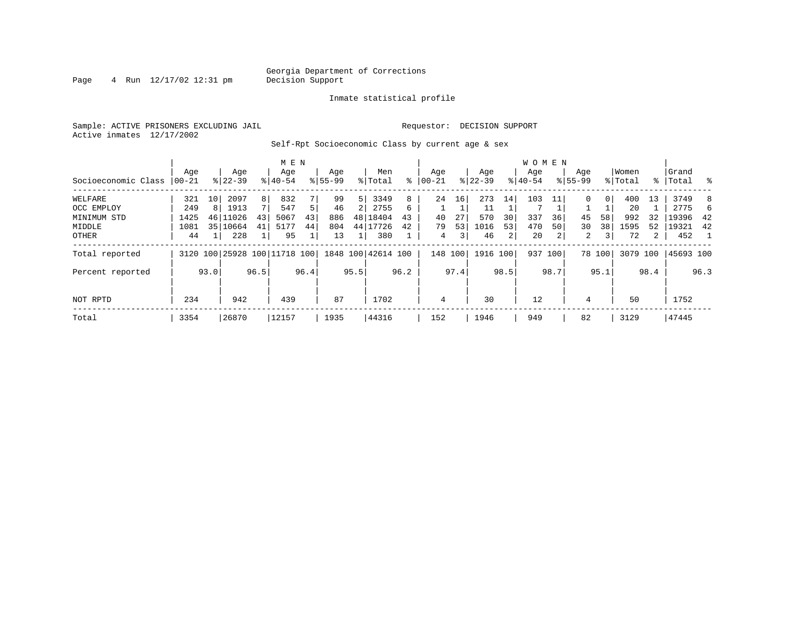Page  $4$  Run  $12/17/02$  12:31 pm

#### Inmate statistical profile

Sample: ACTIVE PRISONERS EXCLUDING JAIL **Requestor: DECISION SUPPORT** Active inmates 12/17/2002

Self-Rpt Socioeconomic Class by current age & sex

|                     |          |      |                              |      | M E N     |                |             |      |                    |      |            |               |           |      | <b>WOMEN</b> |      |             |                |          |             |           |      |
|---------------------|----------|------|------------------------------|------|-----------|----------------|-------------|------|--------------------|------|------------|---------------|-----------|------|--------------|------|-------------|----------------|----------|-------------|-----------|------|
|                     | Age      |      | Age                          |      | Age       |                | Age         |      | Men                |      | Age        |               | Age       |      | Age          |      | Age         |                | Women    |             | Grand     |      |
| Socioeconomic Class | $ 00-21$ |      | $8 22-39$                    |      | $8 40-54$ |                | $8155 - 99$ |      | % Total            | ៖    | $ 00 - 21$ | $\frac{1}{6}$ | $22 - 39$ |      | $8 40-54$    |      | $8155 - 99$ |                | % Total  | $\approx$ 1 | Total     | ႜ ⊱  |
| WELFARE             | 321      | 10   | 2097                         | 8    | 832       |                | 99          | 5    | 3349               | 8    | 24         | 16            | 273       | 14   | 103          |      | 0           | 0 <sup>1</sup> | 400      | 13          | 3749      | 8    |
| OCC EMPLOY          | 249      | 8    | 1913                         | 7    | 547       | 5 <sup>1</sup> | 46          | 2    | 2755               | 6    |            |               | 11        |      |              |      |             |                | 20       |             | 2775      | h    |
| MINIMUM STD         | 1425     | 46   | 11026                        | 43   | 5067      | 43             | 886         |      | 48 18404           | 43   | 40         | 27            | 570       | 30   | 337          | 36   | 45          | 58             | 992      | 32          | 19396     | -42  |
| MIDDLE              | 1081     | 35   | 10664                        | 41   | 5177      | 44             | 804         |      | 44 17726           | 42   | 79         | 53            | 1016      | 53   | 470          | 50   | 30          | 381            | 1595     | 52          | 19321     | 42   |
| OTHER               | 44       |      | 228                          |      | 95        |                | 13          |      | 380                |      | 4          | 3             | 46        | 2    | 20           | 2    | 2           | 3 <sup>1</sup> | 72       | 2           | 452       |      |
| Total reported      |          |      | 3120 100 25928 100 11718 100 |      |           |                |             |      | 1848 100 42614 100 |      | 148 100    |               | 1916 100  |      | 937 100      |      |             | 78 100         | 3079 100 |             | 45693 100 |      |
| Percent reported    |          | 93.0 |                              | 96.5 |           | 96.4           |             | 95.5 |                    | 96.2 |            | 97.4          |           | 98.5 |              | 98.7 |             | 95.1           |          | 98.4        |           | 96.3 |
| NOT RPTD            | 234      |      | 942                          |      | 439       |                | 87          |      | 1702               |      | 4          |               | 30        |      | 12           |      | 4           |                | 50       |             | 1752      |      |
| Total               | 3354     |      | 26870                        |      | 12157     |                | 1935        |      | 44316              |      | 152        |               | 1946      |      | 949          |      | 82          |                | 3129     |             | 47445     |      |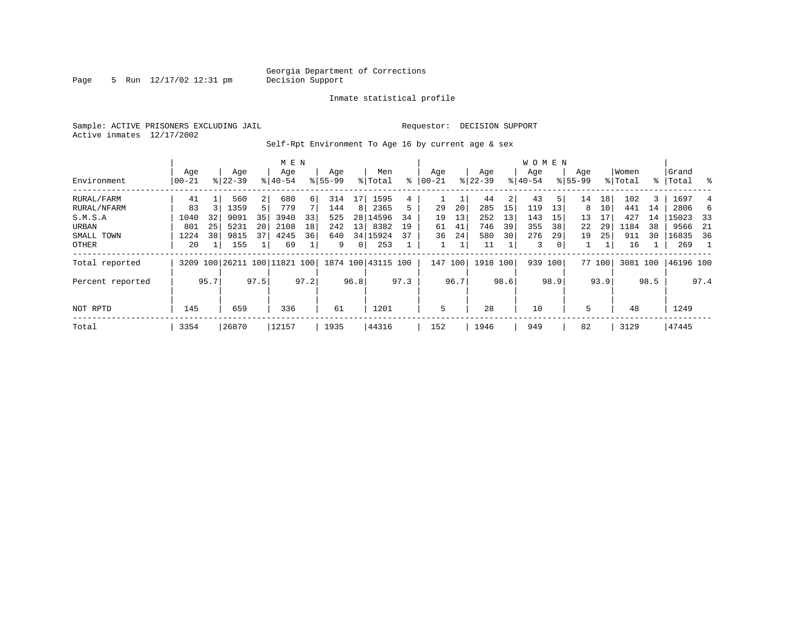Page 5 Run  $12/17/02$  12:31 pm

#### Inmate statistical profile

Sample: ACTIVE PRISONERS EXCLUDING JAIL **Requestor: DECISION SUPPORT** Active inmates 12/17/2002

Self-Rpt Environment To Age 16 by current age & sex

|                  | M E N           |      |                    |                |                              |      |                    |                |                    |      |                   |      |                  |      | W O M E N        |      |                    |        |                  |      |                 |      |
|------------------|-----------------|------|--------------------|----------------|------------------------------|------|--------------------|----------------|--------------------|------|-------------------|------|------------------|------|------------------|------|--------------------|--------|------------------|------|-----------------|------|
| Environment      | Age<br>$ 00-21$ |      | Age<br>$8122 - 39$ |                | Age<br>$8140 - 54$           |      | Age<br>$8155 - 99$ |                | Men<br>% Total     | ៖    | Age<br>$ 00 - 21$ |      | Age<br>$ 22-39 $ |      | Age<br>$ 40-54 $ |      | Age<br>$8155 - 99$ |        | Women<br>% Total | ႜၟ   | Grand<br> Total | ႜ    |
|                  |                 |      |                    |                |                              |      |                    |                |                    |      |                   |      |                  |      |                  |      |                    |        |                  |      |                 |      |
| RURAL/FARM       | 41              |      | 560                | $\overline{2}$ | 680                          | 6    | 314                | 17             | 1595               | 4    |                   |      | 44               | 2    | 43               | 5    | 14                 | 18     | 102              | 3    | 1697            | 4    |
| RURAL/NFARM      | 83              |      | 1359               | 5 <sup>1</sup> | 779                          |      | 144                | 8              | 2365               | 5.   | 29                | 20   | 285              | 15   | 119              | 13   | 8                  | 10     | 441              | 14   | 2806            | 6    |
| S.M.S.A          | 1040            | 32   | 9091               | 35             | 3940                         | 33   | 525                | 281            | 14596              | 34   | 19                | 13   | 252              | 13   | 143              | 15   | 13                 | 17     | 427              | 14   | 15023           | -33  |
| URBAN            | 801             | 25   | 5231               | 20             | 2108                         | 18   | 242                | 13             | 8382               | 19   | 61                | 41   | 746              | 39   | 355              | 38   | 22                 | 29     | 1184             | 38   | 9566            | -21  |
| SMALL TOWN       | 1224            | 38   | 9815               | 37             | 4245                         | 36   | 640                |                | 34 15924           | 37   | 36                | 24   | 580              | 30   | 276              | 29   | 19                 | 25     | 911              | 30   | 16835           | -36  |
| OTHER            | 20              |      | 155                |                | 69                           |      | 9                  | $\overline{0}$ | 253                |      |                   |      | 11               |      | 3                | 0    |                    |        | 16               |      | 269             |      |
| Total reported   |                 |      |                    |                | 3209 100 26211 100 11821 100 |      |                    |                | 1874 100 43115 100 |      | 147               | 100  | 1918 100         |      | 939 100          |      |                    | 77 100 | 3081 100         |      | 46196 100       |      |
| Percent reported |                 | 95.7 |                    | 97.5           |                              | 97.2 |                    | 96.8           |                    | 97.3 |                   | 96.7 |                  | 98.6 |                  | 98.9 |                    | 93.9   |                  | 98.5 |                 | 97.4 |
|                  |                 |      |                    |                |                              |      |                    |                |                    |      |                   |      |                  |      |                  |      |                    |        |                  |      |                 |      |
| NOT RPTD         | 145             |      | 659                |                | 336                          |      | 61                 |                | 1201               |      | 5                 |      | 28               |      | 10               |      | 5                  |        | 48               |      | 1249            |      |
| Total            | 3354            |      | 26870              |                | 12157                        |      | 1935               |                | 44316              |      | 152               |      | 1946             |      | 949              |      | 82                 |        | 3129             |      | 47445           |      |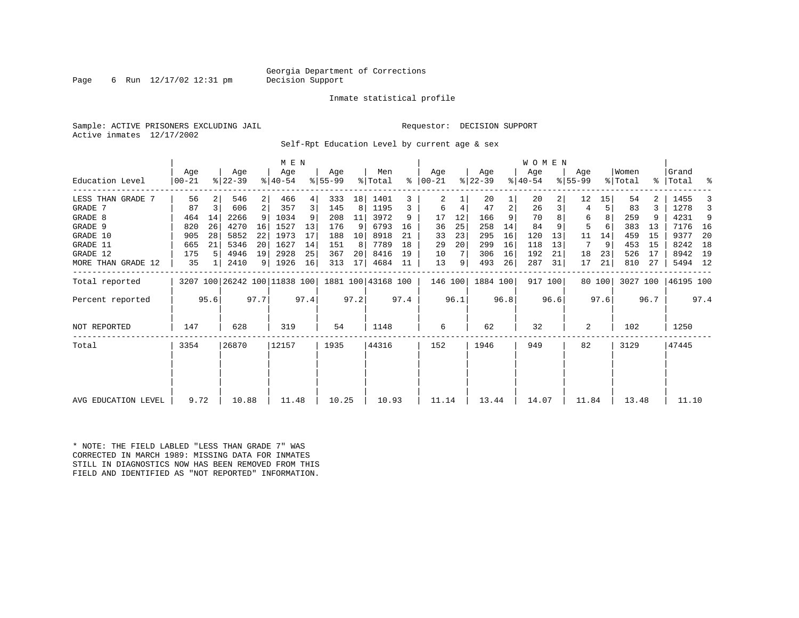#### Georgia Department of Corrections<br>Decision Support

Page 6 Run  $12/17/02$  12:31 pm

#### Inmate statistical profile

Sample: ACTIVE PRISONERS EXCLUDING JAIL **Requestor: DECISION SUPPORT** Active inmates 12/17/2002

Self-Rpt Education Level by current age & sex

|                     |                  |      |                  |      | M E N            |      |                                                 |      |                |      |                      |      |                  |      | <b>WOMEN</b>     |         |                  |        |                  |      |                    |      |
|---------------------|------------------|------|------------------|------|------------------|------|-------------------------------------------------|------|----------------|------|----------------------|------|------------------|------|------------------|---------|------------------|--------|------------------|------|--------------------|------|
| Education Level     | Age<br>$ 00-21 $ |      | Age<br>$ 22-39 $ |      | Age<br>$8 40-54$ |      | Age<br>$8 55-99$                                |      | Men<br>% Total |      | Age<br>$8   00 - 21$ |      | Age<br>$ 22-39 $ |      | Age<br>$ 40-54 $ |         | Age<br>$ 55-99 $ |        | Women<br>% Total |      | Grand<br>%   Total | ್ಠಿ  |
|                     |                  |      |                  |      |                  |      |                                                 |      |                |      |                      |      |                  |      |                  |         |                  |        |                  |      |                    |      |
| LESS THAN GRADE 7   | 56               |      | 546              | 2    | 466              |      | 333                                             | 18   | 1401           |      | 2                    |      | 20               |      | 20               |         | 12               | 15     | 54               |      | 1455               |      |
| GRADE 7             | 87               | 3    | 606              | 2    | 357              |      | 145                                             | 8    | 1195           |      | 6                    |      | 47               | 2    | 26               |         | 4                | 5      | 83               |      | 1278               |      |
| GRADE 8             | 464              | 14   | 2266             | 9    | 1034             |      | 208                                             | 11   | 3972           | 9    | 17                   | 12   | 166              | 9    | 70               |         | 6                |        | 259              |      | 4231               | 9    |
| GRADE 9             | 820              | 26   | 4270             | 16   | 1527             | 13   | 176                                             | 9    | 6793           | 16   | 36                   | 25   | 258              | 14   | 84               |         | 5                |        | 383              | 13   | 7176               | 16   |
| GRADE 10            | 905              | 28   | 5852             | 22   | 1973             | 17   | 188                                             | 10   | 8918           | 21   | 33                   | 23   | 295              | 16   | 120              | 13      | 11               | 14     | 459              | 15   | 9377               | 20   |
| GRADE 11            | 665              | 21   | 5346             | 20   | 1627             | 14   | 151                                             | 8    | 7789           | 18   | 29                   | 20   | 299              | 16   | 118              | 13      | 7                | 9      | 453              | 15   | 8242               | 18   |
| GRADE 12            | 175              | 5    | 4946             | 19   | 2928             | 25   | 367                                             | 20   | 8416           | 19   | 10                   |      | 306              | 16   | 192              | 21      | 18               | 23     | 526              | 17   | 8942 19            |      |
| MORE THAN GRADE 12  | 35               |      | 2410             | 9    | 1926             | 16   | 313                                             | 17   | 4684           | -11  | 13                   | 9    | 493              | 26   | 287              | 31      | 17               | 21     | 810              | 27   | 5494 12            |      |
| Total reported      |                  |      |                  |      |                  |      | 3207 100 26242 100 11838 100 1881 100 43168 100 |      |                |      | 146 100              |      | 1884 100         |      |                  | 917 100 |                  | 80 100 | 3027 100         |      | 46195 100          |      |
| Percent reported    |                  | 95.6 |                  | 97.7 |                  | 97.4 |                                                 | 97.2 |                | 97.4 |                      | 96.1 |                  | 96.8 |                  | 96.6    |                  | 97.6   |                  | 96.7 |                    | 97.4 |
| NOT REPORTED        | 147              |      | 628              |      | 319              |      | 54                                              |      | 1148           |      | 6                    |      | 62               |      | 32               |         | 2                |        | 102              |      | 1250               |      |
| Total               | 3354             |      | 26870            |      | 12157            |      | 1935                                            |      | 44316          |      | 152                  |      | 1946             |      | 949              |         | 82               |        | 3129             |      | 47445              |      |
|                     |                  |      |                  |      |                  |      |                                                 |      |                |      |                      |      |                  |      |                  |         |                  |        |                  |      |                    |      |
|                     |                  |      |                  |      |                  |      |                                                 |      |                |      |                      |      |                  |      |                  |         |                  |        |                  |      |                    |      |
| AVG EDUCATION LEVEL | 9.72             |      | 10.88            |      | 11.48            |      | 10.25                                           |      | 10.93          |      | 11.14                |      | 13.44            |      | 14.07            |         | 11.84            |        | 13.48            |      | 11.10              |      |

\* NOTE: THE FIELD LABLED "LESS THAN GRADE 7" WAS CORRECTED IN MARCH 1989: MISSING DATA FOR INMATES STILL IN DIAGNOSTICS NOW HAS BEEN REMOVED FROM THIS FIELD AND IDENTIFIED AS "NOT REPORTED" INFORMATION.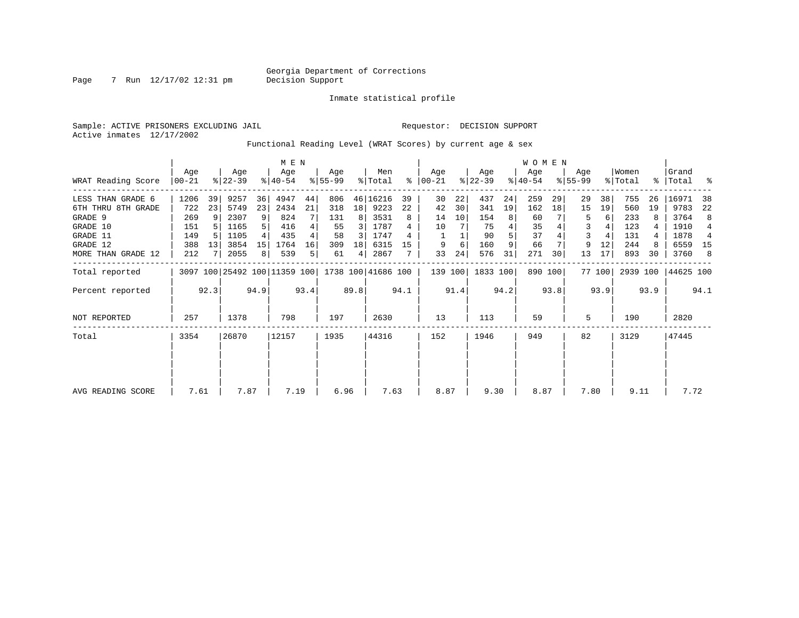Inmate statistical profile

Page 7 Run 12/17/02 12:31 pm

Sample: ACTIVE PRISONERS EXCLUDING JAIL **Requestor: DECISION SUPPORT** 

Active inmates 12/17/2002

#### Functional Reading Level (WRAT Scores) by current age & sex

|                    |                  |      |                  |      | M E N                        |      |                  |                 |                    |      |                 |      |                  |      | <b>WOMEN</b>     |         |                    |        |                  |      |                      |                |
|--------------------|------------------|------|------------------|------|------------------------------|------|------------------|-----------------|--------------------|------|-----------------|------|------------------|------|------------------|---------|--------------------|--------|------------------|------|----------------------|----------------|
| WRAT Reading Score | Age<br>$00 - 21$ |      | Age<br>$ 22-39 $ |      | Age<br>$8140 - 54$           |      | Aqe<br>$8 55-99$ |                 | Men<br>% Total     | ွေ   | Aqe<br>$ 00-21$ |      | Age<br>$ 22-39 $ |      | Age<br>$ 40-54 $ |         | Aqe<br>$8155 - 99$ |        | Women<br>% Total |      | l Grand<br>%   Total | း              |
| LESS THAN GRADE 6  | 1206             | 39   | 9257             | 36   | 4947                         | 44   | 806              |                 | 46 16216           | 39   | 30              | 22   | 437              | 24   | 259              | 29      | 29                 | 38     | 755              | 26   | 16971                | 38             |
| 6TH THRU 8TH GRADE | 722              | 23   | 5749             | 23   | 2434                         | 21   | 318              | 18 <sup>1</sup> | 9223               | 22   | 42              | 30   | 341              | 19   | 162              | 18      | 15                 | 19     | 560              | 19   | 9783                 | 22             |
| GRADE 9            | 269              | 9    | 2307             | 9    | 824                          |      | 131              | 8               | 3531               | 8    | 14              | 10   | 154              | 8    | 60               |         | 5                  | 6      | 233              |      | 3764                 | 8              |
| GRADE 10           | 151              |      | 1165             |      | 416                          |      | 55               | 3               | 1787               |      | 10              |      | 75               |      | 35               |         | 3                  |        | 123              |      | 1910                 | $\overline{4}$ |
| GRADE 11           | 149              |      | 1105             |      | 435                          | 4    | 58               | 3               | 1747               | 4    |                 |      | 90               |      | 37               |         | 3                  |        | 131              |      | 1878                 | $\overline{4}$ |
| GRADE 12           | 388              | 13   | 3854             | 15   | 1764                         | 16   | 309              | 18              | 6315               | 15   | 9               | 6    | 160              | 9    | 66               |         | 9                  | 12     | 244              |      | 6559                 | - 15           |
| MORE THAN GRADE 12 | 212              |      | 2055             | 8    | 539                          | 5    | 61               | 4               | 2867               |      | 33              | 24   | 576              | 31   | 271              | 30      | 13                 | 17     | 893              | 30   | 3760                 | - 8            |
| Total reported     |                  |      |                  |      | 3097 100 25492 100 11359 100 |      |                  |                 | 1738 100 41686 100 |      | 139 100         |      | 1833 100         |      |                  | 890 100 |                    | 77 100 | 2939 100         |      | 44625 100            |                |
| Percent reported   |                  | 92.3 |                  | 94.9 |                              | 93.4 |                  | 89.8            |                    | 94.1 |                 | 91.4 |                  | 94.2 |                  | 93.8    |                    | 93.9   |                  | 93.9 |                      | 94.1           |
| NOT REPORTED       | 257              |      | 1378             |      | 798                          |      | 197              |                 | 2630               |      | 13              |      | 113              |      | 59               |         | 5                  |        | 190              |      | 2820                 |                |
| Total              | 3354             |      | 26870            |      | 12157                        |      | 1935             |                 | 44316              |      | 152             |      | 1946             |      | 949              |         | 82                 |        | 3129             |      | 47445                |                |
|                    |                  |      |                  |      |                              |      |                  |                 |                    |      |                 |      |                  |      |                  |         |                    |        |                  |      |                      |                |
| AVG READING SCORE  | 7.61             |      | 7.87             |      | 7.19                         |      | 6.96             |                 | 7.63               |      | 8.87            |      | 9.30             |      | 8.87             |         | 7.80               |        | 9.11             |      | 7.72                 |                |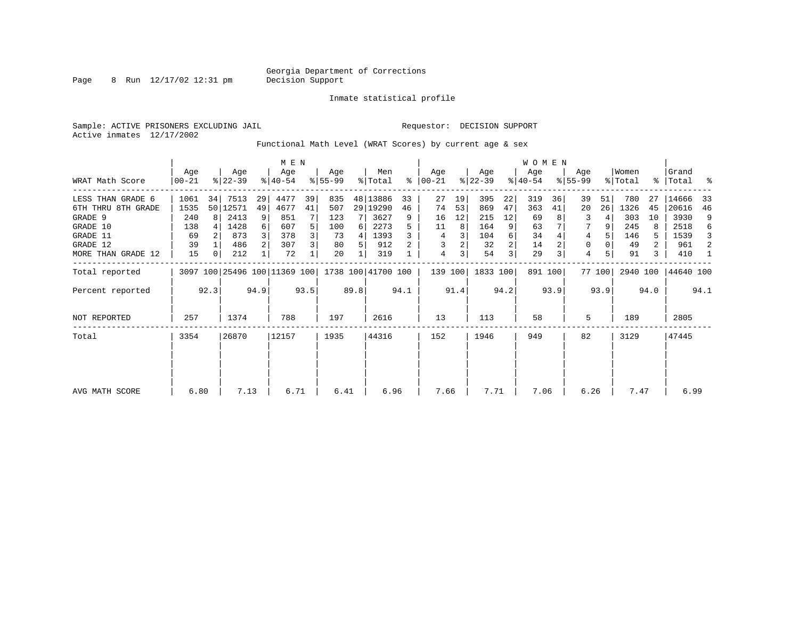Page 8 Run  $12/17/02$  12:31 pm

Inmate statistical profile

Sample: ACTIVE PRISONERS EXCLUDING JAIL **Requestor: DECISION SUPPORT** Active inmates 12/17/2002

Functional Math Level (WRAT Scores) by current age & sex

|                    |                  |                                              |                  |                | M E N            |      |                  |      |                    |      |                      |      |                  |      | W O M E N        |         |                  |        |                  |      |                      |      |
|--------------------|------------------|----------------------------------------------|------------------|----------------|------------------|------|------------------|------|--------------------|------|----------------------|------|------------------|------|------------------|---------|------------------|--------|------------------|------|----------------------|------|
| WRAT Math Score    | Age<br>$00 - 21$ |                                              | Age<br>$ 22-39 $ |                | Age<br>$ 40-54 $ |      | Age<br>$ 55-99 $ |      | Men<br>% Total     |      | Aqe<br>$8   00 - 21$ |      | Age<br>$ 22-39 $ |      | Aqe<br>$ 40-54 $ |         | Age<br>$8 55-99$ |        | Women<br>% Total |      | Grand<br>%   Total % |      |
| LESS THAN GRADE 6  | 1061             | 34                                           | 7513             | 29             | 4477             | 39   | 835              |      | 48 13886           | 33   | 27                   | 19   | 395              | 22   | 319              | 36      | 39               | 51     | 780              | 27   | 14666                | 33   |
| 6TH THRU 8TH GRADE | 1535             |                                              | 50 12571         | 49             | 4677             | 41   | 507              |      | 29 19290           | 46   | 74                   | 53   | 869              | 47   | 363              | 41      | 20               | 26     | 1326             | 45   | 20616                | 46   |
| GRADE 9            | 240              | 8                                            | 2413             | 9              | 851              |      | 123              |      | 3627               | 9    | 16                   | 12   | 215              | 12   | 69               |         | 3                |        | 303              | 10   | 3930                 | 9    |
| GRADE 10           | 138              |                                              | 1428             | $6 \mid$       | 607              | 5    | 100              | 6    | 2273               |      | 11                   | 8    | 164              | 9    | 63               |         | 7                |        | 245              | 8    | 2518                 | 6    |
| GRADE 11           | 69               |                                              | 873              |                | 378              | 3    | 73               | 4    | 1393               |      | 4                    |      | 104              | 6    | 34               |         | 4                |        | 146              | 5.   | 1539                 | 3    |
| GRADE 12           | 39               |                                              | 486              | 2 <sup>1</sup> | 307              | 3    | 80               | 5.   | 912                |      | 3                    |      | 32               |      | 14               |         | 0                |        | 49               | 2    | 961                  | 2    |
| MORE THAN GRADE 12 | 15               | 0                                            | 212              |                | 72               |      | 20               |      | 319                |      | 4                    | 3    | 54               | 3    | 29               |         | $\overline{4}$   |        | 91               | 3    | 410                  | -1   |
| Total reported     |                  |                                              |                  |                |                  |      |                  |      | 1738 100 41700 100 |      | 139 100              |      | 1833 100         |      |                  | 891 100 |                  | 77 100 |                  |      | 2940 100 44640 100   |      |
| Percent reported   |                  | 3097 100 25496 100 11369 100<br>92.3<br>94.9 |                  |                |                  | 93.5 |                  | 89.8 |                    | 94.1 |                      | 91.4 |                  | 94.2 |                  | 93.9    |                  | 93.9   |                  | 94.0 |                      | 94.1 |
| NOT REPORTED       | 257              |                                              | 1374             |                | 788              |      | 197              |      | 2616               |      | 13                   |      | 113              |      | 58               |         | 5                |        | 189              |      | 2805                 |      |
| Total              | 3354             |                                              | 26870            |                | 12157            |      | 1935             |      | 44316              |      | 152                  |      | 1946             |      | 949              |         | 82               |        | 3129             |      | 47445                |      |
|                    |                  |                                              |                  |                |                  |      |                  |      |                    |      |                      |      |                  |      |                  |         |                  |        |                  |      |                      |      |
|                    |                  |                                              |                  |                |                  |      |                  |      |                    |      |                      |      |                  |      |                  |         |                  |        |                  |      |                      |      |
| AVG MATH SCORE     | 6.80             |                                              | 7.13             |                | 6.71             |      | 6.41             |      | 6.96               |      | 7.66                 |      | 7.71             |      | 7.06             |         | 6.26             |        | 7.47             |      | 6.99                 |      |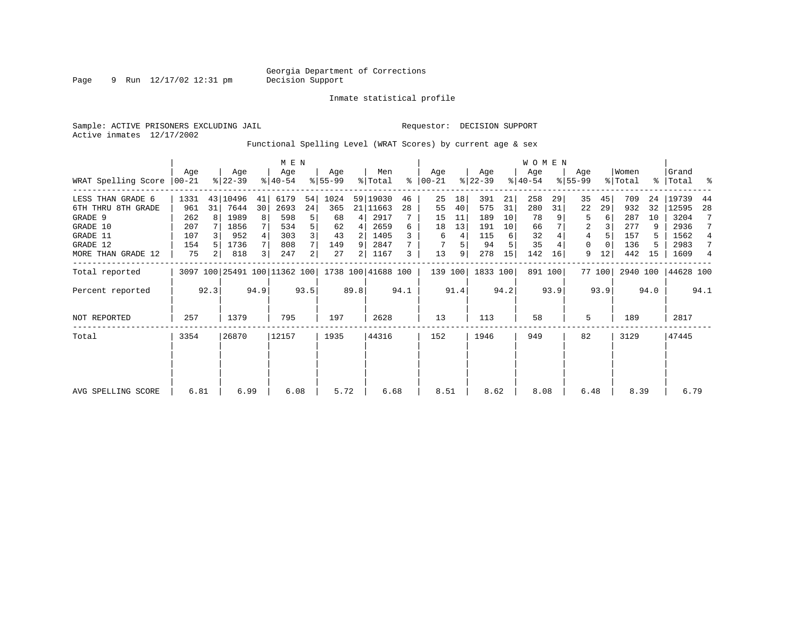Page 9 Run 12/17/02 12:31 pm

Inmate statistical profile

Active inmates 12/17/2002

Sample: ACTIVE PRISONERS EXCLUDING JAIL **Requestor: DECISION SUPPORT** 

Functional Spelling Level (WRAT Scores) by current age & sex

|                     |                 |                                              |                  |    | M E N            |                |                    |      |                |      |                  |      |                  |      | <b>WOMEN</b>     |         |                    |        |                  |      |                    |                |
|---------------------|-----------------|----------------------------------------------|------------------|----|------------------|----------------|--------------------|------|----------------|------|------------------|------|------------------|------|------------------|---------|--------------------|--------|------------------|------|--------------------|----------------|
| WRAT Spelling Score | Aqe<br>$ 00-21$ |                                              | Age<br>$ 22-39 $ |    | Age<br>$ 40-54 $ |                | Aqe<br>$ 55-99$    |      | Men<br>% Total | ႜ    | Age<br>$00 - 21$ |      | Age<br>$ 22-39 $ |      | Age<br>$ 40-54 $ |         | Age<br>$8155 - 99$ |        | Women<br>% Total |      | Grand<br>%   Total | ႜ              |
| LESS THAN GRADE 6   | 1331            |                                              | 43 10496         | 41 | 6179             | 54             | 1024               |      | 59 19030       | 46   | 25               | 18   | 391              | 21   | 258              | 29      | 35                 | 45     | 709              | 24   | 19739              | 44             |
| 6TH THRU 8TH GRADE  | 961             | 31                                           | 7644             | 30 | 2693             | 24             | 365                |      | 21 11663       | 28   | 55               | 40   | 575              | 31   | 280              | 31      | 22                 | 29     | 932              | 32   | 12595              | 28             |
| GRADE 9             | 262             |                                              | 1989             | 8  | 598              | 5              | 68                 | 4    | 2917           |      | 15               | 11   | 189              | 10   | 78               |         | 5                  | 6      | 287              | 10   | 3204               |                |
| GRADE 10            | 207             |                                              | 1856             |    | 534              |                | 62                 | 4    | 2659           | 6    | 18               | 13   | 191              | 10   | 66               |         | 2                  |        | 277              | 9    | 2936               |                |
| GRADE 11            | 107             |                                              | 952              |    | 303              |                | 43                 | 2    | 1405           |      | 6                | 4    | 115              | 6    | 32               |         | 4                  |        | 157              |      | 1562               | 4              |
| GRADE 12            | 154             |                                              | 1736             |    | 808              |                | 149                | 9    | 2847           |      |                  | 5    | 94               |      | 35               |         | $\Omega$           |        | 136              |      | 2983               | 7              |
| MORE THAN GRADE 12  | 75              | 2 <sub>1</sub>                               | 818              |    | 247              | $\overline{2}$ | 27                 | 2    | 1167           | 3    | 13               | 9    | 278              | 15   | 142              | 16      | 9                  | 12     | 442              | 15   | 1609               | $\overline{4}$ |
| Total reported      |                 |                                              |                  |    |                  |                | 1738 100 41688 100 |      |                |      | 139 100          |      | 1833 100         |      |                  | 891 100 |                    | 77 100 | 2940 100         |      | 44628 100          |                |
| Percent reported    |                 | 3097 100 25491 100 11362 100<br>94.9<br>92.3 |                  |    |                  | 93.5           |                    | 89.8 |                | 94.1 |                  | 91.4 |                  | 94.2 |                  | 93.9    |                    | 93.9   |                  | 94.0 |                    | 94.1           |
| <b>NOT REPORTED</b> | 257             |                                              | 1379             |    | 795              |                | 197                |      | 2628           |      | 13               |      | 113              |      | 58               |         | 5                  |        | 189              |      | 2817               |                |
| Total               | 3354            |                                              | 26870            |    | 12157            |                | 1935               |      | 44316          |      | 152              |      | 1946             |      | 949              |         | 82                 |        | 3129             |      | 47445              |                |
|                     |                 |                                              |                  |    |                  |                |                    |      |                |      |                  |      |                  |      |                  |         |                    |        |                  |      |                    |                |
|                     |                 |                                              |                  |    |                  |                |                    |      |                |      |                  |      |                  |      |                  |         |                    |        |                  |      |                    |                |
| AVG SPELLING SCORE  | 6.81            |                                              | 6.99             |    | 6.08             |                | 5.72               |      | 6.68           |      | 8.51             |      | 8.62             |      | 8.08             |         | 6.48               |        | 8.39             |      | 6.79               |                |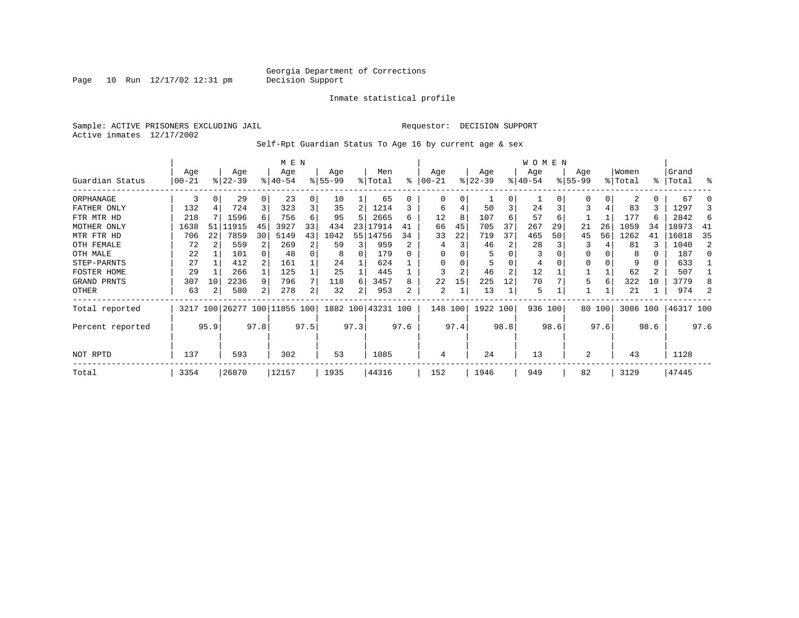Page  $10$  Run  $12/17/02$   $12:31$  pm

#### Inmate statistical profile

Sample: ACTIVE PRISONERS EXCLUDING JAIL **Requestor: DECISION SUPPORT** Active inmates 12/17/2002

Self-Rpt Guardian Status To Age 16 by current age & sex

|                  |            |      |           |      | M E N                        |      |          |      |                    |      |          |      |           |          | W O M E N |      |           |        |          |           |           |                |
|------------------|------------|------|-----------|------|------------------------------|------|----------|------|--------------------|------|----------|------|-----------|----------|-----------|------|-----------|--------|----------|-----------|-----------|----------------|
|                  | Age        |      | Age       |      | Age                          |      | Age      |      | Men                |      | Age      |      | Age       |          | Age       |      | Age       |        | Women    |           | Grand     |                |
| Guardian Status  | $ 00 - 21$ |      | $ 22-39 $ |      | $ 40-54 $                    |      | $ 55-99$ |      | % Total            | ి    | $ 00-21$ |      | $ 22-39 $ |          | $ 40-54 $ |      | $8 55-99$ |        | % Total  | $\approx$ | Total     | န္             |
| ORPHANAGE        | 3          | 0    | 29        |      | 23                           | 0    | 10       |      | 65                 |      | $\Omega$ | 0    |           | $\Omega$ |           |      | $\Omega$  | 0      | 2        | 0         | 67        |                |
| FATHER ONLY      | 132        |      | 724       |      | 323                          | 3    | 35       | 2    | 1214               |      | 6        |      | 50        | 3        | 24        |      | 3         | 4      | 83       | 3         | 1297      |                |
| FTR MTR HD       | 218        |      | 1596      | 6    | 756                          | 6    | 95       |      | 2665               | 6    | 12       | 8    | 107       | 6        | 57        | 6    |           |        | 177      | 6         | 2842      | 6              |
| MOTHER ONLY      | 1638       | 51   | 11915     | 45   | 3927                         | 33   | 434      |      | 23 17914           |      | 66       | 45   | 705       | 37       | 267       | 29   | 21        | 26     | 1059     | 34        | 18973     | 41             |
| MTR FTR HD       | 706        | 22   | 7859      | 30   | 5149                         | 43   | 1042     |      | 55 14756           | 34   | 33       | 22   | 719       | 37       | 465       | 50   | 45        | 56     | 1262     | 41        | 16018     | 35             |
| OTH FEMALE       | 72         |      | 559       |      | 269                          | 2    | 59       |      | 959                |      | 4        |      | 46        |          | 28        |      |           |        | 81       | ζ         | 1040      | $\mathfrak{D}$ |
| OTH MALE         | 22         |      | 101       |      | 48                           | 0    | 8        |      | 179                |      | $\Omega$ |      |           |          | 3         |      |           |        | 8        | 0         | 187       |                |
| STEP-PARNTS      | 27         |      | 412       |      | 161                          |      | 24       |      | 624                |      | 0        |      |           |          | 4         |      |           |        | 9        | 0         | 633       |                |
| FOSTER HOME      | 29         |      | 266       |      | 125                          |      | 25       |      | 445                |      | 3        | 2    | 46        | 2        | 12        |      |           |        | 62       | 2         | 507       |                |
| GRAND PRNTS      | 307        | 10   | 2236      | 9    | 796                          |      | 118      | 6    | 3457               | 8    | 22       | 15   | 225       | 12       | 70        |      | 5         | 6      | 322      | 10        | 3779      |                |
| OTHER            | 63         |      | 580       | 2    | 278                          | 2    | 32       | 2    | 953                | 2    | 2        |      | 13        |          | 5         |      |           |        | 21       |           | 974       |                |
| Total reported   |            |      |           |      | 3217 100 26277 100 11855 100 |      |          |      | 1882 100 43231 100 |      | 148 100  |      | 1922 100  |          | 936 100   |      |           | 80 100 | 3086 100 |           | 46317 100 |                |
| Percent reported |            | 95.9 |           | 97.8 |                              | 97.5 |          | 97.3 |                    | 97.6 |          | 97.4 |           | 98.8     |           | 98.6 |           | 97.6   |          | 98.6      |           | 97.6           |
| NOT RPTD         | 137<br>593 |      |           |      | 302                          |      | 53       |      | 1085               |      | 4        |      | 24        |          | 13        |      | 2         |        | 43       |           | 1128      |                |
| Total            | 3354       |      | 26870     |      | 12157                        |      | 1935     |      | 44316              |      | 152      |      | 1946      |          | 949       |      | 82        |        | 3129     |           | 47445     |                |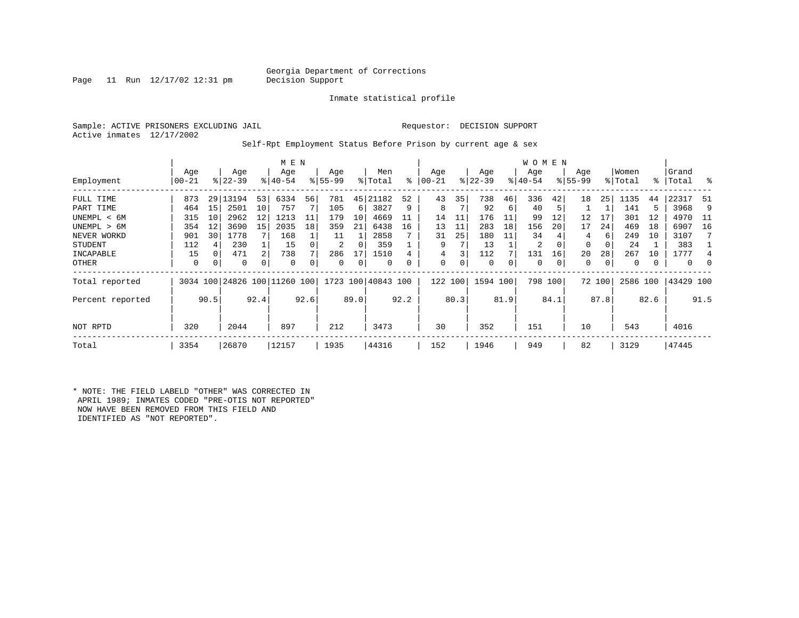#### Georgia Department of Corrections<br>Decision Support

Page 11 Run  $12/17/02$  12:31 pm

Inmate statistical profile

Sample: ACTIVE PRISONERS EXCLUDING JAIL **Requestor: DECISION SUPPORT** Active inmates 12/17/2002

Self-Rpt Employment Status Before Prison by current age & sex

|                  |                 |      |                  |      | M E N                        |      |                 |      |                    |      |                |      |                  |      | W O M E N        |         |                    |        |                  |      |                    |          |
|------------------|-----------------|------|------------------|------|------------------------------|------|-----------------|------|--------------------|------|----------------|------|------------------|------|------------------|---------|--------------------|--------|------------------|------|--------------------|----------|
| Employment       | Age<br>$ 00-21$ |      | Age<br>$ 22-39 $ |      | Age<br>$8 40-54$             |      | Age<br>$ 55-99$ |      | Men<br>% Total     | ႜ    | Age<br>  00-21 |      | Age<br>$ 22-39 $ |      | Age<br>$ 40-54 $ |         | Age<br>$8155 - 99$ |        | Women<br>% Total |      | Grand<br>%   Total | ွေ       |
|                  |                 |      |                  |      |                              |      |                 |      |                    |      |                |      |                  |      |                  |         |                    |        |                  |      |                    |          |
| FULL TIME        | 873             |      | 29   13194       | 53   | 6334                         | 56   | 781             | 45   | 21182              | 52   | 43             | 35   | 738              | 46   | 336              | 42      | 18                 | 25     | 1135             | 44   | 22317              | 51       |
| PART TIME        | 464             | 15   | 2501             | 10   | 757                          |      | 105             | 6    | 3827               | 9    | 8              |      | 92               | 6    | 40               | 5       |                    |        | 141              | 5    | 3968               | 9        |
| UNEMPL < 6M      | 315             | 10   | 2962             | 12   | 1213                         | 11   | 179             | 10   | 4669               |      | 14             | 11   | 176              | 11   | 99               | 12      | 12                 | 17     | 301              | 12   | 4970               | - 11     |
| UNEMPL > 6M      | 354             | 12   | 3690             | 15   | 2035                         | 18   | 359             | 21   | 6438               | 16   | 13             | 11   | 283              | 18   | 156              | 20      | 17                 | 24     | 469              | 18   | 6907               | 16       |
| NEVER WORKD      | 901             | 30   | 1778             |      | 168                          |      | 11              |      | 2858               |      | 31             | 25   | 180              | 11   | 34               |         | 4                  | 6      | 249              | 10   | 3107               |          |
| <b>STUDENT</b>   | 112             | 4    | 230              |      | 15                           |      | 2               | 0    | 359                |      | 9              |      | 13               |      | 2                | 0       | 0                  | 0      | 24               |      | 383                |          |
| INCAPABLE        | 15              | 0    | 471              | 2    | 738                          |      | 286             | 17   | 1510               |      |                |      | 112              |      | 131              | 16      | 20                 | 28     | 267              | 10   | 1777               |          |
| OTHER            | 0               | 0    | 0                | 0    | $\Omega$                     |      | 0               | 0    | 0                  | 0    | 0              | 0    | 0                | 0    | 0                | 0       | 0                  | 0      | 0                |      | 0                  | $\Omega$ |
| Total reported   |                 |      |                  |      | 3034 100 24826 100 11260 100 |      |                 |      | 1723 100 40843 100 |      | 122            | 100  | 1594 100         |      |                  | 798 100 |                    | 72 100 | 2586 100         |      | 43429 100          |          |
| Percent reported |                 | 90.5 |                  | 92.4 |                              | 92.6 |                 | 89.0 |                    | 92.2 |                | 80.3 |                  | 81.9 |                  | 84.1    |                    | 87.8   |                  | 82.6 |                    | 91.5     |
| NOT RPTD         | 320             |      | 2044             |      | 897                          |      | 212             |      | 3473               |      | 30             |      | 352              |      | 151              |         | 10                 |        | 543              |      | 4016               |          |
| Total            | 3354            |      | 26870            |      | 12157                        |      | 1935            |      | 44316              |      | 152            |      | 1946             |      | 949              |         | 82                 |        | 3129             |      | 47445              |          |

\* NOTE: THE FIELD LABELD "OTHER" WAS CORRECTED IN APRIL 1989; INMATES CODED "PRE-OTIS NOT REPORTED" NOW HAVE BEEN REMOVED FROM THIS FIELD AND IDENTIFIED AS "NOT REPORTED".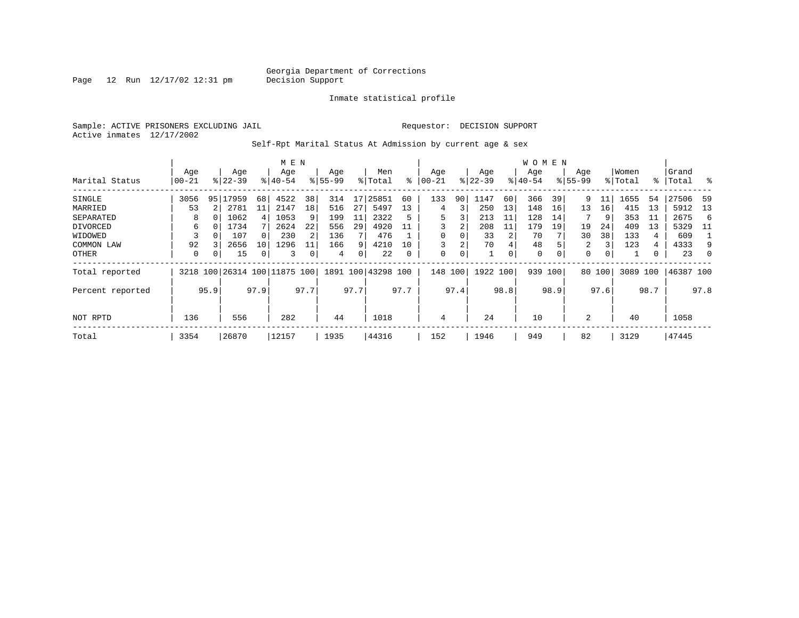Page  $12$  Run  $12/17/02$   $12:31$  pm

Inmate statistical profile

Sample: ACTIVE PRISONERS EXCLUDING JAIL **Requestor: DECISION SUPPORT** Active inmates 12/17/2002

Self-Rpt Marital Status At Admission by current age & sex

|                  |           |          |             |          | M E N                        |      |           |      |                    |      |            |      |             |          | W O M E N   |          |             |      |          |      |           |          |
|------------------|-----------|----------|-------------|----------|------------------------------|------|-----------|------|--------------------|------|------------|------|-------------|----------|-------------|----------|-------------|------|----------|------|-----------|----------|
|                  | Age       |          | Age         |          | Age                          |      | Age       |      | Men                |      | Age        |      | Age         |          | Age         |          | Age         |      | Women    |      | Grand     |          |
| Marital Status   | $00 - 21$ |          | $8122 - 39$ |          | $8140 - 54$                  |      | $8 55-99$ |      | % Total            | ⊱    | $ 00 - 21$ |      | $ 22 - 39 $ |          | $ 40-54 $   |          | $8155 - 99$ |      | % Total  |      | %   Total | $\sim$ 8 |
| SINGLE           | 3056      | 95       | 17959       | 68       | 4522                         | 38   | 314       | 17   | 25851              | 60   | 133        | 90   | 1147        | 60       | 366         | 39       | 9           | 11   | 1655     | 54   | 27506     | -59      |
| MARRIED          | 53        |          | 2781        | 11       | 2147                         | 18   | 516       | 27   | 5497               | 13   | 4          | 3    | 250         | 13       | 148         | 16       | 13          | 16   | 415      | 13   | 5912      | 13       |
| SEPARATED        | 8         | $\Omega$ | 1062        | 4        | 1053                         | 9    | 199       | 11   | 2322               | 5    | 5          | 3    | 213         | 11       | 128         | 14       |             | 9    | 353      | -11  | 2675      | -6       |
| DIVORCED         | 6         |          | 1734        |          | 2624                         | 22   | 556       | 29   | 4920               | 11   |            | 2    | 208         | 11       | 179         | 19       | 19          | 24   | 409      | 13   | 5329      | - 11     |
| WIDOWED          |           |          | 107         | $\Omega$ | 230                          | 2    | 136       |      | 476                |      |            | 0    | 33          |          | 70          |          | 30          | 38   | 133      | 4    | 609       |          |
| COMMON LAW       | 92        |          | 2656        | 10       | 1296                         |      | 166       | 9    | 4210               | 10   |            | 2    | 70          | 4        | 48          |          | 2           | 3    | 123      | 4    | 4333      | 9        |
| OTHER            | 0         | $\Omega$ | 15          |          | 3                            |      | 4         | 0    | 22                 | 0    | 0          | 0    |             | $\Omega$ | $\mathbf 0$ | $\Omega$ | 0           |      |          |      | 23        | 0        |
| Total reported   |           |          |             |          | 3218 100 26314 100 11875 100 |      |           |      | 1891 100 43298 100 |      | 148        | 100  | 1922 100    |          | 939         | 100      | 80          | 100  | 3089 100 |      | 46387 100 |          |
| Percent reported |           | 95.9     |             | 97.9     |                              | 97.7 |           | 97.7 |                    | 97.7 |            | 97.4 |             | 98.8     |             | 98.9     |             | 97.6 |          | 98.7 |           | 97.8     |
|                  |           |          |             |          |                              |      |           |      |                    |      |            |      |             |          |             |          |             |      |          |      |           |          |
| NOT RPTD         | 136       |          | 556         |          | 282                          |      | 44        |      | 1018               |      | 4          |      | 24          |          | 10          |          | 2           |      | 40       |      | 1058      |          |
| Total            | 3354      |          | 26870       |          | 12157                        |      | 1935      |      | 44316              |      | 152        |      | 1946        |          | 949         |          | 82          |      | 3129     |      | 47445     |          |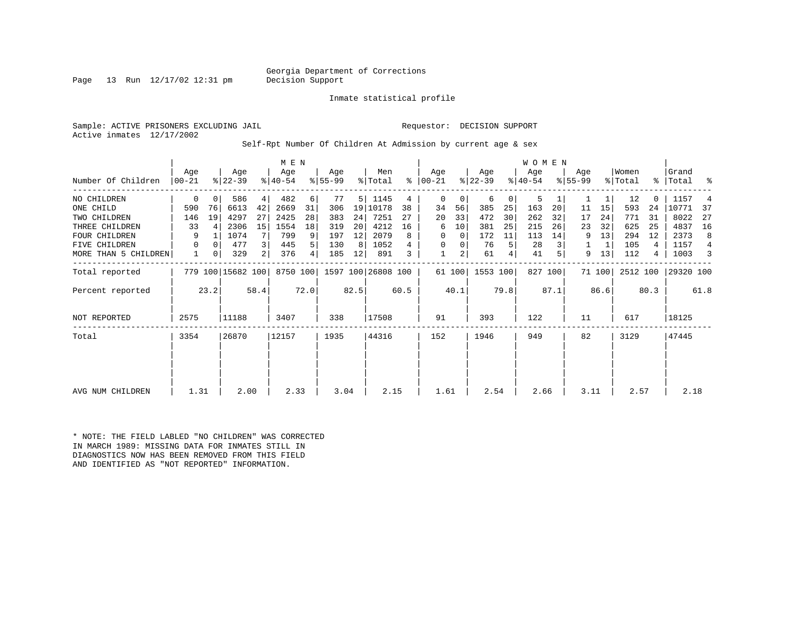#### Georgia Department of Corrections<br>Decision Support

Page 13 Run  $12/17/02$  12:31 pm

Inmate statistical profile

Sample: ACTIVE PRISONERS EXCLUDING JAIL **Requestor: DECISION SUPPORT** Active inmates 12/17/2002

Self-Rpt Number Of Children At Admission by current age & sex

|                      |                  |               |                   |      | M E N            |                |                  |       |                    |      |                 |        |                  |      | <b>WOMEN</b>     |         |                    |        |                  |       |                |      |
|----------------------|------------------|---------------|-------------------|------|------------------|----------------|------------------|-------|--------------------|------|-----------------|--------|------------------|------|------------------|---------|--------------------|--------|------------------|-------|----------------|------|
| Number Of Children   | Aqe<br>$00 - 21$ |               | Age<br>$ 22-39 $  |      | Age<br>$ 40-54 $ |                | Age<br>$ 55-99 $ |       | Men<br>% Total     | ႜ    | Aqe<br>$ 00-21$ |        | Age<br>$ 22-39 $ |      | Age<br>$8 40-54$ |         | Aqe<br>$8155 - 99$ |        | Women<br>% Total | °≈    | Grand<br>Total | ႜ    |
| NO CHILDREN          | 0                | $\Omega$      | 586               | 4    | 482              | 6              | 77               | 5     | 1145               | 4    | $\mathbf 0$     | 0      | 6                | 0    | 5                |         |                    | 1      | 12               |       | 1157           |      |
| ONE CHILD            | 590              | 76            | 6613              | 42   | 2669             | 31             | 306              | 19    | 10178              | 38   | 34              | 56     | 385              | 25   | 163              | 20      | 11                 | 15     | 593              | 24    | 10771          | 37   |
| TWO CHILDREN         | 146              | 19            | 4297              | 27   | 2425             | 28             | 383              | 24    | 7251               | 27   | 20              | 33     | 472              | 30   | 262              | 32      | 17                 | 24     | 771              | 31    | 8022           | 27   |
| THREE CHILDREN       | 33               |               | 2306              | 15   | 1554             | 18             | 319              | 20    | 4212               | 16   | 6               | 10     | 381              | 25   | 215              | 26      | 23                 | 32     | 625              | 25    | 4837           | 16   |
| <b>FOUR CHILDREN</b> | 9                |               | 1074              |      | 799              | 9              | 197              | 12    | 2079               | 8    | 0               | 0      | 172              | 11   | 113              | 14      | 9                  | 13     | 294              | 12    | 2373           | 8    |
| FIVE CHILDREN        | 0                | $\Omega$      | 477               | 3    | 445              | 5 <sup>1</sup> | 130              | 8     | 1052               |      | 0               | 0      | 76               | 5    | 28               |         |                    | 1      | 105              | 4     | 1157           | 4    |
| MORE THAN 5 CHILDREN | 1                | 0             | 329               | 2    | 376              | 4              | 185              | 12    | 891                | 3    |                 | 2      | 61               | 4    | 41               |         | 9                  | 13     | 112              | 4     | 1003           | 3    |
| Total reported       |                  |               | 779 100 15682 100 |      | 8750 100         |                |                  |       | 1597 100 26808 100 |      |                 | 61 100 | 1553 100         |      |                  | 827 100 |                    | 71 100 | 2512 100         |       | 29320 100      |      |
| Percent reported     |                  | 23.2          |                   | 58.4 |                  | 72.0           |                  | 82.5  |                    | 60.5 |                 | 40.1   |                  | 79.8 |                  | 87.1    |                    | 86.6   |                  | 80.3  |                | 61.8 |
| NOT REPORTED         | 2575             | 11188         |                   | 3407 |                  | 338            |                  | 17508 |                    | 91   |                 | 393    |                  | 122  |                  | 11      |                    | 617    |                  | 18125 |                |      |
| Total                |                  | 26870<br>3354 |                   |      | 12157            |                | 1935             |       | 44316              |      | 152             |        | 1946             |      | 949              |         | 82                 |        | 3129             |       | 47445          |      |
|                      |                  |               |                   |      |                  |                |                  |       |                    |      |                 |        |                  |      |                  |         |                    |        |                  |       |                |      |
|                      |                  |               |                   |      |                  |                |                  |       |                    |      |                 |        |                  |      |                  |         |                    |        |                  |       |                |      |
| AVG NUM CHILDREN     | 1.31             |               | 2.00              |      | 2.33             |                | 3.04             |       | 2.15               |      | 1.61            |        | 2.54             |      | 2.66             |         | 3.11               |        | 2.57             |       | 2.18           |      |

\* NOTE: THE FIELD LABLED "NO CHILDREN" WAS CORRECTED IN MARCH 1989: MISSING DATA FOR INMATES STILL IN DIAGNOSTICS NOW HAS BEEN REMOVED FROM THIS FIELD AND IDENTIFIED AS "NOT REPORTED" INFORMATION.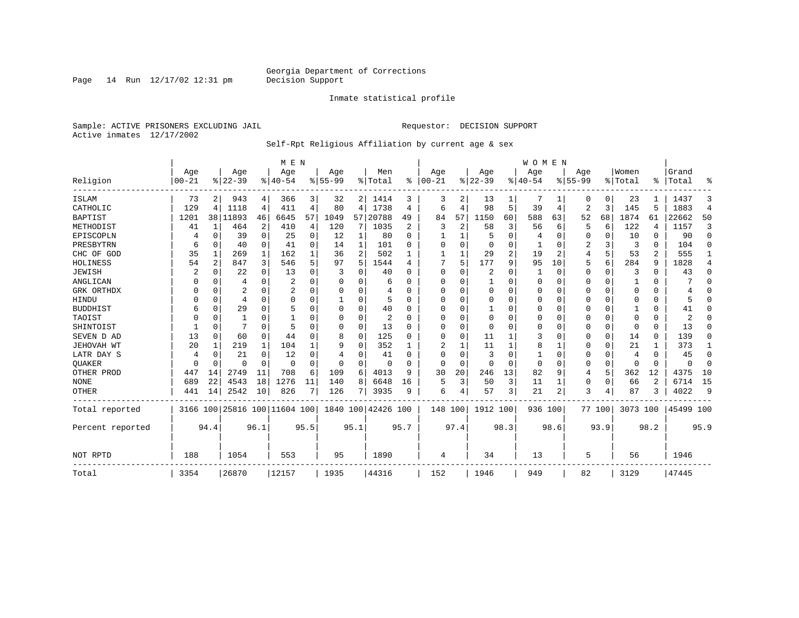Page 14 Run  $12/17/02$  12:31 pm

#### Inmate statistical profile

Sample: ACTIVE PRISONERS EXCLUDING JAIL **Requestor: DECISION SUPPORT** Active inmates 12/17/2002

#### Self-Rpt Religious Affiliation by current age & sex

|                  |           |          |                |             | M E N                        |          |           |              |                    |                |          |          |              |      | WOMEN    |          |             |             |          |              |           |                |
|------------------|-----------|----------|----------------|-------------|------------------------------|----------|-----------|--------------|--------------------|----------------|----------|----------|--------------|------|----------|----------|-------------|-------------|----------|--------------|-----------|----------------|
|                  | Age       |          | Age            |             | Age                          |          | Age       |              | Men                |                | Age      |          | Age          |      | Age      |          | Age         |             | Women    |              | Grand     |                |
| Religion         | $00 - 21$ |          | $8 22-39$      |             | $8 40-54$                    |          | $8 55-99$ |              | % Total            | ွေ             | $ 00-21$ |          | $ 22-39$     |      | $ 40-54$ |          | $8155 - 99$ |             | % Total  | ႜ            | Total     | ႜ              |
| <b>ISLAM</b>     | 73        | 2        | 943            | 4           | 366                          | 3        | 32        |              | 2   1414           | 3              | 3        | 2        | 13           |      |          |          | 0           | 0           | 23       |              | 1437      | 3              |
| CATHOLIC         | 129       | 4        | 1118           | 4           | 411                          | 4        | 80        | 4            | 1738               | 4              | 6        | 4        | 98           | 5    | 39       | 4        | 2           | 3           | 145      | 5            | 1883      | $\overline{4}$ |
| <b>BAPTIST</b>   | 1201      |          | 38   11893     | 46          | 6645                         | 57       | 1049      | 57           | 20788              | 49             | 84       | 57       | 1150         | 60   | 588      | 63       | 52          | 68          | 1874     | 61           | 22662     | 50             |
| METHODIST        | 41        | 1        | 464            | 2           | 410                          | 4        | 120       | 7            | 1035               | $\overline{2}$ | 3        | 2        | 58           | 3    | 56       | 6        | 5           | 6           | 122      | 4            | 1157      | 3              |
| EPISCOPLN        |           | 0        | 39             | $\Omega$    | 25                           | $\Omega$ | 12        | 1            | 80                 | $\Omega$       |          |          | 5            | O    |          | 0        | 0           | $\Omega$    | 10       | $\Omega$     | 90        | $\Omega$       |
| PRESBYTRN        | 6         | $\Omega$ | 40             | $\Omega$    | 41                           | $\Omega$ | 14        | $\mathbf{1}$ | 101                | $\Omega$       | $\Omega$ | $\Omega$ | $\Omega$     | O    |          | $\Omega$ | 2           | 3           | 3        | $\Omega$     | 104       | $\Omega$       |
| CHC OF GOD       | 35        | 1        | 269            | 1           | 162                          |          | 36        | 2            | 502                |                |          |          | 29           | 2    | 19       | 2        | 4           | 5           | 53       | 2            | 555       | 1              |
| HOLINESS         | 54        | 2        | 847            | 3           | 546                          | 5        | 97        | 5            | 1544               | 4              |          | 5        | 177          | 9    | 95       | 10       | 5           | 6           | 284      | 9            | 1828      | 4              |
| <b>JEWISH</b>    | 2         | $\Omega$ | 22             | $\Omega$    | 13                           | O        | 3         | 0            | 40                 | U              | $\Omega$ | O        | 2            | 0    |          | 0        | 0           | $\Omega$    | 3        | $\Omega$     | 43        | $\Omega$       |
| ANGLICAN         | O         | $\Omega$ | 4              | $\Omega$    | 2                            | $\Omega$ | n         | 0            | 6                  | <sup>n</sup>   | U        | U        | $\mathbf{1}$ | O    | $\Omega$ | $\Omega$ | 0           | $\Omega$    |          | <sup>0</sup> |           | $\Omega$       |
| GRK ORTHDX       |           | $\Omega$ | 2              | $\Omega$    | 2                            | $\Omega$ |           | 0            | 4                  | U              | $\Omega$ | O        | $\mathbf 0$  | O    | $\Omega$ | $\Omega$ | 0           | $\Omega$    | $\Omega$ | $\Omega$     | 4         | $\Omega$       |
| HINDU            |           | $\Omega$ | $\overline{4}$ | $\Omega$    | $\Omega$                     | $\Omega$ |           | 0            |                    | $\Omega$       | $\Omega$ | $\Omega$ | $\Omega$     | 0    | $\Omega$ | $\Omega$ | 0           | $\Omega$    | $\Omega$ | $\Omega$     | 5         | $\Omega$       |
| <b>BUDDHIST</b>  | 6         | $\Omega$ | 29             | $\Omega$    | 5                            |          |           | $\Omega$     | 40                 | O              | 0        | U        |              | 0    | $\Omega$ | $\Omega$ | 0           | O           |          | $\Omega$     | 41        | O              |
| TAOIST           |           | $\Omega$ |                | U           |                              |          | O         | 0            | 2                  | U              | U        | $\Omega$ | $\mathbf 0$  | O    | $\Omega$ | $\Omega$ | 0           | $\Omega$    | $\Omega$ | $\Omega$     |           | U              |
| SHINTOIST        |           | $\Omega$ | 7              | $\Omega$    | 5                            | $\Omega$ | O         | $\Omega$     | 13                 | ∩              | U        | $\Omega$ | $\Omega$     | O    | $\Omega$ | $\Omega$ | 0           | $\Omega$    | $\Omega$ | $\Omega$     | 13        | U              |
| SEVEN D AD       | 13        | $\Omega$ | 60             | $\mathbf 0$ | 44                           | $\Omega$ | 8         | 0            | 125                | U              | $\Omega$ | $\Omega$ | 11           |      | 3        | $\Omega$ | 0           | $\mathbf 0$ | 14       | $\Omega$     | 139       | 0              |
| JEHOVAH WT       | 20        |          | 219            | 1           | 104                          |          | 9         | 0            | 352                |                |          |          | 11           |      | 8        |          | 0           | 0           | 21       |              | 373       | 1              |
| LATR DAY S       | 4         | 0        | 21             | $\Omega$    | 12                           | $\Omega$ | 4         | 0            | 41                 | $\Omega$       | $\Omega$ | $\Omega$ | 3            | 0    |          | $\Omega$ | 0           | $\Omega$    | 4        | $\Omega$     | 45        | 0              |
| QUAKER           | $\Omega$  | 0        | 0              | $\Omega$    | $\Omega$                     | $\Omega$ | 0         | $\Omega$     | $\Omega$           | $\cap$         | 0        | $\Omega$ | $\Omega$     | 0    | $\Omega$ | $\Omega$ | 0           | $\mathbf 0$ | $\Omega$ | $\Omega$     | $\Omega$  | $\Omega$       |
| OTHER PROD       | 447       | 14       | 2749           | 11          | 708                          | 6        | 109       | 6            | 4013               | q              | 30       | 20       | 246          | 13   | 82       | 9        | 4           | 5           | 362      | 12           | 4375      | 10             |
| <b>NONE</b>      | 689       | 22       | 4543           | 18          | 1276                         | 11       | 140       | 8            | 6648               | 16             | 5        | 3        | 50           | 3    | 11       | 1        | 0           | 0           | 66       | 2            | 6714      | 15             |
| <b>OTHER</b>     | 441       | 14       | 2542           | 10          | 826                          | 7        | 126       | 7            | 3935               | 9              | 6        |          | 57           | 3    | 21       | 2        | 3           | 4           | 87       | 3            | 4022      | 9              |
| Total reported   |           |          |                |             | 3166 100 25816 100 11604 100 |          |           |              | 1840 100 42426 100 |                | 148 100  |          | 1912 100     |      | 936 100  |          |             | 77 100      | 3073 100 |              | 45499 100 |                |
| Percent reported |           | 94.4     |                | 96.1        |                              | 95.5     |           | 95.1         |                    | 95.7           |          | 97.4     |              | 98.3 |          | 98.6     |             | 93.9        |          | 98.2         |           | 95.9           |
| NOT RPTD         | 188       |          | 1054           |             | 553                          |          | 95        |              | 1890               |                | 4        |          | 34           |      | 13       |          | 5           |             | 56       |              | 1946      |                |
| Total            | 3354      |          | 26870          |             | 12157                        |          | 1935      |              | 44316              |                | 152      |          | 1946         |      | 949      |          | 82          |             | 3129     |              | 47445     |                |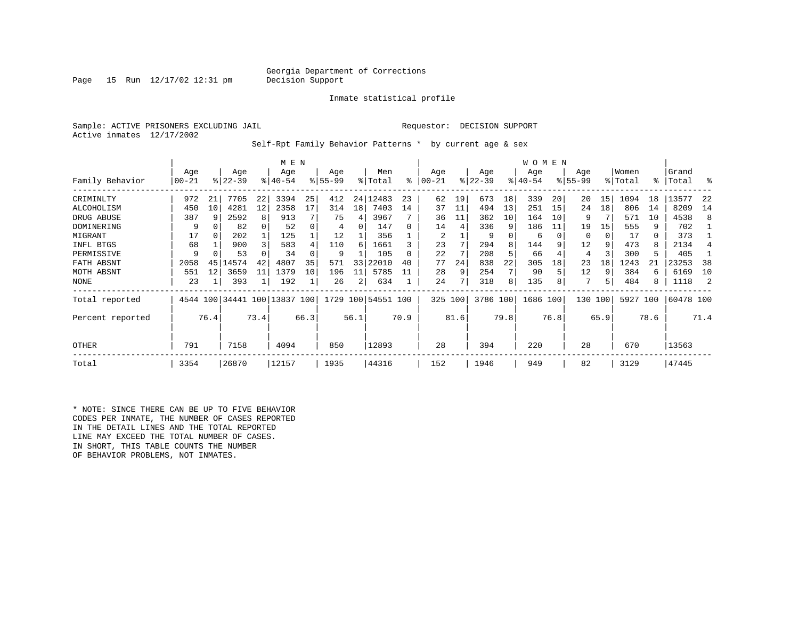#### Georgia Department of Corrections<br>Decision Support

Page 15 Run  $12/17/02$  12:31 pm

#### Inmate statistical profile

Sample: ACTIVE PRISONERS EXCLUDING JAIL **Requestor: DECISION SUPPORT** Active inmates 12/17/2002

Self-Rpt Family Behavior Patterns \* by current age & sex

|                  |                  |      |                              |      | M E N            |      |                 |      |                    |      |                |      |                  |      | <b>WOMEN</b>     |      |                  |      |                  |      |                |      |
|------------------|------------------|------|------------------------------|------|------------------|------|-----------------|------|--------------------|------|----------------|------|------------------|------|------------------|------|------------------|------|------------------|------|----------------|------|
| Family Behavior  | Age<br>$00 - 21$ |      | Age<br>$ 22-39 $             |      | Age<br>$8 40-54$ |      | Age<br>$ 55-99$ |      | Men<br>% Total     | ႜ    | Age<br>  00-21 |      | Age<br>$ 22-39 $ |      | Age<br>$ 40-54 $ |      | Age<br>$8 55-99$ |      | Women<br>% Total | °≈   | Grand<br>Total | ႜ    |
| CRIMINLTY        | 972              | 21   | 7705                         | 22   | 3394             | 25   | 412             | 24   | 12483              | 23   | 62             | 19   | 673              | 18   | 339              | 20   | 20               | 15   | 1094             | 18   | 13577          | -22  |
| ALCOHOLISM       | 450              | 10   | 4281                         | 12   | 2358             | 17   | 314             | 18   | 7403               | 14   | 37             | 11   | 494              | 13   | 251              | 15   | 24               | 18   | 806              | 14   | 8209           | 14   |
| DRUG ABUSE       | 387              | q    | 2592                         | 8    | 913              |      | 75              | 4    | 3967               |      | 36             | 11   | 362              | 10   | 164              | 10   | 9                |      | 571              | 10   | 4538           | 8    |
| DOMINERING       | 9                |      | 82                           |      | 52               |      | 4               | 0    | 147                |      | 14             | 4    | 336              | 9    | 186              | 11   | 19               | 15   | 555              | 9    | 702            |      |
| MIGRANT          | 17               | 0    | 202                          |      | 125              |      | 12              |      | 356                |      | 2              |      |                  |      | 6                |      | 0                | 0    | 17               | 0    | 373            |      |
| INFL BTGS        | 68               |      | 900                          |      | 583              |      | 110             | 6    | 1661               |      | 23             |      | 294              | 8    | 144              |      | 12               | 9    | 473              | 8    | 2134           |      |
| PERMISSIVE       | q                |      | 53                           |      | 34               |      | 9               |      | 105                |      | 22             |      | 208              |      | 66               |      | 4                |      | 300              | 5    | 405            |      |
| FATH ABSNT       | 2058             | 45   | 14574                        | 42   | 4807             | 35   | 571             | 33   | 22010              | 40   | 77             | 24   | 838              | 22   | 305              | 18   | 23               | 18   | 1243             |      | 23253          | 38   |
| MOTH ABSNT       | 551              | 12   | 3659                         | 11   | 1379             | 10   | 196             | 11   | 5785               |      | 28             | 9    | 254              |      | 90               |      | 12               | 9    | 384              | 6    | 6169           | 10   |
| <b>NONE</b>      | 23               |      | 393                          |      | 192              |      | 26              | 2    | 634                |      | 24             |      | 318              | 8    | 135              |      | 7                | 5    | 484              | 8    | 1118           |      |
| Total reported   |                  |      | 4544 100 34441 100 13837 100 |      |                  |      |                 |      | 1729 100 54551 100 |      | 325 100        |      | 3786 100         |      | 1686 100         |      | 130              | 100  | 5927             | 100  | 60478 100      |      |
| Percent reported |                  | 76.4 |                              | 73.4 |                  | 66.3 |                 | 56.1 |                    | 70.9 |                | 81.6 |                  | 79.8 |                  | 76.8 |                  | 65.9 |                  | 78.6 |                | 71.4 |
| OTHER            | 791              |      | 7158                         |      | 4094             |      | 850             |      | 12893              |      | 28             |      | 394              |      | 220              |      | 28               |      | 670              |      | 13563          |      |
| Total            | 3354             |      | 26870                        |      | 12157            |      | 1935            |      | 44316              |      | 152            |      | 1946             |      | 949              |      | 82               |      | 3129             |      | 47445          |      |

\* NOTE: SINCE THERE CAN BE UP TO FIVE BEHAVIOR CODES PER INMATE, THE NUMBER OF CASES REPORTED IN THE DETAIL LINES AND THE TOTAL REPORTED LINE MAY EXCEED THE TOTAL NUMBER OF CASES. IN SHORT, THIS TABLE COUNTS THE NUMBER OF BEHAVIOR PROBLEMS, NOT INMATES.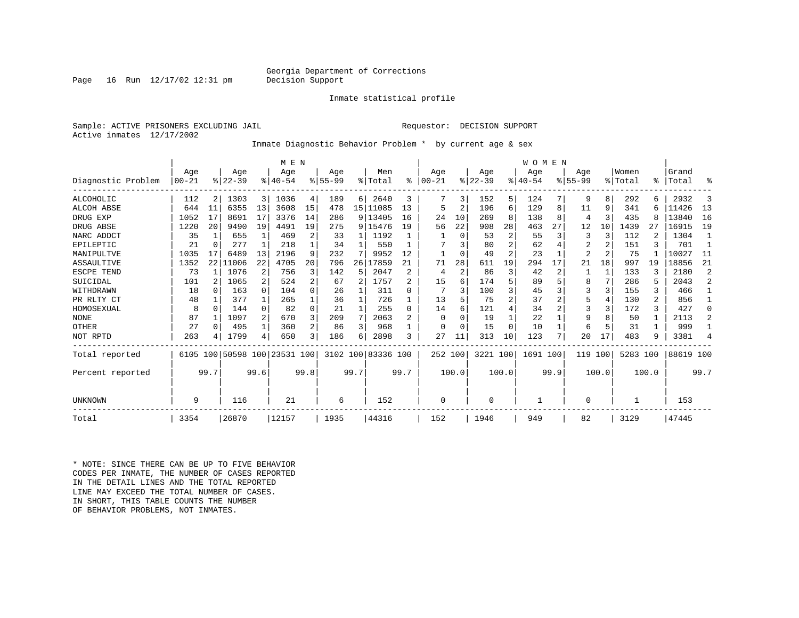#### Georgia Department of Corrections<br>Decision Support

Inmate statistical profile

Page 16 Run  $12/17/02$  12:31 pm

Sample: ACTIVE PRISONERS EXCLUDING JAIL **Requestor: DECISION SUPPORT** Active inmates 12/17/2002

Inmate Diagnostic Behavior Problem \* by current age & sex

|                    |       |              |          |                | M E N                   |                |             |      |                    |      |           |               |           |                | WOMEN       |               |                |              |          |       |           |                |
|--------------------|-------|--------------|----------|----------------|-------------------------|----------------|-------------|------|--------------------|------|-----------|---------------|-----------|----------------|-------------|---------------|----------------|--------------|----------|-------|-----------|----------------|
|                    | Age   |              | Age      |                | Age                     |                | Aqe         |      | Men                |      | Aqe       |               | Age       |                | Aqe         |               | Aqe            |              | Women    |       | Grand     |                |
| Diagnostic Problem | 00-21 |              | $ 22-39$ |                | $8140 - 54$             |                | $8155 - 99$ |      | % Total            | ႜ    | $00 - 21$ | $\frac{1}{6}$ | $22 - 39$ |                | $8140 - 54$ |               | $8155 - 99$    |              | % Total  |       | %   Total | ႜ              |
| ALCOHOLIC          | 112   | 2            | 1303     | $\overline{3}$ | 1036                    | 4              | 189         | 6    | 2640               | 3    |           | 3             | 152       | 5              | 124         |               | 9              | 8            | 292      | 6.    | 2932      | 3              |
| ALCOH ABSE         | 644   | 11           | 6355     | 13             | 3608                    | 15             | 478         |      | 15 11085           | 13   | 5         | 2             | 196       | 6              | 129         | 8             | 11             | 9            | 341      | б     | 11426     | 13             |
| DRUG EXP           | 1052  | 17           | 8691     | 17             | 3376                    | 14             | 286         |      | 9 13405            | 16   | 24        | 10            | 269       | 8              | 138         | 8             | 4              | 3            | 435      | 8     | 13840     | 16             |
| DRUG ABSE          | 1220  | 20           | 9490     | 19             | 4491                    | 19             | 275         |      | 9 15476            | 19   | 56        | 22            | 908       | 28             | 463         | 27            | 12             | 10           | 1439     | 27    | 16915     | 19             |
| NARC ADDCT         | 35    |              | 655      | $\mathbf{1}$   | 469                     | 2              | 33          |      | 1192               |      |           | $\Omega$      | 53        | 2              | 55          | 3             | 3              | 3            | 112      |       | 1304      |                |
| EPILEPTIC          | 21    | $\Omega$     | 277      | 1              | 218                     |                | 34          |      | 550                |      |           |               | 80        | $\overline{2}$ | 62          |               | $\overline{2}$ |              | 151      |       | 701       |                |
| MANIPULTVE         | 1035  | 17           | 6489     | 13             | 2196                    | 9              | 232         |      | 9952               | 12   |           | 0             | 49        | $\overline{c}$ | 23          |               | $\overline{a}$ |              | 75       |       | 10027     | 11             |
| ASSAULTIVE         | 1352  | 22           | 11006    | 22             | 4705                    | 20             | 796         | 26   | 17859              | 21   | 71        | 28            | 611       | 19             | 294         | 17            | 21             | 18           | 997      | 19    | 18856     | 21             |
| ESCPE TEND         | 73    |              | 1076     | 2              | 756                     | 3              | 142         | 5    | 2047               | 2    | 4         | 2             | 86        | 3              | 42          | 2             |                | $\mathbf{1}$ | 133      |       | 2180      | 2              |
| SUICIDAL           | 101   |              | 1065     | 2              | 524                     | 2              | 67          | 2    | 1757               | 2    | 15        | 6             | 174       | 5              | 89          | 5             | 8              | 7            | 286      |       | 2043      | 2              |
| WITHDRAWN          | 18    | <sup>0</sup> | 163      | $\Omega$       | 104                     | 0              | 26          |      | 311                | U    |           | 3             | 100       | 3              | 45          |               | 3              |              | 155      | 3     | 466       |                |
| PR RLTY CT         | 48    |              | 377      | 1              | 265                     |                | 36          |      | 726                |      | 13        | 5             | 75        | $\overline{2}$ | 37          | 2             | 5              |              | 130      | 2     | 856       |                |
| HOMOSEXUAL         | 8     | $\cap$       | 144      | $\Omega$       | 82                      | $\Omega$       | 21          |      | 255                | 0    | 14        | 6             | 121       | 4              | 34          | 2             | 3              |              | 172      | 3     | 427       | ∩              |
| <b>NONE</b>        | 87    |              | 1097     | 2              | 670                     | 3              | 209         | 7    | 2063               | 2    | $\Omega$  |               | 19        | 1              | 22          |               | 9              |              | 50       | 1     | 2113      | 2              |
| OTHER              | 27    | <sup>0</sup> | 495      | 1              | 360                     | $\overline{a}$ | 86          | 3    | 968                |      | $\cap$    | $\Omega$      | 15        | $\Omega$       | 10          |               | 6              |              | 31       |       | 999       |                |
| NOT RPTD           | 263   |              | 1799     | 4              | 650                     | 3              | 186         | 6    | 2898               | 3    | 27        | 11            | 313       | 10             | 123         | $\mathcal{L}$ | 20             | 17           | 483      | 9     | 3381      | $\overline{4}$ |
| Total reported     | 6105  |              |          |                | 100 50598 100 23531 100 |                |             |      | 3102 100 83336 100 |      | 252 100   |               | 3221 100  |                | 1691        | 100           | 119            | 100          | 5283 100 |       | 88619 100 |                |
| Percent reported   |       | 99.7         |          | 99.6           |                         | 99.8           |             | 99.7 |                    | 99.7 |           | 100.0         |           | 100.0          |             | 99.9          |                | 100.0        |          | 100.0 |           | 99.7           |
| UNKNOWN            | 9     |              | 116      |                | 21                      |                | 6           |      | 152                |      | 0         |               | $\Omega$  |                |             |               | 0              |              |          |       | 153       |                |
|                    |       |              |          |                |                         |                |             |      |                    |      |           |               |           |                |             |               |                |              |          |       |           |                |
| Total              | 3354  |              | 26870    |                | 12157                   |                | 1935        |      | 44316              |      | 152       |               | 1946      |                | 949         |               | 82             |              | 3129     |       | 47445     |                |

\* NOTE: SINCE THERE CAN BE UP TO FIVE BEHAVIOR CODES PER INMATE, THE NUMBER OF CASES REPORTED IN THE DETAIL LINES AND THE TOTAL REPORTED LINE MAY EXCEED THE TOTAL NUMBER OF CASES.IN SHORT, THIS TABLE COUNTS THE NUMBER OF BEHAVIOR PROBLEMS, NOT INMATES.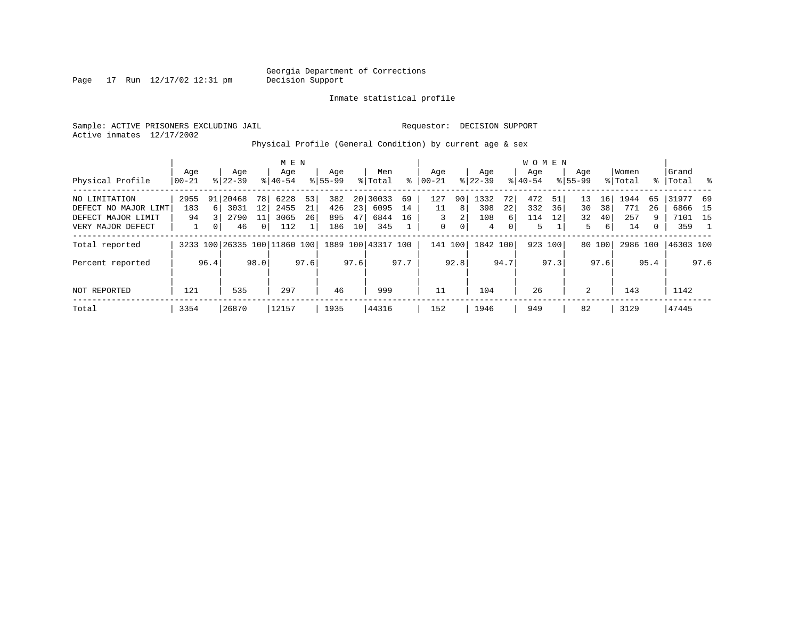Page  $17$  Run  $12/17/02$   $12:31$  pm

Inmate statistical profile

Sample: ACTIVE PRISONERS EXCLUDING JAIL **Requestor: DECISION SUPPORT** Active inmates 12/17/2002

Physical Profile (General Condition) by current age & sex

|                      |                |                |                              |              | M E N            |      |                    |                 |                    |      |                 |         |                  |                | WOMEN            |         |                    |        |                  |      |                |      |
|----------------------|----------------|----------------|------------------------------|--------------|------------------|------|--------------------|-----------------|--------------------|------|-----------------|---------|------------------|----------------|------------------|---------|--------------------|--------|------------------|------|----------------|------|
| Physical Profile     | Aqe<br>  00-21 |                | Age<br>$8122 - 39$           |              | Age<br>$8 40-54$ |      | Age<br>$8155 - 99$ |                 | Men<br>% Total     | ႜ    | Aqe<br>$ 00-21$ |         | Aqe<br>$ 22-39 $ |                | Aqe<br>$8 40-54$ |         | Aqe<br>$8155 - 99$ |        | Women<br>% Total | % ∴  | Grand<br>Total | - 옹  |
|                      |                |                |                              |              |                  |      |                    |                 |                    |      |                 |         |                  |                |                  |         |                    |        |                  |      |                |      |
| NO LIMITATION        | 2955           |                | 91 20468                     | 78 I         | 6228             | 53   | 382                |                 | 20 30033           | 69   | 127             | 90      | 1332             | 72             | 472              | 51      | 13                 | 16     | 1944             | 65   | 31977 69       |      |
| DEFECT NO MAJOR LIMT | 183            | 61             | 3031                         | 12           | 2455             | 21   | 426                | 23              | 6095               | 14   | 11              | 8       | 398              | 22             | 332              | 36      | 30                 | 38     | 771              | 26   | 6866 15        |      |
| DEFECT MAJOR LIMIT   | 94             |                | 2790                         | 11           | 3065             | 26   | 895                | 47              | 6844               | 16   | 3               | 2       | 108              | 6              | 114              | 12      | 32                 | 40     | 257              | 9    | 7101 15        |      |
| VERY MAJOR DEFECT    |                | 0 <sup>1</sup> | 46                           | $\mathbf{0}$ | 112              |      | 186                | 10 <sup>1</sup> | 345                |      | $\mathbf 0$     | 0       | 4                | $\overline{0}$ | 5                |         | 5                  | 6      | 14               | 0    | 359            |      |
| Total reported       |                |                | 3233 100 26335 100 11860 100 |              |                  |      |                    |                 | 1889 100 43317 100 |      |                 | 141 100 | 1842 100         |                |                  | 923 100 |                    | 80 100 | 2986 100         |      | 46303 100      |      |
| Percent reported     |                | 96.4           |                              | 98.0         |                  | 97.6 |                    | 97.6            |                    | 97.7 |                 | 92.8    |                  | 94.7           |                  | 97.3    |                    | 97.6   |                  | 95.4 |                | 97.6 |
| NOT REPORTED         | 121            |                | 535                          |              | 297              |      | 46                 |                 | 999                |      | 11              |         | 104              |                | 26               |         | 2                  |        | 143              |      | 1142           |      |
| Total                | 3354           |                | 26870                        |              | 12157            |      | 1935               |                 | 44316              |      | 152             |         | 1946             |                | 949              |         | 82                 |        | 3129             |      | 47445          |      |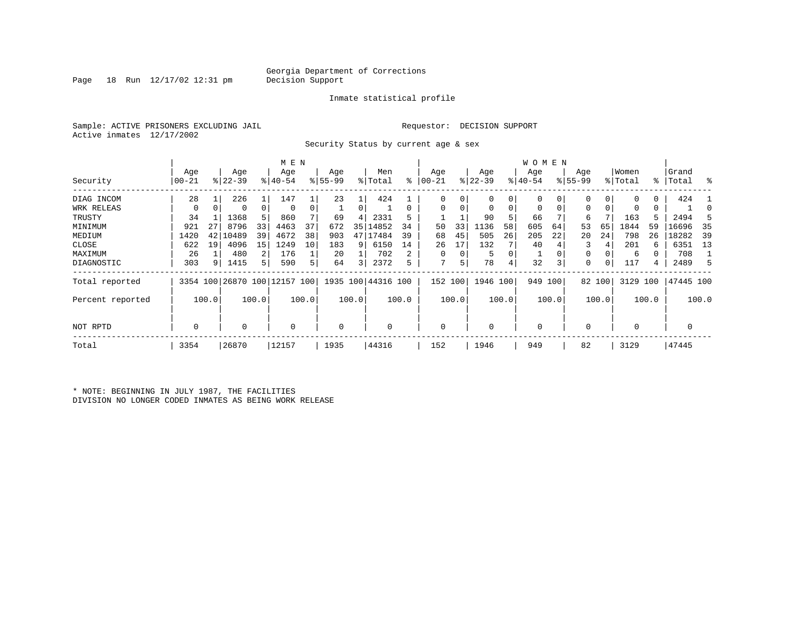### Georgia Department of Corrections<br>Decision Support

Page 18 Run  $12/17/02$  12:31 pm

#### Inmate statistical profile

Sample: ACTIVE PRISONERS EXCLUDING JAIL **Requestor: DECISION SUPPORT** Active inmates 12/17/2002

Security Status by current age & sex

|                  |           |       |           |       | M E N                        |       |             |       |                    |       |            |          |             |       | W O M E N   |       |           |        |             |       |           |       |
|------------------|-----------|-------|-----------|-------|------------------------------|-------|-------------|-------|--------------------|-------|------------|----------|-------------|-------|-------------|-------|-----------|--------|-------------|-------|-----------|-------|
|                  | Age       |       | Age       |       | Age                          |       | Age         |       | Men                |       | Age        |          | Age         |       | Age         |       | Age       |        | Women       |       | Grand     |       |
| Security         | $00 - 21$ |       | $8 22-39$ |       | $8 40-54$                    |       | $8 55-99$   |       | % Total            | နွ    | $ 00 - 21$ |          | $ 22-39 $   |       | $ 40-54 $   |       | $8 55-99$ |        | % Total     |       | %   Total | ႜ     |
| DIAG INCOM       | 28        |       | 226       |       | 147                          |       | 23          |       | 424                |       | $\Omega$   |          | 0           | 0     | 0           |       |           | 0      |             | 0     | 424       |       |
| WRK RELEAS       | 0         | 0     | $\Omega$  | 0     | 0                            |       |             | 0     |                    |       | $\Omega$   |          | $\mathbf 0$ | 0     | $\mathbf 0$ | 0     | 0         | 0      | 0           | 0     |           |       |
| TRUSTY           | 34        |       | 1368      | 5     | 860                          |       | 69          | 4     | 2331               | 5     |            |          | 90          | 5     | 66          |       | 6         |        | 163         |       | 2494      |       |
| MINIMUM          | 921       | 27    | 8796      | 33    | 4463                         | 37    | 672         | 35    | 14852              | 34    | 50         | 33       | 1136        | 58    | 605         | 64    | 53        | 65     | 1844        | 59    | 16696     | 35    |
| MEDIUM           | 1420      | 42    | 10489     | 39    | 4672                         | 38    | 903         | 47    | 17484              | 39    | 68         | 45       | 505         | 26    | 205         | 22    | 20        | 24     | 798         | 26    | 18282     | 39    |
| CLOSE            | 622       | 19    | 4096      | 15    | 1249                         | 10    | 183         | 9     | 6150               | 14    | 26         | 17       | 132         |       | 40          |       |           | 4      | 201         | 6     | 6351      | 13    |
| MAXIMUM          | 26        |       | 480       | 2     | 176                          |       | 20          |       | 702                |       | $\Omega$   | $\Omega$ | 5           | 0     |             |       | 0         |        | 6           |       | 708       |       |
| DIAGNOSTIC       | 303       | 9     | 1415      | 5     | 590                          |       | 64          | 3     | 2372               | 5     | 7          | 5        | 78          | 4     | 32          | 3     | 0         | 0      | 117         | 4     | 2489      | .5    |
| Total reported   |           |       |           |       | 3354 100 26870 100 12157 100 |       |             |       | 1935 100 44316 100 |       | 152        | 100      | 1946 100    |       | 949 100     |       |           | 82 100 | 3129 100    |       | 47445 100 |       |
| Percent reported |           | 100.0 |           | 100.0 |                              | 100.0 |             | 100.0 |                    | 100.0 |            | 100.0    |             | 100.0 |             | 100.0 |           | 100.0  |             | 100.0 |           | 100.0 |
| NOT RPTD         | 0         |       | $\Omega$  |       | $\mathbf 0$                  |       | $\mathbf 0$ |       |                    |       | $\Omega$   |          | $\mathbf 0$ |       | $\mathbf 0$ |       |           |        | $\mathbf 0$ |       |           |       |
| Total            | 3354      |       | 26870     |       | 12157                        |       | 1935        |       | 44316              |       | 152        |          | 1946        |       | 949         |       | 82        |        | 3129        |       | 47445     |       |

\* NOTE: BEGINNING IN JULY 1987, THE FACILITIES DIVISION NO LONGER CODED INMATES AS BEING WORK RELEASE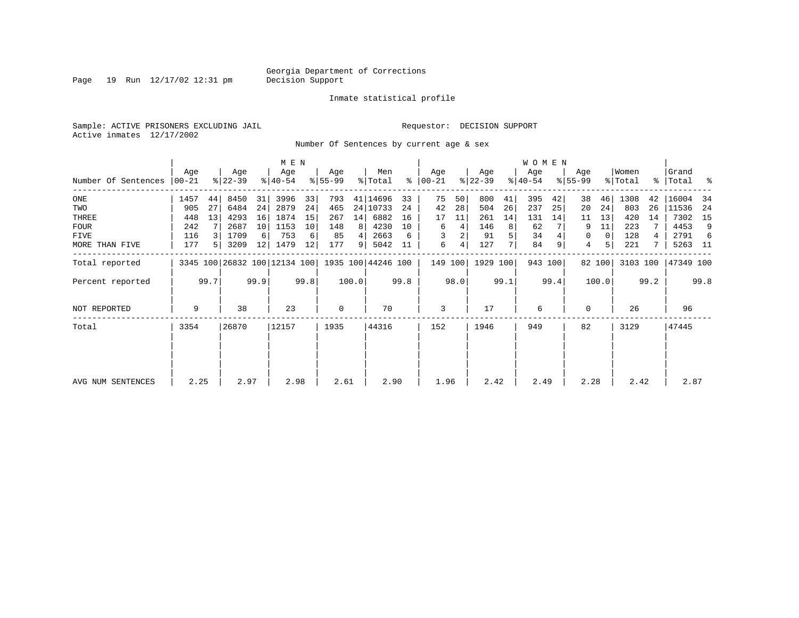Page 19 Run  $12/17/02$  12:31 pm

#### Inmate statistical profile

Sample: ACTIVE PRISONERS EXCLUDING JAIL **Requestor: DECISION SUPPORT** Active inmates 12/17/2002

Number Of Sentences by current age & sex

|                     |              |      |                  |      |                              | M E N |                  |       |                    |      |                      |         |                  |      | W O M E N        |         |                    |              |                  |      |                    |      |
|---------------------|--------------|------|------------------|------|------------------------------|-------|------------------|-------|--------------------|------|----------------------|---------|------------------|------|------------------|---------|--------------------|--------------|------------------|------|--------------------|------|
| Number Of Sentences | Age<br>00-21 |      | Age<br>$ 22-39 $ |      | Age<br>$ 40-54 $             |       | Age<br>$ 55-99 $ |       | Men<br>% Total     |      | Age<br>$8   00 - 21$ |         | Age<br>$ 22-39 $ |      | Age<br>$ 40-54 $ |         | Age<br>$8155 - 99$ |              | Women<br>% Total |      | Grand<br>%   Total | ႜ    |
|                     |              |      |                  |      |                              |       |                  |       |                    |      |                      |         |                  |      |                  |         |                    |              |                  |      |                    |      |
| ONE                 | 1457         | 44   | 8450             | 31   | 3996                         | 33    | 793              |       | 41 14696           | 33   | 75                   | 50      | 800              | 41   | 395              | 42      | 38                 | 46           | 1308             | 42   | 16004              | - 34 |
| TWO                 | 905          | 27   | 6484             | 24   | 2879                         | 24    | 465              |       | 24   10733         | 24   | 42                   | 28      | 504              | 26   | 237              | 25      | 20                 | 24           | 803              | 26   | 11536              | - 24 |
| THREE               | 448          | 13   | 4293             | 16   | 1874                         | 15    | 267              | 14    | 6882               | 16   | 17                   | 11      | 261              | 14   | 131              | 14      | 11                 | 13           | 420              | 14   | 7302               | 15   |
| FOUR                | 242          |      | 2687             | 10   | 1153                         | 10    | 148              | 8     | 4230               | 10   | 6                    | 4       | 146              | 8    | 62               |         | 9                  | 11           | 223              |      | 4453               | 9    |
| FIVE                | 116          |      | 1709             | 6    | 753                          | 6     | 85               |       | 2663               | 6    | 3                    | 2       | 91               |      | 34               |         | 0                  | $\mathbf{0}$ | 128              |      | 2791               | 6    |
| MORE THAN FIVE      | 177          | 5 I  | 3209             | 12   | 1479                         | 12    | 177              | 9     | 5042               | 11   | 6                    | 4       | 127              |      | 84               | 9       | 4                  | 5            | 221              |      | 5263 11            |      |
| Total reported      |              |      |                  |      | 3345 100 26832 100 12134 100 |       |                  |       | 1935 100 44246 100 |      |                      | 149 100 | 1929 100         |      |                  | 943 100 |                    | 82 100       | 3103 100         |      | 47349 100          |      |
| Percent reported    |              | 99.7 |                  | 99.9 |                              | 99.8  |                  | 100.0 |                    | 99.8 |                      | 98.0    |                  | 99.1 |                  | 99.4    |                    | 100.0        |                  | 99.2 |                    | 99.8 |
| NOT REPORTED        | 9            |      | 38               |      | 23                           |       | $\mathbf 0$      |       | 70                 |      | 3                    |         | 17               |      | 6                |         | 0                  |              | 26               |      | 96                 |      |
| Total               | 3354         |      | 26870            |      | 12157                        |       | 1935             |       | 44316              |      | 152                  |         | 1946             |      | 949              |         | 82                 |              | 3129             |      | 47445              |      |
|                     |              |      |                  |      |                              |       |                  |       |                    |      |                      |         |                  |      |                  |         |                    |              |                  |      |                    |      |
|                     |              |      |                  |      |                              |       |                  |       |                    |      |                      |         |                  |      |                  |         |                    |              |                  |      |                    |      |
| AVG NUM SENTENCES   | 2.25         |      | 2.97             |      | 2.98                         |       | 2.61             |       | 2.90               |      | 1.96                 |         | 2.42             |      | 2.49             |         | 2.28               |              | 2.42             |      | 2.87               |      |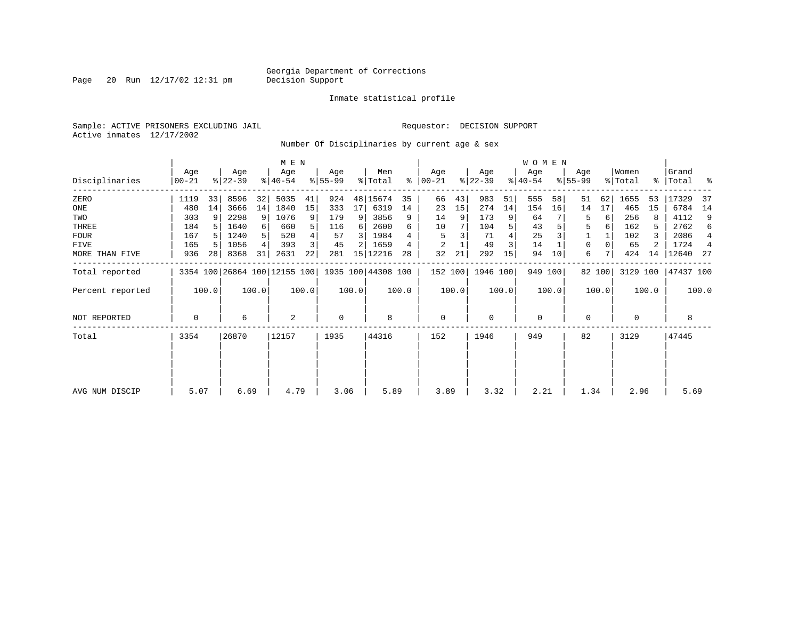Page 20 Run  $12/17/02$  12:31 pm

#### Inmate statistical profile

Sample: ACTIVE PRISONERS EXCLUDING JAIL **Requestor: DECISION SUPPORT** Active inmates 12/17/2002

Number Of Disciplinaries by current age & sex

|                     |                  |       |                  |                | M E N                        |       |                 |       |                    |       |                 |       |                  |       | <b>WOMEN</b>     |         |                  |        |                  |       |                    |       |
|---------------------|------------------|-------|------------------|----------------|------------------------------|-------|-----------------|-------|--------------------|-------|-----------------|-------|------------------|-------|------------------|---------|------------------|--------|------------------|-------|--------------------|-------|
| Disciplinaries      | Age<br>$00 - 21$ |       | Age<br>$ 22-39 $ |                | Age<br>$ 40-54$              |       | Age<br>$ 55-99$ |       | Men<br>% Total     | ွေ    | Age<br>$ 00-21$ |       | Age<br>$ 22-39 $ |       | Age<br>$ 40-54 $ |         | Age<br>$8 55-99$ |        | Women<br>% Total |       | Grand<br>%   Total | ႜ     |
| ZERO                | 1119             | 33    | 8596             | 32             | 5035                         | 41    | 924             |       | 48 15674           | 35    | 66              | 43    | 983              | 51    | 555              | 58      | 51               | 62     | 1655             | 53    | 17329              | -37   |
| ONE                 | 480              | 14    | 3666             | 14             | 1840                         | 15    | 333             | 17    | 6319               | 14    | 23              | 15    | 274              | 14    | 154              | 16      | 14               | 17     | 465              | 15    | 6784               | 14    |
| TWO                 | 303              | 9     | 2298             | 9              | 1076                         | 9     | 179             | 9     | 3856               | 9     | 14              | 9     | 173              |       | 64               |         | 5                | 6      | 256              |       | 4112               | 9     |
| THREE               | 184              |       | 1640             | $6 \mid$       | 660                          | 5     | 116             | 6     | 2600               | 6     | 10              |       | 104              | 5     | 43               |         | 5                | 6      | 162              | 5     | 2762               | 6     |
| <b>FOUR</b>         | 167              |       | 1240             | 5 <sup>1</sup> | 520                          |       | 57              | 3     | 1984               |       | 5               |       | 71               |       | 25               |         |                  |        | 102              |       | 2086               | 4     |
| FIVE                | 165              |       | 1056             | 4              | 393                          | 3     | 45              |       | 1659               |       | 2               |       | 49               | 3     | 14               |         | 0                |        | 65               |       | 1724               | 4     |
| MORE THAN FIVE      | 936              | 28    | 8368             | 31             | 2631                         | 22    | 281             |       | 15 12216           | 28    | 32              | 21    | 292              | 15    | 94               | 10      | 6                |        | 424              | 14    | 12640              | -27   |
| Total reported      |                  |       |                  |                | 3354 100 26864 100 12155 100 |       |                 |       | 1935 100 44308 100 |       | 152 100         |       | 1946 100         |       |                  | 949 100 |                  | 82 100 | 3129 100         |       | 47437 100          |       |
| Percent reported    |                  | 100.0 |                  | 100.0          |                              | 100.0 |                 | 100.0 |                    | 100.0 |                 | 100.0 |                  | 100.0 |                  | 100.0   |                  | 100.0  |                  | 100.0 |                    | 100.0 |
| <b>NOT REPORTED</b> | 0                |       | 6                |                | $\overline{c}$               |       | $\mathbf 0$     |       | 8                  |       | $\mathbf 0$     |       | 0                |       | $\mathbf 0$      |         | 0                |        | $\mathbf 0$      |       | 8                  |       |
| Total               | 3354             |       | 26870            |                | 12157                        |       | 1935            |       | 44316              |       | 152             |       | 1946             |       | 949              |         | 82               |        | 3129             |       | 47445              |       |
|                     |                  |       |                  |                |                              |       |                 |       |                    |       |                 |       |                  |       |                  |         |                  |        |                  |       |                    |       |
|                     |                  |       |                  |                |                              |       |                 |       |                    |       |                 |       |                  |       |                  |         |                  |        |                  |       |                    |       |
| AVG NUM DISCIP      | 5.07             |       | 6.69             |                | 4.79                         |       | 3.06            |       | 5.89               |       | 3.89            |       | 3.32             |       | 2.21             |         | 1.34             |        | 2.96             |       | 5.69               |       |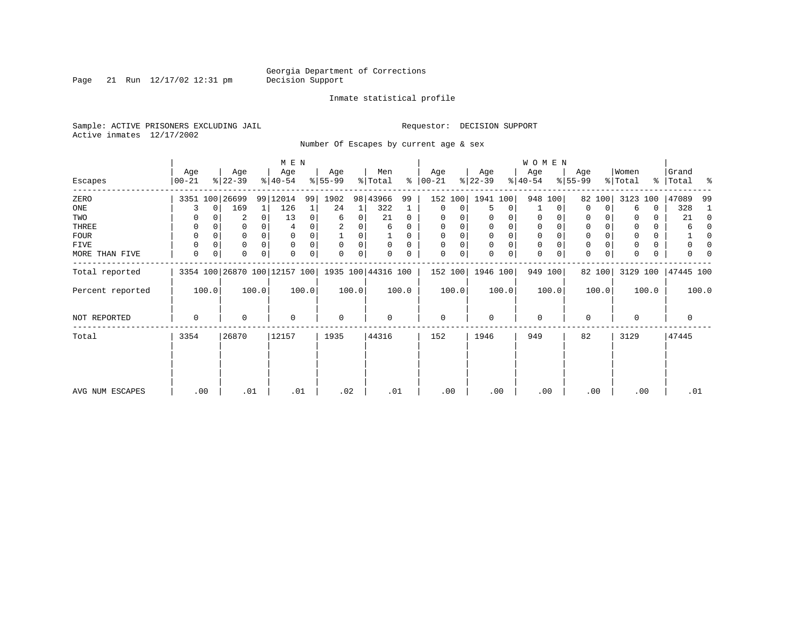Page 21 Run  $12/17/02$  12:31 pm

#### Inmate statistical profile

Sample: ACTIVE PRISONERS EXCLUDING JAIL **Requestor: DECISION SUPPORT** Active inmates 12/17/2002

Number Of Escapes by current age & sex

|                  |                |       |                  |              | M E N                        |       |                  |       |                    |          |                 |       |                  |       | <b>WOMEN</b>     |          |                  |                |                  |           |                |          |
|------------------|----------------|-------|------------------|--------------|------------------------------|-------|------------------|-------|--------------------|----------|-----------------|-------|------------------|-------|------------------|----------|------------------|----------------|------------------|-----------|----------------|----------|
| Escapes          | Age<br>  00-21 |       | Age<br>$ 22-39 $ |              | Age<br>$8 40-54$             |       | Age<br>$ 55-99 $ |       | Men<br>% Total     | ွေ       | Age<br>$ 00-21$ |       | Age<br>$ 22-39 $ |       | Age<br>$ 40-54 $ |          | Age<br>$8 55-99$ |                | Women<br>% Total | % $\vert$ | Grand<br>Total | ႜ        |
| ZERO             |                |       | 3351 100 26699   |              | 99 12014                     | 99    | 1902             |       | 98 43966           | 99       | 152             | 100   | 1941 100         |       | 948 100          |          | 82               | 100            | 3123             | 100       | 47089          | 99       |
| ONE              | 3              | 0     | 169              | 1            | 126                          |       | 24               | 1     | 322                |          | 0               | 0     | 5                | 0     |                  | $\Omega$ | $\Omega$         | $\Omega$       | 6                | 0         | 328            |          |
| TWO              | 0              |       | 2                | $\mathbf{0}$ | 13                           | 0     | 6                | 0     | 21                 | $\Omega$ | $\Omega$        |       |                  | 0     | 0                |          | $\Omega$         |                |                  | 0         | 21             | $\Omega$ |
| THREE            | 0              |       | 0                |              |                              |       |                  | 0     | 6                  | 0        | 0               |       | 0                | 0     | 0                |          | 0                |                |                  | 0         | 6              |          |
| <b>FOUR</b>      | 0              |       | 0                | $\Omega$     |                              |       |                  | 0     |                    | 0        | $\Omega$        |       | $\Omega$         | 0     | $\Omega$         |          | $\Omega$         |                | $\Omega$         | 0         |                |          |
| FIVE             | 0              |       | $\Omega$         | $\Omega$     | $\Omega$                     |       | $\Omega$         | 0     | $\Omega$           | $\Omega$ | $\Omega$        | 0     | $\Omega$         | 0     | $\mathbf 0$      |          | $\Omega$         |                |                  | 0         |                |          |
| MORE THAN FIVE   | 0              | 0     | $\Omega$         | $\Omega$     | $\Omega$                     | 0     | $\Omega$         | 0     |                    | 0        | $\Omega$        | 0     | $\Omega$         | 0     | $\mathbf 0$      |          | $\Omega$         | $\overline{0}$ | $\Omega$         | 0         |                |          |
| Total reported   |                |       |                  |              | 3354 100 26870 100 12157 100 |       |                  |       | 1935 100 44316 100 |          | 152 100         |       | 1946 100         |       |                  | 949 100  |                  | 82 100         | 3129 100         |           | 47445 100      |          |
| Percent reported |                | 100.0 |                  | 100.0        |                              | 100.0 |                  | 100.0 |                    | 100.0    |                 | 100.0 |                  | 100.0 |                  | 100.0    |                  | 100.0          |                  | 100.0     |                | 100.0    |
| NOT REPORTED     | 0              |       | 0                |              | $\mathbf 0$                  |       | $\mathbf 0$      |       | $\Omega$           |          | $\mathbf 0$     |       | $\Omega$         |       | $\mathbf 0$      |          | $\Omega$         |                | 0                |           | 0              |          |
| Total            | 3354           |       | 26870            |              | 12157                        |       | 1935             |       | 44316              |          | 152             |       | 1946             |       | 949              |          | 82               |                | 3129             |           | 47445          |          |
|                  |                |       |                  |              |                              |       |                  |       |                    |          |                 |       |                  |       |                  |          |                  |                |                  |           |                |          |
| AVG NUM ESCAPES  |                | .00   | .01              |              | .01                          |       |                  | .02   | .01                |          | .00             |       |                  | .00   |                  | .00      |                  | .00            | .00              |           | .01            |          |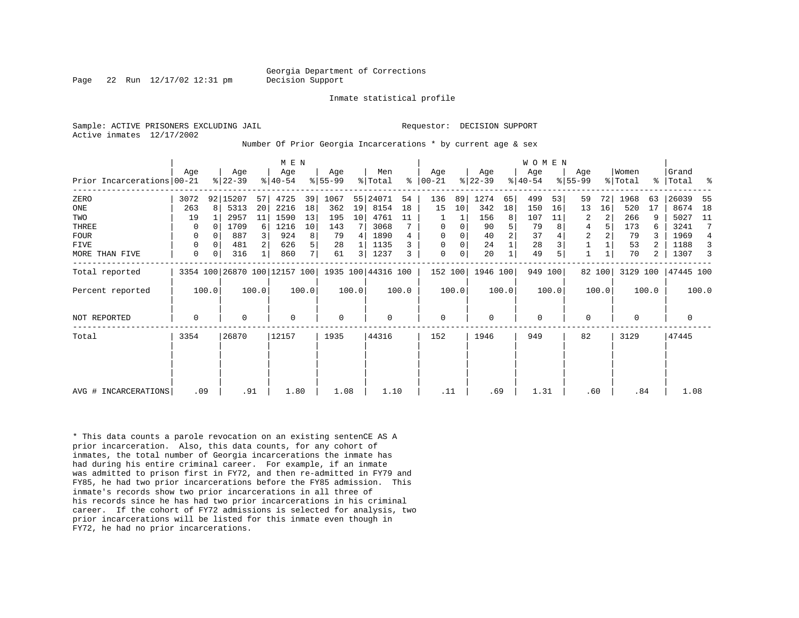Page 22 Run 12/17/02 12:31 pm Decision Support

Inmate statistical profile

Active inmates 12/17/2002

Sample: ACTIVE PRISONERS EXCLUDING JAIL **Requestor: DECISION SUPPORT** 

Number Of Prior Georgia Incarcerations \* by current age & sex

|                            |          |              |                  | M E N |                                                 |                |                  |                |                |       |                      |       |                  | <b>WOMEN</b> |                  |       |                    |        |                  |       |                    |                |
|----------------------------|----------|--------------|------------------|-------|-------------------------------------------------|----------------|------------------|----------------|----------------|-------|----------------------|-------|------------------|--------------|------------------|-------|--------------------|--------|------------------|-------|--------------------|----------------|
| Prior Incarcerations 00-21 | Age      |              | Age<br>$ 22-39 $ |       | Age<br>$ 40-54 $                                |                | Age<br>$8 55-99$ |                | Men<br>% Total |       | Age<br>$8   00 - 21$ |       | Age<br>$ 22-39 $ |              | Age<br>$ 40-54 $ |       | Age<br>$8155 - 99$ |        | Women<br>% Total |       | Grand<br>%   Total | ್ಠಿ            |
| ZERO                       | 3072     |              | 92 15207         | 57    | 4725                                            | 39             | 1067             |                | 55 24071       | 54    | 136                  | 89    | 1274             | 65           | 499              | 53    | 59                 | 72     | 1968             | 63    | 26039              | 55             |
| ONE                        | 263      | $\mathsf{R}$ | 5313             | 20    | 2216                                            | 18             | 362              | 19             | 8154           | 18    | 15                   | 10    | 342              | 18           | 150              | 16    | 13                 | 16     | 520              | 17    | 8674               | 18             |
| TWO                        | 19       |              | 2957             | 11    | 1590                                            | 13             | 195              | 10             | 4761           | 11    |                      |       | 156              | 8            | 107              | 11    | 2                  | 2      | 266              | 9     | 5027               | 11             |
| THREE                      | 0        | $\Omega$     | 1709             | 6     | 1216                                            | 10             | 143              |                | 3068           |       | 0                    | 0     | 90               | 5            | 79               |       | 4                  |        | 173              |       | 3241               | 7              |
| <b>FOUR</b>                | $\Omega$ |              | 887              |       | 924                                             | 8              | 79               | 4              | 1890           |       | $\Omega$             |       | 40               |              | 37               |       | $\overline{2}$     |        | 79               |       | 1969               | $\overline{4}$ |
| FIVE                       | 0        | $\Omega$     | 481              |       | 626                                             | 5              | 28               |                | 1135           |       | $\mathbf 0$          | 0     | 24               |              | 28               |       |                    |        | 53               |       | 1188               | 3              |
| MORE THAN FIVE             | 0        | 0            | 316              |       | 860                                             | 7 <sub>1</sub> | 61               | $\overline{3}$ | 1237           | 3     | $\mathbf 0$          | 0     | 20               |              | 49               |       |                    |        | 70               | 2     | 1307               | 3              |
| Total reported             |          |              |                  |       | 3354 100 26870 100 12157 100 1935 100 44316 100 |                |                  |                |                |       | 152 100              |       | 1946 100         |              | 949 100          |       |                    | 82 100 | 3129 100         |       | 47445 100          |                |
| Percent reported           |          | 100.0        |                  | 100.0 |                                                 | 100.0          |                  | 100.0          |                | 100.0 |                      | 100.0 |                  | 100.0        |                  | 100.0 |                    | 100.0  |                  | 100.0 |                    | 100.0          |
| <b>NOT REPORTED</b>        | 0        |              | 0                |       | $\Omega$                                        |                | $\mathbf 0$      |                | 0              |       | $\mathbf 0$          |       | $\Omega$         |              | 0                |       | $\Omega$           |        | $\Omega$         |       | $\mathbf 0$        |                |
| Total                      | 3354     |              | 26870            |       | 12157                                           |                | 1935             |                | 44316          |       | 152                  |       | 1946             |              | 949              |       | 82                 |        | 3129             |       | 47445              |                |
|                            |          |              |                  |       |                                                 |                |                  |                |                |       |                      |       |                  |              |                  |       |                    |        |                  |       |                    |                |
|                            |          |              |                  |       |                                                 |                |                  |                |                |       |                      |       |                  |              |                  |       |                    |        |                  |       |                    |                |
| AVG # INCARCERATIONS       |          | .09          |                  | .91   | 1.80                                            |                | 1.08             |                | 1.10           |       | .11                  |       | .69              |              | 1.31             |       | .60                |        | .84              |       | 1.08               |                |

\* This data counts a parole revocation on an existing sentenCE AS A prior incarceration. Also, this data counts, for any cohort of inmates, the total number of Georgia incarcerations the inmate has had during his entire criminal career. For example, if an inmate was admitted to prison first in FY72, and then re-admitted in FY79 and FY85, he had two prior incarcerations before the FY85 admission. This inmate's records show two prior incarcerations in all three of his records since he has had two prior incarcerations in his criminal career. If the cohort of FY72 admissions is selected for analysis, two prior incarcerations will be listed for this inmate even though in FY72, he had no prior incarcerations.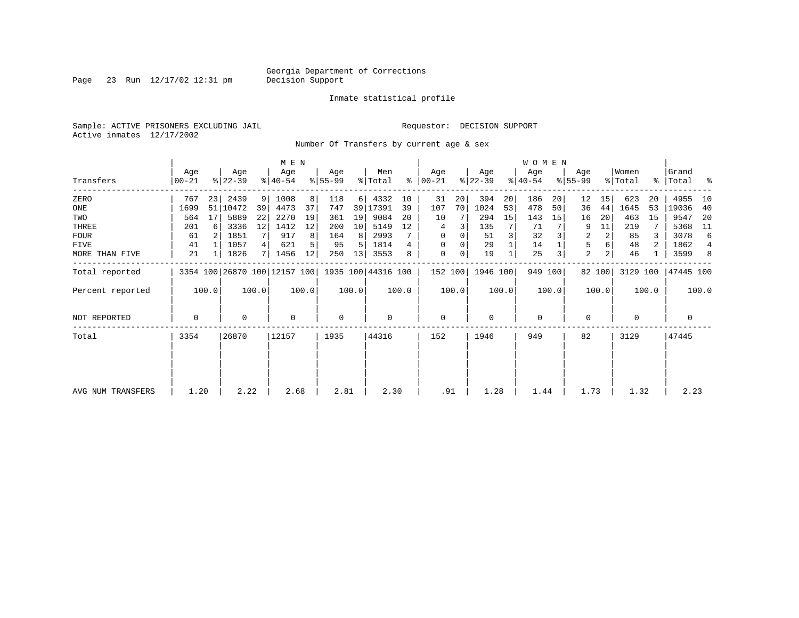Page 23 Run  $12/17/02$  12:31 pm

#### Inmate statistical profile

Sample: ACTIVE PRISONERS EXCLUDING JAIL **Requestor: DECISION SUPPORT** Active inmates 12/17/2002

Number Of Transfers by current age & sex

|                   |                  |                |                  |       | M E N                        |       |                 |                 |                    |       |                  |       |                  |       | <b>WOMEN</b>     |         |                |        |                              |       |                    |                |
|-------------------|------------------|----------------|------------------|-------|------------------------------|-------|-----------------|-----------------|--------------------|-------|------------------|-------|------------------|-------|------------------|---------|----------------|--------|------------------------------|-------|--------------------|----------------|
| Transfers         | Age<br>$00 - 21$ |                | Age<br>$ 22-39 $ |       | Age<br>$ 40-54 $             |       | Age<br>$ 55-99$ |                 | Men<br>% Total     | ႜ     | Age<br>$ 00-21 $ |       | Age<br>$ 22-39 $ |       | Age<br>$ 40-54 $ |         | Age<br>% 55-99 |        | Women<br>$\frac{1}{2}$ Total |       | Grand<br>% Total % |                |
| ZERO              | 767              | 23             | 2439             | 9     | 1008                         |       | 118             |                 | 6   4332           | 10    | 31               | 20    | 394              | 20    | 186              | 20      | 12             | 15     | 623                          | 20    | 4955               | 10             |
| ONE               | 1699             | 51             | 10472            | 39    | 4473                         | 37    | 747             |                 | 39 17391           | 39    | 107              | 70    | 1024             | 53    | 478              | 50      | 36             | 44     | 1645                         | 53    | 19036              | 40             |
| TWO               | 564              | 17             | 5889             | 22    | 2270                         | 19    | 361             | 19              | 9084               | 20    | 10               |       | 294              | 15    | 143              | 15      | 16             | 20     | 463                          | 15    | 9547               | -20            |
| THREE             | 201              | 6              | 3336             | 12    | 1412                         | 12    | 200             | 10 <sup>1</sup> | 5149               | 12    | 4                |       | 135              | 7     | 71               |         | 9              | 11     | 219                          |       | 5368               | 11             |
| <b>FOUR</b>       | 61               | 2 <sup>1</sup> | 1851             |       | 917                          |       | 164             | 8               | 2993               |       | $\Omega$         |       | 51               |       | 32               |         | 2              | 2      | 85                           |       | 3078               | 6              |
| FIVE              | 41               |                | 1057             | 4     | 621                          |       | 95              | 5.              | 1814               |       | $\Omega$         |       | 29               |       | 14               |         | 5              |        | 48                           | 2     | 1862               | $\overline{4}$ |
| MORE THAN FIVE    | 21               |                | 1826             | 71    | 1456                         | 12    | 250             | 13              | 3553               |       | 0                | 0     | 19               |       | 25               | 3       | $\overline{a}$ | 2      | 46                           |       | 3599               | 8              |
| Total reported    |                  |                |                  |       | 3354 100 26870 100 12157 100 |       |                 |                 | 1935 100 44316 100 |       | 152 100          |       | 1946 100         |       |                  | 949 100 |                | 82 100 | 3129 100                     |       | 47445 100          |                |
| Percent reported  |                  | 100.0          |                  | 100.0 |                              | 100.0 |                 | 100.0           |                    | 100.0 |                  | 100.0 |                  | 100.0 |                  | 100.0   |                | 100.0  |                              | 100.0 |                    | 100.0          |
| NOT REPORTED      | 0                |                | $\Omega$         |       | 0                            |       | $\mathbf 0$     |                 | 0                  |       | 0                |       | $\mathbf 0$      |       | $\mathbf 0$      |         | 0              |        | 0                            |       | 0                  |                |
| Total             | 3354             |                | 26870            |       | 12157                        |       | 1935            |                 | 44316              |       | 152              |       | 1946             |       | 949              |         | 82             |        | 3129                         |       | 47445              |                |
|                   |                  |                |                  |       |                              |       |                 |                 |                    |       |                  |       |                  |       |                  |         |                |        |                              |       |                    |                |
|                   |                  |                |                  |       |                              |       |                 |                 |                    |       |                  |       |                  |       |                  |         |                |        |                              |       |                    |                |
| AVG NUM TRANSFERS | 1.20             |                | 2.22             |       | 2.68                         |       | 2.81            |                 | 2.30               |       | .91              |       | 1.28             |       | 1.44             |         | 1.73           |        | 1.32                         |       | 2.23               |                |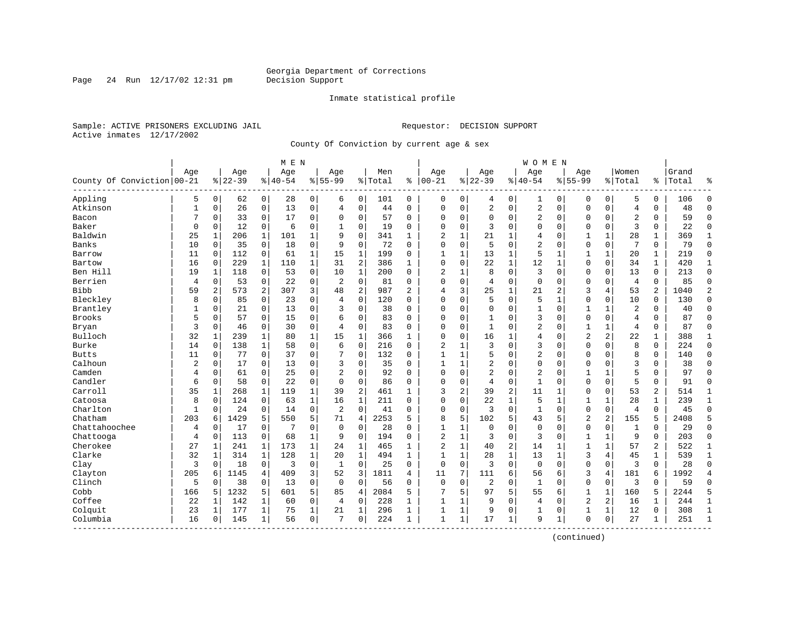Page 24 Run  $12/17/02$  12:31 pm

#### Inmate statistical profile

Sample: ACTIVE PRISONERS EXCLUDING JAIL **Requestor: DECISION SUPPORT** Active inmates 12/17/2002

County Of Conviction by current age & sex

|                            |              |                |           |                | M E N    |                |                |                |         |                |                |              |                |                | <b>WOMEN</b>   |              |                |              |                |              |       |                |
|----------------------------|--------------|----------------|-----------|----------------|----------|----------------|----------------|----------------|---------|----------------|----------------|--------------|----------------|----------------|----------------|--------------|----------------|--------------|----------------|--------------|-------|----------------|
|                            | Age          |                | Age       |                | Age      |                | Age            |                | Men     |                | Age            |              | Age            |                | Age            |              | Aqe            |              | Women          |              | Grand |                |
| County Of Conviction 00-21 |              |                | $8 22-39$ |                | $ 40-54$ |                | $8 55-99$      |                | % Total | ి              | $ 00-21$       |              | $ 22-39$       |                | $8140 - 54$    |              | $8155 - 99$    |              | % Total        | ి            | Total | န္             |
| Appling                    | 5            | $\overline{0}$ | 62        | $\overline{0}$ | 28       | $\overline{0}$ | 6              | 0              | 101     | 0              | 0              | $\mathbf 0$  | 4              | 0              | 1              | 0            | 0              | $\mathbf 0$  | 5              | 0            | 106   | $\Omega$       |
| Atkinson                   | $\mathbf{1}$ | 0              | 26        | $\overline{0}$ | 13       | 0              | 4              | $\mathbf 0$    | 44      | 0              | $\Omega$       | 0            | 2              | $\mathbf 0$    | 2              | $\mathbf 0$  | $\Omega$       | $\mathbf 0$  | $\overline{4}$ | 0            | 48    | $\Omega$       |
| Bacon                      | 7            | 0              | 33        | 0              | 17       | 0              | $\Omega$       | 0              | 57      | 0              | $\Omega$       | 0            | $\mathbf 0$    | 0              | 2              | 0            | $\Omega$       | 0            | $\overline{2}$ | 0            | 59    | $\Omega$       |
| Baker                      | 0            | 0              | 12        | 0              | 6        | 0              |                | 0              | 19      | 0              | $\Omega$       | 0            | 3              | $\Omega$       | $\Omega$       | $\Omega$     | 0              | $\mathbf 0$  | 3              | 0            | 22    | $\Omega$       |
| Baldwin                    | 25           | $\mathbf{1}$   | 206       | $\mathbf{1}$   | 101      | $\mathbf 1$    | 9              | $\Omega$       | 341     | $\mathbf{1}$   | $\overline{2}$ | $\mathbf{1}$ | 21             | $\mathbf{1}$   | 4              | $\Omega$     | $\mathbf{1}$   | $\mathbf{1}$ | 28             | $\mathbf{1}$ | 369   | 1              |
| <b>Banks</b>               | 10           | $\Omega$       | 35        | $\Omega$       | 18       | 0              | 9              | $\Omega$       | 72      | $\Omega$       | $\mathbf{0}$   | $\Omega$     | 5              | $\Omega$       | 2              | $\Omega$     | $\Omega$       | $\Omega$     | 7              | 0            | 79    | $\Omega$       |
| Barrow                     | 11           | 0              | 112       | $\overline{0}$ | 61       | 1              | 15             | $\mathbf 1$    | 199     | $\Omega$       | $\mathbf{1}$   | 1            | 13             | 1              | 5              | $\mathbf 1$  | $\mathbf{1}$   | 1            | 20             | 1            | 219   | $\Omega$       |
| Bartow                     | 16           | 0              | 229       | $\mathbf{1}$   | 110      | $\mathbf{1}$   | 31             | 2              | 386     | 1              | $\Omega$       | 0            | 22             | 1              | 12             | $\mathbf{1}$ | $\Omega$       | $\mathbf 0$  | 34             | $\mathbf{1}$ | 420   | 1              |
| Ben Hill                   | 19           | 1              | 118       | $\mathbf 0$    | 53       | 0              | 10             | 1              | 200     | $\Omega$       | $\overline{c}$ | 1            | 8              | $\mathbf 0$    | 3              | $\mathbf 0$  | $\Omega$       | $\mathbf 0$  | 13             | 0            | 213   | $\mathbf{0}$   |
| Berrien                    | 4            | $\mathbf 0$    | 53        | $\mathbf 0$    | 22       | 0              | $\overline{2}$ | $\Omega$       | 81      | $\Omega$       | $\Omega$       | $\Omega$     | 4              | $\Omega$       | $\Omega$       | $\mathbf 0$  | $\Omega$       | $\Omega$     | $\overline{4}$ | $\Omega$     | 85    | $\Omega$       |
| <b>Bibb</b>                | 59           | 2              | 573       | 2              | 307      | 3              | 48             | 2              | 987     | $\overline{2}$ | 4              | 3            | 25             | $\mathbf{1}$   | 21             | 2            | 3              | 4            | 53             | 2            | 1040  | $\overline{2}$ |
| Bleckley                   | 8            | $\Omega$       | 85        | $\Omega$       | 23       | 0              | 4              | $\Omega$       | 120     | $\Omega$       | $\Omega$       | 0            | 5              | $\Omega$       | 5              | $\mathbf{1}$ | $\Omega$       | $\Omega$     | 10             | 0            | 130   | $\Omega$       |
| Brantley                   | 1            | 0              | 21        | $\mathbf 0$    | 13       | 0              | 3              | $\mathbf 0$    | 38      | $\Omega$       | $\Omega$       | 0            | $\mathbf{0}$   | 0              | $\,1\,$        | $\mathbf 0$  | 1              | $\mathbf 1$  | $\overline{a}$ | 0            | 40    | $\Omega$       |
| <b>Brooks</b>              | 5            | 0              | 57        | 0              | 15       | 0              | 6              | $\Omega$       | 83      | $\Omega$       | $\Omega$       | 0            | $\mathbf{1}$   | $\Omega$       | 3              | $\Omega$     | $\mathbf{0}$   | 0            | $\overline{4}$ | 0            | 87    | $\Omega$       |
| Bryan                      | 3            | 0              | 46        | 0              | 30       | 0              | $\overline{4}$ | 0              | 83      | 0              | $\Omega$       | 0            | $\mathbf{1}$   | $\Omega$       | $\overline{2}$ | 0            | 1              | 1            | $\overline{4}$ | 0            | 87    | $\Omega$       |
| Bulloch                    | 32           | 1              | 239       | 1              | 80       | $\mathbf 1$    | 15             | $\mathbf 1$    | 366     | 1              | $\Omega$       | 0            | 16             | 1              | 4              | $\Omega$     | $\overline{2}$ | 2            | 22             | 1            | 388   | 1              |
| Burke                      | 14           | $\Omega$       | 138       | $\mathbf{1}$   | 58       | 0              | 6              | $\Omega$       | 216     | $\Omega$       | 2              |              | 3              | $\Omega$       | 3              | $\Omega$     | $\Omega$       | $\Omega$     | 8              | $\Omega$     | 224   | $\Omega$       |
| <b>Butts</b>               | 11           | $\Omega$       | 77        | $\Omega$       | 37       | 0              | 7              | $\Omega$       | 132     | $\Omega$       | $\mathbf{1}$   | 1            | 5              | $\Omega$       | $\overline{2}$ | $\Omega$     | $\Omega$       | $\Omega$     | 8              | 0            | 140   | $\Omega$       |
| Calhoun                    | 2            | 0              | 17        | $\mathbf 0$    | 13       | 0              | 3              | $\mathbf 0$    | 35      | $\Omega$       | 1              | $\mathbf{1}$ | 2              | 0              | $\Omega$       | $\mathbf 0$  | $\Omega$       | 0            | $\overline{3}$ | 0            | 38    | $\Omega$       |
| Camden                     | 4            | 0              | 61        | 0              | 25       | 0              | $\overline{2}$ | 0              | 92      | $\Omega$       | $\Omega$       | 0            | $\overline{2}$ | 0              | 2              | $\Omega$     | 1              | 1            | 5              | 0            | 97    | $\Omega$       |
| Candler                    | 6            | 0              | 58        | 0              | 22       | 0              | $\Omega$       | 0              | 86      | 0              | $\Omega$       | 0            | 4              | 0              | 1              | $\mathbf 0$  | $\mathbf 0$    | 0            | 5              | 0            | 91    | $\Omega$       |
| Carroll                    | 35           | 1              | 268       | 1              | 119      | $\mathbf 1$    | 39             | $\overline{2}$ | 461     | 1              | 3              | 2            | 39             | $\overline{c}$ | 11             | 1            | $\Omega$       | $\Omega$     | 53             | 2            | 514   | 1              |
| Catoosa                    | 8            | 0              | 124       | $\Omega$       | 63       | $\mathbf 1$    | 16             | $\mathbf{1}$   | 211     | $\Omega$       | $\Omega$       | $\Omega$     | 22             | $\mathbf{1}$   | 5              | $\mathbf{1}$ | $\mathbf{1}$   | $\mathbf{1}$ | 28             | $\mathbf{1}$ | 239   | $\mathbf{1}$   |
| Charlton                   | $\mathbf{1}$ | $\Omega$       | 24        | $\mathbf 0$    | 14       | 0              | $\overline{c}$ | $\Omega$       | 41      | 0              | $\mathbf 0$    | 0            | 3              | 0              | $\mathbf{1}$   | $\mathbf 0$  | $\mathbf 0$    | $\mathbf 0$  | $\overline{4}$ | 0            | 45    | $\Omega$       |
| Chatham                    | 203          | 6              | 1429      | 5              | 550      | 5              | 71             | $\overline{4}$ | 2253    | 5              | 8              | 5            | 102            | 5              | 43             | 5            | $\overline{2}$ | 2            | 155            | 5            | 2408  | 5              |
| Chattahoochee              | 4            | 0              | 17        | $\mathbf 0$    | 7        | 0              | $\mathbf 0$    | 0              | 28      | $\Omega$       | $\mathbf{1}$   | 1            | $\mathbf 0$    | 0              | $\mathbf 0$    | $\Omega$     | $\mathbf 0$    | $\mathbf 0$  | 1              | 0            | 29    | $\Omega$       |
| Chattooga                  | 4            | 0              | 113       | 0              | 68       | $\mathbf{1}$   | 9              | 0              | 194     | 0              | $\overline{2}$ | 1            | 3              | 0              | 3              | $\mathbf 0$  | 1              | 1            | 9              | 0            | 203   | $\Omega$       |
| Cherokee                   | 27           | 1              | 241       | 1              | 173      | $\mathbf 1$    | 24             | 1              | 465     | 1              | $\overline{c}$ | $\mathbf{1}$ | 40             | $\overline{c}$ | 14             | $\mathbf{1}$ | $\mathbf{1}$   | 1            | 57             | 2            | 522   | 1              |
| Clarke                     | 32           | 1              | 314       | $\mathbf{1}$   | 128      | $\mathbf 1$    | 20             | 1              | 494     | 1              | $\mathbf{1}$   | $\mathbf{1}$ | 28             | 1              | 13             | $\mathbf{1}$ | 3              | 4            | 45             | $\mathbf 1$  | 539   | $\mathbf 1$    |
| Clay                       | 3            | 0              | 18        | 0              | 3        | 0              | 1              | $\Omega$       | 25      | 0              | $\mathbf 0$    | 0            | 3              | $\mathbf 0$    | $\mathbf 0$    | $\mathbf 0$  | $\mathbf 0$    | $\mathbf 0$  | 3              | 0            | 28    | $\Omega$       |
| Clayton                    | 205          | 6              | 1145      | 4              | 409      | $\overline{3}$ | 52             | 3              | 1811    | 4              | 11             | 7            | 111            | 6              | 56             | 6            | 3              | 4            | 181            | 6            | 1992  | $\overline{4}$ |
| Clinch                     | 5            | $\mathbf 0$    | 38        | $\mathbf 0$    | 13       | 0              | $\mathbf 0$    | $\mathbf 0$    | 56      | $\Omega$       | $\overline{0}$ | 0            | 2              | 0              | $\mathbf{1}$   | $\mathbf 0$  | $\mathbf{0}$   | $\mathbf 0$  | 3              | $\Omega$     | 59    | $\Omega$       |
| Cobb                       | 166          | 5              | 1232      | 5              | 601      | 5              | 85             | 4              | 2084    | 5              | 7              | 5            | 97             | 5              | 55             | 6            | $\mathbf{1}$   | $\mathbf{1}$ | 160            | 5            | 2244  | 5              |
| Coffee                     | 22           | 1              | 142       | 1              | 60       | 0              | 4              | 0              | 228     | 1              | $\mathbf{1}$   | 1            | 9              | 0              | 4              | $\mathbf 0$  | $\overline{2}$ | 2            | 16             | 1            | 244   | $\mathbf 1$    |
| Colquit                    | 23           | 1              | 177       | 1              | 75       | $\mathbf 1$    | 21             | 1              | 296     | 1              | 1              | 1            | 9              | $\Omega$       | 1              | 0            | 1              | 1            | 12             | 0            | 308   | $\mathbf{1}$   |
| Columbia<br>----------     | 16           | 0              | 145       | 1              | 56       | 0              | 7              | 0              | 224     | 1              | 1              | $\mathbf{1}$ | 17             | 1              | 9              | 1            | $\mathbf 0$    | $\mathbf 0$  | 27             | $\mathbf{1}$ | 251   | $\mathbf{1}$   |
|                            |              |                |           |                |          |                |                |                |         |                |                |              |                |                |                |              |                |              |                |              |       |                |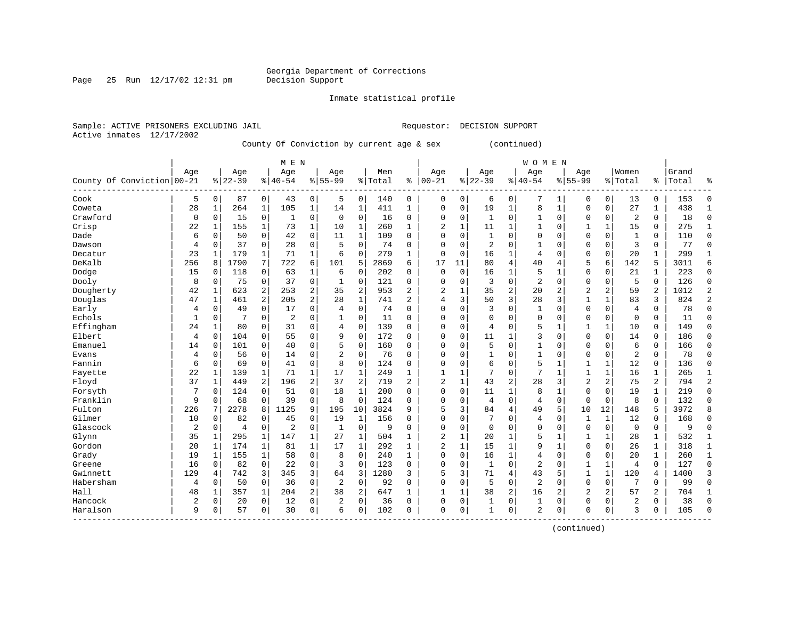#### Inmate statistical profile

Active inmates 12/17/2002

Page 25 Run  $12/17/02$  12:31 pm

Sample: ACTIVE PRISONERS EXCLUDING JAIL **Requestor: DECISION SUPPORT** 

County Of Conviction by current age & sex (continued)

|                            |     |              |                |                | M E N          |                |                |              |         |                |                |              |                |                | <b>WOMEN</b>   |              |                |                |                |              |       |                |
|----------------------------|-----|--------------|----------------|----------------|----------------|----------------|----------------|--------------|---------|----------------|----------------|--------------|----------------|----------------|----------------|--------------|----------------|----------------|----------------|--------------|-------|----------------|
|                            | Age |              | Age            |                | Age            |                | Age            |              | Men     |                | Age            |              | Age            |                | Age            |              | Age            |                | Women          |              | Grand |                |
| County Of Conviction 00-21 |     |              | $8 22-39$      |                | $8 40-54$      |                | $8 55-99$      |              | % Total | ి              | $ 00 - 21$     |              | $ 22-39$       |                | $ 40-54$       |              | $8155 - 99$    |                | % Total        | %            | Total | န္             |
| Cook                       | 5   | 0            | 87             | $\circ$        | 43             | $\overline{0}$ | 5              | 0            | 140     | 0              | 0              | 0            | 6              | 0              | 7              | 1            | $\Omega$       | 0              | 13             | 0            | 153   | $\Omega$       |
| Coweta                     | 28  | 1            | 264            | 1              | 105            | 1              | 14             | 1            | 411     | 1              | $\Omega$       | 0            | 19             | 1              | 8              | 1            | $\Omega$       | $\mathbf 0$    | 27             | 1            | 438   | $\mathbf{1}$   |
| Crawford                   | 0   | $\mathbf 0$  | 15             | 0              | $\mathbf{1}$   | 0              | $\mathbf 0$    | $\mathbf 0$  | 16      | 0              | 0              | 0            | 1              | 0              | 1              | $\mathbf 0$  | $\Omega$       | $\mathbf 0$    | $\overline{2}$ | 0            | 18    | $\Omega$       |
| Crisp                      | 22  | 1            | 155            | $\mathbf{1}$   | 73             | $\mathbf 1$    | 10             | $\mathbf 1$  | 260     | 1              | 2              | $\mathbf{1}$ | 11             | 1              | 1              | 0            |                | 1              | 15             | 0            | 275   | $\mathbf{1}$   |
| Dade                       | 6   | 0            | 50             | $\mathbf 0$    | 42             | 0              | 11             | $\mathbf 1$  | 109     | $\Omega$       | $\Omega$       | 0            | $\mathbf{1}$   | $\Omega$       | 0              | $\Omega$     | $\Omega$       | 0              | $\mathbf{1}$   | 0            | 110   | $\Omega$       |
| Dawson                     | 4   | 0            | 37             | $\mathbf 0$    | 28             | 0              | 5              | $\Omega$     | 74      | $\Omega$       | $\Omega$       | 0            | $\overline{2}$ | $\Omega$       | 1              | $\Omega$     | $\Omega$       | 0              | 3              | 0            | 77    | $\Omega$       |
| Decatur                    | 23  | 1            | 179            | 1              | 71             | 1              | 6              | 0            | 279     | 1              | $\Omega$       | 0            | 16             | 1              | 4              | $\Omega$     | $\Omega$       | 0              | 20             | 1            | 299   | 1              |
| DeKalb                     | 256 | 8            | 1790           | 7              | 722            | 6              | 101            | 5            | 2869    | 6              | 17             | 11           | 80             | 4              | 40             | 4            | 5              | 6              | 142            | 5            | 3011  | 6              |
| Dodge                      | 15  | 0            | 118            | 0              | 63             | 1              | 6              | 0            | 202     | 0              | $\Omega$       | 0            | 16             | 1              | 5              | $\mathbf{1}$ | 0              | 0              | 21             | $\mathbf 1$  | 223   | $\Omega$       |
| Dooly                      | 8   | 0            | 75             | 0              | 37             | 0              | 1              | 0            | 121     | 0              | $\Omega$       | 0            | 3              | 0              | $\overline{2}$ | $\Omega$     | $\mathbf{0}$   | 0              | 5              | $\Omega$     | 126   | $\Omega$       |
| Dougherty                  | 42  | 1            | 623            | 2              | 253            | 2              | 35             | 2            | 953     | 2              | 2              | 1            | 35             | $\overline{2}$ | 20             | 2            | $\overline{2}$ | $\overline{a}$ | 59             | 2            | 1012  | 2              |
| Douglas                    | 47  | 1            | 461            | $\overline{a}$ | 205            | $\overline{a}$ | 28             | $\mathbf 1$  | 741     | 2              | 4              | 3            | 50             | 3              | 28             | 3            | $\mathbf{1}$   | 1              | 83             | 3            | 824   | $\overline{2}$ |
| Early                      | 4   | 0            | 49             | $\mathbf 0$    | 17             | 0              | 4              | $\mathbf 0$  | 74      | O              | $\Omega$       | 0            | 3              | 0              | 1              | 0            | 0              | 0              | $\overline{4}$ | 0            | 78    | $\Omega$       |
| Echols                     | 1   | 0            |                | $\mathbf 0$    | $\overline{c}$ | 0              | 1              | 0            | 11      | $\Omega$       | $\Omega$       | 0            | $\mathbf 0$    | $\Omega$       | 0              | 0            | $\Omega$       | 0              | $\mathbf 0$    | 0            | 11    | $\Omega$       |
| Effingham                  | 24  | 1            | 80             | 0              | 31             | 0              | 4              | 0            | 139     | 0              | $\Omega$       | 0            | 4              | $\Omega$       | 5              | 1            | 1              | $\mathbf{1}$   | 10             | 0            | 149   | $\Omega$       |
| Elbert                     | 4   | 0            | 104            | 0              | 55             | 0              | 9              | 0            | 172     | 0              | $\Omega$       | 0            | 11             | 1              | 3              | $\mathbf 0$  | $\Omega$       | $\Omega$       | 14             | 0            | 186   | $\Omega$       |
| Emanuel                    | 14  | 0            | 101            | 0              | 40             | 0              | 5              | 0            | 160     | 0              | $\Omega$       | 0            | 5              | $\Omega$       | 1              | $\Omega$     | $\Omega$       | 0              | 6              | $\mathbf 0$  | 166   | $\Omega$       |
| Evans                      | 4   | 0            | 56             | 0              | 14             | 0              | $\overline{a}$ | $\Omega$     | 76      | 0              | $\Omega$       | U            | 1              | $\Omega$       | 1              | $\Omega$     | $\Omega$       | $\Omega$       | $\overline{2}$ | $\Omega$     | 78    |                |
| Fannin                     | 6   | $\Omega$     | 69             | $\Omega$       | 41             | 0              | 8              | $\Omega$     | 124     | $\Omega$       | $\Omega$       | O            | 6              | $\Omega$       | 5              | -1           | $\mathbf{1}$   | $\mathbf{1}$   | 12             | $\Omega$     | 136   |                |
| Fayette                    | 22  | 1            | 139            | 1              | 71             | $\mathbf{1}$   | 17             | $\mathbf{1}$ | 249     | 1              | 1              | 1            | 7              | $\Omega$       | 7              | 1            | 1              | $\mathbf{1}$   | 16             | 1            | 265   | 1              |
| Floyd                      | 37  | $\mathbf{1}$ | 449            | 2              | 196            | 2              | 37             | 2            | 719     | $\overline{2}$ | $\overline{2}$ | $\mathbf{1}$ | 43             | 2              | 28             | 3            | $\overline{2}$ | 2              | 75             | 2            | 794   | $\overline{2}$ |
| Forsyth                    |     | 0            | 124            | $\mathbf 0$    | 51             | 0              | 18             | 1            | 200     | $\Omega$       | 0              | 0            | 11             | 1              | 8              | 1            | $\Omega$       | $\mathbf 0$    | 19             | 1            | 219   | $\Omega$       |
| Franklin                   | 9   | 0            | 68             | 0              | 39             | 0              | 8              | $\Omega$     | 124     | $\Omega$       | $\Omega$       | 0            | 4              | 0              | 4              | 0            | $\mathbf 0$    | $\mathbf 0$    | 8              | $\Omega$     | 132   | $\Omega$       |
| Fulton                     | 226 | 7            | 2278           | 8              | 1125           | 9              | 195            | 10           | 3824    | 9              | 5              | 3            | 84             | 4              | 49             | 5            | 10             | 12             | 148            | 5            | 3972  | 8              |
| Gilmer                     | 10  | 0            | 82             | 0              | 45             | 0              | 19             | 1            | 156     | O              | $\Omega$       | 0            | 7              | $\Omega$       | 4              | $\Omega$     | 1              | 1              | 12             | 0            | 168   | $\Omega$       |
| Glascock                   | 2   | 0            | $\overline{4}$ | 0              | $\overline{c}$ | 0              | 1              | 0            | 9       | O              | $\Omega$       | 0            | $\Omega$       | $\Omega$       | $\Omega$       | $\Omega$     | $\Omega$       | $\mathbf 0$    | $\mathbf 0$    | 0            | 9     | $\Omega$       |
| Glynn                      | 35  | 1            | 295            | 1              | 147            | 1              | 27             | 1            | 504     | 1              | 2              | 1            | 20             | 1              | 5              | $\mathbf{1}$ | 1              | 1              | 28             | $\mathbf 1$  | 532   | $\mathbf{1}$   |
| Gordon                     | 20  | 1            | 174            | 1              | 81             | 1              | 17             | $\mathbf{1}$ | 292     | $\mathbf{1}$   | $\overline{2}$ | 1            | 15             | 1              | 9              | 1            | $\Omega$       | $\Omega$       | 26             | $\mathbf{1}$ | 318   | 1              |
| Grady                      | 19  | 1            | 155            | $\mathbf 1$    | 58             | 0              | 8              | $\Omega$     | 240     | $\mathbf{1}$   | $\Omega$       | 0            | 16             | 1              | $\overline{4}$ | $\mathbf 0$  | $\Omega$       | $\mathbf 0$    | 20             | $\mathbf{1}$ | 260   | $\mathbf{1}$   |
| Greene                     | 16  | 0            | 82             | $\overline{0}$ | 22             | 0              | 3              | $\mathbf 0$  | 123     | 0              | 0              | 0            | $\mathbf{1}$   | 0              | 2              | $\mathbf 0$  | 1              | $\mathbf 1$    | $\overline{4}$ | $\mathbf 0$  | 127   | $\Omega$       |
| Gwinnett                   | 129 | 4            | 742            | 3              | 345            | 3              | 64             | 3            | 1280    | 3              | 5              | 3            | 71             | 4              | 43             | 5            | $\mathbf{1}$   | $\mathbf 1$    | 120            | 4            | 1400  | 3              |
| Habersham                  | 4   | 0            | 50             | $\mathbf 0$    | 36             | 0              | $\overline{2}$ | $\mathbf 0$  | 92      | $\Omega$       | $\Omega$       | 0            | 5              | 0              | 2              | $\Omega$     | $\mathbf{0}$   | $\mathbf 0$    | 7              | 0            | 99    | $\Omega$       |
| Hall                       | 48  | 1            | 357            | 1              | 204            | $\overline{a}$ | 38             | 2            | 647     | 1              | 1              | 1            | 38             | $\overline{c}$ | 16             | 2            | 2              | 2              | 57             | 2            | 704   | 1              |
| Hancock                    | 2   | 0            | 20             | 0              | 12             | 0              | 2              | 0            | 36      | 0              | $\Omega$       | 0            | 1              | 0              | 1              | 0            | 0              | $\mathbf 0$    | 2              | 0            | 38    | $\Omega$       |
| Haralson                   | 9   | 0            | 57             | 0              | 30             | 0              | 6              | 0            | 102     | 0              | $\mathbf{0}$   | 0            | 1              | 0              | 2              | $\mathbf 0$  | $\Omega$       | 0              | 3              | 0            | 105   | ∩              |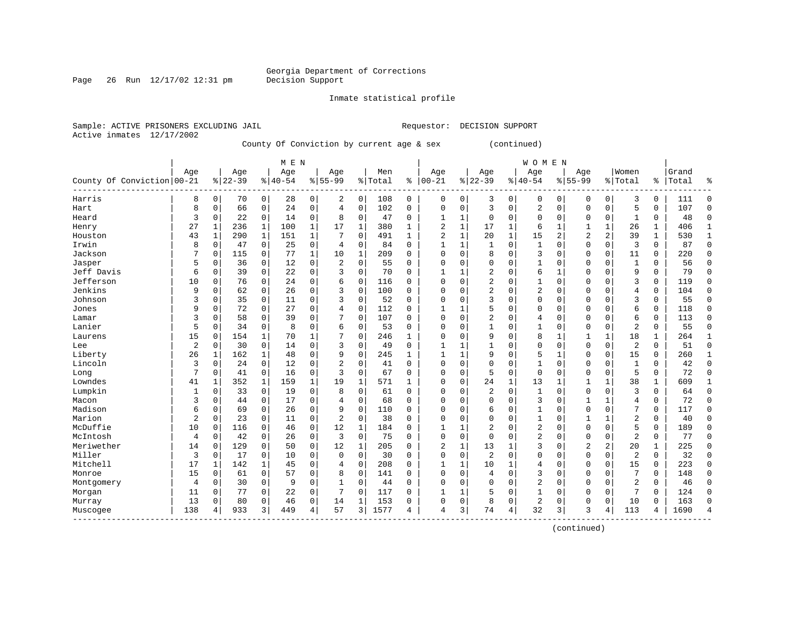#### Inmate statistical profile

Active inmates 12/17/2002

Page 26 Run  $12/17/02$  12:31 pm

Sample: ACTIVE PRISONERS EXCLUDING JAIL **Requestor: DECISION SUPPORT** 

County Of Conviction by current age & sex (continued)

|                            |     |              |           |             | M E N    |             |                |              |           |              |                |              |                |             | <b>WOMEN</b> |             |                |             |                |              |       |              |
|----------------------------|-----|--------------|-----------|-------------|----------|-------------|----------------|--------------|-----------|--------------|----------------|--------------|----------------|-------------|--------------|-------------|----------------|-------------|----------------|--------------|-------|--------------|
|                            | Age |              | Age       |             | Age      |             | Age            |              | Men       |              | Age            |              | Age            |             | Age          |             | Age            |             | Women          |              | Grand |              |
| County Of Conviction 00-21 |     |              | $8 22-39$ |             | $ 40-54$ |             | $8 55-99$      |              | %   Total | ి            | $ 00 - 21$     |              | $ 22-39$       |             | $ 40-54$     |             | $8 55-99$      |             | % Total        | ႜ            | Total | 움            |
| Harris                     | 8   | $\mathbf 0$  | 70        | 0           | 28       | 0           | 2              | 0            | 108       | 0            | 0              | 0            | 3              | 0           | 0            | 0           | $\Omega$       | 0           | 3              | 0            | 111   | $\cap$       |
| Hart                       | 8   | 0            | 66        | 0           | 24       | 0           | $\overline{4}$ | 0            | 102       | 0            | $\Omega$       | 0            | 3              | 0           | 2            | $\mathbf 0$ | $\Omega$       | 0           | 5              | 0            | 107   | $\mathbf 0$  |
| Heard                      | 3   | 0            | 22        | $\mathbf 0$ | 14       | 0           | 8              | $\mathbf 0$  | 47        | 0            | 1              | $\mathbf{1}$ | $\mathbf 0$    | 0           | 0            | $\Omega$    | $\Omega$       | $\mathbf 0$ | -1             | 0            | 48    | $\Omega$     |
| Henry                      | 27  | 1            | 236       | 1           | 100      | $\mathbf 1$ | 17             | $\mathbf 1$  | 380       | 1            | 2              | 1            | 17             | 1           | б            |             |                |             | 26             | 1            | 406   | $\mathbf{1}$ |
| Houston                    | 43  | $\mathbf{1}$ | 290       | 1           | 151      | $\mathbf 1$ |                | $\mathbf 0$  | 491       | $\mathbf{1}$ | $\overline{2}$ | 1            | 20             | 1           | 15           | 2           | $\overline{2}$ | 2           | 39             | $\mathbf{1}$ | 530   | $\mathbf{1}$ |
| Irwin                      | 8   | 0            | 47        | $\mathbf 0$ | 25       | 0           | 4              | 0            | 84        | $\Omega$     | $\mathbf{1}$   | 1            | 1              | $\mathbf 0$ | $\mathbf{1}$ | $\Omega$    | $\Omega$       | $\mathbf 0$ | 3              | $\mathbf 0$  | 87    | $\mathbf 0$  |
| Jackson                    | 7   | 0            | 115       | 0           | 77       | $\mathbf 1$ | 10             | 1            | 209       | $\Omega$     | $\Omega$       | 0            | 8              | 0           | 3            | 0           | $\Omega$       | 0           | 11             | 0            | 220   | $\mathbf 0$  |
| Jasper                     | 5   | 0            | 36        | 0           | 12       | 0           | 2              | 0            | 55        | 0            | $\Omega$       | 0            | $\Omega$       | $\Omega$    | 1            | 0           | $\Omega$       | 0           | 1              | 0            | 56    | $\mathbf 0$  |
| Jeff Davis                 | 6   | $\Omega$     | 39        | 0           | 22       | 0           | 3              | $\mathbf 0$  | 70        | $\Omega$     | $\mathbf{1}$   | 1            | 2              | $\Omega$    | б            | 1           | $\Omega$       | 0           | 9              | 0            | 79    | 0            |
| Jefferson                  | 10  | $\Omega$     | 76        | 0           | 24       | 0           | 6              | $\Omega$     | 116       | $\Omega$     | $\Omega$       | O            | $\overline{2}$ | $\Omega$    | $\mathbf{1}$ | $\Omega$    | $\Omega$       | $\Omega$    | 3              | 0            | 119   | $\Omega$     |
| Jenkins                    | 9   | $\Omega$     | 62        | $\mathbf 0$ | 26       | 0           | 3              | $\Omega$     | 100       | 0            | $\Omega$       | 0            | $\overline{2}$ | $\Omega$    | 2            | 0           | $\Omega$       | 0           | 4              | 0            | 104   | $\Omega$     |
| Johnson                    | 3   | 0            | 35        | $\mathbf 0$ | 11       | 0           | 3              | $\mathbf 0$  | 52        | 0            | 0              | 0            | 3              | 0           | 0            | 0           | $\Omega$       | $\Omega$    | 3              | 0            | 55    | $\Omega$     |
| Jones                      | 9   | 0            | 72        | $\mathbf 0$ | 27       | 0           |                | $\mathbf 0$  | 112       | 0            |                | 1            | 5              | $\Omega$    | 0            | 0           | $\Omega$       | $\mathbf 0$ | 6              | 0            | 118   | $\Omega$     |
| Lamar                      | 3   | 0            | 58        | 0           | 39       | 0           |                | 0            | 107       | $\Omega$     | $\Omega$       | 0            | 2              | $\Omega$    | 4            | 0           | $\Omega$       | 0           | 6              | 0            | 113   | $\mathbf 0$  |
| Lanier                     | 5   | 0            | 34        | 0           | 8        | 0           | 6              | 0            | 53        | 0            | $\Omega$       | 0            | $\mathbf{1}$   | $\Omega$    | 1            | $\mathbf 0$ | $\Omega$       | $\mathbf 0$ | $\overline{2}$ | 0            | 55    | $\mathbf 0$  |
| Laurens                    | 15  | $\Omega$     | 154       | 1           | 70       | 1           |                | $\Omega$     | 246       | 1            | <sup>0</sup>   | 0            | 9              | $\Omega$    | 8            | 1           | 1              | 1           | 18             | 1            | 264   | 1            |
| Lee                        | 2   | 0            | 30        | $\Omega$    | 14       | 0           | 3              | $\Omega$     | 49        | 0            |                |              |                | $\Omega$    | 0            | $\Omega$    | $\Omega$       | $\Omega$    | 2              | 0            | 51    | $\mathbf 0$  |
| Liberty                    | 26  | 1            | 162       | 1           | 48       | 0           | 9              | $\Omega$     | 245       | $\mathbf{1}$ |                |              | 9              | $\Omega$    | 5            |             | $\Omega$       | $\Omega$    | 15             | 0            | 260   | -1           |
| Lincoln                    | 3   | $\Omega$     | 24        | $\Omega$    | 12       | 0           | $\overline{c}$ | $\Omega$     | 41        | $\Omega$     | $\Omega$       | 0            | $\Omega$       | $\Omega$    | 1            | 0           | $\Omega$       | $\Omega$    | 1              | 0            | 42    | $\Omega$     |
| Long                       | 7   | $\Omega$     | 41        | 0           | 16       | 0           | 3              | $\Omega$     | 67        | 0            | 0              | 0            | 5              | $\Omega$    | $\Omega$     | 0           | $\Omega$       | $\Omega$    | 5              | 0            | 72    | $\Omega$     |
| Lowndes                    | 41  | 1            | 352       | 1           | 159      | $\mathbf 1$ | 19             | 1            | 571       | 1            | 0              | 0            | 24             | 1           | 13           |             |                |             | 38             | 1            | 609   |              |
| Lumpkin                    | 1   | 0            | 33        | $\mathbf 0$ | 19       | 0           | 8              | $\mathbf 0$  | 61        | $\Omega$     | $\Omega$       | 0            | $\overline{2}$ | $\mathbf 0$ | 1            | $\Omega$    | $\Omega$       | $\mathbf 0$ | 3              | 0            | 64    | $\Omega$     |
| Macon                      | 3   | 0            | 44        | 0           | 17       | 0           | 4              | $\Omega$     | 68        | $\Omega$     | $\Omega$       | O            | $\Omega$       | $\Omega$    | 3            | $\Omega$    | $\mathbf{1}$   |             | 4              | 0            | 72    | $\Omega$     |
| Madison                    | 6   | $\Omega$     | 69        | 0           | 26       | 0           | 9              | $\Omega$     | 110       | $\Omega$     | $\Omega$       | 0            | 6              | $\Omega$    | 1            | $\Omega$    | $\Omega$       | $\Omega$    | 7              | 0            | 117   | $\mathbf 0$  |
| Marion                     | 2   | $\Omega$     | 23        | 0           | 11       | 0           | 2              | $\Omega$     | 38        | $\Omega$     | $\Omega$       | 0            | $\Omega$       | $\Omega$    | 1            | $\Omega$    |                |             | 2              | 0            | 40    | $\mathbf 0$  |
| McDuffie                   | 10  | $\Omega$     | 116       | 0           | 46       | 0           | 12             | 1            | 184       | O            | $\mathbf{1}$   | 1            | 2              | $\Omega$    | 2            | $\Omega$    | $\Omega$       | 0           | 5              | 0            | 189   | $\mathbf 0$  |
| McIntosh                   | 4   | $\mathbf 0$  | 42        | 0           | 26       | 0           | 3              | $\Omega$     | 75        | O            | $\Omega$       | 0            | $\Omega$       | $\Omega$    | 2            | $\Omega$    | $\Omega$       | $\Omega$    | 2              | 0            | 77    | $\Omega$     |
| Meriwether                 | 14  | 0            | 129       | $\Omega$    | 50       | 0           | 12             | $\mathbf{1}$ | 205       | $\Omega$     | 2              | 1            | 13             | 1           | 3            | 0           | $\overline{2}$ | 2           | 20             | 1            | 225   | $\Omega$     |
| Miller                     | 3   | $\Omega$     | 17        | $\mathbf 0$ | 10       | 0           | $\mathbf 0$    | $\Omega$     | 30        | $\Omega$     | $\Omega$       | 0            | $\overline{2}$ | $\Omega$    | $\Omega$     | $\Omega$    | $\Omega$       | $\mathbf 0$ | $\overline{2}$ | $\mathbf 0$  | 32    | $\Omega$     |
| Mitchell                   | 17  | 1            | 142       | 1           | 45       | 0           | 4              | $\mathbf 0$  | 208       | $\Omega$     | 1              | 1            | 10             |             | 4            | $\mathbf 0$ | $\Omega$       | $\mathbf 0$ | 15             | 0            | 223   | $\Omega$     |
| Monroe                     | 15  | 0            | 61        | $\mathbf 0$ | 57       | 0           | 8              | $\mathbf 0$  | 141       | 0            | $\Omega$       | 0            | 4              | $\Omega$    | 3            | $\Omega$    | $\Omega$       | $\mathbf 0$ | 7              | 0            | 148   | $\mathbf 0$  |
| Montgomery                 | 4   | 0            | 30        | 0           | 9        | 0           | $\mathbf{1}$   | 0            | 44        | $\Omega$     | $\Omega$       | 0            | $\Omega$       | $\Omega$    | 2            | 0           | $\Omega$       | $\Omega$    | $\overline{2}$ | 0            | 46    | $\Omega$     |
| Morgan                     | 11  | 0            | 77        | 0           | 22       | 0           | 7              | 0            | 117       | 0            | 1              | 1            | 5              | $\Omega$    | 1            | 0           | $\Omega$       | 0           | 7              | 0            | 124   | $\Omega$     |
| Murray                     | 13  | 0            | 80        | 0           | 46       | 0           | 14             | 1            | 153       | 0            | $\Omega$       | 0            | 8              | 0           | 2            | 0           | $\Omega$       | 0           | 10             | 0            | 163   | $\Omega$     |
| Muscogee                   | 138 |              | 933       | 3           | 449      | 4           | 57             | 3            | 1577      | 4            | 4              | 3            | 74             | 4           | 32           | 3           | 3              | 4           | 113            | 4            | 1690  |              |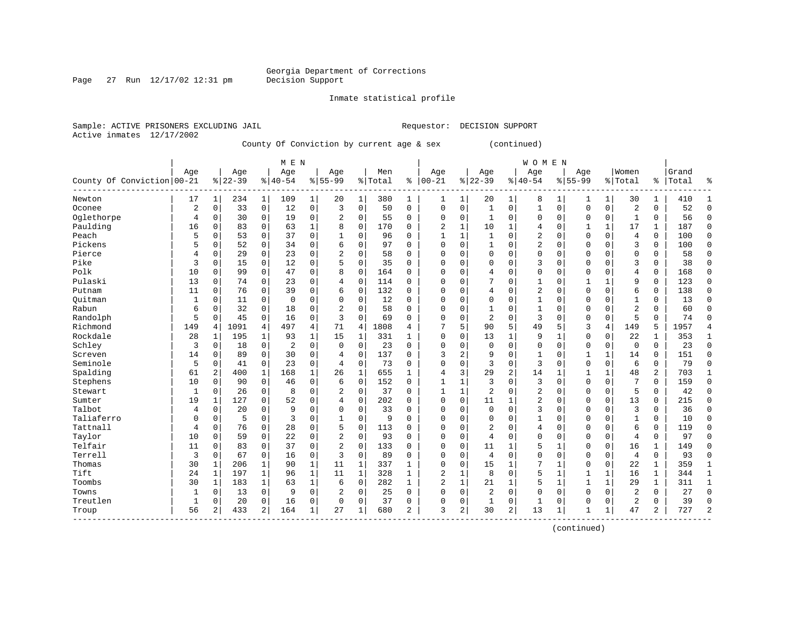Page 27 Run  $12/17/02$  12:31 pm

#### Inmate statistical profile

Active inmates 12/17/2002

Sample: ACTIVE PRISONERS EXCLUDING JAIL **Requestor: DECISION SUPPORT** 

County Of Conviction by current age & sex (continued)

|                            |             |                |           |                | M E N     |              |                |              |         |                |                |              |                |                | <b>WOMEN</b> |             |              |              |                |                |       |                |
|----------------------------|-------------|----------------|-----------|----------------|-----------|--------------|----------------|--------------|---------|----------------|----------------|--------------|----------------|----------------|--------------|-------------|--------------|--------------|----------------|----------------|-------|----------------|
|                            | Age         |                | Age       |                | Age       |              | Age            |              | Men     |                | Age            |              | Age            |                | Age          |             | Age          |              | Women          |                | Grand |                |
| County Of Conviction 00-21 |             |                | $8 22-39$ |                | $8 40-54$ |              | $8 55-99$      |              | % Total | ి              | $ 00 - 21$     |              | $ 22-39$       |                | $ 40-54$     |             | $8 55-99$    |              | % Total        | %              | Total | န္             |
| Newton                     | 17          | $\mathbf{1}$   | 234       | $\mathbf 1$    | 109       | 1            | 20             | 1            | 380     | 1              | 1              | $\mathbf 1$  | 20             | 1              | 8            | 1           | 1            | $\mathbf{1}$ | 30             | 1              | 410   | $\mathbf{1}$   |
| Oconee                     | 2           | 0              | 33        | $\overline{0}$ | 12        | 0            | 3              | $\Omega$     | 50      | $\Omega$       | $\Omega$       | 0            | $\mathbf{1}$   | 0              | 1            | $\mathbf 0$ | $\Omega$     | $\mathbf 0$  | $\overline{c}$ | 0              | 52    | $\Omega$       |
| Oglethorpe                 | 4           | 0              | 30        | $\overline{0}$ | 19        | 0            | 2              | $\mathbf 0$  | 55      | 0              | 0              | 0            | 1              | 0              | 0            | $\mathbf 0$ | $\Omega$     | $\mathbf 0$  | $\mathbf{1}$   | 0              | 56    | $\Omega$       |
| Paulding                   | 16          | 0              | 83        | $\mathbf 0$    | 63        | $\mathbf 1$  | 8              | 0            | 170     | 0              | 2              | 1            | 10             | $\mathbf{1}$   | 4            | $\mathbf 0$ |              | 1            | 17             | 1              | 187   | $\Omega$       |
| Peach                      | 5           | 0              | 53        | 0              | 37        | 0            |                | $\mathbf 0$  | 96      | $\Omega$       | $\mathbf{1}$   | 1            | $\mathbf{1}$   | $\Omega$       | 2            | 0           | $\Omega$     | 0            | $\overline{4}$ | $\mathbf 0$    | 100   | $\Omega$       |
| Pickens                    | 5           | 0              | 52        | 0              | 34        | 0            | 6              | $\Omega$     | 97      | $\Omega$       | $\Omega$       | 0            | 1              | $\Omega$       | 2            | $\Omega$    | $\Omega$     | $\Omega$     | 3              | 0              | 100   | $\Omega$       |
| Pierce                     | 4           | 0              | 29        | 0              | 23        | 0            | $\overline{2}$ | $\Omega$     | 58      | 0              | $\Omega$       | 0            | $\mathbf 0$    | $\Omega$       | 0            | $\mathbf 0$ | $\Omega$     | $\Omega$     | $\Omega$       | 0              | 58    | $\Omega$       |
| Pike                       | 3           | 0              | 15        | 0              | 12        | 0            | 5              | 0            | 35      | 0              | $\Omega$       | 0            | 0              | $\Omega$       | 3            | $\Omega$    | 0            | $\Omega$     | 3              | 0              | 38    | $\Omega$       |
| Polk                       | 10          | 0              | 99        | 0              | 47        | 0            | 8              | $\mathbf 0$  | 164     | 0              | $\Omega$       | O            | 4              | $\Omega$       | 0            | $\Omega$    | $\Omega$     | $\Omega$     | 4              | 0              | 168   | $\Omega$       |
| Pulaski                    | 13          | 0              | 74        | 0              | 23        | 0            | 4              | $\Omega$     | 114     | $\Omega$       | $\Omega$       | O            | 7              | $\Omega$       | 1            | $\Omega$    | 1            | $\mathbf{1}$ | 9              | 0              | 123   | ∩              |
| Putnam                     | 11          | 0              | 76        | 0              | 39        | 0            | 6              | $\Omega$     | 132     | $\Omega$       | $\Omega$       | O            | 4              | $\Omega$       | 2            | $\Omega$    | $\Omega$     | $\Omega$     | 6              | 0              | 138   | ∩              |
| Ouitman                    | 1           | 0              | 11        | 0              | 0         | 0            | O              | $\Omega$     | 12      | 0              | 0              | O            | $\mathbf 0$    | 0              | 1            | $\mathbf 0$ | $\Omega$     | $\Omega$     | 1              | 0              | 13    | ∩              |
| Rabun                      | 6           | 0              | 32        | $\mathbf 0$    | 18        | 0            | 2              | 0            | 58      | $\Omega$       | 0              | 0            | 1              | $\Omega$       | $\mathbf{1}$ | 0           | 0            | 0            | $\overline{c}$ | 0              | 60    | $\Omega$       |
| Randolph                   | 5           | 0              | 45        | $\mathbf 0$    | 16        | 0            | 3              | $\Omega$     | 69      | $\Omega$       | $\Omega$       | 0            | $\overline{2}$ | 0              | 3            | $\Omega$    | $\Omega$     | 0            | 5              | $\Omega$       | 74    | $\Omega$       |
| Richmond                   | 149         | 4              | 1091      | $\overline{4}$ | 497       | 4            | 71             | 4            | 1808    | 4              |                | 5            | 90             | 5              | 49           | 5           | 3            | 4            | 149            | 5              | 1957  |                |
| Rockdale                   | 28          | 1              | 195       | 1              | 93        | $\mathbf 1$  | 15             | 1            | 331     | 1              | $\Omega$       | 0            | 13             | 1              | 9            | 1           | $\Omega$     | 0            | 22             | 1              | 353   | 1              |
| Schley                     | 3           | 0              | 18        | 0              | 2         | 0            | $\Omega$       | $\Omega$     | 23      | 0              | $\Omega$       | 0            | $\mathbf 0$    | $\Omega$       | 0            | $\Omega$    | $\Omega$     | $\mathbf 0$  | $\mathbf 0$    | $\mathbf 0$    | 23    | $\Omega$       |
| Screven                    | 14          | 0              | 89        | 0              | 30        | 0            | 4              | $\Omega$     | 137     | 0              | 3              | 2            | 9              | $\Omega$       | 1            | $\Omega$    | 1            | $\mathbf{1}$ | 14             | 0              | 151   | ∩              |
| Seminole                   | 5           | 0              | 41        | $\Omega$       | 23        | $\Omega$     | 4              | $\Omega$     | 73      | 0              | $\Omega$       | 0            | 3              | $\Omega$       | 3            | $\Omega$    | $\Omega$     | $\Omega$     | 6              | $\Omega$       | 79    |                |
| Spalding                   | 61          | 2              | 400       | 1              | 168       | $\mathbf{1}$ | 26             | $\mathbf{1}$ | 655     | 1              | 4              | 3            | 29             | $\overline{2}$ | 14           | 1           | 1            | $\mathbf{1}$ | 48             | $\overline{2}$ | 703   | 1              |
| Stephens                   | 10          | $\Omega$       | 90        | $\Omega$       | 46        | 0            | 6              | $\mathbf 0$  | 152     | $\Omega$       | $\mathbf{1}$   | 1            | 3              | $\Omega$       | 3            | $\mathbf 0$ | $\Omega$     | $\Omega$     | 7              | 0              | 159   | $\Omega$       |
| Stewart                    | $\mathbf 1$ | 0              | 26        | 0              | 8         | 0            | 2              | $\mathbf 0$  | 37      | $\Omega$       | $\mathbf{1}$   | 1            | 2              | $\Omega$       | 2            | $\Omega$    | $\Omega$     | 0            | 5              | 0              | 42    | $\Omega$       |
| Sumter                     | 19          | 1              | 127       | $\Omega$       | 52        | 0            | 4              | $\Omega$     | 202     | $\Omega$       | $\Omega$       | $\Omega$     | 11             | 1              | 2            | $\mathbf 0$ | $\Omega$     | $\Omega$     | 13             | 0              | 215   | $\Omega$       |
| Talbot                     | 4           | 0              | 20        | $\Omega$       | 9         | 0            | $\Omega$       | $\Omega$     | 33      | $\Omega$       | $\Omega$       | 0            | $\mathbf 0$    | $\Omega$       | 3            | $\Omega$    | $\Omega$     | $\Omega$     | 3              | 0              | 36    | $\Omega$       |
| Taliaferro                 | O           | 0              | 5         | $\Omega$       | 3         | 0            |                | $\Omega$     | 9       | $\Omega$       | $\Omega$       | 0            | $\Omega$       | $\Omega$       | 1            | $\Omega$    | $\Omega$     | $\Omega$     | 1              | 0              | 10    | $\Omega$       |
| Tattnall                   | 4           | 0              | 76        | 0              | 28        | 0            | 5              | $\Omega$     | 113     | O              | $\Omega$       | O            | 2              | $\Omega$       | 4            | $\Omega$    | $\Omega$     | $\Omega$     | 6              | $\Omega$       | 119   | $\Omega$       |
| Taylor                     | 10          | $\Omega$       | 59        | $\Omega$       | 22        | 0            | 2              | $\Omega$     | 93      | $\Omega$       | $\Omega$       | O            | 4              | $\Omega$       | $\Omega$     | $\Omega$    | $\Omega$     | $\Omega$     | $\overline{4}$ | 0              | 97    | $\Omega$       |
| Telfair                    | 11          | 0              | 83        | 0              | 37        | 0            | 2              | $\Omega$     | 133     | 0              | $\Omega$       | O            | 11             | 1              | 5            | 1           | $\Omega$     | $\Omega$     | 16             | 1              | 149   | ∩              |
| Terrell                    | 3           | $\Omega$       | 67        | $\mathbf 0$    | 16        | 0            | 3              | $\Omega$     | 89      | $\Omega$       | $\Omega$       | 0            | 4              | $\Omega$       | $\Omega$     | $\mathbf 0$ | $\Omega$     | $\mathbf 0$  | $\overline{4}$ | 0              | 93    | ∩              |
| Thomas                     | 30          | 1              | 206       | 1              | 90        | 1            | 11             | $\mathbf 1$  | 337     | 1              | 0              | 0            | 15             | 1              |              | 1           | $\Omega$     | $\mathbf 0$  | 22             | 1              | 359   | $\mathbf{1}$   |
| Tift                       | 24          | $\mathbf{1}$   | 197       | $\mathbf{1}$   | 96        | $\mathbf 1$  | 11             | $\mathbf{1}$ | 328     | $\mathbf{1}$   | $\overline{2}$ | $\mathbf 1$  | 8              | 0              | 5            | $\mathbf 1$ | 1            | $\mathbf{1}$ | 16             | $\mathbf{1}$   | 344   | $\mathbf{1}$   |
| Toombs                     | 30          | $\mathbf{1}$   | 183       | $\mathbf{1}$   | 63        | $\mathbf 1$  | 6              | $\mathbf 0$  | 282     | $\mathbf{1}$   | $\overline{2}$ | $\mathbf{1}$ | 21             | $\mathbf{1}$   | 5            | $\mathbf 1$ | $\mathbf{1}$ | $\mathbf{1}$ | 29             | $\mathbf{1}$   | 311   | $\mathbf{1}$   |
| Towns                      | 1           | 0              | 13        | $\mathbf 0$    | 9         | 0            | 2              | 0            | 25      | $\Omega$       | $\Omega$       | 0            | $\overline{c}$ | 0              | $\Omega$     | $\mathbf 0$ | $\mathbf 0$  | 0            | $\overline{2}$ | 0              | 27    | $\Omega$       |
| Treutlen                   | 1           | 0              | 20        | 0              | 16        | 0            | 0              | 0            | 37      | 0              | $\Omega$       | 0            | 1              | 0              | 1            | 0           | $\Omega$     | $\mathbf 0$  | 2              | 0              | 39    | $\Omega$       |
| Troup                      | 56          | $\overline{a}$ | 433       | $\overline{a}$ | 164       | 1            | 27             | 1            | 680     | $\overline{a}$ | 3              | 2            | 30             | 2              | 13           | 1           | 1            | 1            | 47             | $\overline{a}$ | 727   | $\overline{2}$ |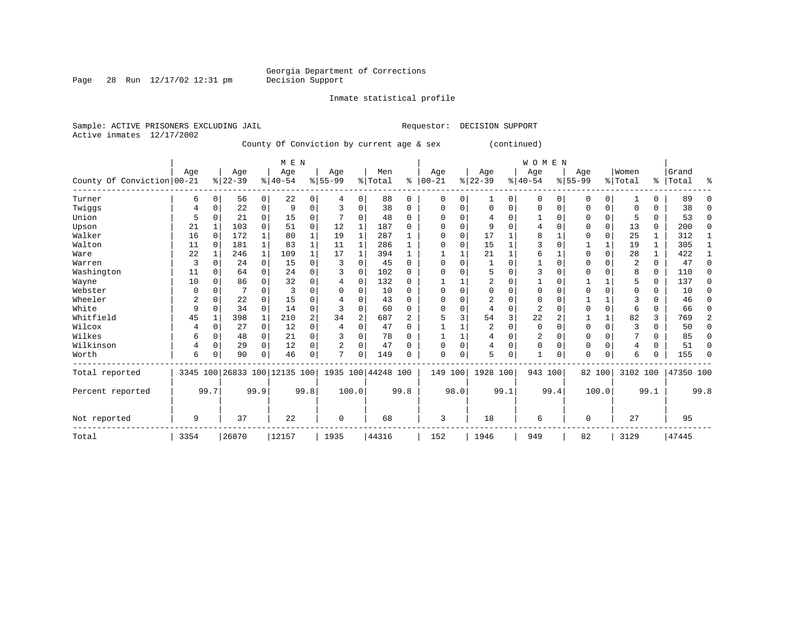Inmate statistical profile

Page 28 Run  $12/17/02$  12:31 pm

Sample: ACTIVE PRISONERS EXCLUDING JAIL **Requestor: DECISION SUPPORT** Active inmates 12/17/2002 County Of Conviction by current age & sex (continued)

|                            | M E N |          |                              |              |           |             |           |                |                    |          |           |          |           |          | <b>WOMEN</b> |          |           |          |                |               |           |      |
|----------------------------|-------|----------|------------------------------|--------------|-----------|-------------|-----------|----------------|--------------------|----------|-----------|----------|-----------|----------|--------------|----------|-----------|----------|----------------|---------------|-----------|------|
|                            | Age   |          | Age                          |              | Age       |             | Age       |                | Men                |          | Age       |          | Age       |          | Age          |          | Age       |          | Women          |               | Grand     |      |
| County Of Conviction 00-21 |       |          | $8 22-39$                    |              | $8 40-54$ |             | $8 55-99$ |                | % Total            | ៖        | $00 - 21$ | %        | $22 - 39$ |          | $8 40-54$    |          | $8 55-99$ |          | % Total        | $\frac{1}{6}$ | Total     | ႜ    |
| Turner                     | 6     | 0        | 56                           | 0            | 22        | 0           | 4         | $\Omega$       | 88                 | $\Omega$ | $\Omega$  | 0        |           | 0        | 0            | $\Omega$ | 0         | 0        |                | 0             | 89        |      |
| Twiggs                     | 4     | 0        | 22                           | 0            | 9         | $\Omega$    | 3         | $\Omega$       | 38                 | 0        | O         | 0        | $\Omega$  | $\Omega$ | 0            | 0        | $\Omega$  | 0        | $\Omega$       | 0             | 38        | ∩    |
| Union                      | 5     |          | 21                           | 0            | 15        | 0           |           | $\Omega$       | 48                 | 0        | U         | O        |           | $\Omega$ |              | $\Omega$ | $\Omega$  | 0        | 5              | 0             | 53        | ∩    |
| Upson                      | 21    |          | 103                          | $\Omega$     | 51        | $\mathbf 0$ | 12        |                | 187                | 0        |           | $\Omega$ | 9         | $\Omega$ | 4            | n        | $\Omega$  | $\Omega$ | 13             | 0             | 200       | ∩    |
| Walker                     | 16    |          | 172                          |              | 80        | 1           | 19        | $\mathbf{1}$   | 287                |          | $\Omega$  | $\Omega$ | 17        |          | 8            |          | $\Omega$  | 0        | 25             | 1             | 312       |      |
| Walton                     | 11    | 0        | 181                          | 1            | 83        | 1           | 11        | 1              | 286                | 1        | U         | $\Omega$ | 15        |          | 3            | n        |           |          | 19             | 1             | 305       |      |
| Ware                       | 22    |          | 246                          | $\mathbf{1}$ | 109       | 1           | 17        |                | 394                |          |           |          | 21        |          | 6            |          | $\Omega$  | $\Omega$ | 28             | 1             | 422       |      |
| Warren                     | 3     |          | 24                           | $\Omega$     | 15        | 0           | 3         | $\Omega$       | 45                 | 0        | ∩         | $\Omega$ |           | $\Omega$ |              | n        | $\Omega$  |          | $\overline{2}$ | 0             | 47        | ∩    |
| Washington                 | 11    | O        | 64                           | 0            | 24        | $\mathbf 0$ | 3         | $\Omega$       | 102                | 0        |           | $\Omega$ | 5         | $\Omega$ | 3            | n        | $\Omega$  |          | 8              | 0             | 110       | U    |
| Wayne                      | 10    | U        | 86                           | 0            | 32        | 0           | 4         | $\Omega$       | 132                | 0        |           |          |           | $\Omega$ |              | n        |           |          | 5              | 0             | 137       | ∩    |
| Webster                    | O     |          |                              | O            |           | $\Omega$    | $\Omega$  | $\Omega$       | 10                 | $\Omega$ |           | $\Omega$ |           | $\Omega$ | O            | n        | $\Omega$  | $\Omega$ | $\Omega$       | 0             | 10        | ∩    |
| Wheeler                    |       | U        | 22                           | 0            | 15        | $\Omega$    |           | $\Omega$       | 43                 | $\Omega$ | O         | O        |           | $\Omega$ | U            | $\Omega$ |           |          | κ              | U             | 46        | U    |
| White                      | 9     | 0        | 34                           | 0            | 14        | 0           | 3         | $\Omega$       | 60                 | 0        | ∩         | 0        |           | $\Omega$ | 2            |          | $\Omega$  | $\Omega$ | 6              | 0             | 66        | ∩    |
| Whitfield                  | 45    |          | 398                          | $\mathbf{1}$ | 210       | 2           | 34        | $\overline{c}$ | 687                | 2        | 5         | 3        | 54        | 3        | 22           |          |           |          | 82             | 3             | 769       | 2    |
| Wilcox                     |       | $\Omega$ | 27                           | 0            | 12        | 0           | 4         | $\Omega$       | 47                 | $\Omega$ |           |          | 2         | $\Omega$ | $\mathbf 0$  | $\Omega$ | $\Omega$  | 0        | 3              | 0             | 50        | U    |
| Wilkes                     | 6     | $\Omega$ | 48                           | 0            | 21        | $\mathbf 0$ | 3         | $\mathbf 0$    | 78                 | $\Omega$ |           |          | 4         | $\Omega$ | 2            | $\Omega$ | $\Omega$  | $\Omega$ |                | 0             | 85        | ∩    |
| Wilkinson                  | 4     | $\Omega$ | 29                           | $\Omega$     | 12        | 0           | 2         | $\Omega$       | 47                 | $\Omega$ | C         | $\Omega$ | 4         | $\Omega$ | 0            | $\Omega$ | $\Omega$  | $\Omega$ | 4              | 0             | 51        | U    |
| Worth                      | 6     | 0        | 90                           | 0            | 46        | 0           | n         | $\Omega$       | 149                | O        | $\Omega$  | 0        | 5         | 0        |              | $\Omega$ | 0         | 0        | 6              | 0             | 155       | ∩    |
| Total reported             |       |          | 3345 100 26833 100 12135 100 |              |           |             |           |                | 1935 100 44248 100 |          | 149       | 100      | 1928 100  |          | 943 100      |          |           | 82 100   | 3102 100       |               | 47350 100 |      |
| Percent reported           |       | 99.7     |                              | 99.9         |           | 99.8        |           | 100.0          |                    | 99.8     |           | 98.0     |           | 99.1     |              | 99.4     |           | 100.0    |                | 99.1          |           | 99.8 |
| Not reported               | 9     |          | 37                           |              | 22        |             | 0         |                | 68                 |          | 3         |          | 18        |          | 6            |          | $\Omega$  |          | 27             |               | 95        |      |
| Total                      | 3354  |          | 26870                        |              | 12157     |             | 1935      |                | 44316              |          | 152       |          | 1946      |          | 949          |          | 82        |          | 3129           |               | 47445     |      |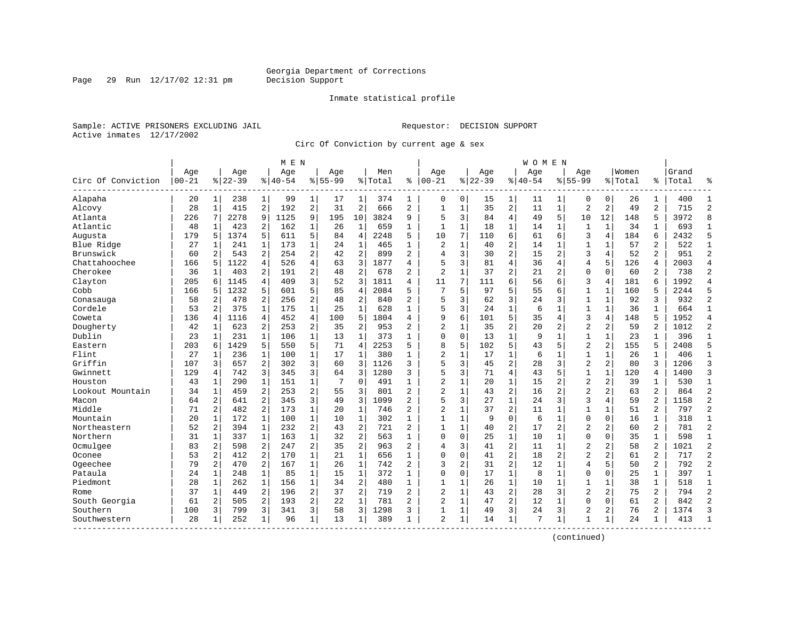#### Inmate statistical profile

Sample: ACTIVE PRISONERS EXCLUDING JAIL **Requestor: DECISION SUPPORT** Active inmates 12/17/2002

Page 29 Run  $12/17/02$  12:31 pm

Circ Of Conviction by current age & sex

| Age<br>Women<br>Age<br>Grand<br>Age<br>Age<br>Age<br>Men<br>Age<br>Age<br>Age<br>$00 - 21$<br>$8 22-39$<br>$8 40-54$<br>$8155 - 99$<br>$ 00 - 21$<br>$8 22-39$<br>$8140 - 54$<br>$8155 - 99$<br>Circ Of Conviction<br>% Total<br>ి<br>% Total<br>ႜ<br>Total<br>Alapaha<br>20<br>238<br>1<br>99<br>374<br>0<br>0<br>15<br>0<br>26<br>1<br>400<br>1<br>1<br>17<br>1<br>1<br>1<br>11<br>1<br>0<br>2<br>192<br>$\overline{2}$<br>$\overline{2}$<br>35<br>$\overline{a}$<br>28<br>415<br>31<br>666<br>$\overline{a}$<br>$\mathbf{1}$<br>11<br>$\mathbf{1}$<br>$\overline{a}$<br>2<br>49<br>2<br>715<br>Alcovy<br>$\mathbf{1}$<br>$\mathbf{1}$<br>3<br>$\overline{4}$<br>5<br>Atlanta<br>2278<br>9<br>1125<br>9<br>195<br>10<br>3824<br>9<br>5<br>84<br>49<br>10<br>12<br>148<br>5<br>3972<br>226<br>7<br>Atlantic<br>48<br>423<br>2<br>162<br>$\mathbf{1}$<br>$\mathbf{1}$<br>659<br>$\mathbf{1}$<br>$\mathbf{1}$<br>18<br>$\mathbf{1}$<br>$\mathbf{1}$<br>$\mathbf 1$<br>34<br>693<br>1<br>26<br>$\mathbf{1}$<br>14<br>1<br>1<br>6<br>3<br>179<br>5<br>$\overline{4}$<br>2248<br>5<br>10<br>7<br>4<br>184<br>6<br>2432<br>Augusta<br>5<br>1374<br>5<br>611<br>84<br>110<br>61<br>6<br>$\mathbf 1$<br>$\mathbf{1}$<br>$\overline{c}$<br>$\overline{2}$<br>173<br>$\mathbf{1}$<br>$\mathbf{1}$<br>2<br>40<br>57<br>522<br>Blue Ridge<br>27<br>1<br>241<br>1<br>24<br>465<br>14<br>1<br>1<br>1<br>$\overline{a}$<br>2<br>$\overline{a}$<br>$\overline{a}$<br>$\overline{2}$<br>3<br>$\overline{a}$<br>3<br>$\overline{2}$<br>Brunswick<br>2<br>254<br>42<br>899<br>$\overline{4}$<br>30<br>15<br>4<br>52<br>951<br>60<br>543<br>Chattahoochee<br>526<br>4<br>3<br>1877<br>5<br>3<br>81<br>4<br>5<br>2003<br>5<br>1122<br>4<br>36<br>$\overline{4}$<br>126<br>4<br>166<br>63<br>4<br>4<br>Cherokee<br>$\overline{2}$<br>2<br>$\overline{c}$<br>$\overline{c}$<br>36<br>403<br>191<br>48<br>$\overline{2}$<br>678<br>2<br>$\mathbf{1}$<br>37<br>21<br>$\overline{2}$<br>$\mathbf{0}$<br>$\Omega$<br>60<br>2<br>738<br>$\mathbf{1}$<br>3<br>6<br>Clayton<br>205<br>409<br>52<br>3<br>1811<br>11<br>7<br>111<br>56<br>3<br>$\overline{4}$<br>181<br>6<br>1992<br>6<br>1145<br>4<br>4<br>6<br>5<br>$\mathbf{1}$<br>Cobb<br>1232<br>5<br>601<br>85<br>$\overline{4}$<br>2084<br>5<br>7<br>5<br>97<br>5<br>55<br>$\mathbf{1}$<br>160<br>5<br>2244<br>166<br>6<br>5<br>3<br>2<br>$\overline{2}$<br>$\overline{2}$<br>$\overline{2}$<br>5<br>3<br>3<br>2<br>256<br>48<br>62<br>3<br>$\mathbf{1}$<br>$\mathbf 1$<br>92<br>932<br>58<br>478<br>840<br>24<br>Conasauga<br>$\mathbf{1}$<br>$\mathbf{1}$<br>$\mathbf{1}$<br>$\mathbf{1}$<br>5<br>3<br>$\mathbf{1}$<br>Cordele<br>53<br>2<br>375<br>175<br>628<br>24<br>6<br>$\mathbf{1}$<br>$\mathbf{1}$<br>$\mathbf{1}$<br>36<br>$\mathbf{1}$<br>664<br>25<br>5<br>3<br>136<br>$\overline{4}$<br>452<br>4<br>100<br>5<br>1804<br>9<br>6<br>101<br>35<br>4<br>148<br>5<br>1952<br>Coweta<br>1116<br>4<br>4<br>4<br>$\overline{c}$<br>$\overline{2}$<br>Dougherty<br>623<br>2<br>2<br>$\overline{2}$<br>$\overline{2}$<br>35<br>20<br>2<br>2<br>59<br>$\overline{2}$<br>1012<br>42<br>253<br>35<br>953<br>2<br>$\mathbf{1}$<br>Dublin<br>$\mathbf{1}$<br>23<br>231<br>$\mathbf{1}$<br>106<br>$\mathbf{1}$<br>$\mathbf{1}$<br>373<br>$\mathbf{1}$<br>$\mathbf 0$<br>$\mathbf 0$<br>13<br>9<br>$\mathbf 1$<br>$\mathbf{1}$<br>$\mathbf{1}$<br>23<br>$\mathbf{1}$<br>396<br>$\mathbf{1}$<br>13<br>5<br>8<br>5<br>5<br>$\overline{a}$<br>$\overline{2}$<br>Eastern<br>203<br>1429<br>5<br>550<br>71<br>$\overline{4}$<br>2253<br>5<br>102<br>43<br>5<br>155<br>5<br>2408<br>6<br>$\mathbf 1$<br>$\overline{c}$<br>$\mathbf 1$<br>Flint<br>27<br>1<br>17<br>$\mathbf{1}$<br>380<br>$\mathbf{1}$<br>$\mathbf{1}$<br>17<br>6<br>$\mathbf 1$<br>$\mathbf{1}$<br>$\mathbf 1$<br>26<br>$\mathbf 1$<br>406<br>1<br>236<br>100<br>5<br>$\overline{c}$<br>$\overline{2}$<br>Griffin<br>2<br>3<br>3<br>3<br>3<br>3<br>2<br>3<br>107<br>3<br>657<br>302<br>60<br>1126<br>45<br>28<br>80<br>1206<br>3<br>5<br>$\overline{4}$<br>129<br>742<br>3<br>345<br>3<br>1280<br>3<br>3<br>71<br>43<br>5<br>$\mathbf{1}$<br>$\mathbf 1$<br>120<br>1400<br>Gwinnett<br>4<br>64<br>4<br>$\overline{c}$<br>$\overline{2}$<br>Houston<br>290<br>$\mathbf 1$<br>$\mathbf 0$<br>$\mathbf{1}$<br>20<br>$\mathbf 1$<br>$\overline{2}$<br>2<br>530<br>43<br>1<br>151<br>7<br>491<br>15<br>39<br>1<br>1<br>1<br>$\overline{2}$<br>2<br>$\overline{c}$<br>$\overline{c}$<br>$\overline{2}$<br>$\overline{2}$<br>Lookout Mountain<br>34<br>459<br>253<br>55<br>3<br>801<br>2<br>$\mathbf 1$<br>43<br>16<br>$\overline{2}$<br>2<br>63<br>864<br>$\mathbf{1}$<br>$\overline{a}$<br>3<br>5<br>$\mathbf{1}$<br>3<br>$\overline{a}$<br>64<br>2<br>641<br>345<br>49<br>3<br>1099<br>$\overline{a}$<br>3<br>27<br>24<br>3<br>4<br>59<br>1158<br>Macon<br>$\overline{c}$<br>Middle<br>$\overline{a}$<br>$\overline{2}$<br>$\mathbf 1$<br>$\mathbf{1}$<br>$\overline{c}$<br>$\overline{c}$<br>51<br>2<br>482<br>173<br>$\mathbf{1}$<br>37<br>11<br>$\mathbf 1$<br>$\mathbf{1}$<br>$\mathbf 1$<br>71<br>20<br>746<br>797<br>$\mathbf{1}$<br>$\mathbf{1}$<br>$\mathbf{1}$<br>$\mathbf{1}$<br>$\Omega$<br>$\mathbf 0$<br>$\mathbf{1}$<br>Mountain<br>20<br>$\mathbf{1}$<br>172<br>100<br>302<br>$\mathbf{1}$<br>$\mathbf 1$<br>9<br>6<br>$\mathbf 1$<br>$\mathbf 0$<br>16<br>318<br>10<br>2<br>$\overline{a}$<br>$\overline{c}$<br>Northeastern<br>52<br>2<br>394<br>$\mathbf{1}$<br>232<br>721<br>$\overline{a}$<br>40<br>17<br>2<br>$\overline{2}$<br>$\overline{a}$<br>60<br>2<br>781<br>43<br>$\mathbf{1}$<br>1<br>$\overline{2}$<br>$\mathbf{1}$<br>$\Omega$<br>Northern<br>$\mathbf{1}$<br>163<br>$\mathbf 1$<br>563<br>$\mathbf 0$<br>0<br>25<br>10<br>0<br>35<br>$\mathbf 1$<br>598<br>31<br>337<br>32<br>1<br>1<br>1<br>$\overline{c}$<br>Ocmulgee<br>$\overline{2}$<br>2<br>$\overline{2}$<br>$\overline{2}$<br>$\overline{2}$<br>83<br>2<br>598<br>247<br>35<br>963<br>$\overline{a}$<br>3<br>41<br>11<br>$\mathbf 1$<br>$\overline{a}$<br>58<br>1021<br>4<br>$\overline{2}$<br>$\overline{a}$<br>$\overline{a}$<br>$\overline{2}$<br>$\overline{a}$<br>Oconee<br>53<br>$\overline{a}$<br>412<br>170<br>$\mathbf{1}$<br>21<br>$\mathbf{1}$<br>656<br>$\Omega$<br>$\Omega$<br>41<br>18<br>$\overline{2}$<br>61<br>717<br>$\mathbf{1}$<br>$\overline{c}$<br>2<br>$\overline{2}$<br>$\mathbf 1$<br>$\mathbf{1}$<br>$\overline{2}$<br>3<br>$\overline{c}$<br>$\overline{4}$<br>5<br>$\overline{2}$<br>Ogeechee<br>79<br>167<br>742<br>31<br>12<br>$\mathbf 1$<br>50<br>792<br>470<br>26<br>$\mathbf{1}$<br>$\mathbf{1}$<br>$\mathbf{1}$<br>Pataula<br>24<br>$\mathbf{1}$<br>248<br>$\mathbf{1}$<br>85<br>$\mathbf{1}$<br>$\mathbf{1}$<br>372<br>$\Omega$<br>$\Omega$<br>17<br>8<br>$\mathbf{1}$<br>$\mathbf{0}$<br>$\mathbf 0$<br>25<br>397<br>15<br>Piedmont<br>28<br>262<br>$\mathbf{1}$<br>156<br>$\mathbf{1}$<br>34<br>2<br>480<br>$\mathbf{1}$<br>26<br>$\mathbf{1}$<br>10<br>$\mathbf{1}$<br>$\mathbf{1}$<br>38<br>518<br>1<br>$\mathbf{1}$<br>1<br>1<br>1<br>2<br>$\overline{c}$<br>2<br>$\overline{a}$<br>$\overline{2}$<br>$\overline{a}$<br>$\overline{c}$<br>3<br>$\overline{2}$<br>75<br>2<br>794<br>37<br>449<br>196<br>37<br>719<br>$\mathbf{1}$<br>43<br>28<br>1<br>Rome<br>$\overline{c}$<br>2<br>2<br>2<br>$\Omega$<br>61<br>2<br>South Georgia<br>61<br>$\overline{2}$<br>505<br>193<br>22<br>$\mathbf{1}$<br>781<br>2<br>$\mathbf 1$<br>47<br>12<br>$\mathbf 1$<br>$\Omega$<br>842 |          |     |   |     |   | M E N |   |    |   |      |   |   |   |    |   | W O M E N |   |                |                |    |   |      |                |
|--------------------------------------------------------------------------------------------------------------------------------------------------------------------------------------------------------------------------------------------------------------------------------------------------------------------------------------------------------------------------------------------------------------------------------------------------------------------------------------------------------------------------------------------------------------------------------------------------------------------------------------------------------------------------------------------------------------------------------------------------------------------------------------------------------------------------------------------------------------------------------------------------------------------------------------------------------------------------------------------------------------------------------------------------------------------------------------------------------------------------------------------------------------------------------------------------------------------------------------------------------------------------------------------------------------------------------------------------------------------------------------------------------------------------------------------------------------------------------------------------------------------------------------------------------------------------------------------------------------------------------------------------------------------------------------------------------------------------------------------------------------------------------------------------------------------------------------------------------------------------------------------------------------------------------------------------------------------------------------------------------------------------------------------------------------------------------------------------------------------------------------------------------------------------------------------------------------------------------------------------------------------------------------------------------------------------------------------------------------------------------------------------------------------------------------------------------------------------------------------------------------------------------------------------------------------------------------------------------------------------------------------------------------------------------------------------------------------------------------------------------------------------------------------------------------------------------------------------------------------------------------------------------------------------------------------------------------------------------------------------------------------------------------------------------------------------------------------------------------------------------------------------------------------------------------------------------------------------------------------------------------------------------------------------------------------------------------------------------------------------------------------------------------------------------------------------------------------------------------------------------------------------------------------------------------------------------------------------------------------------------------------------------------------------------------------------------------------------------------------------------------------------------------------------------------------------------------------------------------------------------------------------------------------------------------------------------------------------------------------------------------------------------------------------------------------------------------------------------------------------------------------------------------------------------------------------------------------------------------------------------------------------------------------------------------------------------------------------------------------------------------------------------------------------------------------------------------------------------------------------------------------------------------------------------------------------------------------------------------------------------------------------------------------------------------------------------------------------------------------------------------------------------------------------------------------------------------------------------------------------------------------------------------------------------------------------------------------------------------------------------------------------------------------------------------------------------------------------------------------------------------------------------------------------------------------------------------------------------------------------------------------------------------------------------------------------------------------------------------------------------------------------------------------------------------------------------------------------------------------------------------------------------------------------------------------------------------------------------------------------------------------------------------------------------------------------------------------------------------------------------------------------------------------------------------------------------------------------------------------------------------------------------------------------------------------------------------------------------------------------------------------------------------------------------------------------------------------------------------------------------------------------------------------------------------------------------------------------------------------------------------------------------------------------------------------------------------------------------------------------------------------------------------------------------------------------------------------------------------------------------------------------------------------------------------------------------------------------------------------------------------------------------------------------------------------------------------------------------------------------------------------------------------------------------------------------------------------------------------------------------------------------------------------------------------------------------------------------------------------------------------------------------------------------------------------------------------------------------------------------------------------------------------------------------------------------------------------------------------------------------------------------------------------------------------------------------------------------------------------------------------------------------------------------------------------------------------------------------------|----------|-----|---|-----|---|-------|---|----|---|------|---|---|---|----|---|-----------|---|----------------|----------------|----|---|------|----------------|
|                                                                                                                                                                                                                                                                                                                                                                                                                                                                                                                                                                                                                                                                                                                                                                                                                                                                                                                                                                                                                                                                                                                                                                                                                                                                                                                                                                                                                                                                                                                                                                                                                                                                                                                                                                                                                                                                                                                                                                                                                                                                                                                                                                                                                                                                                                                                                                                                                                                                                                                                                                                                                                                                                                                                                                                                                                                                                                                                                                                                                                                                                                                                                                                                                                                                                                                                                                                                                                                                                                                                                                                                                                                                                                                                                                                                                                                                                                                                                                                                                                                                                                                                                                                                                                                                                                                                                                                                                                                                                                                                                                                                                                                                                                                                                                                                                                                                                                                                                                                                                                                                                                                                                                                                                                                                                                                                                                                                                                                                                                                                                                                                                                                                                                                                                                                                                                                                                                                                                                                                                                                                                                                                                                                                                                                                                                                                                                                                                                                                                                                                                                                                                                                                                                                                                                                                                                                                                                                                                                                                                                                                                                                                                                                                                                                                                                                                                                                                                                                                                      |          |     |   |     |   |       |   |    |   |      |   |   |   |    |   |           |   |                |                |    |   |      | °              |
|                                                                                                                                                                                                                                                                                                                                                                                                                                                                                                                                                                                                                                                                                                                                                                                                                                                                                                                                                                                                                                                                                                                                                                                                                                                                                                                                                                                                                                                                                                                                                                                                                                                                                                                                                                                                                                                                                                                                                                                                                                                                                                                                                                                                                                                                                                                                                                                                                                                                                                                                                                                                                                                                                                                                                                                                                                                                                                                                                                                                                                                                                                                                                                                                                                                                                                                                                                                                                                                                                                                                                                                                                                                                                                                                                                                                                                                                                                                                                                                                                                                                                                                                                                                                                                                                                                                                                                                                                                                                                                                                                                                                                                                                                                                                                                                                                                                                                                                                                                                                                                                                                                                                                                                                                                                                                                                                                                                                                                                                                                                                                                                                                                                                                                                                                                                                                                                                                                                                                                                                                                                                                                                                                                                                                                                                                                                                                                                                                                                                                                                                                                                                                                                                                                                                                                                                                                                                                                                                                                                                                                                                                                                                                                                                                                                                                                                                                                                                                                                                                      |          |     |   |     |   |       |   |    |   |      |   |   |   |    |   |           |   |                |                |    |   |      | $\mathbf{1}$   |
|                                                                                                                                                                                                                                                                                                                                                                                                                                                                                                                                                                                                                                                                                                                                                                                                                                                                                                                                                                                                                                                                                                                                                                                                                                                                                                                                                                                                                                                                                                                                                                                                                                                                                                                                                                                                                                                                                                                                                                                                                                                                                                                                                                                                                                                                                                                                                                                                                                                                                                                                                                                                                                                                                                                                                                                                                                                                                                                                                                                                                                                                                                                                                                                                                                                                                                                                                                                                                                                                                                                                                                                                                                                                                                                                                                                                                                                                                                                                                                                                                                                                                                                                                                                                                                                                                                                                                                                                                                                                                                                                                                                                                                                                                                                                                                                                                                                                                                                                                                                                                                                                                                                                                                                                                                                                                                                                                                                                                                                                                                                                                                                                                                                                                                                                                                                                                                                                                                                                                                                                                                                                                                                                                                                                                                                                                                                                                                                                                                                                                                                                                                                                                                                                                                                                                                                                                                                                                                                                                                                                                                                                                                                                                                                                                                                                                                                                                                                                                                                                                      |          |     |   |     |   |       |   |    |   |      |   |   |   |    |   |           |   |                |                |    |   |      | $\overline{2}$ |
|                                                                                                                                                                                                                                                                                                                                                                                                                                                                                                                                                                                                                                                                                                                                                                                                                                                                                                                                                                                                                                                                                                                                                                                                                                                                                                                                                                                                                                                                                                                                                                                                                                                                                                                                                                                                                                                                                                                                                                                                                                                                                                                                                                                                                                                                                                                                                                                                                                                                                                                                                                                                                                                                                                                                                                                                                                                                                                                                                                                                                                                                                                                                                                                                                                                                                                                                                                                                                                                                                                                                                                                                                                                                                                                                                                                                                                                                                                                                                                                                                                                                                                                                                                                                                                                                                                                                                                                                                                                                                                                                                                                                                                                                                                                                                                                                                                                                                                                                                                                                                                                                                                                                                                                                                                                                                                                                                                                                                                                                                                                                                                                                                                                                                                                                                                                                                                                                                                                                                                                                                                                                                                                                                                                                                                                                                                                                                                                                                                                                                                                                                                                                                                                                                                                                                                                                                                                                                                                                                                                                                                                                                                                                                                                                                                                                                                                                                                                                                                                                                      |          |     |   |     |   |       |   |    |   |      |   |   |   |    |   |           |   |                |                |    |   |      | 8              |
|                                                                                                                                                                                                                                                                                                                                                                                                                                                                                                                                                                                                                                                                                                                                                                                                                                                                                                                                                                                                                                                                                                                                                                                                                                                                                                                                                                                                                                                                                                                                                                                                                                                                                                                                                                                                                                                                                                                                                                                                                                                                                                                                                                                                                                                                                                                                                                                                                                                                                                                                                                                                                                                                                                                                                                                                                                                                                                                                                                                                                                                                                                                                                                                                                                                                                                                                                                                                                                                                                                                                                                                                                                                                                                                                                                                                                                                                                                                                                                                                                                                                                                                                                                                                                                                                                                                                                                                                                                                                                                                                                                                                                                                                                                                                                                                                                                                                                                                                                                                                                                                                                                                                                                                                                                                                                                                                                                                                                                                                                                                                                                                                                                                                                                                                                                                                                                                                                                                                                                                                                                                                                                                                                                                                                                                                                                                                                                                                                                                                                                                                                                                                                                                                                                                                                                                                                                                                                                                                                                                                                                                                                                                                                                                                                                                                                                                                                                                                                                                                                      |          |     |   |     |   |       |   |    |   |      |   |   |   |    |   |           |   |                |                |    |   |      | $\mathbf{1}$   |
|                                                                                                                                                                                                                                                                                                                                                                                                                                                                                                                                                                                                                                                                                                                                                                                                                                                                                                                                                                                                                                                                                                                                                                                                                                                                                                                                                                                                                                                                                                                                                                                                                                                                                                                                                                                                                                                                                                                                                                                                                                                                                                                                                                                                                                                                                                                                                                                                                                                                                                                                                                                                                                                                                                                                                                                                                                                                                                                                                                                                                                                                                                                                                                                                                                                                                                                                                                                                                                                                                                                                                                                                                                                                                                                                                                                                                                                                                                                                                                                                                                                                                                                                                                                                                                                                                                                                                                                                                                                                                                                                                                                                                                                                                                                                                                                                                                                                                                                                                                                                                                                                                                                                                                                                                                                                                                                                                                                                                                                                                                                                                                                                                                                                                                                                                                                                                                                                                                                                                                                                                                                                                                                                                                                                                                                                                                                                                                                                                                                                                                                                                                                                                                                                                                                                                                                                                                                                                                                                                                                                                                                                                                                                                                                                                                                                                                                                                                                                                                                                                      |          |     |   |     |   |       |   |    |   |      |   |   |   |    |   |           |   |                |                |    |   |      | 5              |
|                                                                                                                                                                                                                                                                                                                                                                                                                                                                                                                                                                                                                                                                                                                                                                                                                                                                                                                                                                                                                                                                                                                                                                                                                                                                                                                                                                                                                                                                                                                                                                                                                                                                                                                                                                                                                                                                                                                                                                                                                                                                                                                                                                                                                                                                                                                                                                                                                                                                                                                                                                                                                                                                                                                                                                                                                                                                                                                                                                                                                                                                                                                                                                                                                                                                                                                                                                                                                                                                                                                                                                                                                                                                                                                                                                                                                                                                                                                                                                                                                                                                                                                                                                                                                                                                                                                                                                                                                                                                                                                                                                                                                                                                                                                                                                                                                                                                                                                                                                                                                                                                                                                                                                                                                                                                                                                                                                                                                                                                                                                                                                                                                                                                                                                                                                                                                                                                                                                                                                                                                                                                                                                                                                                                                                                                                                                                                                                                                                                                                                                                                                                                                                                                                                                                                                                                                                                                                                                                                                                                                                                                                                                                                                                                                                                                                                                                                                                                                                                                                      |          |     |   |     |   |       |   |    |   |      |   |   |   |    |   |           |   |                |                |    |   |      | $\mathbf{1}$   |
|                                                                                                                                                                                                                                                                                                                                                                                                                                                                                                                                                                                                                                                                                                                                                                                                                                                                                                                                                                                                                                                                                                                                                                                                                                                                                                                                                                                                                                                                                                                                                                                                                                                                                                                                                                                                                                                                                                                                                                                                                                                                                                                                                                                                                                                                                                                                                                                                                                                                                                                                                                                                                                                                                                                                                                                                                                                                                                                                                                                                                                                                                                                                                                                                                                                                                                                                                                                                                                                                                                                                                                                                                                                                                                                                                                                                                                                                                                                                                                                                                                                                                                                                                                                                                                                                                                                                                                                                                                                                                                                                                                                                                                                                                                                                                                                                                                                                                                                                                                                                                                                                                                                                                                                                                                                                                                                                                                                                                                                                                                                                                                                                                                                                                                                                                                                                                                                                                                                                                                                                                                                                                                                                                                                                                                                                                                                                                                                                                                                                                                                                                                                                                                                                                                                                                                                                                                                                                                                                                                                                                                                                                                                                                                                                                                                                                                                                                                                                                                                                                      |          |     |   |     |   |       |   |    |   |      |   |   |   |    |   |           |   |                |                |    |   |      | $\overline{2}$ |
|                                                                                                                                                                                                                                                                                                                                                                                                                                                                                                                                                                                                                                                                                                                                                                                                                                                                                                                                                                                                                                                                                                                                                                                                                                                                                                                                                                                                                                                                                                                                                                                                                                                                                                                                                                                                                                                                                                                                                                                                                                                                                                                                                                                                                                                                                                                                                                                                                                                                                                                                                                                                                                                                                                                                                                                                                                                                                                                                                                                                                                                                                                                                                                                                                                                                                                                                                                                                                                                                                                                                                                                                                                                                                                                                                                                                                                                                                                                                                                                                                                                                                                                                                                                                                                                                                                                                                                                                                                                                                                                                                                                                                                                                                                                                                                                                                                                                                                                                                                                                                                                                                                                                                                                                                                                                                                                                                                                                                                                                                                                                                                                                                                                                                                                                                                                                                                                                                                                                                                                                                                                                                                                                                                                                                                                                                                                                                                                                                                                                                                                                                                                                                                                                                                                                                                                                                                                                                                                                                                                                                                                                                                                                                                                                                                                                                                                                                                                                                                                                                      |          |     |   |     |   |       |   |    |   |      |   |   |   |    |   |           |   |                |                |    |   |      | $\overline{4}$ |
|                                                                                                                                                                                                                                                                                                                                                                                                                                                                                                                                                                                                                                                                                                                                                                                                                                                                                                                                                                                                                                                                                                                                                                                                                                                                                                                                                                                                                                                                                                                                                                                                                                                                                                                                                                                                                                                                                                                                                                                                                                                                                                                                                                                                                                                                                                                                                                                                                                                                                                                                                                                                                                                                                                                                                                                                                                                                                                                                                                                                                                                                                                                                                                                                                                                                                                                                                                                                                                                                                                                                                                                                                                                                                                                                                                                                                                                                                                                                                                                                                                                                                                                                                                                                                                                                                                                                                                                                                                                                                                                                                                                                                                                                                                                                                                                                                                                                                                                                                                                                                                                                                                                                                                                                                                                                                                                                                                                                                                                                                                                                                                                                                                                                                                                                                                                                                                                                                                                                                                                                                                                                                                                                                                                                                                                                                                                                                                                                                                                                                                                                                                                                                                                                                                                                                                                                                                                                                                                                                                                                                                                                                                                                                                                                                                                                                                                                                                                                                                                                                      |          |     |   |     |   |       |   |    |   |      |   |   |   |    |   |           |   |                |                |    |   |      | $\overline{2}$ |
|                                                                                                                                                                                                                                                                                                                                                                                                                                                                                                                                                                                                                                                                                                                                                                                                                                                                                                                                                                                                                                                                                                                                                                                                                                                                                                                                                                                                                                                                                                                                                                                                                                                                                                                                                                                                                                                                                                                                                                                                                                                                                                                                                                                                                                                                                                                                                                                                                                                                                                                                                                                                                                                                                                                                                                                                                                                                                                                                                                                                                                                                                                                                                                                                                                                                                                                                                                                                                                                                                                                                                                                                                                                                                                                                                                                                                                                                                                                                                                                                                                                                                                                                                                                                                                                                                                                                                                                                                                                                                                                                                                                                                                                                                                                                                                                                                                                                                                                                                                                                                                                                                                                                                                                                                                                                                                                                                                                                                                                                                                                                                                                                                                                                                                                                                                                                                                                                                                                                                                                                                                                                                                                                                                                                                                                                                                                                                                                                                                                                                                                                                                                                                                                                                                                                                                                                                                                                                                                                                                                                                                                                                                                                                                                                                                                                                                                                                                                                                                                                                      |          |     |   |     |   |       |   |    |   |      |   |   |   |    |   |           |   |                |                |    |   |      | $\overline{4}$ |
|                                                                                                                                                                                                                                                                                                                                                                                                                                                                                                                                                                                                                                                                                                                                                                                                                                                                                                                                                                                                                                                                                                                                                                                                                                                                                                                                                                                                                                                                                                                                                                                                                                                                                                                                                                                                                                                                                                                                                                                                                                                                                                                                                                                                                                                                                                                                                                                                                                                                                                                                                                                                                                                                                                                                                                                                                                                                                                                                                                                                                                                                                                                                                                                                                                                                                                                                                                                                                                                                                                                                                                                                                                                                                                                                                                                                                                                                                                                                                                                                                                                                                                                                                                                                                                                                                                                                                                                                                                                                                                                                                                                                                                                                                                                                                                                                                                                                                                                                                                                                                                                                                                                                                                                                                                                                                                                                                                                                                                                                                                                                                                                                                                                                                                                                                                                                                                                                                                                                                                                                                                                                                                                                                                                                                                                                                                                                                                                                                                                                                                                                                                                                                                                                                                                                                                                                                                                                                                                                                                                                                                                                                                                                                                                                                                                                                                                                                                                                                                                                                      |          |     |   |     |   |       |   |    |   |      |   |   |   |    |   |           |   |                |                |    |   |      | 5              |
|                                                                                                                                                                                                                                                                                                                                                                                                                                                                                                                                                                                                                                                                                                                                                                                                                                                                                                                                                                                                                                                                                                                                                                                                                                                                                                                                                                                                                                                                                                                                                                                                                                                                                                                                                                                                                                                                                                                                                                                                                                                                                                                                                                                                                                                                                                                                                                                                                                                                                                                                                                                                                                                                                                                                                                                                                                                                                                                                                                                                                                                                                                                                                                                                                                                                                                                                                                                                                                                                                                                                                                                                                                                                                                                                                                                                                                                                                                                                                                                                                                                                                                                                                                                                                                                                                                                                                                                                                                                                                                                                                                                                                                                                                                                                                                                                                                                                                                                                                                                                                                                                                                                                                                                                                                                                                                                                                                                                                                                                                                                                                                                                                                                                                                                                                                                                                                                                                                                                                                                                                                                                                                                                                                                                                                                                                                                                                                                                                                                                                                                                                                                                                                                                                                                                                                                                                                                                                                                                                                                                                                                                                                                                                                                                                                                                                                                                                                                                                                                                                      |          |     |   |     |   |       |   |    |   |      |   |   |   |    |   |           |   |                |                |    |   |      | $\overline{c}$ |
|                                                                                                                                                                                                                                                                                                                                                                                                                                                                                                                                                                                                                                                                                                                                                                                                                                                                                                                                                                                                                                                                                                                                                                                                                                                                                                                                                                                                                                                                                                                                                                                                                                                                                                                                                                                                                                                                                                                                                                                                                                                                                                                                                                                                                                                                                                                                                                                                                                                                                                                                                                                                                                                                                                                                                                                                                                                                                                                                                                                                                                                                                                                                                                                                                                                                                                                                                                                                                                                                                                                                                                                                                                                                                                                                                                                                                                                                                                                                                                                                                                                                                                                                                                                                                                                                                                                                                                                                                                                                                                                                                                                                                                                                                                                                                                                                                                                                                                                                                                                                                                                                                                                                                                                                                                                                                                                                                                                                                                                                                                                                                                                                                                                                                                                                                                                                                                                                                                                                                                                                                                                                                                                                                                                                                                                                                                                                                                                                                                                                                                                                                                                                                                                                                                                                                                                                                                                                                                                                                                                                                                                                                                                                                                                                                                                                                                                                                                                                                                                                                      |          |     |   |     |   |       |   |    |   |      |   |   |   |    |   |           |   |                |                |    |   |      | $\mathbf{1}$   |
|                                                                                                                                                                                                                                                                                                                                                                                                                                                                                                                                                                                                                                                                                                                                                                                                                                                                                                                                                                                                                                                                                                                                                                                                                                                                                                                                                                                                                                                                                                                                                                                                                                                                                                                                                                                                                                                                                                                                                                                                                                                                                                                                                                                                                                                                                                                                                                                                                                                                                                                                                                                                                                                                                                                                                                                                                                                                                                                                                                                                                                                                                                                                                                                                                                                                                                                                                                                                                                                                                                                                                                                                                                                                                                                                                                                                                                                                                                                                                                                                                                                                                                                                                                                                                                                                                                                                                                                                                                                                                                                                                                                                                                                                                                                                                                                                                                                                                                                                                                                                                                                                                                                                                                                                                                                                                                                                                                                                                                                                                                                                                                                                                                                                                                                                                                                                                                                                                                                                                                                                                                                                                                                                                                                                                                                                                                                                                                                                                                                                                                                                                                                                                                                                                                                                                                                                                                                                                                                                                                                                                                                                                                                                                                                                                                                                                                                                                                                                                                                                                      |          |     |   |     |   |       |   |    |   |      |   |   |   |    |   |           |   |                |                |    |   |      | $\overline{4}$ |
|                                                                                                                                                                                                                                                                                                                                                                                                                                                                                                                                                                                                                                                                                                                                                                                                                                                                                                                                                                                                                                                                                                                                                                                                                                                                                                                                                                                                                                                                                                                                                                                                                                                                                                                                                                                                                                                                                                                                                                                                                                                                                                                                                                                                                                                                                                                                                                                                                                                                                                                                                                                                                                                                                                                                                                                                                                                                                                                                                                                                                                                                                                                                                                                                                                                                                                                                                                                                                                                                                                                                                                                                                                                                                                                                                                                                                                                                                                                                                                                                                                                                                                                                                                                                                                                                                                                                                                                                                                                                                                                                                                                                                                                                                                                                                                                                                                                                                                                                                                                                                                                                                                                                                                                                                                                                                                                                                                                                                                                                                                                                                                                                                                                                                                                                                                                                                                                                                                                                                                                                                                                                                                                                                                                                                                                                                                                                                                                                                                                                                                                                                                                                                                                                                                                                                                                                                                                                                                                                                                                                                                                                                                                                                                                                                                                                                                                                                                                                                                                                                      |          |     |   |     |   |       |   |    |   |      |   |   |   |    |   |           |   |                |                |    |   |      | $\overline{c}$ |
|                                                                                                                                                                                                                                                                                                                                                                                                                                                                                                                                                                                                                                                                                                                                                                                                                                                                                                                                                                                                                                                                                                                                                                                                                                                                                                                                                                                                                                                                                                                                                                                                                                                                                                                                                                                                                                                                                                                                                                                                                                                                                                                                                                                                                                                                                                                                                                                                                                                                                                                                                                                                                                                                                                                                                                                                                                                                                                                                                                                                                                                                                                                                                                                                                                                                                                                                                                                                                                                                                                                                                                                                                                                                                                                                                                                                                                                                                                                                                                                                                                                                                                                                                                                                                                                                                                                                                                                                                                                                                                                                                                                                                                                                                                                                                                                                                                                                                                                                                                                                                                                                                                                                                                                                                                                                                                                                                                                                                                                                                                                                                                                                                                                                                                                                                                                                                                                                                                                                                                                                                                                                                                                                                                                                                                                                                                                                                                                                                                                                                                                                                                                                                                                                                                                                                                                                                                                                                                                                                                                                                                                                                                                                                                                                                                                                                                                                                                                                                                                                                      |          |     |   |     |   |       |   |    |   |      |   |   |   |    |   |           |   |                |                |    |   |      | $\mathbf{1}$   |
|                                                                                                                                                                                                                                                                                                                                                                                                                                                                                                                                                                                                                                                                                                                                                                                                                                                                                                                                                                                                                                                                                                                                                                                                                                                                                                                                                                                                                                                                                                                                                                                                                                                                                                                                                                                                                                                                                                                                                                                                                                                                                                                                                                                                                                                                                                                                                                                                                                                                                                                                                                                                                                                                                                                                                                                                                                                                                                                                                                                                                                                                                                                                                                                                                                                                                                                                                                                                                                                                                                                                                                                                                                                                                                                                                                                                                                                                                                                                                                                                                                                                                                                                                                                                                                                                                                                                                                                                                                                                                                                                                                                                                                                                                                                                                                                                                                                                                                                                                                                                                                                                                                                                                                                                                                                                                                                                                                                                                                                                                                                                                                                                                                                                                                                                                                                                                                                                                                                                                                                                                                                                                                                                                                                                                                                                                                                                                                                                                                                                                                                                                                                                                                                                                                                                                                                                                                                                                                                                                                                                                                                                                                                                                                                                                                                                                                                                                                                                                                                                                      |          |     |   |     |   |       |   |    |   |      |   |   |   |    |   |           |   |                |                |    |   |      | 5              |
|                                                                                                                                                                                                                                                                                                                                                                                                                                                                                                                                                                                                                                                                                                                                                                                                                                                                                                                                                                                                                                                                                                                                                                                                                                                                                                                                                                                                                                                                                                                                                                                                                                                                                                                                                                                                                                                                                                                                                                                                                                                                                                                                                                                                                                                                                                                                                                                                                                                                                                                                                                                                                                                                                                                                                                                                                                                                                                                                                                                                                                                                                                                                                                                                                                                                                                                                                                                                                                                                                                                                                                                                                                                                                                                                                                                                                                                                                                                                                                                                                                                                                                                                                                                                                                                                                                                                                                                                                                                                                                                                                                                                                                                                                                                                                                                                                                                                                                                                                                                                                                                                                                                                                                                                                                                                                                                                                                                                                                                                                                                                                                                                                                                                                                                                                                                                                                                                                                                                                                                                                                                                                                                                                                                                                                                                                                                                                                                                                                                                                                                                                                                                                                                                                                                                                                                                                                                                                                                                                                                                                                                                                                                                                                                                                                                                                                                                                                                                                                                                                      |          |     |   |     |   |       |   |    |   |      |   |   |   |    |   |           |   |                |                |    |   |      | $\mathbf{1}$   |
|                                                                                                                                                                                                                                                                                                                                                                                                                                                                                                                                                                                                                                                                                                                                                                                                                                                                                                                                                                                                                                                                                                                                                                                                                                                                                                                                                                                                                                                                                                                                                                                                                                                                                                                                                                                                                                                                                                                                                                                                                                                                                                                                                                                                                                                                                                                                                                                                                                                                                                                                                                                                                                                                                                                                                                                                                                                                                                                                                                                                                                                                                                                                                                                                                                                                                                                                                                                                                                                                                                                                                                                                                                                                                                                                                                                                                                                                                                                                                                                                                                                                                                                                                                                                                                                                                                                                                                                                                                                                                                                                                                                                                                                                                                                                                                                                                                                                                                                                                                                                                                                                                                                                                                                                                                                                                                                                                                                                                                                                                                                                                                                                                                                                                                                                                                                                                                                                                                                                                                                                                                                                                                                                                                                                                                                                                                                                                                                                                                                                                                                                                                                                                                                                                                                                                                                                                                                                                                                                                                                                                                                                                                                                                                                                                                                                                                                                                                                                                                                                                      |          |     |   |     |   |       |   |    |   |      |   |   |   |    |   |           |   |                |                |    |   |      | $\overline{3}$ |
|                                                                                                                                                                                                                                                                                                                                                                                                                                                                                                                                                                                                                                                                                                                                                                                                                                                                                                                                                                                                                                                                                                                                                                                                                                                                                                                                                                                                                                                                                                                                                                                                                                                                                                                                                                                                                                                                                                                                                                                                                                                                                                                                                                                                                                                                                                                                                                                                                                                                                                                                                                                                                                                                                                                                                                                                                                                                                                                                                                                                                                                                                                                                                                                                                                                                                                                                                                                                                                                                                                                                                                                                                                                                                                                                                                                                                                                                                                                                                                                                                                                                                                                                                                                                                                                                                                                                                                                                                                                                                                                                                                                                                                                                                                                                                                                                                                                                                                                                                                                                                                                                                                                                                                                                                                                                                                                                                                                                                                                                                                                                                                                                                                                                                                                                                                                                                                                                                                                                                                                                                                                                                                                                                                                                                                                                                                                                                                                                                                                                                                                                                                                                                                                                                                                                                                                                                                                                                                                                                                                                                                                                                                                                                                                                                                                                                                                                                                                                                                                                                      |          |     |   |     |   |       |   |    |   |      |   |   |   |    |   |           |   |                |                |    |   |      | 3              |
|                                                                                                                                                                                                                                                                                                                                                                                                                                                                                                                                                                                                                                                                                                                                                                                                                                                                                                                                                                                                                                                                                                                                                                                                                                                                                                                                                                                                                                                                                                                                                                                                                                                                                                                                                                                                                                                                                                                                                                                                                                                                                                                                                                                                                                                                                                                                                                                                                                                                                                                                                                                                                                                                                                                                                                                                                                                                                                                                                                                                                                                                                                                                                                                                                                                                                                                                                                                                                                                                                                                                                                                                                                                                                                                                                                                                                                                                                                                                                                                                                                                                                                                                                                                                                                                                                                                                                                                                                                                                                                                                                                                                                                                                                                                                                                                                                                                                                                                                                                                                                                                                                                                                                                                                                                                                                                                                                                                                                                                                                                                                                                                                                                                                                                                                                                                                                                                                                                                                                                                                                                                                                                                                                                                                                                                                                                                                                                                                                                                                                                                                                                                                                                                                                                                                                                                                                                                                                                                                                                                                                                                                                                                                                                                                                                                                                                                                                                                                                                                                                      |          |     |   |     |   |       |   |    |   |      |   |   |   |    |   |           |   |                |                |    |   |      | $\mathbf{1}$   |
|                                                                                                                                                                                                                                                                                                                                                                                                                                                                                                                                                                                                                                                                                                                                                                                                                                                                                                                                                                                                                                                                                                                                                                                                                                                                                                                                                                                                                                                                                                                                                                                                                                                                                                                                                                                                                                                                                                                                                                                                                                                                                                                                                                                                                                                                                                                                                                                                                                                                                                                                                                                                                                                                                                                                                                                                                                                                                                                                                                                                                                                                                                                                                                                                                                                                                                                                                                                                                                                                                                                                                                                                                                                                                                                                                                                                                                                                                                                                                                                                                                                                                                                                                                                                                                                                                                                                                                                                                                                                                                                                                                                                                                                                                                                                                                                                                                                                                                                                                                                                                                                                                                                                                                                                                                                                                                                                                                                                                                                                                                                                                                                                                                                                                                                                                                                                                                                                                                                                                                                                                                                                                                                                                                                                                                                                                                                                                                                                                                                                                                                                                                                                                                                                                                                                                                                                                                                                                                                                                                                                                                                                                                                                                                                                                                                                                                                                                                                                                                                                                      |          |     |   |     |   |       |   |    |   |      |   |   |   |    |   |           |   |                |                |    |   |      | $\overline{2}$ |
|                                                                                                                                                                                                                                                                                                                                                                                                                                                                                                                                                                                                                                                                                                                                                                                                                                                                                                                                                                                                                                                                                                                                                                                                                                                                                                                                                                                                                                                                                                                                                                                                                                                                                                                                                                                                                                                                                                                                                                                                                                                                                                                                                                                                                                                                                                                                                                                                                                                                                                                                                                                                                                                                                                                                                                                                                                                                                                                                                                                                                                                                                                                                                                                                                                                                                                                                                                                                                                                                                                                                                                                                                                                                                                                                                                                                                                                                                                                                                                                                                                                                                                                                                                                                                                                                                                                                                                                                                                                                                                                                                                                                                                                                                                                                                                                                                                                                                                                                                                                                                                                                                                                                                                                                                                                                                                                                                                                                                                                                                                                                                                                                                                                                                                                                                                                                                                                                                                                                                                                                                                                                                                                                                                                                                                                                                                                                                                                                                                                                                                                                                                                                                                                                                                                                                                                                                                                                                                                                                                                                                                                                                                                                                                                                                                                                                                                                                                                                                                                                                      |          |     |   |     |   |       |   |    |   |      |   |   |   |    |   |           |   |                |                |    |   |      | $\overline{2}$ |
|                                                                                                                                                                                                                                                                                                                                                                                                                                                                                                                                                                                                                                                                                                                                                                                                                                                                                                                                                                                                                                                                                                                                                                                                                                                                                                                                                                                                                                                                                                                                                                                                                                                                                                                                                                                                                                                                                                                                                                                                                                                                                                                                                                                                                                                                                                                                                                                                                                                                                                                                                                                                                                                                                                                                                                                                                                                                                                                                                                                                                                                                                                                                                                                                                                                                                                                                                                                                                                                                                                                                                                                                                                                                                                                                                                                                                                                                                                                                                                                                                                                                                                                                                                                                                                                                                                                                                                                                                                                                                                                                                                                                                                                                                                                                                                                                                                                                                                                                                                                                                                                                                                                                                                                                                                                                                                                                                                                                                                                                                                                                                                                                                                                                                                                                                                                                                                                                                                                                                                                                                                                                                                                                                                                                                                                                                                                                                                                                                                                                                                                                                                                                                                                                                                                                                                                                                                                                                                                                                                                                                                                                                                                                                                                                                                                                                                                                                                                                                                                                                      |          |     |   |     |   |       |   |    |   |      |   |   |   |    |   |           |   |                |                |    |   |      | $\overline{c}$ |
|                                                                                                                                                                                                                                                                                                                                                                                                                                                                                                                                                                                                                                                                                                                                                                                                                                                                                                                                                                                                                                                                                                                                                                                                                                                                                                                                                                                                                                                                                                                                                                                                                                                                                                                                                                                                                                                                                                                                                                                                                                                                                                                                                                                                                                                                                                                                                                                                                                                                                                                                                                                                                                                                                                                                                                                                                                                                                                                                                                                                                                                                                                                                                                                                                                                                                                                                                                                                                                                                                                                                                                                                                                                                                                                                                                                                                                                                                                                                                                                                                                                                                                                                                                                                                                                                                                                                                                                                                                                                                                                                                                                                                                                                                                                                                                                                                                                                                                                                                                                                                                                                                                                                                                                                                                                                                                                                                                                                                                                                                                                                                                                                                                                                                                                                                                                                                                                                                                                                                                                                                                                                                                                                                                                                                                                                                                                                                                                                                                                                                                                                                                                                                                                                                                                                                                                                                                                                                                                                                                                                                                                                                                                                                                                                                                                                                                                                                                                                                                                                                      |          |     |   |     |   |       |   |    |   |      |   |   |   |    |   |           |   |                |                |    |   |      | $\mathbf{1}$   |
|                                                                                                                                                                                                                                                                                                                                                                                                                                                                                                                                                                                                                                                                                                                                                                                                                                                                                                                                                                                                                                                                                                                                                                                                                                                                                                                                                                                                                                                                                                                                                                                                                                                                                                                                                                                                                                                                                                                                                                                                                                                                                                                                                                                                                                                                                                                                                                                                                                                                                                                                                                                                                                                                                                                                                                                                                                                                                                                                                                                                                                                                                                                                                                                                                                                                                                                                                                                                                                                                                                                                                                                                                                                                                                                                                                                                                                                                                                                                                                                                                                                                                                                                                                                                                                                                                                                                                                                                                                                                                                                                                                                                                                                                                                                                                                                                                                                                                                                                                                                                                                                                                                                                                                                                                                                                                                                                                                                                                                                                                                                                                                                                                                                                                                                                                                                                                                                                                                                                                                                                                                                                                                                                                                                                                                                                                                                                                                                                                                                                                                                                                                                                                                                                                                                                                                                                                                                                                                                                                                                                                                                                                                                                                                                                                                                                                                                                                                                                                                                                                      |          |     |   |     |   |       |   |    |   |      |   |   |   |    |   |           |   |                |                |    |   |      | $\overline{2}$ |
|                                                                                                                                                                                                                                                                                                                                                                                                                                                                                                                                                                                                                                                                                                                                                                                                                                                                                                                                                                                                                                                                                                                                                                                                                                                                                                                                                                                                                                                                                                                                                                                                                                                                                                                                                                                                                                                                                                                                                                                                                                                                                                                                                                                                                                                                                                                                                                                                                                                                                                                                                                                                                                                                                                                                                                                                                                                                                                                                                                                                                                                                                                                                                                                                                                                                                                                                                                                                                                                                                                                                                                                                                                                                                                                                                                                                                                                                                                                                                                                                                                                                                                                                                                                                                                                                                                                                                                                                                                                                                                                                                                                                                                                                                                                                                                                                                                                                                                                                                                                                                                                                                                                                                                                                                                                                                                                                                                                                                                                                                                                                                                                                                                                                                                                                                                                                                                                                                                                                                                                                                                                                                                                                                                                                                                                                                                                                                                                                                                                                                                                                                                                                                                                                                                                                                                                                                                                                                                                                                                                                                                                                                                                                                                                                                                                                                                                                                                                                                                                                                      |          |     |   |     |   |       |   |    |   |      |   |   |   |    |   |           |   |                |                |    |   |      | $\mathbf{1}$   |
|                                                                                                                                                                                                                                                                                                                                                                                                                                                                                                                                                                                                                                                                                                                                                                                                                                                                                                                                                                                                                                                                                                                                                                                                                                                                                                                                                                                                                                                                                                                                                                                                                                                                                                                                                                                                                                                                                                                                                                                                                                                                                                                                                                                                                                                                                                                                                                                                                                                                                                                                                                                                                                                                                                                                                                                                                                                                                                                                                                                                                                                                                                                                                                                                                                                                                                                                                                                                                                                                                                                                                                                                                                                                                                                                                                                                                                                                                                                                                                                                                                                                                                                                                                                                                                                                                                                                                                                                                                                                                                                                                                                                                                                                                                                                                                                                                                                                                                                                                                                                                                                                                                                                                                                                                                                                                                                                                                                                                                                                                                                                                                                                                                                                                                                                                                                                                                                                                                                                                                                                                                                                                                                                                                                                                                                                                                                                                                                                                                                                                                                                                                                                                                                                                                                                                                                                                                                                                                                                                                                                                                                                                                                                                                                                                                                                                                                                                                                                                                                                                      |          |     |   |     |   |       |   |    |   |      |   |   |   |    |   |           |   |                |                |    |   |      | $\overline{2}$ |
|                                                                                                                                                                                                                                                                                                                                                                                                                                                                                                                                                                                                                                                                                                                                                                                                                                                                                                                                                                                                                                                                                                                                                                                                                                                                                                                                                                                                                                                                                                                                                                                                                                                                                                                                                                                                                                                                                                                                                                                                                                                                                                                                                                                                                                                                                                                                                                                                                                                                                                                                                                                                                                                                                                                                                                                                                                                                                                                                                                                                                                                                                                                                                                                                                                                                                                                                                                                                                                                                                                                                                                                                                                                                                                                                                                                                                                                                                                                                                                                                                                                                                                                                                                                                                                                                                                                                                                                                                                                                                                                                                                                                                                                                                                                                                                                                                                                                                                                                                                                                                                                                                                                                                                                                                                                                                                                                                                                                                                                                                                                                                                                                                                                                                                                                                                                                                                                                                                                                                                                                                                                                                                                                                                                                                                                                                                                                                                                                                                                                                                                                                                                                                                                                                                                                                                                                                                                                                                                                                                                                                                                                                                                                                                                                                                                                                                                                                                                                                                                                                      |          |     |   |     |   |       |   |    |   |      |   |   |   |    |   |           |   |                |                |    |   |      | $\overline{2}$ |
|                                                                                                                                                                                                                                                                                                                                                                                                                                                                                                                                                                                                                                                                                                                                                                                                                                                                                                                                                                                                                                                                                                                                                                                                                                                                                                                                                                                                                                                                                                                                                                                                                                                                                                                                                                                                                                                                                                                                                                                                                                                                                                                                                                                                                                                                                                                                                                                                                                                                                                                                                                                                                                                                                                                                                                                                                                                                                                                                                                                                                                                                                                                                                                                                                                                                                                                                                                                                                                                                                                                                                                                                                                                                                                                                                                                                                                                                                                                                                                                                                                                                                                                                                                                                                                                                                                                                                                                                                                                                                                                                                                                                                                                                                                                                                                                                                                                                                                                                                                                                                                                                                                                                                                                                                                                                                                                                                                                                                                                                                                                                                                                                                                                                                                                                                                                                                                                                                                                                                                                                                                                                                                                                                                                                                                                                                                                                                                                                                                                                                                                                                                                                                                                                                                                                                                                                                                                                                                                                                                                                                                                                                                                                                                                                                                                                                                                                                                                                                                                                                      |          |     |   |     |   |       |   |    |   |      |   |   |   |    |   |           |   |                |                |    |   |      | $\overline{c}$ |
|                                                                                                                                                                                                                                                                                                                                                                                                                                                                                                                                                                                                                                                                                                                                                                                                                                                                                                                                                                                                                                                                                                                                                                                                                                                                                                                                                                                                                                                                                                                                                                                                                                                                                                                                                                                                                                                                                                                                                                                                                                                                                                                                                                                                                                                                                                                                                                                                                                                                                                                                                                                                                                                                                                                                                                                                                                                                                                                                                                                                                                                                                                                                                                                                                                                                                                                                                                                                                                                                                                                                                                                                                                                                                                                                                                                                                                                                                                                                                                                                                                                                                                                                                                                                                                                                                                                                                                                                                                                                                                                                                                                                                                                                                                                                                                                                                                                                                                                                                                                                                                                                                                                                                                                                                                                                                                                                                                                                                                                                                                                                                                                                                                                                                                                                                                                                                                                                                                                                                                                                                                                                                                                                                                                                                                                                                                                                                                                                                                                                                                                                                                                                                                                                                                                                                                                                                                                                                                                                                                                                                                                                                                                                                                                                                                                                                                                                                                                                                                                                                      |          |     |   |     |   |       |   |    |   |      |   |   |   |    |   |           |   |                |                |    |   |      | $\mathbf{1}$   |
|                                                                                                                                                                                                                                                                                                                                                                                                                                                                                                                                                                                                                                                                                                                                                                                                                                                                                                                                                                                                                                                                                                                                                                                                                                                                                                                                                                                                                                                                                                                                                                                                                                                                                                                                                                                                                                                                                                                                                                                                                                                                                                                                                                                                                                                                                                                                                                                                                                                                                                                                                                                                                                                                                                                                                                                                                                                                                                                                                                                                                                                                                                                                                                                                                                                                                                                                                                                                                                                                                                                                                                                                                                                                                                                                                                                                                                                                                                                                                                                                                                                                                                                                                                                                                                                                                                                                                                                                                                                                                                                                                                                                                                                                                                                                                                                                                                                                                                                                                                                                                                                                                                                                                                                                                                                                                                                                                                                                                                                                                                                                                                                                                                                                                                                                                                                                                                                                                                                                                                                                                                                                                                                                                                                                                                                                                                                                                                                                                                                                                                                                                                                                                                                                                                                                                                                                                                                                                                                                                                                                                                                                                                                                                                                                                                                                                                                                                                                                                                                                                      |          |     |   |     |   |       |   |    |   |      |   |   |   |    |   |           |   |                |                |    |   |      | $\mathbf{1}$   |
|                                                                                                                                                                                                                                                                                                                                                                                                                                                                                                                                                                                                                                                                                                                                                                                                                                                                                                                                                                                                                                                                                                                                                                                                                                                                                                                                                                                                                                                                                                                                                                                                                                                                                                                                                                                                                                                                                                                                                                                                                                                                                                                                                                                                                                                                                                                                                                                                                                                                                                                                                                                                                                                                                                                                                                                                                                                                                                                                                                                                                                                                                                                                                                                                                                                                                                                                                                                                                                                                                                                                                                                                                                                                                                                                                                                                                                                                                                                                                                                                                                                                                                                                                                                                                                                                                                                                                                                                                                                                                                                                                                                                                                                                                                                                                                                                                                                                                                                                                                                                                                                                                                                                                                                                                                                                                                                                                                                                                                                                                                                                                                                                                                                                                                                                                                                                                                                                                                                                                                                                                                                                                                                                                                                                                                                                                                                                                                                                                                                                                                                                                                                                                                                                                                                                                                                                                                                                                                                                                                                                                                                                                                                                                                                                                                                                                                                                                                                                                                                                                      |          |     |   |     |   |       |   |    |   |      |   |   |   |    |   |           |   |                |                |    |   |      | $\overline{c}$ |
|                                                                                                                                                                                                                                                                                                                                                                                                                                                                                                                                                                                                                                                                                                                                                                                                                                                                                                                                                                                                                                                                                                                                                                                                                                                                                                                                                                                                                                                                                                                                                                                                                                                                                                                                                                                                                                                                                                                                                                                                                                                                                                                                                                                                                                                                                                                                                                                                                                                                                                                                                                                                                                                                                                                                                                                                                                                                                                                                                                                                                                                                                                                                                                                                                                                                                                                                                                                                                                                                                                                                                                                                                                                                                                                                                                                                                                                                                                                                                                                                                                                                                                                                                                                                                                                                                                                                                                                                                                                                                                                                                                                                                                                                                                                                                                                                                                                                                                                                                                                                                                                                                                                                                                                                                                                                                                                                                                                                                                                                                                                                                                                                                                                                                                                                                                                                                                                                                                                                                                                                                                                                                                                                                                                                                                                                                                                                                                                                                                                                                                                                                                                                                                                                                                                                                                                                                                                                                                                                                                                                                                                                                                                                                                                                                                                                                                                                                                                                                                                                                      |          |     |   |     |   |       |   |    |   |      |   |   |   |    |   |           |   |                |                |    |   |      | $\overline{2}$ |
|                                                                                                                                                                                                                                                                                                                                                                                                                                                                                                                                                                                                                                                                                                                                                                                                                                                                                                                                                                                                                                                                                                                                                                                                                                                                                                                                                                                                                                                                                                                                                                                                                                                                                                                                                                                                                                                                                                                                                                                                                                                                                                                                                                                                                                                                                                                                                                                                                                                                                                                                                                                                                                                                                                                                                                                                                                                                                                                                                                                                                                                                                                                                                                                                                                                                                                                                                                                                                                                                                                                                                                                                                                                                                                                                                                                                                                                                                                                                                                                                                                                                                                                                                                                                                                                                                                                                                                                                                                                                                                                                                                                                                                                                                                                                                                                                                                                                                                                                                                                                                                                                                                                                                                                                                                                                                                                                                                                                                                                                                                                                                                                                                                                                                                                                                                                                                                                                                                                                                                                                                                                                                                                                                                                                                                                                                                                                                                                                                                                                                                                                                                                                                                                                                                                                                                                                                                                                                                                                                                                                                                                                                                                                                                                                                                                                                                                                                                                                                                                                                      | Southern | 100 | 3 | 799 | 3 | 341   | 3 | 58 | 3 | 1298 | 3 | 1 | 1 | 49 | 3 | 24        | 3 | $\overline{2}$ | $\overline{a}$ | 76 | 2 | 1374 | 3              |
| $\mathbf 1$<br>$\overline{2}$<br>$\mathbf 1$<br>28<br>252<br>$\mathbf{1}$<br>389<br>1<br>7<br>1<br>2.4<br>413<br>Southwestern<br>$\mathbf{1}$<br>1<br>96<br>13<br>$\mathbf{1}$<br>14<br>1<br>1<br>1                                                                                                                                                                                                                                                                                                                                                                                                                                                                                                                                                                                                                                                                                                                                                                                                                                                                                                                                                                                                                                                                                                                                                                                                                                                                                                                                                                                                                                                                                                                                                                                                                                                                                                                                                                                                                                                                                                                                                                                                                                                                                                                                                                                                                                                                                                                                                                                                                                                                                                                                                                                                                                                                                                                                                                                                                                                                                                                                                                                                                                                                                                                                                                                                                                                                                                                                                                                                                                                                                                                                                                                                                                                                                                                                                                                                                                                                                                                                                                                                                                                                                                                                                                                                                                                                                                                                                                                                                                                                                                                                                                                                                                                                                                                                                                                                                                                                                                                                                                                                                                                                                                                                                                                                                                                                                                                                                                                                                                                                                                                                                                                                                                                                                                                                                                                                                                                                                                                                                                                                                                                                                                                                                                                                                                                                                                                                                                                                                                                                                                                                                                                                                                                                                                                                                                                                                                                                                                                                                                                                                                                                                                                                                                                                                                                                                  |          |     |   |     |   |       |   |    |   |      |   |   |   |    |   |           |   |                |                |    |   |      | $\mathbf{1}$   |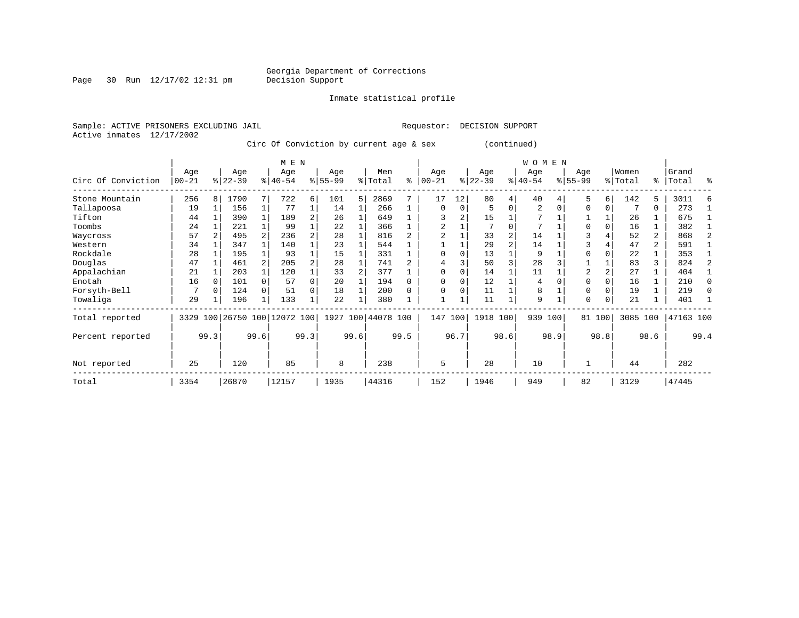Page 30 Run  $12/17/02$  12:31 pm

Inmate statistical profile

Active inmates 12/17/2002

Sample: ACTIVE PRISONERS EXCLUDING JAIL **Requestor: DECISION SUPPORT** 

Circ Of Conviction by current age & sex (continued)

|                    | M E N             |      |                 |      |                         |          |                  |      |                |      |                 |               |                  |                | <b>WOMEN</b>     |      |                  |          |                  |                |                |              |
|--------------------|-------------------|------|-----------------|------|-------------------------|----------|------------------|------|----------------|------|-----------------|---------------|------------------|----------------|------------------|------|------------------|----------|------------------|----------------|----------------|--------------|
| Circ Of Conviction | Age<br>$ 00 - 21$ |      | Age<br>$ 22-39$ |      | Age<br>$ 40-54 $        |          | Age<br>$8 55-99$ |      | Men<br>% Total | ి    | Age<br>$ 00-21$ | $\frac{1}{6}$ | Age<br>$22 - 39$ |                | Age<br>$ 40-54 $ |      | Age<br>$8 55-99$ |          | Women<br>% Total | ႜၟ             | Grand<br>Total | ႜ            |
| Stone Mountain     | 256               | 8    | 1790            |      | 722                     | 6        | 101              | 5    | 2869           |      | 17              | 12            | 80               | 4              | 40               |      | 5                | 6        | 142              | 5              | 3011           |              |
| Tallapoosa         | 19                |      | 156             |      | 77                      |          | 14               |      | 266            |      | $\Omega$        | 0             |                  | $\Omega$       | $\overline{2}$   |      | $\Omega$         | $\Omega$ |                  | 0              | 273            |              |
| Tifton             | 44                |      | 390             |      | 189                     |          | 26               |      | 649            |      |                 | 2             | 15               |                |                  |      |                  |          | 26               |                | 675            |              |
| Toombs             | 24                |      | 221             |      | 99                      |          | 22               |      | 366            |      | 2               |               |                  |                | 7                |      |                  |          | 16               |                | 382            |              |
| Waycross           | 57                |      | 495             |      | 236                     |          | 28               |      | 816            |      |                 |               | 33               |                | 14               |      | 3                |          | 52               | 2              | 868            |              |
| Western            | 34                |      | 347             |      | 140                     |          | 23               |      | 544            |      |                 |               | 29               | $\mathfrak{D}$ | 14               |      |                  |          | 47               | $\overline{a}$ | 591            |              |
| Rockdale           | 28                |      | 195             |      | 93                      |          | 15               |      | 331            |      | $\Omega$        | O             | 13               |                | 9                |      | O                |          | 22               |                | 353            |              |
| Douglas            | 47                |      | 461             |      | 205                     | 2        | 28               |      | 741            |      |                 |               | 50               | 3              | 28               |      |                  |          | 83               | 3              | 824            |              |
| Appalachian        | 21                |      | 203             |      | 120                     |          | 33               |      | 377            |      | $\Omega$        | O             | 14               |                | 11               |      | $\overline{2}$   |          | 27               |                | 404            |              |
| Enotah             | 16                |      | 101             |      | 57                      | $\Omega$ | 20               |      | 194            |      | $\Omega$        | O             | 12               |                | 4                |      | $\Omega$         |          | 16               |                | 210            | $\Omega$     |
| Forsyth-Bell       |                   |      | 124             |      | 51                      | $\Omega$ | 18               |      | 200            |      | $\Omega$        | 0             | 11               |                | 8                |      | $\Omega$         |          | 19               |                | 219            | <sup>0</sup> |
| Towaliga           | 29                |      | 196             |      | 133                     |          | 22               |      | 380            |      |                 |               | 11               |                | 9                |      | $\Omega$         | $\Omega$ | 21               |                | 401            |              |
| Total reported     | 3329              |      |                 |      | 100 26750 100 12072 100 |          | 1927             |      | 100 44078 100  |      | 147             | 100           | 1918 100         |                | 939              | 100  |                  | 81 100   | 3085 100         |                | 47163 100      |              |
| Percent reported   |                   | 99.3 |                 | 99.6 |                         | 99.3     |                  | 99.6 |                | 99.5 |                 | 96.7          |                  | 98.6           |                  | 98.9 |                  | 98.8     |                  | 98.6           |                | 99.4         |
| Not reported       | 25                |      | 120             |      | 85                      |          | 8                |      | 238            |      | 5               |               | 28               |                | 10               |      |                  |          | 44               |                | 282            |              |
| Total              | 3354              |      | 26870           |      | 12157                   |          | 1935             |      | 44316          |      | 152             |               | 1946             |                | 949              |      | 82               |          | 3129             |                | 47445          |              |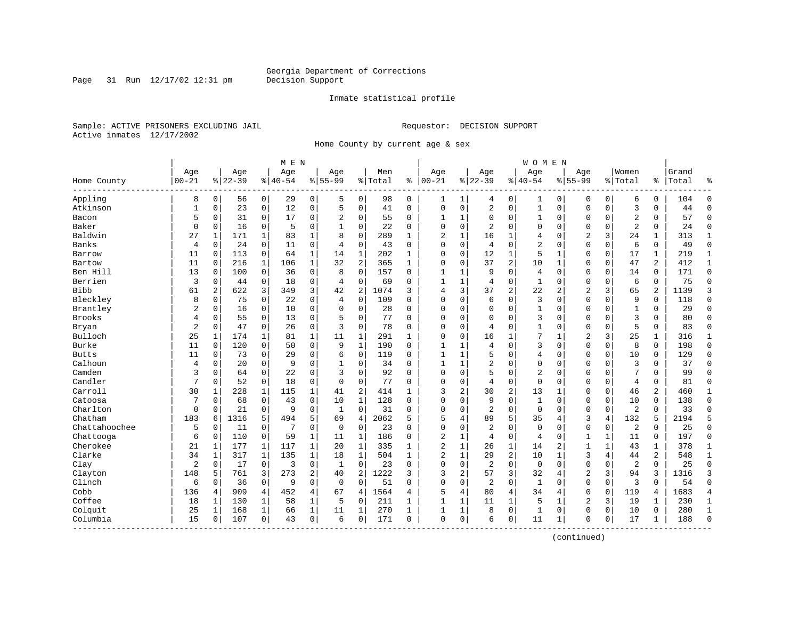Page 31 Run  $12/17/02$  12:31 pm

#### Inmate statistical profile

Sample: ACTIVE PRISONERS EXCLUDING JAIL **Requestor: DECISION SUPPORT** Active inmates 12/17/2002

Home County by current age & sex

|               | M E N     |          |           |                |          |                |                |                |         |              |                |              |                |                | <b>WOMEN</b>   |                |                |              |                |                |       |                |
|---------------|-----------|----------|-----------|----------------|----------|----------------|----------------|----------------|---------|--------------|----------------|--------------|----------------|----------------|----------------|----------------|----------------|--------------|----------------|----------------|-------|----------------|
|               | Age       |          | Age       |                | Age      |                | Age            |                | Men     |              | Age            |              | Age            |                | Age            |                | Age            |              | Women          |                | Grand |                |
| Home County   | $00 - 21$ |          | $8 22-39$ |                | $ 40-54$ |                | $8155 - 99$    |                | % Total | နွ           | $ 00-21$       |              | $ 22-39$       |                | $ 40-54$       |                | $8155 - 99$    |              | % Total        | ႜၟ             | Total | န္             |
| Appling       | 8         | 0        | 56        | $\overline{0}$ | 29       | $\overline{0}$ | 5              | 0              | 98      | 0            | 1              | $\mathbf 1$  | 4              | 0              | 1              | 0              | 0              | 0            | 6              | 0              | 104   | $\Omega$       |
| Atkinson      | 1         | 0        | 23        | 0              | 12       | 0              | 5              | 0              | 41      | 0            | $\mathbf 0$    | 0            | 2              | $\mathbf 0$    | $1\,$          | $\mathbf 0$    | $\mathbf{0}$   | $\mathbf 0$  | 3              | 0              | 44    | $\Omega$       |
| Bacon         | 5         | $\Omega$ | 31        | $\Omega$       | 17       | 0              | $\overline{a}$ | $\Omega$       | 55      | $\Omega$     | $\mathbf{1}$   | $\mathbf{1}$ | $\Omega$       | $\Omega$       | $\mathbf{1}$   | $\mathbf 0$    | $\Omega$       | $\Omega$     | $\overline{2}$ | $\Omega$       | 57    | $\Omega$       |
| Baker         | 0         | 0        | 16        | 0              | 5        | 0              |                | $\Omega$       | 22      | $\Omega$     | $\Omega$       | 0            | 2              | $\Omega$       | 0              | $\mathbf 0$    | $\Omega$       | $\Omega$     | $\overline{2}$ | 0              | 24    | $\Omega$       |
| Baldwin       | 27        | 1        | 171       | 1              | 83       | $\mathbf 1$    | 8              | $\Omega$       | 289     | 1            | 2              | 1            | 16             | 1              | 4              | $\Omega$       | $\overline{2}$ | 3            | 24             | 1              | 313   | $\mathbf{1}$   |
| Banks         | 4         | 0        | 24        | 0              | 11       | 0              | 4              | $\mathbf 0$    | 43      | 0            | $\mathbf 0$    | 0            | 4              | $\Omega$       | 2              | $\mathbf 0$    | $\Omega$       | $\mathbf 0$  | 6              | 0              | 49    | $\Omega$       |
| Barrow        | 11        | 0        | 113       | $\mathbf 0$    | 64       | 1              | 14             | $\mathbf 1$    | 202     | 1            | 0              | 0            | 12             | 1              | 5              | 1              | 0              | $\mathbf 0$  | 17             | 1              | 219   | 1              |
| Bartow        | 11        | 0        | 216       | $\mathbf{1}$   | 106      | $\mathbf{1}$   | 32             | 2              | 365     | $\mathbf{1}$ | $\Omega$       | $\Omega$     | 37             | $\overline{c}$ | 10             | $\mathbf 1$    | $\Omega$       | 0            | 47             | $\overline{2}$ | 412   | $\mathbf{1}$   |
| Ben Hill      | 13        | 0        | 100       | $\mathbf 0$    | 36       | 0              | 8              | $\Omega$       | 157     | $\Omega$     | $\mathbf{1}$   | 1            | 9              | 0              | 4              | $\mathbf 0$    | $\mathbf 0$    | $\mathbf 0$  | 14             | $\Omega$       | 171   | $\Omega$       |
| Berrien       | 3         | 0        | 44        | 0              | 18       | 0              | 4              | 0              | 69      | $\Omega$     | $\mathbf{1}$   | 1            | 4              | 0              | 1              | $\mathbf 0$    | 0              | 0            | 6              | 0              | 75    | $\Omega$       |
| <b>Bibb</b>   | 61        | 2        | 622       | 3              | 349      | 3              | 42             | 2              | 1074    | 3            | 4              | 3            | 37             | 2              | 22             | $\overline{2}$ | $\overline{2}$ | 3            | 65             | 2              | 1139  | 3              |
| Bleckley      | 8         | $\Omega$ | 75        | $\Omega$       | 22       | 0              | 4              | $\Omega$       | 109     | $\Omega$     | $\Omega$       | 0            | 6              | $\Omega$       | 3              | $\Omega$       | $\Omega$       | $\Omega$     | 9              | $\Omega$       | 118   | $\Omega$       |
| Brantley      | 2         | $\Omega$ | 16        | $\Omega$       | 10       | 0              | $\Omega$       | $\mathbf 0$    | 28      | $\Omega$     | $\Omega$       | 0            | $\mathbf 0$    | 0              | $\mathbf{1}$   | $\mathbf 0$    | $\Omega$       | $\Omega$     | $\mathbf{1}$   | 0              | 29    | $\Omega$       |
| Brooks        | 4         | 0        | 55        | 0              | 13       | 0              | 5              | $\mathbf 0$    | 77      | $\Omega$     | $\Omega$       | O            | $\mathbf 0$    | $\Omega$       | 3              | $\Omega$       | $\Omega$       | $\Omega$     | 3              | 0              | 80    | $\Omega$       |
| Bryan         | 2         | 0        | 47        | 0              | 26       | 0              | 3              | 0              | 78      | 0            | $\Omega$       | 0            | 4              | $\Omega$       | 1              | $\Omega$       | $\mathbf 0$    | 0            | 5              | 0              | 83    | $\Omega$       |
| Bulloch       | 25        | 1        | 174       | 1              | 81       | $\mathbf 1$    | 11             | 1              | 291     | 1            | $\Omega$       | 0            | 16             | 1              | 7              | $\mathbf{1}$   | $\overline{2}$ | 3            | 25             | 1              | 316   | 1              |
| Burke         | 11        | 0        | 120       | $\mathbf 0$    | 50       | 0              | 9              | $\mathbf 1$    | 190     | $\Omega$     | $\mathbf{1}$   | 1            | 4              | $\Omega$       | 3              | $\mathbf 0$    | $\Omega$       | 0            | 8              | 0              | 198   | $\Omega$       |
| <b>Butts</b>  | 11        | 0        | 73        | $\Omega$       | 29       | 0              | 6              | $\Omega$       | 119     | $\Omega$     | 1              | 1            | 5              | $\Omega$       | 4              | $\mathbf 0$    | $\Omega$       | $\Omega$     | 10             | 0              | 129   | ∩              |
| Calhoun       | 4         | 0        | 20        | $\Omega$       | 9        | 0              | 1              | 0              | 34      | $\Omega$     | 1              | 1            | 2              | 0              | 0              | $\mathbf 0$    | $\Omega$       | $\Omega$     | 3              | 0              | 37    | $\Omega$       |
| Camden        | 3         | $\Omega$ | 64        | $\Omega$       | 22       | 0              | 3              | $\Omega$       | 92      | $\Omega$     | $\Omega$       | 0            | 5              | $\Omega$       | $\overline{2}$ | $\Omega$       | $\Omega$       | $\Omega$     | 7              | $\Omega$       | 99    | $\Omega$       |
| Candler       | 7         | $\Omega$ | 52        | $\mathbf 0$    | 18       | 0              | $\Omega$       | $\Omega$       | 77      | $\Omega$     | $\Omega$       | 0            | $\overline{4}$ | 0              | $\mathbf 0$    | $\mathbf 0$    | $\Omega$       | $\Omega$     | $\overline{4}$ | $\Omega$       | 81    | $\Omega$       |
| Carroll       | 30        | 1        | 228       | 1              | 115      | $\mathbf 1$    | 41             | 2              | 414     | 1            | 3              | 2            | 30             | 2              | 13             | 1              | 0              | 0            | 46             | 2              | 460   | 1              |
| Catoosa       | 7         | 0        | 68        | 0              | 43       | 0              | 10             | 1              | 128     | 0            | $\Omega$       | 0            | 9              | 0              | 1              | $\mathbf 0$    | 0              | 0            | 10             | 0              | 138   | $\Omega$       |
| Charlton      | 0         | $\Omega$ | 21        | $\Omega$       | 9        | 0              | 1              | $\Omega$       | 31      | $\Omega$     | $\Omega$       | 0            | $\overline{2}$ | $\Omega$       | $\Omega$       | $\Omega$       | $\Omega$       | $\Omega$     | $\overline{2}$ | $\Omega$       | 33    | $\Omega$       |
| Chatham       | 183       | 6        | 1316      | 5              | 494      | 5              | 69             | $\overline{4}$ | 2062    | 5            | 5              | 4            | 89             | 5              | 35             | 4              | 3              | 4            | 132            | 5              | 2194  | 5              |
| Chattahoochee | 5         | 0        | 11        | 0              | 7        | 0              | $\mathbf 0$    | $\mathbf 0$    | 23      | $\Omega$     | $\Omega$       | 0            | $\overline{2}$ | 0              | $\Omega$       | $\Omega$       | $\mathbf 0$    | $\mathbf 0$  | 2              | $\mathbf 0$    | 25    | $\Omega$       |
| Chattooga     | 6         | 0        | 110       | $\mathbf 0$    | 59       | $\mathbf 1$    | 11             | 1              | 186     | $\Omega$     | $\overline{2}$ | $\mathbf{1}$ | 4              | 0              | $\overline{4}$ | $\Omega$       | $\mathbf{1}$   | $\mathbf{1}$ | 11             | 0              | 197   | $\Omega$       |
| Cherokee      | 21        | 1        | 177       | $\mathbf{1}$   | 117      | $\mathbf 1$    | 20             | $\mathbf{1}$   | 335     | 1            | $\overline{c}$ | $\mathbf{1}$ | 26             | 1              | 14             | $\overline{2}$ | $\mathbf{1}$   | $\mathbf{1}$ | 43             | 1              | 378   | $\mathbf{1}$   |
| Clarke        | 34        | 1        | 317       | 1              | 135      | $\mathbf 1$    | 18             | $\mathbf 1$    | 504     | 1            | $\overline{2}$ | $\mathbf{1}$ | 29             | $\overline{c}$ | 10             | 1              | 3              | 4            | 44             | 2              | 548   | 1              |
| Clay          | 2         | 0        | 17        | 0              | 3        | 0              | 1              | $\Omega$       | 23      | $\Omega$     | $\Omega$       | $\Omega$     | $\overline{2}$ | $\Omega$       | $\mathbf 0$    | $\Omega$       | $\Omega$       | $\Omega$     | $\overline{2}$ | $\Omega$       | 25    | $\Omega$       |
| Clayton       | 148       | 5        | 761       | 3              | 273      | $\overline{a}$ | 40             | 2              | 1222    | 3            | 3              | 2            | 57             | 3              | 32             | $\overline{4}$ | $\overline{2}$ | 3            | 94             | 3              | 1316  | 3              |
| Clinch        | 6         | $\Omega$ | 36        | $\mathbf 0$    | 9        | $\Omega$       | $\Omega$       | $\mathbf 0$    | 51      | $\Omega$     | $\Omega$       | 0            | $\overline{2}$ | $\mathbf 0$    | $\mathbf{1}$   | $\Omega$       | $\mathbf 0$    | $\mathbf 0$  | 3              | $\Omega$       | 54    | $\Omega$       |
| Cobb          | 136       | 4        | 909       | 4              | 452      | 4              | 67             | 4              | 1564    | 4            | 5              | 4            | 80             | 4              | 34             | 4              | $\mathbf 0$    | $\mathbf 0$  | 119            | 4              | 1683  | $\overline{4}$ |
| Coffee        | 18        | 1        | 130       | $\mathbf 1$    | 58       | $\mathbf 1$    | 5              | 0              | 211     | 1            | $\mathbf{1}$   | 1            | 11             | 1              | 5              | 1              | 2              | 3            | 19             | 1              | 230   | 1              |
| Colquit       | 25        | 1        | 168       | 1              | 66       | $\mathbf{1}$   | 11             | 1              | 270     | 1            | 1              | 1            | 8              | $\mathbf 0$    | 1              | $\mathbf 0$    | 0              | 0            | 10             | 0              | 280   | 1              |
| Columbia      | 15        | $\Omega$ | 107       | $\Omega$       | 43       | $\overline{0}$ | 6              | $\Omega$       | 171     | $\Omega$     | $\Omega$       | 0            | 6              | $\mathbf 0$    | 11             | $\mathbf{1}$   | $\Omega$       | 0            | 17             | $\mathbf{1}$   | 188   | $\Omega$       |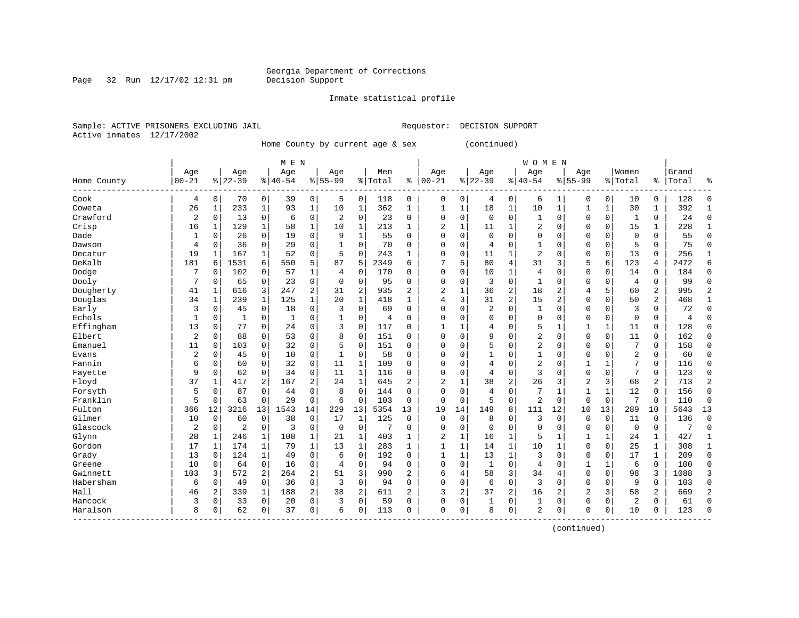Inmate statistical profile

Sample: ACTIVE PRISONERS EXCLUDING JAIL **Requestor: DECISION SUPPORT** Active inmates 12/17/2002

Page 32 Run  $12/17/02$  12:31 pm

Home County by current age & sex (continued)

|                       | M E N        |              |              |                |              |                |                |              |         |                |                |              |                | <b>WOMEN</b>   |              |              |                |              |                |                |       |              |
|-----------------------|--------------|--------------|--------------|----------------|--------------|----------------|----------------|--------------|---------|----------------|----------------|--------------|----------------|----------------|--------------|--------------|----------------|--------------|----------------|----------------|-------|--------------|
|                       | Age          |              | Age          |                | Age          |                | Age            |              | Men     |                | Age            |              | Age            |                | Age          |              | Age            |              | Women          |                | Grand |              |
| Home County<br>------ | $00 - 21$    |              | $8$   22-39  |                | $ 40-54$     |                | $8155 - 99$    |              | % Total | နွ             | $00 - 21$      | %            | $22 - 39$      |                | $8140 - 54$  |              | $8155 - 99$    |              | % Total        | ႜ              | Total |              |
| Cook                  | 4            | 0            | 70           | 0              | 39           | 0              | 5              | $\mathbf 0$  | 118     | 0              | 0              | 0            | 4              | 0              | 6            | 1            | 0              | 0            | 10             | 0              | 128   | ſ            |
| Coweta                | 26           | $\mathbf{1}$ | 233          | 1              | 93           | $\mathbf 1$    | 10             | 1            | 362     | $\mathbf{1}$   | -1             | 1            | 18             | $\mathbf 1$    | 10           | $\mathbf{1}$ | 1              | 1            | 30             | 1              | 392   |              |
| Crawford              | 2            | $\Omega$     | 13           | $\mathbf 0$    | 6            | 0              | 2              | $\mathbf 0$  | 23      | $\Omega$       | $\Omega$       | 0            | $\Omega$       | $\Omega$       | 1            | $\Omega$     | $\Omega$       | $\mathbf 0$  | 1              | 0              | 24    | $\Omega$     |
| Crisp                 | 16           | 1            | 129          | $\mathbf{1}$   | 58           | $\mathbf 1$    | 10             | 1            | 213     | $\mathbf{1}$   | 2              | 1            | 11             |                | 2            | $\Omega$     | $\Omega$       | $\Omega$     | 15             | 1              | 228   |              |
| Dade                  | $\mathbf{1}$ | 0            | 26           | $\mathbf 0$    | 19           | 0              | 9              | $\mathbf{1}$ | 55      | 0              | $\Omega$       | 0            | $\Omega$       | $\Omega$       | $\Omega$     | $\Omega$     | $\Omega$       | $\mathbf 0$  | $\Omega$       | 0              | 55    | $\cap$       |
| Dawson                | 4            | 0            | 36           | $\mathbf 0$    | 29           | 0              |                | $\mathbf 0$  | 70      | 0              | $\Omega$       | 0            | 4              | $\Omega$       | $\mathbf{1}$ | 0            | $\Omega$       | $\mathbf 0$  | 5              | 0              | 75    | $\Omega$     |
| Decatur               | 19           | 1            | 167          | 1              | 52           | 0              | 5              | $\mathbf 0$  | 243     | 1              | $\Omega$       | 0            | 11             | 1              | 2            | O            | $\Omega$       | $\mathbf 0$  | 13             | 0              | 256   | $\mathbf{1}$ |
| DeKalb                | 181          | 6            | 1531         | 6              | 550          | 5              | 87             | 5            | 2349    | 6              |                | 5            | 80             | $\overline{4}$ | 31           | 3            | 5              | 6            | 123            | 4              | 2472  | б            |
| Dodge                 | 7            | 0            | 102          | $\Omega$       | 57           | 1              | $\overline{4}$ | $\mathbf 0$  | 170     | U              | 0              | $\Omega$     | 10             | 1              | 4            | 0            | $\Omega$       | $\Omega$     | 14             | 0              | 184   | <sup>0</sup> |
| Dooly                 | 7            | $\Omega$     | 65           | 0              | 23           | 0              | $\Omega$       | 0            | 95      | O              | C              | $\Omega$     | 3              | $\Omega$       | $\mathbf{1}$ | O            | $\Omega$       | 0            | 4              | 0              | 99    | ſ            |
| Dougherty             | 41           | $\mathbf{1}$ | 616          | 3              | 247          | 2              | 31             | 2            | 935     | $\overline{2}$ | $\overline{2}$ | 1            | 36             | $\overline{2}$ | 18           | 2            | $\overline{4}$ | 5            | 60             | $\overline{c}$ | 995   |              |
| Douglas               | 34           | $\mathbf{1}$ | 239          | 1              | 125          | $\mathbf 1$    | 20             | 1            | 418     | 1              | 4              | 3            | 31             | $\overline{2}$ | 15           | 2            | $\Omega$       | $\Omega$     | 50             | 2              | 468   |              |
| Early                 | 3            | $\Omega$     | 45           | $\mathbf 0$    | 18           | 0              | 3              | $\mathbf 0$  | 69      | 0              | $\Omega$       | $\Omega$     | 2              | $\Omega$       | 1            | $\Omega$     | $\Omega$       | $\Omega$     | 3              | 0              | 72    | $\Omega$     |
| Echols                | 1            | 0            | $\mathbf{1}$ | $\mathbf 0$    | $\mathbf{1}$ | 0              |                | $\mathbf 0$  | 4       | $\Omega$       | $\Omega$       | 0            | $\Omega$       | $\Omega$       | 0            | 0            | $\Omega$       | $\mathbf 0$  | $\Omega$       | 0              | 4     | $\sqrt{ }$   |
| Effingham             | 13           | 0            | 77           | 0              | 24           | 0              | 3              | $\mathbf 0$  | 117     | 0              |                | 1            | 4              | $\Omega$       | 5            | 1            | $\mathbf{1}$   | $\mathbf{1}$ | 11             | 0              | 128   | $\Omega$     |
| Elbert                | 2            | $\Omega$     | 88           | $\Omega$       | 53           | 0              | 8              | $\Omega$     | 151     | 0              | $\cap$         | $\Omega$     | 9              | $\Omega$       | 2            | 0            | $\Omega$       | $\Omega$     | 11             | $\Omega$       | 162   | $\Omega$     |
| Emanuel               | 11           | 0            | 103          | $\Omega$       | 32           | 0              | 5              | 0            | 151     | 0              | C              | $\Omega$     |                | $\Omega$       | 2            | 0            | $\Omega$       | $\Omega$     | 7              | 0              | 158   | $\Omega$     |
| Evans                 | 2            | $\Omega$     | 45           | $\Omega$       | 10           | 0              |                | 0            | 58      | O              | $\Omega$       | $\Omega$     |                | $\Omega$       | 1            | O            | $\Omega$       | $\Omega$     | 2              | 0              | 60    | $\Omega$     |
| Fannin                | 6            | $\Omega$     | 60           | 0              | 32           | 0              | 11             | 1            | 109     | O              | $\Omega$       | $\Omega$     | 4              | $\Omega$       | 2            | $\Omega$     | $\mathbf{1}$   | $\mathbf{1}$ | 7              | 0              | 116   | $\Omega$     |
| Fayette               | 9            | $\Omega$     | 62           | 0              | 34           | 0              | 11             | 1            | 116     | 0              | $\cap$         | $\Omega$     | $\overline{4}$ | $\Omega$       | 3            | $\Omega$     | $\Omega$       | $\Omega$     | 7              | 0              | 123   | $\Omega$     |
| Floyd                 | 37           | -1           | 417          | 2              | 167          | 2              | 24             | $\mathbf{1}$ | 645     | 2              | 2              | 1            | 38             | $\overline{2}$ | 26           | 3            | $\overline{2}$ | 3            | 68             | 2              | 713   | 2            |
| Forsyth               | 5            | $\Omega$     | 87           | $\mathbf 0$    | 44           | 0              | 8              | $\mathbf 0$  | 144     | $\Omega$       | C              | 0            | 4              | $\Omega$       | 7            | 1            | 1              | $\mathbf{1}$ | 12             | 0              | 156   | $\Omega$     |
| Franklin              | 5            | $\Omega$     | 63           | $\Omega$       | 29           | 0              | 6              | $\mathbf 0$  | 103     | $\Omega$       | $\Omega$       | $\Omega$     | 5              | $\Omega$       | 2            | $\Omega$     | $\Omega$       | $\Omega$     | 7              | 0              | 110   | $\Omega$     |
| Fulton                | 366          | 12           | 3216         | 13             | 1543         | 14             | 229            | 13           | 5354    | 13             | 19             | 14           | 149            | 8              | 111          | 12           | 10             | 13           | 289            | 10             | 5643  | 13           |
| Gilmer                | 10           | $\Omega$     | 60           | $\Omega$       | 38           | 0              | 17             | 1            | 125     | $\Omega$       | $\Omega$       | $\Omega$     | 8              | $\Omega$       | 3            | 0            | $\mathbf 0$    | $\Omega$     | 11             | $\Omega$       | 136   | $\Omega$     |
| Glascock              | 2            | 0            | 2            | 0              | 3            | 0              | $\mathbf 0$    | $\mathbf 0$  | 7       | $\Omega$       | $\cap$         | 0            | $\Omega$       | $\Omega$       | $\Omega$     | $\Omega$     | $\Omega$       | 0            | 0              | 0              | 7     | $\Omega$     |
| Glynn                 | 28           | 1            | 246          | 1              | 108          | 1              | 21             | 1            | 403     | 1              | 2              | 1            | 16             | 1              | 5            |              |                | 1            | 24             | 1              | 427   |              |
| Gordon                | 17           | 1            | 174          | 1              | 79           | 1              | 13             | 1            | 283     | 1              | 1              | 1            | 14             | $\mathbf 1$    | 10           | 1            | $\Omega$       | $\mathbf 0$  | 25             | 1              | 308   | 1            |
| Grady                 | 13           | $\Omega$     | 124          | 1              | 49           | 0              | 6              | $\mathbf 0$  | 192     | 0              | $\mathbf{1}$   | $\mathbf{1}$ | 13             | $\mathbf{1}$   | 3            | O            | $\Omega$       | $\Omega$     | 17             | 1              | 209   | $\Omega$     |
| Greene                | 10           | O            | 64           | $\mathbf 0$    | 16           | 0              | 4              | $\mathbf 0$  | 94      | 0              | $\Omega$       | $\Omega$     | 1              | $\Omega$       | 4            | O            | 1              | 1            | 6              | 0              | 100   | $\Omega$     |
| Gwinnett              | 103          | 3            | 572          | $\overline{a}$ | 264          | $\overline{a}$ | 51             | 3            | 990     | 2              | 6              | 4            | 58             | $\overline{3}$ | 34           | 4            | $\Omega$       | $\Omega$     | 98             | 3              | 1088  | 3            |
| Habersham             | 6            | $\Omega$     | 49           | $\mathbf 0$    | 36           | 0              | 3              | $\mathbf 0$  | 94      | 0              | $\Omega$       | $\Omega$     | 6              | $\Omega$       | 3            | $\Omega$     | $\Omega$       | $\Omega$     | 9              | 0              | 103   | $\Omega$     |
| Hall                  | 46           | 2            | 339          | 1              | 188          | $\overline{a}$ | 38             | 2            | 611     | $\overline{2}$ | 3              | 2            | 37             | 2              | 16           | 2            | 2              | 3            | 58             | 2              | 669   | 2            |
| Hancock               | 3            | 0            | 33           | $\mathbf 0$    | 20           | 0              | 3              | $\mathbf 0$  | 59      | 0              | $\Omega$       | 0            |                | $\mathbf 0$    | $\mathbf{1}$ | 0            | $\mathbf{0}$   | $\mathbf 0$  | $\overline{2}$ | 0              | 61    | $\cap$       |
| Haralson              | 8            | 0            | 62           | 0              | 37           | 0              | 6              | 0            | 113     | 0              | $\Omega$       | 0            | 8              | $\mathbf 0$    | 2            | 0            | $\Omega$       | 0            | 10             | 0              | 123   | $\sqrt{ }$   |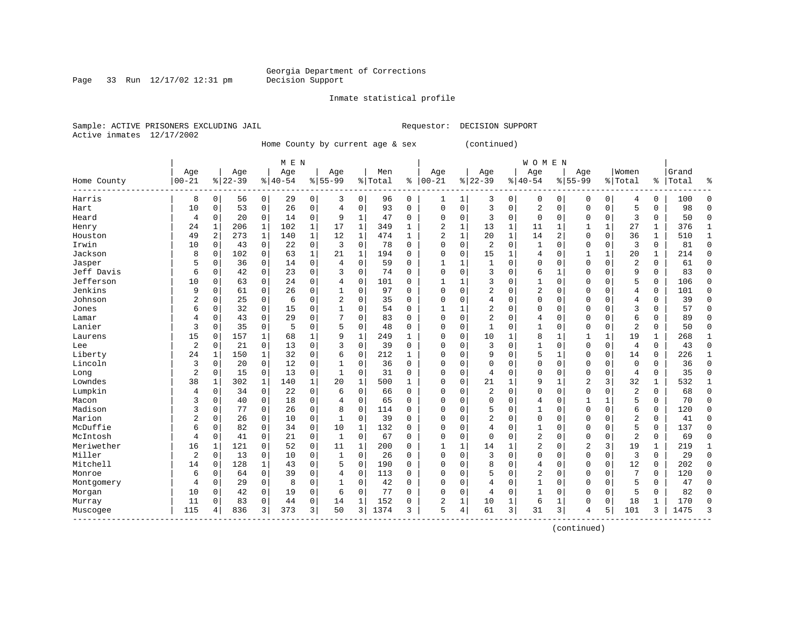#### Inmate statistical profile

Sample: ACTIVE PRISONERS EXCLUDING JAIL **Requestor: DECISION SUPPORT** Active inmates 12/17/2002

Page 33 Run  $12/17/02$  12:31 pm

Home County by current age & sex (continued)

|                                                  |                |              |           |              | M E N     |             |                |              |         |              |                |             |                |              | <b>WOMEN</b>   |             |              |              |                |             |       |              |
|--------------------------------------------------|----------------|--------------|-----------|--------------|-----------|-------------|----------------|--------------|---------|--------------|----------------|-------------|----------------|--------------|----------------|-------------|--------------|--------------|----------------|-------------|-------|--------------|
|                                                  | Age            |              | Age       |              | Age       |             | Age            |              | Men     |              | Age            |             | Age            |              | Age            |             | Age          |              | Women          |             | Grand |              |
| Home County                                      | $00 - 21$      |              | $8 22-39$ |              | $8 40-54$ |             | $8155 - 99$    |              | % Total | နွ           | $ 00 - 21$     |             | $ 22-39$       |              | $8 40-54$      |             | $8155 - 99$  |              | % Total        | ႜ           | Total | န္           |
| Harris                                           | 8              | 0            | 56        | $\mathbf 0$  | 29        | 0           | 3              | 0            | 96      | 0            | 1              | 1           | 3              | 0            | 0              | 0           | 0            | 0            | 4              | 0           | 100   | $\Omega$     |
| Hart                                             | 10             | 0            | 53        | $\mathbf 0$  | 26        | 0           | $\overline{4}$ | $\mathbf 0$  | 93      | $\mathbf 0$  | $\mathbf 0$    | $\mathbf 0$ | 3              | $\mathbf 0$  | 2              | $\mathbf 0$ | $\mathbf{0}$ | $\mathbf 0$  | 5              | 0           | 98    | $\Omega$     |
| Heard                                            | 4              | 0            | 20        | $\mathbf 0$  | 14        | $\mathbf 0$ | 9              | 1            | 47      | 0            | 0              | $\mathbf 0$ | 3              | 0            | $\mathbf 0$    | 0           | 0            | $\mathbf 0$  | 3              | 0           | 50    | $\Omega$     |
| Henry                                            | 24             | 1            | 206       | $\mathbf 1$  | 102       | $\mathbf 1$ | 17             | 1            | 349     | 1            | $\overline{2}$ | 1           | 13             | 1            | 11             | 1           | 1            | $\mathbf 1$  | 27             | 1           | 376   | $\mathbf{1}$ |
| Houston                                          | 49             | 2            | 273       | $\mathbf 1$  | 140       | $\mathbf 1$ | 12             | $\mathbf{1}$ | 474     | $\mathbf{1}$ | $\overline{2}$ | $\mathbf 1$ | 20             | $\mathbf 1$  | 14             | 2           | $\mathbf{0}$ | $\mathbf 0$  | 36             | $\mathbf 1$ | 510   | $\mathbf{1}$ |
| Irwin                                            | 10             | 0            | 43        | $\mathbf 0$  | 22        | $\mathbf 0$ | 3              | $\mathbf 0$  | 78      | $\Omega$     | $\Omega$       | $\mathbf 0$ | $\overline{2}$ | $\mathbf 0$  | 1              | $\Omega$    | $\mathbf{0}$ | $\mathbf 0$  | 3              | $\mathbf 0$ | 81    | $\mathbf{0}$ |
| Jackson                                          | 8              | 0            | 102       | 0            | 63        | 1           | 21             | 1            | 194     | 0            | $\Omega$       | 0           | 15             | $\mathbf{1}$ | 4              | $\mathbf 0$ | 1            | 1            | 20             | 1           | 214   | $\mathbf{0}$ |
| Jasper                                           | 5              | 0            | 36        | 0            | 14        | 0           | $\overline{4}$ | 0            | 59      | $\Omega$     |                | 1           | 1              | $\Omega$     | 0              | 0           | 0            | 0            | $\overline{c}$ | 0           | 61    | $\Omega$     |
| Jeff Davis                                       | 6              | $\Omega$     | 42        | $\Omega$     | 23        | 0           | 3              | 0            | 74      | $\Omega$     | $\Omega$       | $\Omega$    | 3              | $\Omega$     | 6              | 1           | $\Omega$     | $\Omega$     | 9              | 0           | 83    | $\Omega$     |
| Jefferson                                        | 10             | $\mathbf 0$  | 63        | $\Omega$     | 24        | 0           | 4              | $\Omega$     | 101     | $\Omega$     | $\mathbf{1}$   | 1           | 3              | $\Omega$     | $\mathbf{1}$   | $\Omega$    | $\Omega$     | $\Omega$     | 5              | 0           | 106   | $\Omega$     |
| Jenkins                                          | 9              | $\Omega$     | 61        | $\Omega$     | 26        | 0           |                | $\mathbf 0$  | 97      | $\Omega$     | $\Omega$       | $\Omega$    | $\overline{2}$ | $\Omega$     | $\overline{2}$ | $\mathbf 0$ | $\Omega$     | $\Omega$     | 4              | 0           | 101   | $\Omega$     |
| Johnson                                          | 2              | 0            | 25        | $\mathbf 0$  | 6         | 0           | 2              | $\mathbf 0$  | 35      | 0            | 0              | 0           | 4              | 0            | 0              | $\mathbf 0$ | $\Omega$     | $\Omega$     | 4              | 0           | 39    | $\Omega$     |
| Jones                                            | 6              | $\Omega$     | 32        | $\Omega$     | 15        | 0           |                | $\mathbf 0$  | 54      | $\Omega$     | $\mathbf{1}$   | 1           | $\overline{2}$ | $\Omega$     | $\Omega$       | $\mathbf 0$ | $\Omega$     | $\Omega$     | 3              | 0           | 57    | $\Omega$     |
| Lamar                                            | 4              | $\mathbf 0$  | 43        | $\Omega$     | 29        | 0           |                | $\Omega$     | 83      | $\Omega$     | $\Omega$       | $\Omega$    | $\overline{a}$ | $\Omega$     | 4              | $\mathbf 0$ | $\Omega$     | $\Omega$     | 6              | $\Omega$    | 89    | $\Omega$     |
| Lanier                                           | 3              | $\mathbf 0$  | 35        | 0            | 5         | 0           | 5              | 0            | 48      | $\Omega$     | $\mathbf 0$    | 0           | 1              | $\Omega$     | 1              | $\mathbf 0$ | $\mathbf 0$  | 0            | $\overline{c}$ | 0           | 50    | $\Omega$     |
| Laurens                                          | 15             | $\mathbf 0$  | 157       | 1            | 68        | 1           | q              | $\mathbf{1}$ | 249     | 1            | $\mathbf 0$    | 0           | 10             | $\mathbf{1}$ | 8              | 1           | 1            | $\mathbf{1}$ | 19             | 1           | 268   | 1            |
| Lee                                              | $\overline{2}$ | 0            | 21        | $\Omega$     | 13        | 0           | 3              | $\mathbf 0$  | 39      | $\Omega$     | $\Omega$       | $\Omega$    | 3              | $\Omega$     | 1              | $\mathbf 0$ | $\Omega$     | $\Omega$     | $\overline{4}$ | 0           | 43    | $\Omega$     |
| Liberty                                          | 24             | 1            | 150       | 1            | 32        | 0           | 6              | $\Omega$     | 212     | 1            | 0              | 0           | 9              | $\Omega$     | 5              | 1           | $\Omega$     | $\Omega$     | 14             | 0           | 226   | 1            |
| Lincoln                                          | 3              | $\mathbf 0$  | 20        | $\Omega$     | 12        | 0           |                | $\Omega$     | 36      | $\Omega$     | <sup>0</sup>   | O           | $\Omega$       | $\Omega$     | $\Omega$       | $\Omega$    | $\Omega$     | $\Omega$     | $\Omega$       | $\Omega$    | 36    | $\Omega$     |
| Long                                             | 2              | $\Omega$     | 15        | $\Omega$     | 13        | 0           | 1              | $\Omega$     | 31      | $\Omega$     | $\Omega$       | $\Omega$    | 4              | $\Omega$     | $\Omega$       | $\Omega$    | $\Omega$     | $\Omega$     | $\overline{4}$ | $\Omega$    | 35    | $\Omega$     |
| Lowndes                                          | 38             | $\mathbf{1}$ | 302       | $\mathbf{1}$ | 140       | 1           | 20             | $\mathbf{1}$ | 500     | 1            | $\Omega$       | $\Omega$    | 21             | $\mathbf{1}$ | 9              | $\mathbf 1$ | 2            | 3            | 32             | 1           | 532   |              |
| Lumpkin                                          | 4              | 0            | 34        | $\mathbf 0$  | 22        | $\mathbf 0$ | 6              | $\mathbf 0$  | 66      | $\Omega$     | 0              | $\Omega$    | $\overline{2}$ | $\Omega$     | $\Omega$       | $\mathbf 0$ | $\mathbf{0}$ | $\Omega$     | $\overline{c}$ | 0           | 68    | $\Omega$     |
| Macon                                            | 3              | 0            | 40        | $\mathbf 0$  | 18        | 0           | 4              | $\mathbf 0$  | 65      | $\Omega$     | 0              | $\Omega$    | 0              | $\Omega$     | 4              | $\mathbf 0$ | 1            | 1            | 5              | 0           | 70    | $\Omega$     |
| Madison                                          | 3              | $\mathbf 0$  | 77        | $\Omega$     | 26        | 0           | 8              | $\mathbf 0$  | 114     | $\Omega$     | $\Omega$       | $\Omega$    | 5              | $\Omega$     | 1              | $\mathbf 0$ | $\mathbf 0$  | $\Omega$     | 6              | 0           | 120   | $\Omega$     |
| Marion                                           | $\overline{2}$ | $\Omega$     | 26        | $\Omega$     | 10        | $\mathbf 0$ | $\mathbf{1}$   | 0            | 39      | $\Omega$     | $\Omega$       | $\Omega$    | $\overline{a}$ | $\Omega$     | $\Omega$       | $\mathbf 0$ | $\mathbf 0$  | $\Omega$     | 2              | 0           | 41    | $\Omega$     |
| McDuffie                                         | 6              | $\Omega$     | 82        | $\mathbf 0$  | 34        | 0           | 10             | 1            | 132     | 0            | $\Omega$       | 0           | 4              | $\mathbf 0$  | 1              | $\mathbf 0$ | $\mathbf 0$  | 0            | 5              | 0           | 137   | $\Omega$     |
| McIntosh                                         | 4              | 0            | 41        | $\mathbf 0$  | 21        | 0           | 1              | $\mathbf 0$  | 67      | 0            | $\Omega$       | 0           | $\mathbf 0$    | $\Omega$     | 2              | $\mathbf 0$ | $\mathbf 0$  | $\Omega$     | $\overline{2}$ | 0           | 69    | $\Omega$     |
| Meriwether                                       | 16             | 1            | 121       | $\Omega$     | 52        | 0           | 11             | 1            | 200     | 0            | 1              | 1           | 14             | 1            | 2              | 0           | 2            | 3            | 19             | 1           | 219   | 1            |
| Miller                                           | 2              | $\Omega$     | 13        | $\Omega$     | 10        | 0           | 1              | $\Omega$     | 26      | $\Omega$     | $\Omega$       | $\Omega$    | 3              | $\Omega$     | $\Omega$       | $\Omega$    | $\Omega$     | $\Omega$     | 3              | $\Omega$    | 29    | $\Omega$     |
| Mitchell                                         | 14             | $\Omega$     | 128       | $\mathbf{1}$ | 43        | 0           | 5              | $\Omega$     | 190     | $\Omega$     | $\Omega$       | $\Omega$    | 8              | $\Omega$     | 4              | $\Omega$    | $\Omega$     | $\Omega$     | 12             | $\Omega$    | 202   | $\Omega$     |
| Monroe                                           | 6              | $\mathbf 0$  | 64        | $\mathbf 0$  | 39        | 0           | 4              | $\mathbf 0$  | 113     | 0            | $\Omega$       | $\Omega$    | 5              | $\Omega$     | $\overline{2}$ | $\mathbf 0$ | $\Omega$     | $\Omega$     | 7              | 0           | 120   | $\Omega$     |
| Montgomery                                       | 4              | 0            | 29        | $\mathbf 0$  | 8         | 0           |                | $\mathbf 0$  | 42      | 0            | $\Omega$       | 0           | 4              | 0            | $\mathbf{1}$   | $\mathbf 0$ | $\Omega$     | $\mathbf 0$  | 5              | 0           | 47    | $\Omega$     |
| Morgan                                           | 10             | 0            | 42        | $\mathbf 0$  | 19        | 0           | 6              | $\mathbf 0$  | 77      | $\Omega$     | 0              | $\Omega$    | 4              | $\Omega$     | 1              | $\mathbf 0$ | $\Omega$     | $\Omega$     | 5              | 0           | 82    | $\Omega$     |
| Murray                                           | 11             | $\mathbf 0$  | 83        | 0            | 44        | 0           | 14             | 1            | 152     | $\Omega$     | 2              | 1           | 10             | 1            | 6              | 1           | $\mathbf 0$  | $\Omega$     | 18             | 1           | 170   | $\Omega$     |
| Muscogee<br>$\cdots \cdots \cdots \cdots \cdots$ | 115            | 4            | 836       | 3            | 373       | 3           | 50             | 3            | 1374    | 3            | 5              | 4           | 61             | 3            | 31             | 3           | 4            | 5            | 101            | 3           | 1475  | 3            |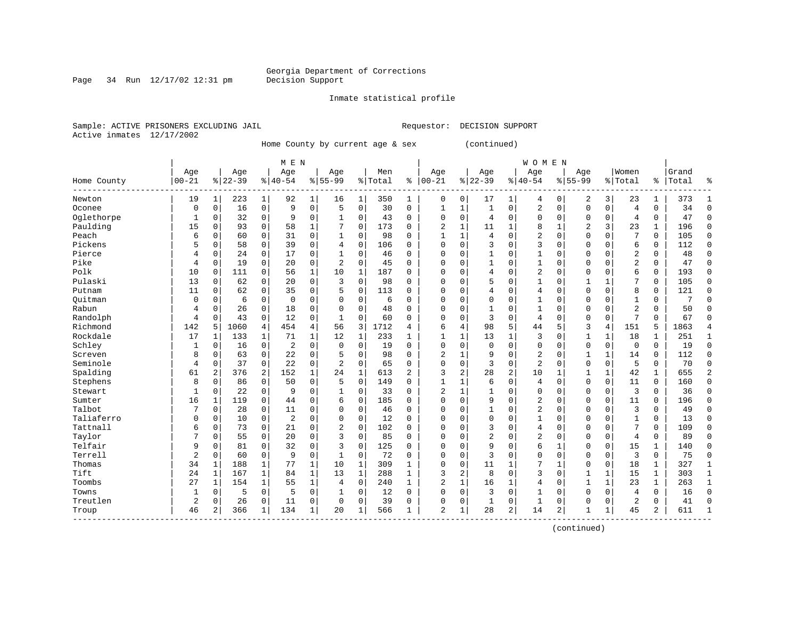Page 34 Run  $12/17/02$  12:31 pm

#### Inmate statistical profile

Sample: ACTIVE PRISONERS EXCLUDING JAIL **Requestor: DECISION SUPPORT** Active inmates 12/17/2002

Home County by current age & sex (continued)

|             | M E N          |              |           |              |                |              |                |              |         |                |                |                         |                |                | <b>WOMEN</b>   |             |                |             |                |              |       |                |
|-------------|----------------|--------------|-----------|--------------|----------------|--------------|----------------|--------------|---------|----------------|----------------|-------------------------|----------------|----------------|----------------|-------------|----------------|-------------|----------------|--------------|-------|----------------|
|             | Age            |              | Age       |              | Age            |              | Age            |              | Men     |                | Age            |                         | Age            |                | Age            |             | Age            |             | Women          |              | Grand |                |
| Home County | $00 - 21$      |              | $8 22-39$ |              | $8 40-54$      |              | $8155 - 99$    |              | % Total | ి              | $00 - 21$      |                         | $8 22-39$      |                | $8 40-54$      |             | $8155 - 99$    |             | % Total        | ႜ            | Total | ႜ              |
| Newton      | 19             | 1            | 223       | $\mathbf{1}$ | 92             | 1            | 16             | 1            | 350     | 1              | $\mathbf 0$    | 0                       | 17             | 1              | 4              | $\mathbf 0$ | 2              | 3           | 23             | 1            | 373   | -1             |
| Oconee      | $\mathbf 0$    | $\mathbf 0$  | 16        | $\mathbf 0$  | 9              | 0            | 5              | $\mathbf 0$  | 30      | $\mathbf 0$    | 1              | $\mathbf{1}$            | $\mathbf{1}$   | $\mathbf 0$    | 2              | $\mathbf 0$ | $\Omega$       | 0           | $\overline{4}$ | 0            | 34    | $\mathbf 0$    |
| Oglethorpe  | 1              | 0            | 32        | $\mathbf 0$  | 9              | 0            |                | 0            | 43      | 0              | $\mathbf 0$    | $\Omega$                | 4              | $\mathbf 0$    | $\Omega$       | $\mathbf 0$ | $\Omega$       | 0           | 4              | 0            | 47    | $\Omega$       |
| Paulding    | 15             | 0            | 93        | $\mathbf 0$  | 58             | $\mathbf{1}$ |                | 0            | 173     | 0              | $\overline{2}$ | $\mathbf 1$             | 11             | 1              | 8              | $\mathbf 1$ | $\overline{2}$ | 3           | 23             | 1            | 196   | $\Omega$       |
| Peach       | 6              | $\mathbf 0$  | 60        | $\mathbf 0$  | 31             | 0            | $\mathbf{1}$   | 0            | 98      | $\Omega$       | $\mathbf{1}$   | $\mathbf{1}$            | $\overline{4}$ | $\Omega$       | 2              | $\Omega$    | $\Omega$       | $\Omega$    | 7              | $\Omega$     | 105   | $\Omega$       |
| Pickens     | 5              | $\mathbf 0$  | 58        | $\mathbf 0$  | 39             | 0            | $\overline{4}$ | 0            | 106     | $\Omega$       | $\mathbf 0$    | $\mathbf 0$             | 3              | $\Omega$       | 3              | $\Omega$    | $\Omega$       | $\Omega$    | 6              | 0            | 112   | $\mathbf 0$    |
| Pierce      | 4              | $\mathbf 0$  | 24        | $\mathbf 0$  | 17             | 0            | 1              | 0            | 46      | 0              | $\mathbf 0$    | 0                       | $\mathbf{1}$   | $\Omega$       | 1              | $\Omega$    | $\Omega$       | $\Omega$    | $\overline{2}$ | 0            | 48    | $\mathbf 0$    |
| Pike        | 4              | 0            | 19        | 0            | 20             | 0            | 2              | 0            | 45      | 0              | $\Omega$       | 0                       | 1              | $\Omega$       | 1              | $\Omega$    | $\Omega$       | $\Omega$    | 2              | 0            | 47    | $\mathbf 0$    |
| Polk        | 10             | 0            | 111       | 0            | 56             | 1            | 10             | 1            | 187     | 0              | $\Omega$       | $\Omega$                | 4              | $\Omega$       | 2              | $\Omega$    | $\Omega$       | $\Omega$    | 6              | 0            | 193   | $\mathbf 0$    |
| Pulaski     | 13             | $\mathbf 0$  | 62        | 0            | 20             | 0            | 3              | 0            | 98      | O              | $\Omega$       | $\Omega$                | 5              | $\Omega$       | 1              | $\Omega$    | $\mathbf{1}$   |             | 7              | 0            | 105   | $\Omega$       |
| Putnam      | 11             | $\mathbf 0$  | 62        | $\Omega$     | 35             | 0            | 5              | 0            | 113     | 0              | $\Omega$       | $\Omega$                | 4              | $\Omega$       | 4              | $\Omega$    | $\Omega$       | $\Omega$    | 8              | 0            | 121   | $\Omega$       |
| Ouitman     | $\mathbf 0$    | $\mathbf 0$  | 6         | $\mathbf 0$  | $\mathbf 0$    | 0            | O              | 0            | 6       | 0              | $\mathbf 0$    | $\Omega$                | $\mathbf 0$    | $\Omega$       | $\mathbf{1}$   | $\Omega$    | $\Omega$       | $\Omega$    | $\mathbf{1}$   | 0            | 7     | $\cap$         |
| Rabun       | 4              | $\mathbf 0$  | 26        | $\mathbf 0$  | 18             | 0            | 0              | 0            | 48      | 0              | $\Omega$       | $\mathbf 0$             | $\mathbf{1}$   | $\Omega$       | 1              | $\Omega$    | $\Omega$       | 0           | $\overline{c}$ | 0            | 50    | $\Omega$       |
| Randolph    | 4              | $\mathbf 0$  | 43        | $\mathbf 0$  | 12             | 0            | $\mathbf{1}$   | 0            | 60      | 0              | $\Omega$       | $\mathbf 0$             | 3              | $\mathbf 0$    | 4              | 0           | $\Omega$       | 0           | 7              | 0            | 67    | $\cap$         |
| Richmond    | 142            | 5            | 1060      | 4            | 454            | 4            | 56             | 3            | 1712    | 4              | 6              | 4                       | 98             | 5              | 44             | 5           | 3              | 4           | 151            | 5            | 1863  | 4              |
| Rockdale    | 17             | 1            | 133       | 1            | 71             | $\mathbf 1$  | 12             | 1            | 233     | 1              | $\mathbf{1}$   | 1                       | 13             | $\mathbf{1}$   | 3              | $\Omega$    | 1              | 1           | 18             | 1            | 251   | 1              |
| Schley      | 1              | $\mathbf 0$  | 16        | $\mathbf 0$  | 2              | 0            | $\Omega$       | $\mathbf 0$  | 19      | 0              | $\mathbf 0$    | $\mathbf 0$             | $\mathbf 0$    | $\mathbf 0$    | 0              | $\mathbf 0$ | $\Omega$       | 0           | 0              | $\mathbf 0$  | 19    | $\mathbf 0$    |
| Screven     | 8              | 0            | 63        | 0            | 22             | 0            | 5              | 0            | 98      | 0              | $\overline{2}$ | 1                       | 9              | $\Omega$       | 2              | 0           | $\mathbf{1}$   | 1           | 14             | 0            | 112   | $\mathbf 0$    |
| Seminole    | 4              | $\mathbf 0$  | 37        | 0            | 22             | 0            | $\overline{2}$ | 0            | 65      | 0              | $\mathbf 0$    | 0                       | 3              | $\mathbf 0$    | 2              | $\Omega$    | $\Omega$       | 0           | 5              | 0            | 70    | $\Omega$       |
| Spalding    | 61             | 2            | 376       | 2            | 152            | $\mathbf 1$  | 24             | $\mathbf{1}$ | 613     | $\overline{a}$ | 3              | $\overline{a}$          | 28             | $\overline{2}$ | 10             | 1           | 1              | 1           | 42             | 1            | 655   | $\overline{2}$ |
| Stephens    | 8              | 0            | 86        | $\Omega$     | 50             | 0            | 5              | $\Omega$     | 149     | 0              | $\mathbf{1}$   | $\mathbf{1}$            | 6              | $\Omega$       | $\overline{4}$ | $\Omega$    | $\Omega$       | $\Omega$    | 11             | 0            | 160   | $\Omega$       |
| Stewart     | 1              | $\mathbf 0$  | 22        | $\mathbf 0$  | 9              | 0            | 1              | 0            | 33      | 0              | 2              | $\mathbf{1}$            | $\mathbf{1}$   | 0              | $\Omega$       | $\Omega$    | $\Omega$       | $\Omega$    | 3              | 0            | 36    | $\Omega$       |
| Sumter      | 16             | $\mathbf{1}$ | 119       | $\mathbf 0$  | 44             | 0            | 6              | 0            | 185     | 0              | $\mathbf 0$    | $\mathbf 0$             | 9              | 0              | 2              | $\mathbf 0$ | $\Omega$       | 0           | 11             | 0            | 196   | $\Omega$       |
| Talbot      |                | $\mathbf 0$  | 28        | $\mathbf 0$  | 11             | 0            | $\Omega$       | $\mathbf 0$  | 46      | $\mathbf 0$    | $\mathbf 0$    | 0                       | $\mathbf{1}$   | $\Omega$       | 2              | 0           | $\Omega$       | 0           | 3              | 0            | 49    | $\Omega$       |
| Taliaferro  | $\Omega$       | $\mathbf 0$  | 10        | $\mathbf 0$  | $\overline{2}$ | 0            | $\Omega$       | $\mathbf 0$  | 12      | 0              | $\mathbf 0$    | $\Omega$                | $\mathbf 0$    | $\Omega$       | $\mathbf{1}$   | $\Omega$    | $\Omega$       | $\Omega$    | $\mathbf{1}$   | 0            | 13    | $\mathbf 0$    |
| Tattnall    | 6              | $\mathbf 0$  | 73        | 0            | 21             | 0            | 2              | $\mathbf 0$  | 102     | 0              | $\mathbf 0$    | 0                       | 3              | $\Omega$       | 4              | 0           | 0              | 0           | 7              | 0            | 109   | $\mathbf 0$    |
| Taylor      |                | $\mathbf 0$  | 55        | 0            | 20             | 0            | 3              | 0            | 85      | 0              | $\Omega$       | $\Omega$                | $\overline{2}$ | $\Omega$       | 2              | $\Omega$    | $\Omega$       | $\Omega$    | 4              | 0            | 89    | $\mathbf 0$    |
| Telfair     | 9              | 0            | 81        | 0            | 32             | 0            | 3              | 0            | 125     | 0              | $\Omega$       | $\Omega$                | 9              | $\Omega$       | 6              | 1           | $\Omega$       | $\Omega$    | 15             | 1            | 140   | $\Omega$       |
| Terrell     | $\overline{2}$ | $\mathbf 0$  | 60        | $\mathbf 0$  | 9              | 0            | $\mathbf{1}$   | 0            | 72      | O              | $\mathbf 0$    | $\Omega$                | 3              | $\Omega$       | $\Omega$       | $\Omega$    | $\Omega$       | $\Omega$    | 3              | 0            | 75    | $\bigcap$      |
| Thomas      | 34             | 1            | 188       | $\mathbf{1}$ | 77             | $\mathbf{1}$ | 10             | $\mathbf{1}$ | 309     | $\mathbf{1}$   | $\mathbf 0$    | $\Omega$                | 11             | 1              | 7              | 1           | $\Omega$       | $\Omega$    | 18             | 1            | 327   | 1              |
| Tift        | 24             | $\mathbf{1}$ | 167       | $\mathbf{1}$ | 84             | $\mathbf 1$  | 13             | $\mathbf 1$  | 288     | $\mathbf{1}$   | 3              | $\overline{\mathbf{c}}$ | 8              | $\Omega$       | 3              | $\Omega$    | 1              | 1           | 15             | $\mathbf{1}$ | 303   | $\mathbf{1}$   |
| Toombs      | 27             | $\mathbf{1}$ | 154       | $\mathbf{1}$ | 55             | $\mathbf 1$  | 4              | $\mathbf 0$  | 240     | $\mathbf{1}$   | $\overline{c}$ | $\mathbf{1}$            | 16             | $\mathbf{1}$   | 4              | $\Omega$    | $\mathbf{1}$   | $\mathbf 1$ | 23             | 1            | 263   | $\mathbf{1}$   |
| Towns       | 1              | 0            | 5         | $\mathbf 0$  | 5              | 0            |                | 0            | 12      | 0              | $\Omega$       | $\mathbf 0$             | 3              | $\mathbf 0$    | $\mathbf{1}$   | $\Omega$    | $\Omega$       | 0           | 4              | 0            | 16    | $\Omega$       |
| Treutlen    | $\overline{a}$ | 0            | 26        | 0            | 11             | 0            | $\Omega$       | 0            | 39      | 0              | $\Omega$       | 0                       | 1              | 0              | 1              | $\Omega$    | $\Omega$       | 0           | 2              | 0            | 41    | $\cap$         |
| Troup       | 46             | 2            | 366       | 1            | 134            | 1            | 20             | 1            | 566     | 1              | $\overline{2}$ | 1                       | 28             | 2              | 14             | 2           | 1              | 1           | 45             | 2            | 611   | $\mathbf{1}$   |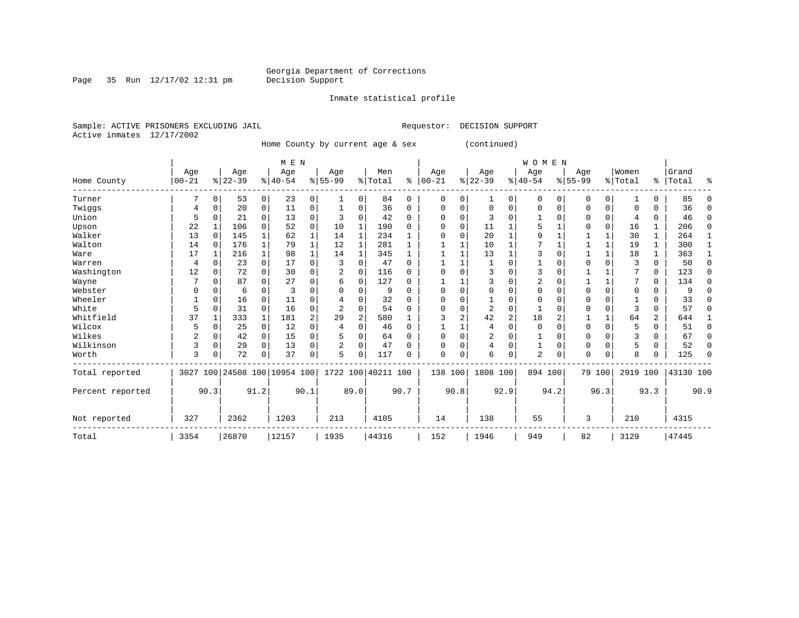Inmate statistical profile

Page 35 Run  $12/17/02$  12:31 pm

Sample: ACTIVE PRISONERS EXCLUDING JAIL **Requestor: DECISION SUPPORT** Active inmates 12/17/2002

Home County by current age & sex (continued)

|                  |            |             |           |              | M E N                        |      |                |                |                    |      |             |             |          |                | <b>WOMEN</b> |             |             |              |          |          |           |          |
|------------------|------------|-------------|-----------|--------------|------------------------------|------|----------------|----------------|--------------------|------|-------------|-------------|----------|----------------|--------------|-------------|-------------|--------------|----------|----------|-----------|----------|
|                  | Age        |             | Age       |              | Age                          |      | Age            |                | Men                |      | Age         |             | Age      |                | Age          |             | Age         |              | Women    |          | Grand     |          |
| Home County      | $ 00 - 21$ |             | $8 22-39$ |              | $8 40-54$                    |      | $8 55-99$      |                | % Total            | ႜ    | $00 - 21$   |             | $ 22-39$ |                | $ 40-54$     |             | $8155 - 99$ |              | % Total  |          | %   Total | ႜ        |
| Turner           |            | 0           | 53        | 0            | 23                           | 0    |                | 0              | 84                 | 0    | $\mathbf 0$ | 0           | 1        | 0              | 0            | 0           | 0           | 0            |          | 0        | 85        | ∩        |
| Twiggs           | 4          | 0           | 20        | 0            | 11                           | 0    |                | 0              | 36                 | 0    | $\Omega$    | 0           | $\Omega$ | $\Omega$       | 0            | 0           | $\Omega$    | 0            | $\Omega$ | 0        | 36        | n        |
| Union            | 5          | $\Omega$    | 21        | 0            | 13                           | 0    |                | 0              | 42                 | 0    | $\Omega$    | 0           | 3        | O              |              | $\Omega$    | O           | 0            | 4        | 0        | 46        | ∩        |
| Upson            | 22         |             | 106       | $\Omega$     | 52                           | 0    | 10             | 1              | 190                | U    | O           | 0           | 11       |                | 5            |             | O           | $\Omega$     | 16       | 1        | 206       | ∩        |
| Walker           | 13         | $\Omega$    | 145       |              | 62                           | 1    | 14             | 1              | 234                |      | $\Omega$    | 0           | 20       | $\mathbf{1}$   | 9            |             |             | 1            | 30       | 1        | 264       |          |
| Walton           | 14         | $\Omega$    | 176       | $\mathbf{1}$ | 79                           | 1    | 12             | 1              | 281                |      |             |             | 10       | 1              |              |             |             | $\mathbf{1}$ | 19       | 1        | 300       | -1       |
| Ware             | 17         | 1           | 216       | $\mathbf{1}$ | 98                           | 1    | 14             | 1              | 345                |      |             |             | 13       | $\mathbf{1}$   | 3            | $\Omega$    |             | $\mathbf{1}$ | 18       | 1        | 363       |          |
| Warren           | 4          | $\Omega$    | 23        | $\Omega$     | 17                           | 0    | 3              | $\Omega$       | 47                 | U    |             |             |          | $\Omega$       |              | $\Omega$    | $\Omega$    | $\Omega$     | 3        | 0        | 50        | $\Omega$ |
| Washington       | 12         | $\Omega$    | 72        | $\Omega$     | 30                           | 0    | 2              | $\Omega$       | 116                | 0    |             | 0           | 3        | $\Omega$       | 3            | $\Omega$    |             |              |          | 0        | 123       | ∩        |
| Wayne            |            | $\Omega$    | 87        | 0            | 27                           | 0    | 6              | 0              | 127                | U    |             |             |          | 0              | 2            | $\Omega$    |             | 1            | 7        | 0        | 134       | n        |
| Webster          |            | $\Omega$    | 6         | $\Omega$     | 3                            | O    |                | $\Omega$       | 9                  | U    |             | 0           | $\Omega$ | $\Omega$       | $\Omega$     | $\Omega$    | $\Omega$    | $\Omega$     | $\Omega$ | 0        |           |          |
| Wheeler          |            | $\Omega$    | 16        | $\Omega$     | 11                           | O    |                | $\Omega$       | 32                 | U    | O           | O           | -1       | $\Omega$       | $\Omega$     | $\Omega$    | $\Omega$    | $\Omega$     |          | 0        | 33        |          |
| White            | 5          | 0           | 31        | $\Omega$     | 16                           | 0    | $\overline{2}$ | $\Omega$       | 54                 | U    |             | 0           | 2        | $\Omega$       |              | $\Omega$    | $\Omega$    | $\Omega$     | 3        | $\Omega$ | 57        | ∩        |
| Whitfield        | 37         |             | 333       | $\mathbf{1}$ | 181                          | 2    | 29             | $\overline{2}$ | 580                |      |             | 2           | 42       | $\overline{c}$ | 18           | 2           |             | $\mathbf{1}$ | 64       | 2        | 644       |          |
| Wilcox           | 5          | 0           | 25        | $\mathbf 0$  | 12                           | 0    | 4              | $\Omega$       | 46                 | 0    |             |             | 4        | $\Omega$       | $\mathbf 0$  | $\Omega$    | $\mathbf 0$ | $\Omega$     | 5        | 0        | 51        | $\Omega$ |
| Wilkes           | 2          | $\Omega$    | 42        | 0            | 15                           | 0    |                | 0              | 64                 | 0    | O           | $\Omega$    | 2        | 0              |              | $\Omega$    | $\Omega$    | $\Omega$     | 3        | 0        | 67        | $\Omega$ |
| Wilkinson        | 3          | $\mathbf 0$ | 29        | $\Omega$     | 13                           | 0    | 2              | 0              | 47                 | U    | $\Omega$    | $\mathbf 0$ | 4        | $\Omega$       |              | $\mathbf 0$ | 0           | $\Omega$     | 5        | 0        | 52        | $\Omega$ |
| Worth            | 3          | 0           | 72        | 0            | 37                           | 0    | 5              | $\Omega$       | 117                | U    | $\Omega$    | 0           | 6        | $\Omega$       | 2            | 0           | $\Omega$    | $\Omega$     | 8        | U        | 125       | ∩        |
| Total reported   |            |             |           |              | 3027 100 24508 100 10954 100 |      |                |                | 1722 100 40211 100 |      | 138 100     |             | 1808 100 |                | 894 100      |             |             | 79 100       | 2919 100 |          | 43130 100 |          |
| Percent reported |            | 90.3        |           | 91.2         |                              | 90.1 |                | 89.0           |                    | 90.7 |             | 90.8        |          | 92.9           |              | 94.2        |             | 96.3         |          | 93.3     |           | 90.9     |
| Not reported     | 327        |             | 2362      |              | 1203                         |      | 213            |                | 4105               |      | 14          |             | 138      |                | 55           |             | 3           |              | 210      |          | 4315      |          |
| Total            | 3354       |             | 26870     |              | 12157                        |      | 1935           |                | 44316              |      | 152         |             | 1946     |                | 949          |             | 82          |              | 3129     |          | 47445     |          |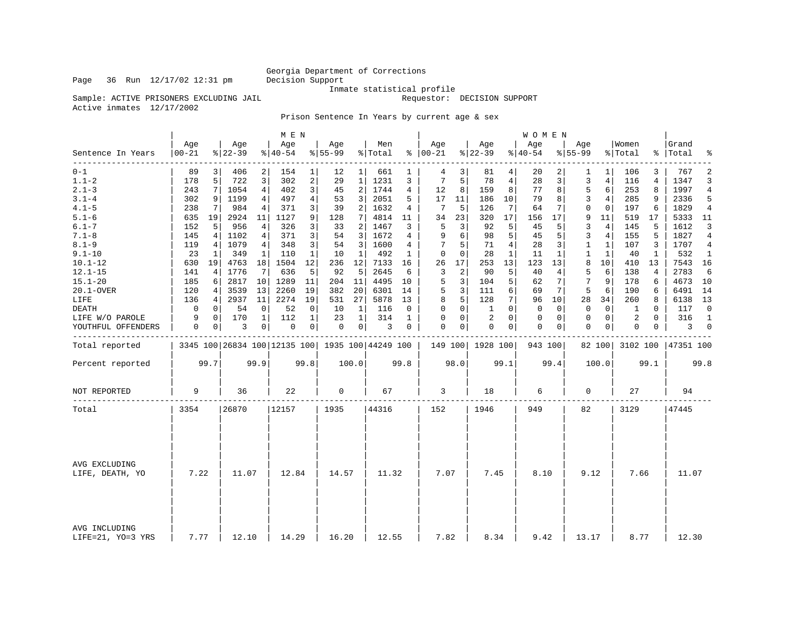### Georgia Department of Corrections<br>Decision Support

Inmate statistical profile

Sample: ACTIVE PRISONERS EXCLUDING JAIL **Requestor:** DECISION SUPPORT

Active inmates 12/17/2002

Prison Sentence In Years by current age & sex

|                                    |                  |             |                  |                | M E N                                           |                |                  |                |                |              |                      |                |                  |                | WOMEN            |          |                  |                |                  |             |                    |                |
|------------------------------------|------------------|-------------|------------------|----------------|-------------------------------------------------|----------------|------------------|----------------|----------------|--------------|----------------------|----------------|------------------|----------------|------------------|----------|------------------|----------------|------------------|-------------|--------------------|----------------|
| Sentence In Years                  | Age<br>$00 - 21$ |             | Aqe<br>$8 22-39$ |                | Age<br>$ 40-54 $                                |                | Age<br>$8 55-99$ |                | Men<br>% Total |              | Age<br>$8   00 - 21$ |                | Aqe<br>$ 22-39 $ |                | Aqe<br>$8 40-54$ |          | Age<br>$8 55-99$ |                | Women<br>% Total |             | Grand<br>%   Total | ್ಠಿ            |
| ---------<br>$0 - 1$               | 89               | 3           | 406              | 2              | 154                                             | 1              | 12               | 1 <sup>1</sup> | 661            | 1            | 4                    | 3              | 81               | 4              | 20               | 2        | 1                | 1              | 106              | 3           | 767                | $\overline{2}$ |
| $1.1 - 2$                          | 178              | 5           | 722              | 3              | 302                                             | 2              | 29               | 1              | 1231           | 3            | 7                    | 5              | 78               | $\overline{4}$ | 28               | 3        | 3                | 4              | 116              | 4           | 1347               | 3              |
| $2.1 - 3$                          | 243              | 7           | 1054             | $\overline{4}$ | 402                                             | 3              | 45               | $\overline{a}$ | 1744           | 4            | 12                   | 8              | 159              | 8              | 77               | 8        | 5                | 6              | 253              | 8           | 1997               | 4              |
| $3.1 - 4$                          | 302              | 9           | 1199             | 4              | 497                                             | $\overline{4}$ | 53               | 3              | 2051           | 5            | 17                   | 11             | 186              | 10             | 79               | 8        | 3                | $\overline{4}$ | 285              | 9           | 2336               | 5              |
| $4.1 - 5$                          | 238              | 7           | 984              | $\overline{4}$ | 371                                             | 3              | 39               | 2              | 1632           | 4            | 7                    | 5              | 126              | 7              | 64               | 7        | $\Omega$         | $\Omega$       | 197              | 6           | 1829               | $\overline{4}$ |
| $5.1 - 6$                          | 635              | 19          | 2924             | 11             | 1127                                            | 9              | 128              | 7              | 4814           | 11           | 34                   | 23             | 320              | 17             | 156              | 17       | 9                | 11             | 519              | 17          | 5333               | 11             |
| $6.1 - 7$                          | 152              | 5           | 956              | 4              | 326                                             | 3              | 33               | 2              | 1467           | 3            | 5                    | 3              | 92               | 5              | 45               | 5        | 3                | 4              | 145              | 5           | 1612               | 3              |
| $7.1 - 8$                          | 145              | 4           | 1102             | 4              | 371                                             | 3              | 54               | 3              | 1672           | 4            | 9                    | 6              | 98               | 5              | 45               | 5        | 3                | $\overline{4}$ | 155              | 5           | 1827               | 4              |
| $8.1 - 9$                          | 119              | 4           | 1079             | 4              | 348                                             | 3              | 54               | 3              | 1600           | 4            |                      | 5              | 71               | 4              | 28               | 3        | $\mathbf{1}$     | $\mathbf{1}$   | 107              | 3           | 1707               | 4              |
| $9.1 - 10$                         | 23               | 1           | 349              | 1              | 110                                             | 1              | 10               | 1              | 492            | 1            | 0                    | $\mathbf 0$    | 28               | $\mathbf{1}$   | 11               | 1        | 1                | 1              | 40               | 1           | 532                | 1              |
| $10.1 - 12$                        | 630              | 19          | 4763             | 18             | 1504                                            | 12             | 236              | 12             | 7133           | 16           | 26                   | 17             | 253              | 13             | 123              | 13       | 8                | 10             | 410              | 13          | 7543 16            |                |
| $12.1 - 15$                        | 141              | 4           | 1776             | 7              | 636                                             | 5              | 92               | 5              | 2645           | 6            | 3                    | $\overline{a}$ | 90               | 5              | 40               | 4        | 5                | 6              | 138              | 4           | 2783               | 6              |
| $15.1 - 20$                        | 185              | 6           | 2817             | 10             | 1289                                            | 11             | 204              | 11             | 4495           | 10           | 5                    | 3              | 104              | 5              | 62               | 7        | 7                | 9              | 178              | 6           | 4673               | 10             |
| 20.1-OVER                          | 120              | 4           | 3539             | 13             | 2260                                            | 19             | 382              | 20             | 6301           | 14           | 5                    | 3              | 111              | 6              | 69               | 7        | 5                | 6              | 190              | 6           | 6491               | 14             |
| LIFE                               | 136              | 4           | 2937             | 11             | 2274                                            | 19             | 531              | 27             | 5878           | 13           | 8                    | 5              | 128              | 7              | 96               | 10       | 28               | 34             | 260              | 8           | 6138               | 13             |
| DEATH                              | 0                | $\mathbf 0$ | 54               | 0              | 52                                              | 0              | 10               | 1              | 116            | 0            | 0                    | $\mathbf 0$    | 1                | $\Omega$       | 0                | 0        | 0                | $\mathbf 0$    | 1                | $\mathbf 0$ | 117                | $\mathbf 0$    |
| LIFE W/O PAROLE                    | 9                | $\Omega$    | 170              | $\mathbf{1}$   | 112                                             | $\mathbf{1}$   | 23               | $\mathbf{1}$   | 314            | $\mathbf{1}$ | $\Omega$             | $\Omega$       | 2                | $\Omega$       | $\mathbf 0$      | $\Omega$ | $\Omega$         | $\mathbf 0$    | 2                | $\Omega$    | 316                | $\mathbf{1}$   |
| YOUTHFUL OFFENDERS                 | 0                | 0           | 3                | 0              | 0                                               | 0              | 0                | 0 <sup>1</sup> | 3              | 0            | $\mathbf 0$          | 0              | $\mathbf 0$      | 0              | 0                | 0        | $\mathbf 0$      | 0              | 0                | 0           | 3                  | $\overline{0}$ |
| Total reported                     |                  |             |                  |                | 3345 100 26834 100 12135 100 1935 100 44249 100 |                |                  |                |                |              |                      |                | 149 100 1928 100 |                | 943 100          |          |                  | 82 100         | 3102 100         |             | 47351 100          |                |
| Percent reported                   |                  | 99.7        |                  | 99.9           |                                                 | 99.8           |                  | 100.0          |                | 99.8         |                      | 98.0           |                  | 99.1           |                  | 99.4     |                  | 100.0          |                  | 99.1        |                    | 99.8           |
| NOT REPORTED                       | 9                |             | 36               |                | 22                                              |                | 0                |                | 67             |              | 3                    |                | 18               |                | 6                |          | 0                |                | 27               |             | 94                 |                |
| Total                              | 3354             |             | 26870            |                | 12157                                           |                | 1935             |                | 44316          |              | 152                  |                | 1946             |                | 949              |          | 82               |                | 3129             |             | 47445              |                |
|                                    |                  |             |                  |                |                                                 |                |                  |                |                |              |                      |                |                  |                |                  |          |                  |                |                  |             |                    |                |
| AVG EXCLUDING<br>LIFE, DEATH, YO   | 7.22             |             | 11.07            |                | 12.84                                           |                | 14.57            |                | 11.32          |              | 7.07                 |                | 7.45             |                | 8.10             |          | 9.12             |                | 7.66             |             | 11.07              |                |
| AVG INCLUDING<br>LIFE=21, YO=3 YRS | 7.77             |             | 12.10            |                | 14.29                                           |                | 16.20            |                | 12.55          |              | 7.82                 |                | 8.34             |                | 9.42             |          | 13.17            |                | 8.77             |             | 12.30              |                |

Page 36 Run  $12/17/02$  12:31 pm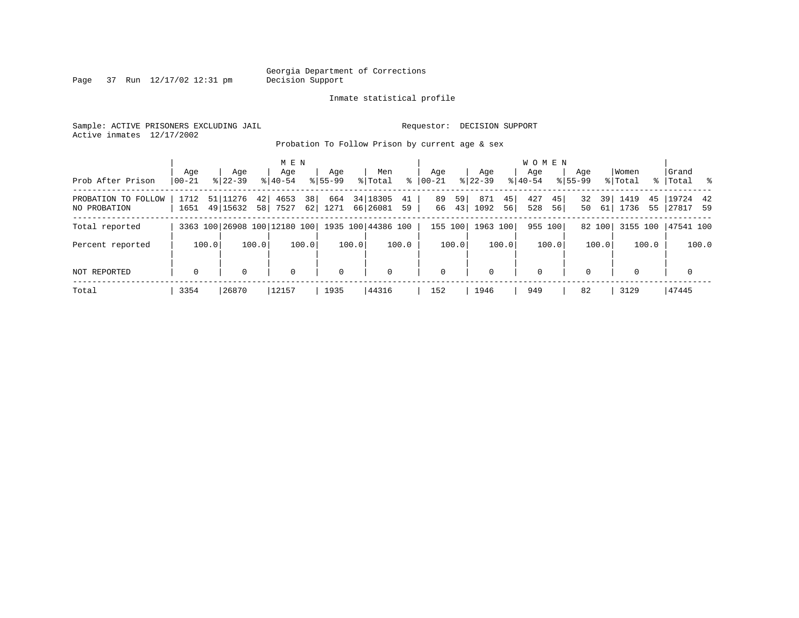Page 37 Run  $12/17/02$  12:31 pm

#### Inmate statistical profile

Sample: ACTIVE PRISONERS EXCLUDING JAIL **Requestor: DECISION SUPPORT** Active inmates 12/17/2002

Probation To Follow Prison by current age & sex

|                                     | Age          | Age                               | M E N<br>Age              | Aqe         | Men                              | Age                   | Aqe                     | <b>WOMEN</b><br>Aqe     | Age                  | Women                    | Grand                   |
|-------------------------------------|--------------|-----------------------------------|---------------------------|-------------|----------------------------------|-----------------------|-------------------------|-------------------------|----------------------|--------------------------|-------------------------|
| Prob After Prison                   | $00 - 21$    | $8122 - 39$                       | $8140 - 54$               | $8155 - 99$ | ွေ<br>% Total                    | $ 00 - 21$            | $8122 - 39$             | $8140 - 54$             | $8155 - 99$          | % Total                  | % Total %               |
| PROBATION TO FOLLOW<br>NO PROBATION | 1712<br>1651 | 51 11276<br>421<br>49 15632<br>58 | 38<br>4653<br>62 <br>7527 | 664<br>1271 | 34 18305<br>41<br>66 26081<br>59 | 59<br>89<br>43 <br>66 | 871<br>45<br>1092<br>56 | 427<br>45 <br>528<br>56 | 32<br>39<br>50<br>61 | 1419<br>45<br>1736<br>55 | $19724$ 42<br> 27817 59 |
| Total reported                      |              | 3363 100 26908 100 12180 100      |                           |             | 1935 100 44386 100               | 155 100               | 1963 100                | 955 100                 | 82 100               | 3155 100                 | 47541 100               |
| Percent reported                    | 100.0        | 100.0                             | 100.0                     | 100.0       | 100.0                            | 100.0                 | 100.0                   | 100.0                   | 100.0                | 100.0                    | 100.0                   |
| NOT REPORTED                        | $\mathbf 0$  | $\Omega$                          | $\mathbf 0$               | $\mathbf 0$ | $\mathbf 0$                      | 0                     | $\Omega$                | $\mathbf 0$             | $\Omega$             | $\Omega$                 | $\mathbf 0$             |
| Total                               | 3354         | 26870                             | 12157                     | 1935        | 44316                            | 152                   | 1946                    | 949                     | 82                   | 3129                     | 47445                   |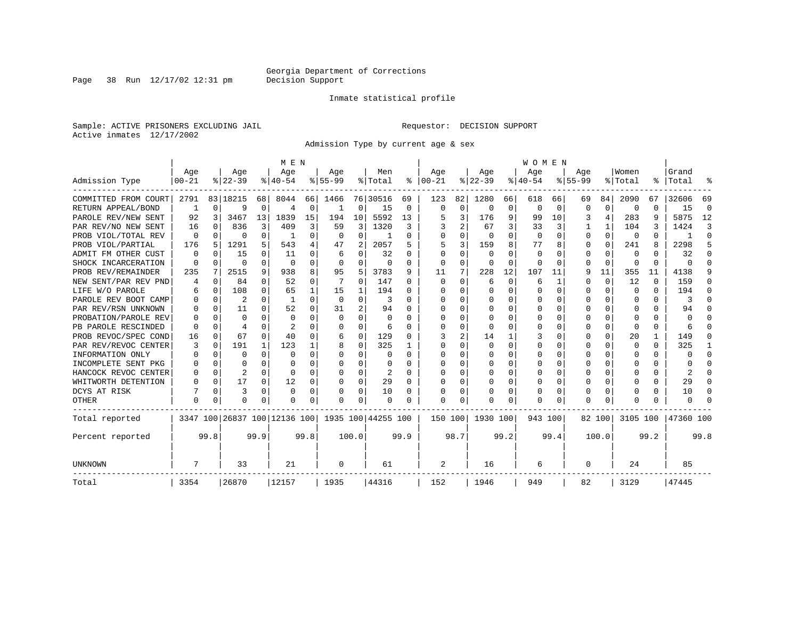Page 38 Run  $12/17/02$  12:31 pm

#### Inmate statistical profile

Sample: ACTIVE PRISONERS EXCLUDING JAIL **Requestor: DECISION SUPPORT** Active inmates 12/17/2002

Admission Type by current age & sex

|                      |           |          |                              |              | M E N         |          |           |          |                    |          |              |             |              |          | <b>WOMEN</b> |          |           |          |              |      |           |          |
|----------------------|-----------|----------|------------------------------|--------------|---------------|----------|-----------|----------|--------------------|----------|--------------|-------------|--------------|----------|--------------|----------|-----------|----------|--------------|------|-----------|----------|
|                      | Age       |          | Age                          |              | Age           |          | Age       |          | Men                |          | Age          |             | Age          |          | Age          |          | Age       |          | Women        |      | Grand     |          |
| Admission Type       | $00 - 21$ |          | $8 22-39$                    |              | $8 40-54$     |          | $8 55-99$ |          | % Total            | နွ       | $ 00-21$     |             | $ 22-39 $    |          | $ 40-54$     |          | $8 55-99$ |          | % Total      | ွေ   | Total     |          |
| COMMITTED FROM COURT | 2791      |          | 83   18215                   | 68           | 8044          | 66       | 1466      |          | 76 30516           | 69       | 123          | 82          | 1280         | 66       | 618          | 66       | 69        | 84       | 2090         | 67   | 32606     | 69       |
| RETURN APPEAL/BOND   | 1         | $\Omega$ | 9                            | 0            | 4             | 0        | 1         | 0        | 15                 | 0        | $\Omega$     | $\mathbf 0$ | $\Omega$     | 0        | $\Omega$     | $\Omega$ | $\Omega$  | 0        | $\Omega$     | U    | 15        | $\Omega$ |
| PAROLE REV/NEW SENT  | 92        | 3        | 3467                         | 13           | 1839          | 15       | 194       | 10       | 5592               | 13       |              | 3           | 176          | 9        | 99           | 10       | 3         | 4        | 283          | 9    | 5875      | 12       |
| PAR REV/NO NEW SENT  | 16        | $\Omega$ | 836                          | 3            | 409           | 3        | 59        | 3        | 1320               | 3        |              | 2           | 67           | 3        | 33           | 3        |           |          | 104          | 3    | 1424      | 3        |
| PROB VIOL/TOTAL REV  | $\Omega$  | $\Omega$ | U                            | 0            |               | $\Omega$ | $\Omega$  | $\Omega$ |                    | O        |              | 0           | $\Omega$     | $\Omega$ | $\Omega$     | $\Omega$ | $\Omega$  | $\Omega$ | $\Omega$     | U    |           | $\Omega$ |
| PROB VIOL/PARTIAL    | 176       | 5        | 1291                         | 5.           | 543           | 4        | 47        | 2        | 2057               | 5        | 5            | 3           | 159          | 8        | 77           | 8        | $\Omega$  | $\Omega$ | 241          | 8    | 2298      | 5        |
| ADMIT FM OTHER CUST  | $\Omega$  | $\Omega$ | 15                           | 0            | 11            | 0        | 6         | $\Omega$ | 32                 | 0        | <sup>0</sup> | 0           | $\Omega$     | $\Omega$ | $\Omega$     | O        | $\Omega$  | $\Omega$ | $\Omega$     | 0    | 32        | ∩        |
| SHOCK INCARCERATION  | $\Omega$  | 0        | U                            | 0            | $\Omega$      | 0        | $\Omega$  | 0        | 0                  | $\Omega$ | 0            | 0           | 0            | 0        | 0            | $\Omega$ | $\Omega$  | 0        | <sup>0</sup> | 0    | U         | ∩        |
| PROB REV/REMAINDER   | 235       | 7        | 2515                         | 9            | 938           | 8        | 95        | 5        | 3783               | 9        | 11           | 7           | 228          | 12       | 107          | 11       | 9         | 11       | 355          | 11   | 4138      |          |
| NEW SENT/PAR REV PND |           | 0        | 84                           | 0            | 52            | 0        |           | 0        | 147                | 0        | $\Omega$     | 0           | 6            | 0        | 6            | 1        | $\Omega$  | 0        | 12           | 0    | 159       | n        |
| LIFE W/O PAROLE      |           | $\Omega$ | 108                          | 0            | 65            | 1        | 15        | 1        | 194                | 0        | O            | $\Omega$    | $\Omega$     | $\Omega$ | 0            | $\Omega$ | $\Omega$  | $\Omega$ | $\Omega$     | 0    | 194       | n        |
| PAROLE REV BOOT CAMP |           | $\Omega$ | 2                            | $\Omega$     | -1            | $\Omega$ | $\Omega$  | $\Omega$ | 3                  | U        | O            | $\Omega$    | $\Omega$     | $\Omega$ | Ω            | O        | O         | $\Omega$ | O            | 0    | 3         | U        |
| PAR REV/RSN UNKNOWN  |           | $\Omega$ | 11                           | <sup>n</sup> | 52            | $\Omega$ | 31        | 2        | 94                 | U        |              | 0           | 0            | $\Omega$ | Ω            | O        | ∩         | $\Omega$ | n            | 0    | 94        |          |
| PROBATION/PAROLE REV |           | ∩        | U                            | U            | $\Omega$      | 0        | $\Omega$  | $\Omega$ | $\Omega$           | U        | n            | 0           | <sup>0</sup> | U        | Ω            | O        | ∩         | $\Omega$ | n            | U    | U         |          |
| PB PAROLE RESCINDED  | O         | $\Omega$ | 4                            |              | $\mathcal{L}$ | U        | U         | $\Omega$ | 6                  | U        | ∩            | O           | ∩            | U        | U            | O        | ∩         | $\Omega$ | ∩            | U    |           |          |
| PROB REVOC/SPEC COND | 16        | $\Omega$ | 67                           | 0            | 40            | 0        | 6         | 0        | 129                | O        |              | 2           | 14           |          |              | O        | $\Omega$  | $\Omega$ | 20           | 1    | 149       |          |
| PAR REV/REVOC CENTER | 3         | $\Omega$ | 191                          | $\mathbf{1}$ | 123           |          | 8         | $\Omega$ | 325                |          | <sup>0</sup> | U           |              | $\Omega$ | 0            | 0        | $\Omega$  |          | O            | 0    | 325       |          |
| INFORMATION ONLY     |           | $\Omega$ | O                            | $\Omega$     | $\Omega$      | 0        | U         | $\Omega$ | 0                  | 0        | $\Omega$     | 0           | 0            | O        | 0            | 0        | O         | U        | O            | 0    | U         | ∩        |
| INCOMPLETE SENT PKG  |           | $\Omega$ | U                            | 0            | $\Omega$      | 0        | U         | $\Omega$ | 0                  | U        | ∩            | $\Omega$    | 0            | O        | 0            | 0        | O         | $\Omega$ | O            | 0    | U         | n        |
| HANCOCK REVOC CENTER |           | $\Omega$ | 2                            | 0            | $\Omega$      | 0        | 0         | $\Omega$ | 2                  | 0        | <sup>0</sup> | $\Omega$    | 0            | 0        | 0            | 0        | O         | $\Omega$ |              | 0    | 2         | n        |
| WHITWORTH DETENTION  |           | $\Omega$ | 17                           | 0            | 12            | 0        | O         | $\Omega$ | 29                 | $\Omega$ | <sup>0</sup> | $\Omega$    | $\Omega$     | O        | U            | $\Omega$ | $\Omega$  | $\Omega$ |              | 0    | 29        | ∩        |
| DCYS AT RISK         |           | 0        | 3                            | $\Omega$     | $\Omega$      | 0        | O         | 0        | 10                 | O        | <sup>0</sup> | 0           | O            | 0        | Ω            | 0        | $\Omega$  | $\Omega$ |              | U    | 10        | ſ        |
| OTHER                | $\Omega$  | $\Omega$ | O                            | 0            | n             | 0        | U         | $\Omega$ | $\Omega$           | O        | $\cap$       | 0           | O            | $\Omega$ | 0            | 0        | $\Omega$  | $\Omega$ |              | U    | U         |          |
| Total reported       |           |          | 3347 100 26837 100 12136 100 |              |               |          |           |          | 1935 100 44255 100 |          | 150 100      |             | 1930 100     |          | 943 100      |          |           | 82 100   | 3105 100     |      | 47360 100 |          |
| Percent reported     |           | 99.8     |                              | 99.9         |               | 99.8     |           | 100.0    |                    | 99.9     |              | 98.7        |              | 99.2     |              | 99.4     |           | 100.0    |              | 99.2 |           | 99.8     |
| UNKNOWN              |           |          | 33                           |              | 21            |          | 0         |          | 61                 |          | 2            |             | 16           |          | 6            |          | 0         |          | 24           |      | 85        |          |
| Total                | 3354      |          | 26870                        |              | 12157         |          | 1935      |          | 44316              |          | 152          |             | 1946         |          | 949          |          | 82        |          | 3129         |      | 47445     |          |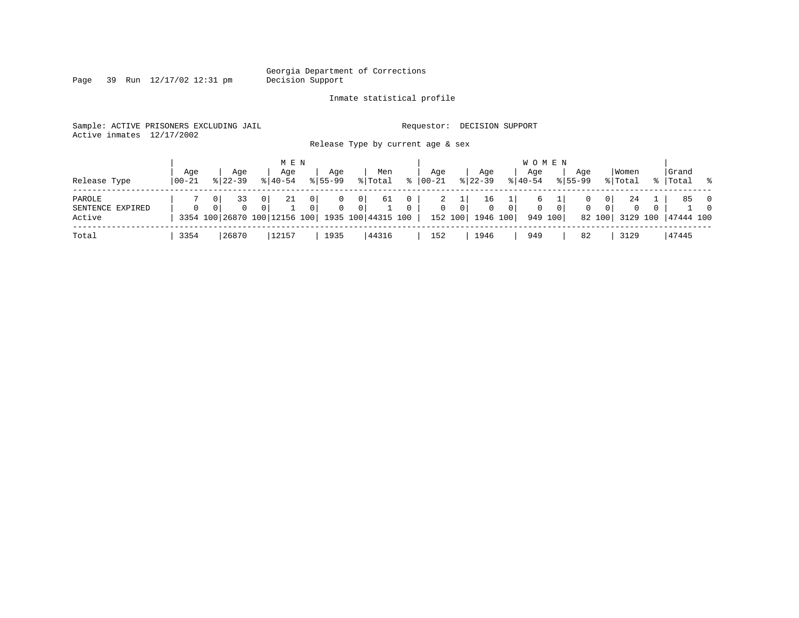Georgia Department of Corrections<br>Decision Support

Page 39 Run  $12/17/02$  12:31 pm

#### Inmate statistical profile

Sample: ACTIVE PRISONERS EXCLUDING JAIL **Requestor: DECISION SUPPORT** Active inmates 12/17/2002

Release Type by current age & sex

|                  |       |                            | M E N                                           |                     |                      |    |              |           |             | W O M E N                  |              |          |           |   |
|------------------|-------|----------------------------|-------------------------------------------------|---------------------|----------------------|----|--------------|-----------|-------------|----------------------------|--------------|----------|-----------|---|
|                  | Aqe   | Age                        | Aqe                                             | Aqe                 | Men                  |    | Aqe          | Aqe       | Aqe         |                            | Women<br>Aqe |          | Grand     |   |
| Release Type     | 00-21 | $8122 - 39$                | $8140 - 54$                                     | $8155 - 99$         | % Total              | °≈ | $ 00 - 21$   | $8 22-39$ | $8140 - 54$ | $8155 - 99$                | % Total      |          | Total     | ႜ |
| PAROLE           |       | 33                         | 21<br>0                                         | 0 <sup>1</sup><br>0 | 61<br>0 <sup>1</sup> |    |              | 16        |             |                            | 24<br>0      |          | 85        |   |
| SENTENCE EXPIRED |       | $\Omega$<br>0 <sup>1</sup> | 0                                               | 0<br>0              | $\mathbf{0}$         |    | $\mathbf{0}$ | $\Omega$  |             | $\Omega$<br>0 <sup>1</sup> | 0            | 0        |           |   |
| Active           |       |                            | 3354 100 26870 100 12156 100 1935 100 44315 100 |                     |                      |    | 152 100      | 1946 100  |             | 949 100                    | 82 100       | 3129 100 | 47444 100 |   |
| Total            | 3354  | 26870                      | 12157                                           | 1935                | 44316                |    | 152          | 1946      | 949         |                            | 82<br>3129   |          | 47445     |   |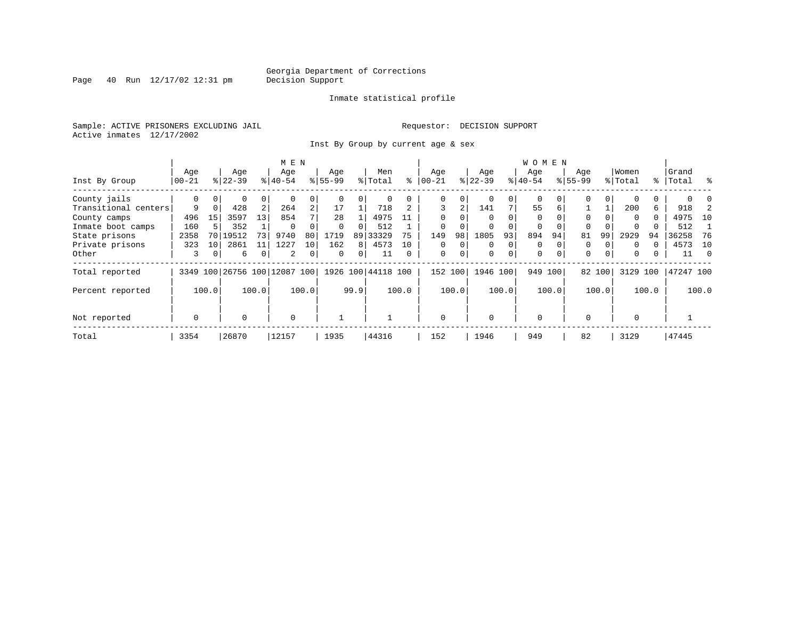Page  $40$  Run  $12/17/02$  12:31 pm

#### Inmate statistical profile

Sample: ACTIVE PRISONERS EXCLUDING JAIL **Requestor: DECISION SUPPORT** Active inmates 12/17/2002

Inst By Group by current age & sex

|                      |             |                 | M E N     |       |                              |                |           |                |                    |          | <b>WOMEN</b> |          |           |          |             |          |             |          |          |              |           |       |
|----------------------|-------------|-----------------|-----------|-------|------------------------------|----------------|-----------|----------------|--------------------|----------|--------------|----------|-----------|----------|-------------|----------|-------------|----------|----------|--------------|-----------|-------|
|                      | Age         |                 | Age       |       | Age                          |                | Age       |                | Men                |          | Age          |          | Age       |          | Age         |          | Age         |          | Women    |              | Grand     |       |
| Inst By Group        | 00-21       |                 | $8 22-39$ |       | $8 40-54$                    |                | $8 55-99$ |                | % Total            | ⊱        | $00 - 21$    |          | $ 22-39 $ |          | $8 40-54$   |          | $8155 - 99$ |          | % Total  |              | %   Total | ႜ     |
| County jails         | 0           | 0               | 0         | 0     |                              |                |           | 0              | 0                  |          | 0            | 0        | 0         | 0        | 0           |          | 0           | 0        |          |              |           |       |
| Transitional centers | 9           | $\Omega$        | 428       | 2     | 264                          | $\overline{2}$ | 17        |                | 718                |          | 3            | 2        | 141       |          | 55          | 6        |             |          | 200      | 6            | 918       |       |
| County camps         | 496         | 15              | 3597      | 13    | 854                          |                | 28        |                | 4975               | 11       | $\Omega$     |          | $\Omega$  |          | $\Omega$    |          | $\Omega$    |          | $\Omega$ | $\Omega$     | 4975      | 10    |
| Inmate boot camps    | 160         |                 | 352       |       | $\Omega$                     |                | $\Omega$  | 0              | 512                |          | $\Omega$     |          | $\Omega$  |          | $\Omega$    | $\Omega$ | $\Omega$    |          | $\Omega$ |              | 512       |       |
| State prisons        | 2358        | 70 L            | 19512     | 73    | 9740                         | 80             | 1719      |                | 89 33329           | 75       | 149          | 98       | 1805      | 93       | 894         | 94       | 81          | 99       | 2929     | 94           | 36258     | -76   |
| Private prisons      | 323         | 10 <sup>1</sup> | 2861      | 11    | 1227                         | 10             | 162       | 8 <sup>1</sup> | 4573               | 10       | $\Omega$     | $\Omega$ | $\Omega$  | $\Omega$ | $\Omega$    |          | 0           |          | $\Omega$ | <sup>0</sup> | 4573      | 10    |
| Other                | 3           | $\overline{0}$  | 6         |       | 2                            | $\mathbf{0}$   | 0         | 0              | 11                 | $\Omega$ | 0            | 0        | 0         | 0        | $\mathbf 0$ | $\Omega$ | $\mathbf 0$ | $\Omega$ | $\Omega$ | 0            | 11        | - 0   |
| Total reported       |             |                 |           |       | 3349 100 26756 100 12087 100 |                |           |                | 1926 100 44118 100 |          | 152 100      |          | 1946 100  |          | 949 100     |          |             | 82 100   | 3129     | 100          | 47247 100 |       |
| Percent reported     |             | 100.0           |           | 100.0 |                              | 100.0          |           | 99.9           |                    | 100.0    |              | 100.0    |           | 100.0    |             | 100.0    |             | 100.0    |          | 100.0        |           | 100.0 |
| Not reported         | $\mathbf 0$ |                 | 0         |       | $\mathbf 0$                  |                |           |                |                    |          | $\Omega$     |          | $\Omega$  |          | $\Omega$    |          | $\Omega$    |          | $\Omega$ |              |           |       |
| Total                | 3354        |                 | 26870     |       | 12157                        |                | 1935      |                | 44316              |          | 152          |          | 1946      |          | 949         |          | 82          |          | 3129     |              | 47445     |       |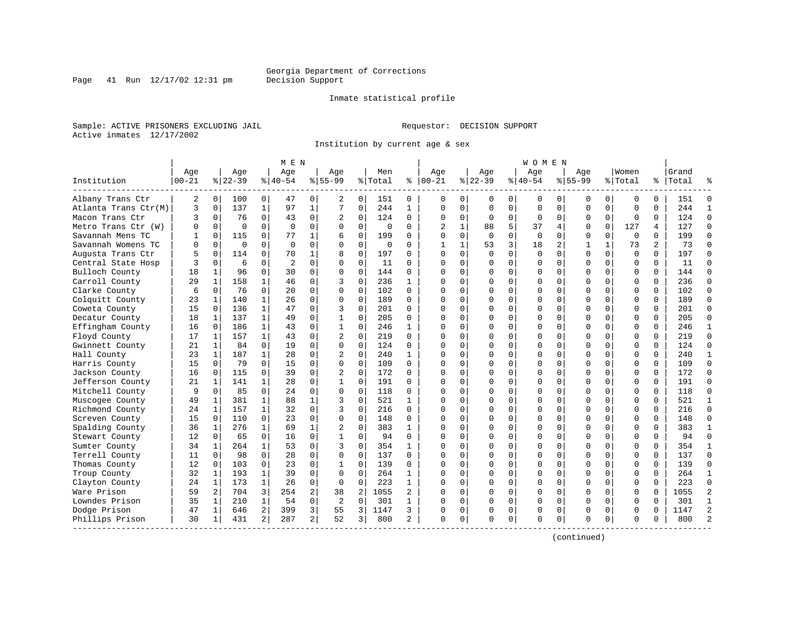Inmate statistical profile

Sample: ACTIVE PRISONERS EXCLUDING JAIL **Requestor: DECISION SUPPORT** Active inmates 12/17/2002

Institution by current age & sex

|                      |            |                |          |              | M E N          |                |                |                |          |                |                |              |             |             | W O M E N   |             |              |              |             |          |           |                |
|----------------------|------------|----------------|----------|--------------|----------------|----------------|----------------|----------------|----------|----------------|----------------|--------------|-------------|-------------|-------------|-------------|--------------|--------------|-------------|----------|-----------|----------------|
|                      | Age        |                | Age      |              | Age            |                | Age            |                | Men      |                | Age            |              | Aqe         |             | Aqe         |             | Aqe          |              | Women       |          | Grand     |                |
| Institution          | $ 00 - 21$ |                | $ 22-39$ |              | $ 40-54$       |                | $8155 - 99$    |                | % Total  | ి              | $ 00-21$       |              | $ 22-39$    |             | $ 40-54$    |             | $8155 - 99$  |              | % Total     |          | %   Total |                |
| Albany Trans Ctr     | 2          | 0 <sup>1</sup> | 100      | 0            | 47             | 0              | 2              | 0              | 151      | 0              | 0              | 0            | 0           | 0           | 0           | 0           | 0            | 0            | 0           | 0        | 151       | $\Omega$       |
| Atlanta Trans Ctr(M) | 3          | $\mathbf 0$    | 137      | $\mathbf 1$  | 97             | $\mathbf{1}$   | 7              | $\mathbf 0$    | 244      | $\mathbf{1}$   | $\mathbf 0$    | $\mathbf 0$  | 0           | $\mathbf 0$ | 0           | $\mathbf 0$ | $\Omega$     | $\mathbf 0$  | $\mathbf 0$ | $\Omega$ | 244       | $\mathbf{1}$   |
| Macon Trans Ctr      | 3          | $\mathbf 0$    | 76       | 0            | 43             | 0              | 2              | 0              | 124      | 0              | $\Omega$       | 0            | $\mathbf 0$ | 0           | $\Omega$    | 0           | $\Omega$     | 0            | $\mathbf 0$ | 0        | 124       | $\Omega$       |
| Metro Trans Ctr (W)  | $\Omega$   | $\Omega$       | $\Omega$ | $\Omega$     | $\Omega$       | 0              | $\Omega$       | $\Omega$       | $\Omega$ | 0              | $\overline{2}$ | $\mathbf{1}$ | 88          | 5           | 37          | 4           | $\Omega$     | $\Omega$     | 127         | 4        | 127       | $\Omega$       |
| Savannah Mens TC     |            | $\Omega$       | 115      | $\Omega$     | 77             | 1              | 6              | $\Omega$       | 199      | O              | $\Omega$       | $\Omega$     | $\Omega$    | $\Omega$    | $\Omega$    | $\Omega$    | $\Omega$     | $\Omega$     | $\Omega$    | $\Omega$ | 199       | $\Omega$       |
| Savannah Womens TC   | U          | $\Omega$       | $\Omega$ | $\Omega$     | $\Omega$       | 0              | $\Omega$       | $\Omega$       | 0        | 0              | 1              | $\mathbf{1}$ | 53          | 3           | 18          | 2           | $\mathbf{1}$ | $\mathbf{1}$ | 73          | 2        | 73        | $\Omega$       |
| Augusta Trans Ctr    | 5          | $\mathbf 0$    | 114      | 0            | 70             | 1              | 8              | $\mathbf 0$    | 197      | 0              | $\Omega$       | $\mathbf 0$  | $\Omega$    | $\mathbf 0$ | $\mathbf 0$ | $\mathbf 0$ | $\Omega$     | $\mathbf 0$  | $\Omega$    | $\Omega$ | 197       | $\Omega$       |
| Central State Hosp   |            | $\Omega$       | 6        | $\Omega$     | $\overline{2}$ | 0              | $\Omega$       | $\Omega$       | 11       | 0              | $\Omega$       | $\Omega$     | $\Omega$    | 0           | $\Omega$    | 0           | $\Omega$     | $\Omega$     | $\mathbf 0$ | $\Omega$ | 11        | $\Omega$       |
| Bulloch County       | 18         | $\mathbf{1}$   | 96       | $\Omega$     | 30             | $\Omega$       | $\Omega$       | $\Omega$       | 144      | $\Omega$       | $\cap$         | $\Omega$     | $\Omega$    | $\Omega$    | $\Omega$    | 0           | $\Omega$     | $\Omega$     | $\Omega$    | $\Omega$ | 144       | $\Omega$       |
| Carroll County       | 29         | 1              | 158      |              | 46             | 0              | २              | $\Omega$       | 236      | $\mathbf{1}$   | $\Omega$       | $\Omega$     | U           | $\Omega$    | $\Omega$    | 0           | $\Omega$     | $\Omega$     | $\Omega$    | $\Omega$ | 236       | $\Omega$       |
| Clarke County        | 6          | $\Omega$       | 76       | $\Omega$     | 20             | 0              | $\Omega$       | $\Omega$       | 102      | 0              | $\cap$         | $\Omega$     | $\Omega$    | $\Omega$    | $\Omega$    | $\Omega$    | $\Omega$     | $\Omega$     | $\Omega$    | $\Omega$ | 102       | $\Omega$       |
| Colquitt County      | 23         | 1              | 140      | 1            | 26             | 0              | $\Omega$       | $\Omega$       | 189      | 0              | C              | $\Omega$     | $\Omega$    | $\mathbf 0$ | $\Omega$    | $\Omega$    | $\Omega$     | $\Omega$     | $\mathbf 0$ | $\Omega$ | 189       | $\Omega$       |
| Coweta County        | 15         | $\mathbf 0$    | 136      | $\mathbf{1}$ | 47             | 0              | 3              | $\mathbf 0$    | 201      | 0              | $\Omega$       | $\mathbf 0$  | $\Omega$    | $\mathbf 0$ | $\Omega$    | 0           | $\Omega$     | $\Omega$     | $\mathbf 0$ | $\Omega$ | 201       | $\Omega$       |
| Decatur County       | 18         | $\mathbf{1}$   | 137      | $\mathbf{1}$ | 49             | $\Omega$       | $\mathbf{1}$   | $\Omega$       | 205      | 0              | $\bigcap$      | $\Omega$     | $\Omega$    | $\Omega$    | $\Omega$    | $\Omega$    | $\Omega$     | $\Omega$     | $\Omega$    | $\Omega$ | 205       | $\Omega$       |
| Effingham County     | 16         | 0              | 186      | 1            | 43             | 0              | 1              | 0              | 246      | $\mathbf{1}$   | $\Omega$       | 0            | $\Omega$    | $\mathbf 0$ | U           | 0           | $\Omega$     | $\Omega$     | $\Omega$    | $\Omega$ | 246       | $\mathbf{1}$   |
| Floyd County         | 17         | 1              | 157      | 1            | 43             | 0              | 2              | 0              | 219      | 0              | n              | $\Omega$     | 0           | 0           | $\Omega$    | 0           | $\Omega$     | $\Omega$     | 0           | 0        | 219       | $\Omega$       |
| Gwinnett County      | 21         | 1              | 84       | 0            | 19             | 0              | $\Omega$       | $\Omega$       | 124      | O              | $\cap$         | $\Omega$     | $\Omega$    | $\Omega$    | $\Omega$    | $\Omega$    | $\Omega$     | $\Omega$     | $\Omega$    | $\Omega$ | 124       | $\Omega$       |
| Hall County          | 23         | 1              | 187      | $\mathbf{1}$ | 28             | 0              | $\overline{2}$ | $\Omega$       | 240      | $\mathbf{1}$   | n              | $\Omega$     | $\Omega$    | $\Omega$    | $\Omega$    | $\Omega$    | $\Omega$     | $\Omega$     | $\Omega$    | $\Omega$ | 240       | $\mathbf{1}$   |
| Harris County        | 15         | $\Omega$       | 79       | $\Omega$     | 15             | 0              | $\Omega$       | $\Omega$       | 109      | $\Omega$       | $\Omega$       | $\Omega$     | $\Omega$    | $\Omega$    | $\Omega$    | $\Omega$    | $\Omega$     | $\Omega$     | $\Omega$    | $\Omega$ | 109       | $\Omega$       |
| Jackson County       | 16         | $\mathbf 0$    | 115      | 0            | 39             | $\Omega$       | $\overline{2}$ | 0              | 172      | 0              | $\cap$         | $\Omega$     | $\Omega$    | 0           | U           | $\mathbf 0$ | $\Omega$     | $\Omega$     | $\Omega$    | $\Omega$ | 172       | $\Omega$       |
| Jefferson County     | 21         | 1              | 141      | 1            | 28             | 0              | 1              | 0              | 191      | 0              | $\Omega$       | 0            | $\Omega$    | 0           | U           | 0           | $\Omega$     | $\Omega$     | $\Omega$    | $\Omega$ | 191       | $\Omega$       |
| Mitchell County      | 9          | $\Omega$       | 85       | $\Omega$     | 24             | 0              | $\Omega$       | $\Omega$       | 118      | $\Omega$       | $\Omega$       | $\Omega$     | $\Omega$    | $\Omega$    | $\Omega$    | 0           | $\Omega$     | $\Omega$     | $\Omega$    | $\Omega$ | 118       | $\Omega$       |
| Muscogee County      | 49         | 1              | 381      | $\mathbf 1$  | 88             | 1              | 3              | $\Omega$       | 521      | $\mathbf{1}$   | $\Omega$       | $\Omega$     | $\Omega$    | $\Omega$    | $\Omega$    | $\Omega$    | $\Omega$     | $\Omega$     | $\Omega$    | $\Omega$ | 521       | $\mathbf{1}$   |
| Richmond County      | 24         | 1              | 157      | $\mathbf{1}$ | 32             | $\Omega$       | 3              | $\Omega$       | 216      | $\Omega$       | $\Omega$       | $\Omega$     | $\Omega$    | $\Omega$    | $\Omega$    | $\Omega$    | $\Omega$     | $\Omega$     | $\Omega$    | $\Omega$ | 216       | $\Omega$       |
| Screven County       | 15         | $\mathbf 0$    | 110      | 0            | 23             | 0              | $\Omega$       | $\mathbf 0$    | 148      | 0              | $\cap$         | $\Omega$     | $\Omega$    | $\mathbf 0$ | U           | 0           | $\Omega$     | $\Omega$     | $\mathbf 0$ | $\Omega$ | 148       | $\Omega$       |
| Spalding County      | 36         | 1              | 276      | $\mathbf{1}$ | 69             | $\mathbf{1}$   | $\overline{c}$ | 0              | 383      | $\mathbf{1}$   | $\cap$         | $\mathbf 0$  | $\Omega$    | $\mathbf 0$ | U           | $\mathbf 0$ | $\Omega$     | $\Omega$     | $\Omega$    | $\Omega$ | 383       | $\mathbf{1}$   |
| Stewart County       | 12         | $\mathbf 0$    | 65       | 0            | 16             | 0              | 1              | 0              | 94       | $\Omega$       | $\Omega$       | 0            | $\Omega$    | 0           | $\Omega$    | 0           | $\Omega$     | $\Omega$     | $\Omega$    | 0        | 94        | $\Omega$       |
| Sumter County        | 34         | 1              | 264      | $\mathbf{1}$ | 53             | 0              | 3              | $\Omega$       | 354      | 1              | $\cap$         | $\Omega$     | $\Omega$    | $\Omega$    | $\Omega$    | 0           | $\Omega$     | $\Omega$     | $\Omega$    | $\Omega$ | 354       | $\mathbf{1}$   |
| Terrell County       | 11         | $\Omega$       | 98       | 0            | 28             | 0              | $\Omega$       | $\Omega$       | 137      | 0              | n              | $\Omega$     | $\Omega$    | $\Omega$    | $\Omega$    | $\mathbf 0$ | $\Omega$     | 0            | $\Omega$    | $\Omega$ | 137       | $\Omega$       |
| Thomas County        | 12         | $\Omega$       | 103      | 0            | 23             | $\Omega$       | 1              | $\Omega$       | 139      | 0              | ∩              | $\Omega$     | $\Omega$    | $\Omega$    | $\Omega$    | $\Omega$    | $\Omega$     | $\Omega$     | $\Omega$    | $\Omega$ | 139       | $\Omega$       |
| Troup County         | 32         | 1              | 193      | 1            | 39             | 0              | $\Omega$       | 0              | 264      | 1              | $\cap$         | $\Omega$     | 0           | $\mathbf 0$ | $\Omega$    | 0           | $\Omega$     | $\Omega$     | $\mathbf 0$ | 0        | 264       | $\mathbf{1}$   |
| Clayton County       | 24         | $\mathbf{1}$   | 173      | $\mathbf{1}$ | 26             | $\Omega$       | $\Omega$       | $\Omega$       | 223      | $\mathbf{1}$   | $\cap$         | $\Omega$     | $\Omega$    | $\Omega$    | $\Omega$    | $\mathbf 0$ | $\Omega$     | $\Omega$     | $\Omega$    | $\Omega$ | 223       | $\Omega$       |
| Ware Prison          | 59         | $\overline{2}$ | 704      | 3            | 254            | 2              | 38             | $\overline{c}$ | 1055     | $\overline{a}$ | $\cap$         | $\Omega$     | $\Omega$    | 0           | U           | $\mathbf 0$ | $\Omega$     | $\Omega$     | $\mathbf 0$ | $\Omega$ | 1055      | $\overline{2}$ |
| Lowndes Prison       | 35         | 1              | 210      | 1            | 54             | 0              | 2              | $\mathbf 0$    | 301      | 1              | $\Omega$       | 0            | $\Omega$    | 0           | $\Omega$    | 0           | $\Omega$     | $\Omega$     | $\mathbf 0$ | 0        | 301       | $\mathbf{1}$   |
| Dodge Prison         | 47         | 1              | 646      | 2            | 399            | 3              | 55             | 3              | 1147     | 3              | O              | 0            | 0           | 0           | 0           | 0           | 0            | 0            | 0           | N        | 1147      | $\overline{2}$ |
| Phillips Prison      | 30         | 1              | 431      | 2            | 287            | $\overline{a}$ | 52             | 3              | 800      | 2              | $\Omega$       | 0            | $\Omega$    | 0           | $\Omega$    | $\mathbf 0$ | $\Omega$     | 0            | $\Omega$    | 0        | 800       | $\mathcal{D}$  |

(continued)

Page 41 Run  $12/17/02$  12:31 pm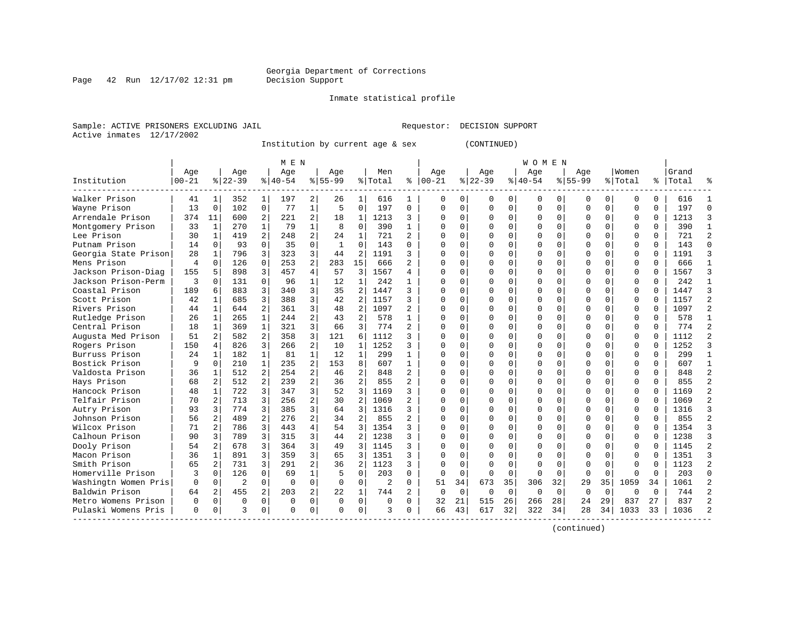#### Inmate statistical profile

Sample: ACTIVE PRISONERS EXCLUDING JAIL **Requestor: DECISION SUPPORT** Active inmates 12/17/2002

Institution by current age & sex (CONTINUED)

|                      |           |                |                |                | M E N     |                |              |                |                |                |          |             |             |             | W O M E N   |          |             |             |          |          |       |                |
|----------------------|-----------|----------------|----------------|----------------|-----------|----------------|--------------|----------------|----------------|----------------|----------|-------------|-------------|-------------|-------------|----------|-------------|-------------|----------|----------|-------|----------------|
|                      | Age       |                | Age            |                | Age       |                | Age          |                | Men            |                | Age      |             | Age         |             | Age         |          | Age         |             | Women    |          | Grand |                |
| Institution          | $00 - 21$ |                | $8$   22-39    |                | $8 40-54$ |                | $8155 - 99$  |                | % Total        | ి              | $ 00-21$ |             | $8$   22-39 |             | $8 40-54$   |          | $8155 - 99$ |             | % Total  | ి        | Total |                |
| Walker Prison        | 41        | 1              | 352            | 1              | 197       | 2              | 26           | 1              | 616            | 1.             | 0        | 0           |             | 0           | 0           | U        | 0           | 0           | O        | 0        | 616   |                |
| Wayne Prison         | 13        | 0              | 102            | $\overline{0}$ | 77        | 1              | 5            | $\mathbf 0$    | 197            | 0              | 0        | $\Omega$    | $\Omega$    | $\mathbf 0$ | 0           | $\Omega$ | $\Omega$    | $\mathbf 0$ | 0        | 0        | 197   | $\Omega$       |
| Arrendale Prison     | 374       | 11             | 600            | $\overline{a}$ | 221       | $\overline{a}$ | 18           | 1              | 1213           | 3              | U        | $\Omega$    | $\Omega$    | $\Omega$    | $\Omega$    | $\Omega$ | O           | $\Omega$    | $\Omega$ | $\Omega$ | 1213  | κ              |
| Montgomery Prison    | 33        | 1              | 270            | $\mathbf{1}$   | 79        | $\mathbf{1}$   | 8            | $\mathbf 0$    | 390            | $\mathbf{1}$   | U        | $\Omega$    |             | $\Omega$    | O           | $\Omega$ |             | $\Omega$    | $\Omega$ | $\Omega$ | 390   | $\mathbf{1}$   |
| Lee Prison           | 30        | $\mathbf{1}$   | 419            | $\overline{a}$ | 248       | $\overline{a}$ | 24           | $\mathbf{1}$   | 721            | $\overline{a}$ |          | $\Omega$    |             | $\Omega$    | O           | O        | $\cap$      | $\Omega$    | $\Omega$ | $\Omega$ | 721   | $\mathfrak{D}$ |
| Putnam Prison        | 14        | $\Omega$       | 93             | $\Omega$       | 35        | $\Omega$       | $\mathbf{1}$ | $\Omega$       | 143            | 0              |          | $\Omega$    |             | $\Omega$    | U           | U        | $\Omega$    | $\Omega$    | $\Omega$ | $\Omega$ | 143   | $\Omega$       |
| Georgia State Prison | 28        | 1              | 796            | 3              | 323       | 3              | 44           | 2              | 1191           | 3              | C        | $\Omega$    |             | $\Omega$    | U           | U        | $\Omega$    | $\Omega$    | 0        | 0        | 1191  | κ              |
| Mens Prison          | 4         | $\Omega$       | 126            | $\Omega$       | 253       | $\overline{2}$ | 283          | 15             | 666            | 2              | C        | $\Omega$    |             | $\Omega$    | 0           | U        | O           | 0           | 0        | 0        | 666   | -1             |
| Jackson Prison-Diag  | 155       | 5              | 898            | 3              | 457       | 4              | 57           | 3              | 1567           | 4              |          | $\Omega$    |             | $\Omega$    | O           | U        |             | O           | $\Omega$ | O        | 1567  | κ              |
| Jackson Prison-Perm  | 3         | U              | 131            | $\Omega$       | 96        | $\mathbf{1}$   | 12           | $\mathbf{1}$   | 242            | 1              |          | $\Omega$    |             | $\Omega$    | O           | U        | $\cap$      | $\Omega$    | $\Omega$ | O        | 242   |                |
| Coastal Prison       | 189       | б              | 883            | 3              | 340       | 3              | 35           | $\overline{2}$ | 1447           | 3              | C        | $\Omega$    |             | $\Omega$    | U           | U        | U           | $\Omega$    | $\Omega$ | $\Omega$ | 1447  |                |
| Scott Prison         | 42        | $\mathbf{1}$   | 685            | 3              | 388       | 3              | 42           | 2              | 1157           | ς              |          | $\Omega$    |             | $\Omega$    | U           | U        | U           | $\Omega$    | 0        | $\Omega$ | 1157  |                |
| Rivers Prison        | 44        | 1              | 644            | $\overline{a}$ | 361       | 3              | 48           | 2              | 1097           | $\overline{2}$ |          | 0           |             | $\Omega$    | U           | U        |             | $\Omega$    | $\Omega$ | $\Omega$ | 1097  |                |
| Rutledge Prison      | 26        | $\mathbf{1}$   | 265            | $\mathbf{1}$   | 244       | $\overline{a}$ | 43           | $\overline{2}$ | 578            | $\mathbf{1}$   |          | $\Omega$    |             | $\Omega$    | 0           | U        | O           | $\Omega$    | $\Omega$ | $\Omega$ | 578   | $\mathbf{1}$   |
| Central Prison       | 18        | 1              | 369            | $\mathbf{1}$   | 321       | 3              | 66           | 3              | 774            | $\overline{a}$ |          | $\Omega$    |             | $\Omega$    | U           | U        | ∩           | 0           | 0        | $\Omega$ | 774   | $\mathfrak{D}$ |
| Augusta Med Prison   | 51        | $\overline{2}$ | 582            | 2              | 358       | 3              | 121          | 6              | 1112           | ς              |          | $\Omega$    |             | $\Omega$    | U           | U        | $\Omega$    | 0           | $\Omega$ | $\Omega$ | 1112  | っ              |
| Rogers Prison        | 150       | 4              | 826            | 3              | 266       | $\overline{a}$ | 10           | 1              | 1252           | ς              | C        | $\Omega$    |             | $\Omega$    | U           | U        | $\Omega$    | 0           | $\Omega$ | $\Omega$ | 1252  |                |
| Burruss Prison       | 24        |                | 182            | $\mathbf{1}$   | 81        | $\mathbf{1}$   | 12           | 1              | 299            | 1              | C        | $\Omega$    |             | $\Omega$    | U           |          |             | $\Omega$    | $\Omega$ | $\Omega$ | 299   |                |
| Bostick Prison       | 9         | U              | 210            | $\mathbf{1}$   | 235       | $\overline{a}$ | 153          | 8              | 607            | $\mathbf{1}$   | C        | $\Omega$    |             | $\Omega$    | U           | U        | $\cap$      | $\Omega$    | $\Omega$ | $\Omega$ | 607   | $\mathbf{1}$   |
| Valdosta Prison      | 36        | 1              | 512            | 2              | 254       | $\overline{a}$ | 46           | 2              | 848            | 2              | C        | $\Omega$    |             | $\Omega$    | U           | U        | U           | $\Omega$    | $\Omega$ | O        | 848   | 2              |
| Hays Prison          | 68        | $\mathbf{2}$   | 512            | 2              | 239       | $\overline{2}$ | 36           | 2              | 855            | $\overline{a}$ | C        | $\Omega$    |             | $\Omega$    | U           | U        | O           | 0           | $\Omega$ | $\Omega$ | 855   |                |
| Hancock Prison       | 48        | $\mathbf{1}$   | 722            | 3              | 347       | $\overline{3}$ | 52           | 3 <sup>1</sup> | 1169           | ς              | C        | $\Omega$    |             | $\Omega$    | U           | O        |             | 0           | $\Omega$ | $\Omega$ | 1169  |                |
| Telfair Prison       | 70        | 2              | 713            | 3              | 256       | $\overline{a}$ | 30           | 2              | 1069           | $\overline{a}$ | C        | $\Omega$    |             | $\Omega$    | U           | U        |             | $\Omega$    | $\Omega$ | $\Omega$ | 1069  |                |
| Autry Prison         | 93        | 3              | 774            | 3              | 385       | 3              | 64           | 3              | 1316           | 3              |          | $\Omega$    |             | $\Omega$    | U           | U        | $\cap$      | $\Omega$    | $\Omega$ | $\Omega$ | 1316  |                |
| Johnson Prison       | 56        | $\overline{2}$ | 489            | $\overline{2}$ | 276       | $\overline{a}$ | 34           | $\overline{2}$ | 855            | $\overline{a}$ |          | $\Omega$    |             | $\Omega$    | U           | U        | $\Omega$    | $\Omega$    | 0        | $\Omega$ | 855   | っ              |
| Wilcox Prison        | 71        | 2              | 786            | 3              | 443       | $\overline{4}$ | 54           | 3              | 1354           | ς              |          | 0           |             | $\Omega$    | 0           | O        | $\Omega$    | $\Omega$    | 0        | $\Omega$ | 1354  |                |
| Calhoun Prison       | 90        | 3              | 789            | 3              | 315       | 3              | 44           | 2              | 1238           | 3              | C        | $\Omega$    |             | 0           | 0           |          |             | 0           | 0        | O        | 1238  |                |
| Dooly Prison         | 54        | 2              | 678            | 3              | 364       | 3              | 49           | 3              | 1145           | ς              |          | $\Omega$    |             |             | U           | U        |             | $\Omega$    | $\Omega$ | O        | 1145  |                |
| Macon Prison         | 36        | 1              | 891            | 3              | 359       | $\overline{3}$ | 65           | 3              | 1351           | ς              |          | $\Omega$    |             | $\Omega$    | U           | U        | $\cap$      | $\cap$      | $\Omega$ | $\cap$   | 1351  |                |
| Smith Prison         | 65        | $\mathbf{2}$   | 731            | 3              | 291       | $\overline{a}$ | 36           | 2              | 1123           | 3              | C        | $\Omega$    |             | $\Omega$    | U           | U        | ∩           | $\Omega$    | $\Omega$ | $\Omega$ | 1123  | 2              |
| Homerville Prison    | 3         | $\Omega$       | 126            | $\Omega$       | 69        | $\mathbf{1}$   | 5            | $\Omega$       | 203            | 0              | $\Omega$ | $\mathbf 0$ | $\Omega$    | $\Omega$    | $\Omega$    | 0        | $\Omega$    | $\Omega$    | U        | $\Omega$ | 203   | U              |
| Washingtn Women Pris | $\Omega$  | $\Omega$       | $\overline{2}$ | $\Omega$       | $\Omega$  | $\Omega$       | $\Omega$     | $\Omega$       | $\overline{2}$ | 0              | 51       | 34          | 673         | 35          | 306         | 32       | 29          | 35          | 1059     | 34       | 1061  |                |
| Baldwin Prison       | 64        | 2              | 455            | $\overline{a}$ | 203       | 2              | 22           | 1              | 744            | $\overline{2}$ | 0        | $\mathbf 0$ | $\mathbf 0$ | $\Omega$    | $\mathbf 0$ | $\Omega$ | $\Omega$    | 0           | $\Omega$ | $\Omega$ | 744   |                |
| Metro Womens Prison  | 0         | 0              | $\Omega$       | 0              | $\Omega$  | 0              | $\Omega$     | 0              | $\Omega$       | 0              | 32       | 21          | 515         | 26          | 266         | 28       | 24          | 29          | 837      | 27       | 837   |                |
| Pulaski Womens Pris  | $\Omega$  | 0              | 3              | 0              | U         | 0              | $\Omega$     | $\Omega$       | ς              | 0              | 66       | 43          | 617         | 32          | 322         | 34       | 28          | 34          | 1033     | 33       | 1036  |                |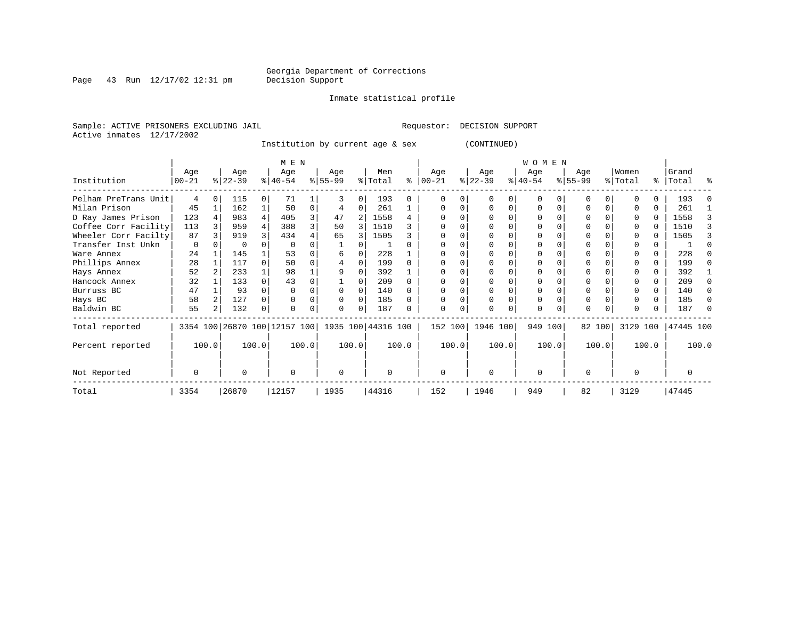Inmate statistical profile

Page 43 Run  $12/17/02$  12:31 pm

Sample: ACTIVE PRISONERS EXCLUDING JAIL **Requestor: DECISION SUPPORT** Active inmates 12/17/2002

Institution by current age & sex (CONTINUED)

|                      |                    |          |                  |       | M E N                                           |          |                 |          |                |       |                 |               |                  |          | WOMEN            |       |                    |          |                  |       |                |       |
|----------------------|--------------------|----------|------------------|-------|-------------------------------------------------|----------|-----------------|----------|----------------|-------|-----------------|---------------|------------------|----------|------------------|-------|--------------------|----------|------------------|-------|----------------|-------|
| Institution          | Age<br>$ 00 - 21 $ |          | Age<br>$ 22-39 $ |       | Age<br>$ 40-54 $                                |          | Age<br>$ 55-99$ |          | Men<br>% Total | ႜ     | Age<br>$ 00-21$ | $\frac{1}{6}$ | Age<br>$22 - 39$ |          | Age<br>$ 40-54 $ |       | Age<br>$8155 - 99$ |          | Women<br>% Total | ႜၟ    | Grand<br>Total | ႜ     |
| Pelham PreTrans Unit | 4                  | $\Omega$ | 115              |       | 71                                              |          |                 | $\Omega$ | 193            | 0     | <sup>0</sup>    | 0             |                  |          | $\Omega$         |       |                    |          |                  | 0     | 193            |       |
| Milan Prison         | 45                 |          | 162              |       | 50                                              | $\Omega$ |                 | $\Omega$ | 261            |       | 0               | 0             |                  | $\Omega$ | $\Omega$         |       |                    | $\Omega$ |                  | 0     | 261            |       |
| D Ray James Prison   | 123                |          | 983              |       | 405                                             | 3        | 47              |          | 1558           |       |                 |               |                  |          |                  |       |                    |          |                  | 0     | 1558           |       |
| Coffee Corr Facility | 113                |          | 959              |       | 388                                             | 3        | 50              | 3        | 1510           |       |                 |               |                  |          | O                |       |                    |          |                  |       | 1510           |       |
| Wheeler Corr Facilty | 87                 |          | 919              |       | 434                                             |          | 65              |          | 1505           |       |                 |               |                  |          |                  |       |                    |          |                  |       | 1505           |       |
| Transfer Inst Unkn   | 0                  |          |                  |       |                                                 |          |                 |          |                |       |                 |               |                  |          |                  |       |                    |          |                  |       |                |       |
| Ware Annex           | 24                 |          | 145              |       | 53                                              |          |                 |          | 228            |       |                 |               |                  |          |                  |       |                    |          |                  |       | 228            |       |
| Phillips Annex       | 28                 |          | 117              |       | 50                                              |          |                 |          | 199            |       |                 |               |                  |          |                  |       |                    |          |                  |       | 199            |       |
| Hays Annex           | 52                 |          | 233              |       | 98                                              |          |                 |          | 392            |       |                 |               |                  |          |                  |       |                    |          |                  | 0     | 392            |       |
| Hancock Annex        | 32                 |          | 133              |       | 43                                              |          |                 |          | 209            |       |                 |               |                  |          |                  |       |                    |          |                  | 0     | 209            |       |
| Burruss BC           | 47                 |          | 93               |       |                                                 | 0        |                 |          | 140            |       |                 |               |                  |          | 0                |       |                    |          |                  |       | 140            |       |
| Hays BC              | 58                 |          | 127              |       |                                                 |          |                 |          | 185            |       |                 |               |                  |          | 0                |       |                    |          |                  | 0     | 185            |       |
| Baldwin BC           | 55                 |          | 132              |       |                                                 |          |                 |          | 187            |       |                 | 0             |                  |          | 0                |       | O                  |          |                  | 0     | 187            |       |
| Total reported       |                    |          |                  |       | 3354 100 26870 100 12157 100 1935 100 44316 100 |          |                 |          |                |       | 152 100         |               | 1946 100         |          | 949 100          |       |                    | 82 100   | 3129 100         |       | 47445 100      |       |
| Percent reported     |                    | 100.0    |                  | 100.0 |                                                 | 100.0    |                 | 100.0    |                | 100.0 |                 | 100.0         | 100.0            |          |                  | 100.0 |                    | 100.0    |                  | 100.0 |                | 100.0 |
| Not Reported         | 0                  |          | O                |       | $\Omega$                                        |          | $\Omega$        |          | O              |       | $\Omega$        |               | $\Omega$         |          | $\Omega$         |       | n                  |          | U                |       | 0              |       |
| Total                | 3354               |          | 26870            |       | 12157                                           |          | 1935            |          | 44316          |       | 152             |               | 1946             |          | 949              |       | 82                 |          | 3129             |       | 47445          |       |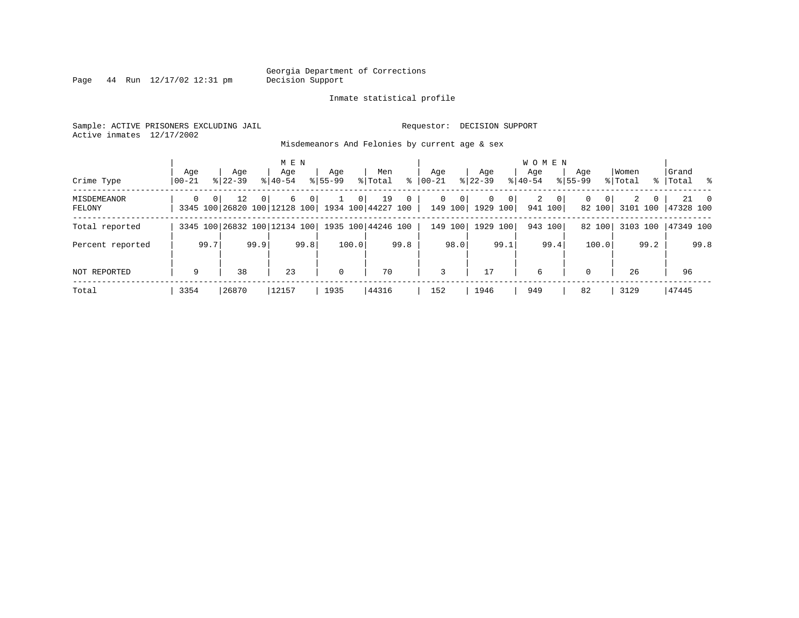Page  $44$  Run  $12/17/02$  12:31 pm

#### Inmate statistical profile

Sample: ACTIVE PRISONERS EXCLUDING JAIL **Requestor: DECISION SUPPORT** Active inmates 12/17/2002

Misdemeanors And Felonies by current age & sex

| Crime Type            | Age<br>  00-21 | Age<br>$8122 - 39$                                                                  | M E N<br>Age<br>$8 40-54$ | Age<br>$8155 - 99$ | Men<br>ွေ<br>% Total | Aqe<br>$00 - 21$                       | Age<br>$ 22-39 $                             | <b>WOMEN</b><br>Aqe<br>$8 40-54$     | Age<br>$8155 - 99$      | Women<br>% Total | Grand<br>%   Total %                |
|-----------------------|----------------|-------------------------------------------------------------------------------------|---------------------------|--------------------|----------------------|----------------------------------------|----------------------------------------------|--------------------------------------|-------------------------|------------------|-------------------------------------|
| MISDEMEANOR<br>FELONY | $\Omega$       | 0 <sup>1</sup><br>12<br>$\Omega$<br>3345 100 26820 100 12128 100 1934 100 44227 100 | 6<br>0 <sup>1</sup>       | 0 <sup>1</sup>     | 19<br>$\overline{0}$ | $\mathbf{0}$<br>$\mathbf 0$<br>149 100 | $\overline{0}$<br>0 <sup>1</sup><br>1929 100 | $\overline{a}$<br>$\circ$<br>941 100 | $\Omega$<br>0<br>82 100 | 2<br>0           | $21 \qquad 0$<br>3101 100 47328 100 |
| Total reported        |                | 3345 100 26832 100 12134 100   1935 100   44246 100                                 |                           |                    |                      | 149<br>100                             | 100<br>1929                                  | 943 100                              | 82 100                  | 3103 100         | 47349 100                           |
| Percent reported      | 99.7           | 99.9                                                                                | 99.8                      | 100.0              | 99.8                 | 98.0                                   | 99.1                                         | 99.4                                 | 100.0                   | 99.2             | 99.8                                |
| NOT REPORTED          | 9              | 38                                                                                  | 23                        | $\mathbf 0$        | 70                   | 3                                      | 17                                           | 6                                    | $\Omega$                | 26               | 96                                  |
| Total                 | 3354           | 26870                                                                               | 12157                     | 1935               | 44316                | 152                                    | 1946                                         | 949                                  | 82                      | 3129             | 47445                               |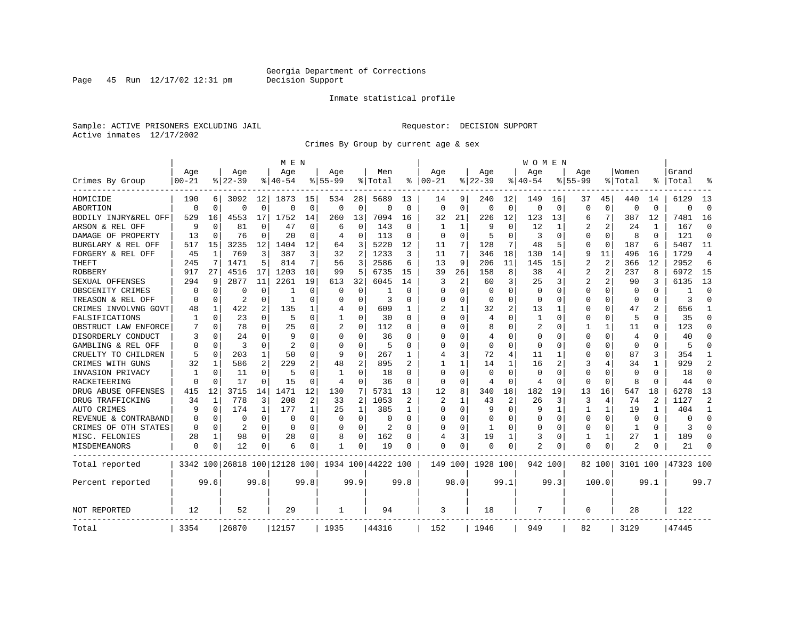Page 45 Run  $12/17/02$  12:31 pm

#### Inmate statistical profile

Sample: ACTIVE PRISONERS EXCLUDING JAIL **Requestor: DECISION SUPPORT** Active inmates 12/17/2002

Crimes By Group by current age & sex

|                      |             |             |                |              | M E N                        |                |             |                |                    |                |                |              |          |                | W O M E N      |             |                |                |                         |          |           |                |
|----------------------|-------------|-------------|----------------|--------------|------------------------------|----------------|-------------|----------------|--------------------|----------------|----------------|--------------|----------|----------------|----------------|-------------|----------------|----------------|-------------------------|----------|-----------|----------------|
|                      | Age         |             | Age            |              | Aqe                          |                | Aqe         |                | Men                |                | Aqe            |              | Age      |                | Aqe            |             | Aqe            |                | Women                   |          | Grand     |                |
| Crimes By Group      | $00 - 21$   |             | $8 22-39$      |              | % 40-54                      |                | $8155 - 99$ |                | % Total            | ႜ              | $ 00-21$       |              | $ 22-39$ |                | $ 40-54$       |             | $8155 - 99$    |                | % Total                 | ႜ        | Total     |                |
| HOMICIDE             | 190         | 6           | 3092           | 12           | 1873                         | 15             | 534         | 28             | 5689               | 13             | 14             | 9            | 240      | 12             | 149            | 16          | 37             | 45             | 440                     | 14       | 6129      | 13             |
| ABORTION             | $\Omega$    | $\mathbf 0$ | $\Omega$       | $\mathbf 0$  | $\Omega$                     | $\mathbf 0$    | $\Omega$    | $\mathbf 0$    | $\Omega$           | 0              | $\Omega$       | $\mathbf 0$  | $\Omega$ | $\mathbf 0$    | $\Omega$       | $\mathbf 0$ | $\Omega$       | $\Omega$       | $\mathbf 0$             | $\Omega$ | $\Omega$  | $\Omega$       |
| BODILY INJRY&REL OFF | 529         | 16          | 4553           | 17           | 1752                         | 14             | 260         | 13             | 7094               | 16             | 32             | 21           | 226      | 12             | 123            | 13          | 6              | 7              | 387                     | 12       | 7481      | 16             |
| ARSON & REL OFF      | 9           | 0           | 81             | 0            | 47                           | 0              | 6           | 0              | 143                | 0              | -1             | 1            | 9        | 0              | 12             | 1           | 2              | 2              | 24                      |          | 167       | $\Omega$       |
| DAMAGE OF PROPERTY   | 13          | $\mathbf 0$ | 76             | $\Omega$     | 20                           | 0              | 4           | 0              | 113                | 0              | $\Omega$       | $\Omega$     | 5        | $\Omega$       | 3              | 0           | $\Omega$       | $\Omega$       | 8                       | $\Omega$ | 121       | $\Omega$       |
| BURGLARY & REL OFF   | 517         | 15          | 3235           | 12           | 1404                         | 12             | 64          | 3              | 5220               | 12             | 11             | 7            | 128      | 7              | 48             | 5           | 0              | $\mathbf 0$    | 187                     | 6        | 5407      | 11             |
| FORGERY & REL OFF    | 45          | 1           | 769            | 3            | 387                          | 3              | 32          | 2              | 1233               | 3              | 11             | 7            | 346      | 18             | 130            | 14          | 9              | 11             | 496                     | 16       | 1729      | $\overline{4}$ |
| THEFT                | 245         | 7           | 1471           | 5            | 814                          | 7              | 56          | 3              | 2586               | 6              | 13             | 9            | 206      | 11             | 145            | 15          | $\overline{2}$ | $\overline{2}$ | 366                     | 12       | 2952      | 6              |
| ROBBERY              | 917         | 27          | 4516           | 17           | 1203                         | 10             | 99          | 5              | 6735               | 15             | 39             | 26           | 158      | 8              | 38             | 4           | 2              | 2              | 237                     | 8        | 6972      | 15             |
| SEXUAL OFFENSES      | 294         | 9           | 2877           | 11           | 2261                         | 19             | 613         | 32             | 6045               | 14             | 3              | 2            | 60       | 3              | 25             | 3           | $\overline{2}$ | 2              | 90                      | 3        | 6135      | 13             |
| OBSCENITY CRIMES     | 0           | 0           | 0              | 0            |                              | 0              | 0           | 0              |                    | $\Omega$       | $\Omega$       | $\Omega$     | $\Omega$ | O              | 0              | 0           | 0              | $\Omega$       | $\Omega$                | $\Omega$ | -1        | $\Omega$       |
| TREASON & REL OFF    | 0           | 0           | $\overline{2}$ | $\Omega$     | 1                            | $\Omega$       | 0           | $\Omega$       | 3                  | $\Omega$       | 0              | $\Omega$     | $\Omega$ | $\Omega$       | $\Omega$       | $\Omega$    | $\Omega$       | $\Omega$       | $\Omega$                | $\Omega$ | 3         | $\Omega$       |
| CRIMES INVOLVNG GOVT | 48          | 1           | 422            | 2            | 135                          | 1              | 4           | $\mathbf 0$    | 609                | 1              | 2              | $\mathbf{1}$ | 32       | 2              | 13             | 1           | $\Omega$       | $\Omega$       | 47                      |          | 656       | -1             |
| FALSIFICATIONS       | 1           | 0           | 23             | $\Omega$     | .5                           | $\Omega$       | 1           | 0              | 30                 | $\Omega$       | $\Omega$       | $\Omega$     | 4        | O              | 1              | 0           | 0              | $\Omega$       | .5                      | 0        | 35        | $\Omega$       |
| OBSTRUCT LAW ENFORCE | 7           | 0           | 78             | $\Omega$     | 25                           | O              |             | 0              | 112                | O              | ∩              | 0            | 8        | O              | 2              | 0           | 1              | 1              | 11                      | 0        | 123       | ∩              |
| DISORDERLY CONDUCT   | 3           | $\mathbf 0$ | 24             | O            | 9                            | 0              | O           | 0              | 36                 | O              | <sup>0</sup>   | O            | 4        | 0              | $\Omega$       | 0           | $\Omega$       | $\Omega$       | 4                       |          | 40        |                |
| GAMBLING & REL OFF   | $\Omega$    | $\Omega$    | 3              | 0            | $\overline{2}$               | O              | $\Omega$    | $\Omega$       | 5                  | O              | $\Omega$       | $\Omega$     | $\Omega$ | O              | $\Omega$       | $\Omega$    | $\Omega$       | $\Omega$       | $\Omega$                | $\Omega$ |           |                |
| CRUELTY TO CHILDREN  | 5           | 0           | 203            | $\mathbf{1}$ | 50                           | $\Omega$       | 9           | $\mathbf 0$    | 267                | 1              | $\overline{4}$ | 3            | 72       | 4              | 11             | 1           | $\Omega$       | $\Omega$       | 87                      | 3        | 354       |                |
| CRIMES WITH GUNS     | 32          | 1           | 586            | 2            | 229                          | 2              | 48          | 2              | 895                | 2              |                | $\mathbf{1}$ | 14       | $\mathbf{1}$   | 16             | 2           | 3              | 4              | 34                      | 1        | 929       | $\overline{2}$ |
| INVASION PRIVACY     | 1           | 0           | 11             | $\Omega$     | -5                           | $\Omega$       | 1           | $\mathbf 0$    | 18                 | $\Omega$       | $\Omega$       | $\Omega$     | $\Omega$ | $\Omega$       | $\Omega$       | 0           | $\Omega$       | $\Omega$       | $\Omega$                | $\Omega$ | 18        | $\Omega$       |
| RACKETEERING         | $\Omega$    | 0           | 17             | 0            | 15                           | $\Omega$       | 4           | 0              | 36                 | $\Omega$       | $\Omega$       | 0            | 4        | 0              | 4              | 0           | $\Omega$       | $\Omega$       | 8                       | $\Omega$ | 44        | $\Omega$       |
| DRUG ABUSE OFFENSES  | 415         | 12          | 3715           | 14           | 1471                         | 12             | 130         | 7              | 5731               | 13             | 12             | 8            | 340      | 18             | 182            | 19          | 13             | 16             | 547                     | 18       | 6278      | 13             |
| DRUG TRAFFICKING     | 34          | 1           | 778            | 3            | 208                          | $\overline{c}$ | 33          | $\overline{2}$ | 1053               | $\overline{2}$ | $\overline{2}$ | 1            | 43       | $\overline{2}$ | 26             | 3           | 3              | 4              | 74                      | 2        | 1127      | $\overline{2}$ |
| AUTO CRIMES          | 9           | $\mathbf 0$ | 174            | 1            | 177                          | 1              | 25          | 1              | 385                | 1              | <sup>0</sup>   | $\Omega$     | 9        | $\Omega$       | 9              | 1           | $\mathbf{1}$   | $\mathbf{1}$   | 19                      | 1        | 404       | -1             |
| REVENUE & CONTRABAND | $\Omega$    | 0           | 0              | 0            | 0                            | 0              | 0           | $\mathbf 0$    | 0                  | $\Omega$       | 0              | 0            | $\Omega$ | 0              | $\Omega$       | 0           | 0              | 0              | $\mathbf 0$             | $\Omega$ | $\Omega$  | $\Omega$       |
| CRIMES OF OTH STATES | 0           | 0           | 2              | $\Omega$     | $\Omega$                     | 0              | $\Omega$    | 0              | 2                  | $\Omega$       | ∩              | 0            | -1       | $\Omega$       | $\Omega$       | 0           | 0              | $\Omega$       | $\mathbf{1}$            | $\Omega$ | 3         | $\Omega$       |
| MISC. FELONIES       | 28          | 1           | 98             | 0            | 28                           | 0              | 8           | 0              | 162                | 0              | 4              | 3            | 19       | 1              | 3              | 0           | 1              | 1              | 27                      | 1        | 189       | ∩              |
| <b>MISDEMEANORS</b>  | $\mathbf 0$ | 0           | 12             | 0            | 6                            | 0              | 1           | 0              | 19                 | 0              | $\Omega$       | 0            | 0        | 0              | $\overline{a}$ | 0           | $\Omega$       | 0              | $\overline{\mathbf{c}}$ | 0        | 21        |                |
| Total reported       |             |             |                |              | 3342 100 26818 100 12128 100 |                |             |                | 1934 100 44222 100 |                | 149 100        |              | 1928 100 |                | 942 100        |             |                | 82 100         | 3101 100                |          | 47323 100 |                |
| Percent reported     |             | 99.6        |                | 99.8         |                              | 99.8           |             | 99.9           |                    | 99.8           |                | 98.0         |          | 99.1           |                | 99.3        |                | 100.0          |                         | 99.1     |           | 99.7           |
| NOT REPORTED         | 12          |             | 52             |              | 29                           |                | 1           |                | 94                 |                | 3              |              | 18       |                | 7              |             | $\Omega$       |                | 28                      |          | 122       |                |
| Total                | 3354        |             | 26870          |              | 12157                        |                | 1935        |                | 44316              |                | 152            |              | 1946     |                | 949            |             | 82             |                | 3129                    |          | 47445     |                |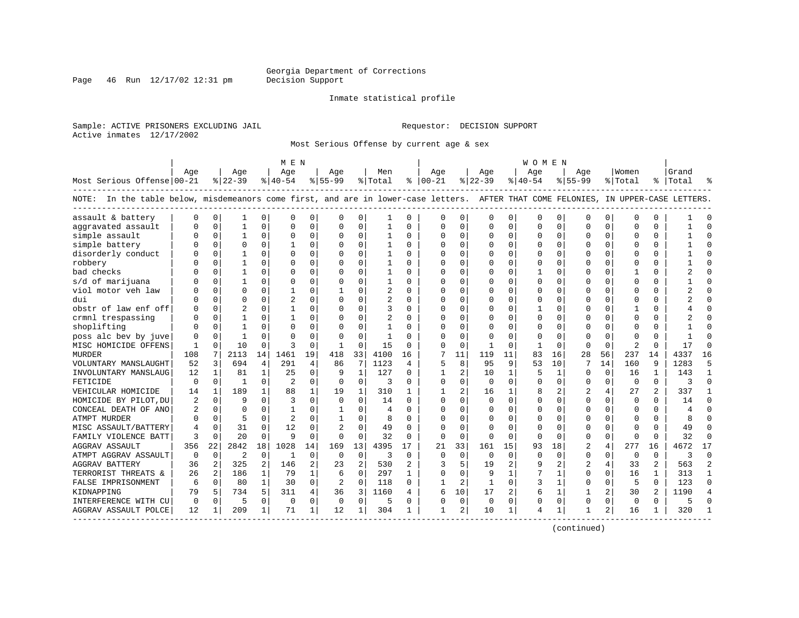Page 46 Run  $12/17/02$  12:31 pm

#### Inmate statistical profile

Sample: ACTIVE PRISONERS EXCLUDING JAIL **Requestor: DECISION SUPPORT** Active inmates 12/17/2002

Most Serious Offense by current age & sex

|                                                                                                                                    |          |                |                |                | M E N          |             |                |                |                |                |               |             |              |                | W O M E N    |              |                |                |                |                |                |                |
|------------------------------------------------------------------------------------------------------------------------------------|----------|----------------|----------------|----------------|----------------|-------------|----------------|----------------|----------------|----------------|---------------|-------------|--------------|----------------|--------------|--------------|----------------|----------------|----------------|----------------|----------------|----------------|
|                                                                                                                                    | Age      |                | Age            |                | Age            |             | Age            |                | Men            |                | Age           |             | Aqe          |                | Aqe          |              | Age            |                | Women          |                | Grand          |                |
| Most Serious Offense 00-21                                                                                                         |          |                | $ 22-39$       |                | $ 40-54 $      |             | $8 55-99$      |                | % Total        |                | $8   00 - 21$ |             | $ 22-39$     |                | $ 40-54$     |              | $8 55-99$      |                | % Total        |                | %   Total      |                |
| NOTE: In the table below, misdemeanors come first, and are in lower-case letters. AFTER THAT COME FELONIES, IN UPPER-CASE LETTERS. |          |                |                |                |                |             |                |                |                |                |               |             |              |                |              |              |                |                |                |                |                |                |
| assault & battery                                                                                                                  |          | 0              |                | 0              | $\Omega$       | 0           | U              | 0              | 1              | $\mathbf 0$    | ∩             | 0           | U            | 0              | $\Omega$     | 0            | 0              | 0              | $\mathbf 0$    | 0              |                |                |
| aggravated assault                                                                                                                 |          | $\Omega$       | 1              | $\Omega$       | $\Omega$       | 0           | O              | $\mathbf 0$    | 1              | $\Omega$       | $\Omega$      | $\Omega$    | $\Omega$     | 0              | $\Omega$     | $\mathbf 0$  | $\Omega$       | $\mathbf 0$    | $\Omega$       | $\Omega$       |                | $\Omega$       |
| simple assault                                                                                                                     |          | $\Omega$       | 1              | $\Omega$       | $\Omega$       | 0           | U              | 0              |                | $\Omega$       |               | $\Omega$    | $\Omega$     | 0              |              | 0            | $\Omega$       | $\Omega$       | $\bigcap$      | $\Omega$       |                |                |
| simple battery                                                                                                                     |          | $\Omega$       | O              | $\Omega$       | -1             | $\Omega$    | U              | $\Omega$       | 1              | $\Omega$       | $\Omega$      | 0           | $\Omega$     | 0              | ∩            | $\Omega$     | $\Omega$       | 0              | $\Omega$       | $\Omega$       |                |                |
| disorderly conduct                                                                                                                 |          | $\Omega$       |                | 0              | $\Omega$       | 0           | U              | $\Omega$       | 1              | $\Omega$       | $\Omega$      | 0           | U            | 0              |              | $\Omega$     | U              | $\Omega$       | $\Omega$       | $\Omega$       |                |                |
| robbery                                                                                                                            |          | $\Omega$       |                | 0              | $\mathbf 0$    | 0           | 0              | $\Omega$       | 1              | $\Omega$       | O             | $\Omega$    | 0            | 0              |              | 0            | 0              | $\Omega$       | 0              | 0              |                |                |
| bad checks                                                                                                                         |          | $\Omega$       |                | 0              | $\Omega$       | 0           | U              | $\mathbf 0$    | 1              | $\Omega$       |               | $\Omega$    | 0            | 0              |              | $\mathbf 0$  | 0              | 0              |                | $\Omega$       |                |                |
| s/d of marijuana                                                                                                                   |          | $\Omega$       |                | 0              | $\Omega$       | 0           | O              | $\Omega$       | 1              | $\Omega$       |               | $\Omega$    | $\Omega$     | O              |              | 0            | $\Omega$       | 0              | $\Omega$       | $\Omega$       |                |                |
| viol motor veh law                                                                                                                 |          | $\Omega$       | O              | 0              | -1             | 0           | $\mathbf{1}$   | $\Omega$       | $\overline{2}$ | $\Omega$       | $\Omega$      | 0           | U            | O              |              | $\Omega$     | U              | 0              | $\Omega$       | $\Omega$       |                | $\cap$         |
| dui                                                                                                                                |          | $\Omega$       | O              | 0              | $\overline{c}$ | $\Omega$    | O              | $\Omega$       | 2              | $\Omega$       | $\Omega$      | 0           | 0            | O              | Ω            | $\Omega$     | $\Omega$       | 0              | $\Omega$       | $\Omega$       |                |                |
| obstr of law enf off                                                                                                               |          | $\Omega$       | 2              |                |                | $\Omega$    | U              | 0              | 3              |                |               |             | 0            | U              |              | $\Omega$     | U              | 0              |                | O              |                |                |
| crmnl trespassing                                                                                                                  |          | $\Omega$       |                | 0              | $\mathbf{1}$   | $\Omega$    | U              | U              | $\overline{2}$ | $\Omega$       | ∩             | 0           | U            | U              | ∩            | $\Omega$     | ∩              | U              | $\Omega$       | $\Omega$       |                |                |
| shoplifting                                                                                                                        |          | $\Omega$       |                | C.             | $\Omega$       | $\Omega$    | U              | O              | 1              | $\Omega$       | U             | $\Omega$    | ∩            | 0              |              | $\Omega$     | ∩              | 0              | $\Omega$       | $\Omega$       |                |                |
| poss alc bev by juve                                                                                                               |          | $\Omega$       |                | U              | $\Omega$       | $\Omega$    | U              | $\mathbf 0$    | 1              | $\Omega$       |               | $\Omega$    | U            | 0              |              | $\Omega$     | U              | $\Omega$       | $\Omega$       | $\Omega$       |                |                |
| MISC HOMICIDE OFFENS                                                                                                               |          | $\Omega$       | 10             | 0              | 3              | $\Omega$    | $\overline{1}$ | $\mathbf 0$    | 15             | $\Omega$       |               | $\mathbf 0$ |              | 0              |              | $\mathbf 0$  | $\Omega$       | $\mathbf 0$    | $\overline{2}$ | $\Omega$       | 17             |                |
| <b>MURDER</b>                                                                                                                      | 108      | 7              | 2113           | 14             | 1461           | 19          | 418            | 33             | 4100           | 16             |               | 11          | 119          | 11             | 83           | 16           | 28             | 56             | 237            | 14             | 4337           | 16             |
| VOLUNTARY MANSLAUGHT                                                                                                               | 52       | 3              | 694            | 4              | 291            | 4           | 86             | 7              | 1123           | 4              | 5             | 8           | 95           | 9              | 53           | 10           | 7              | 14             | 160            | 9              | 1283           | 5              |
| INVOLUNTARY MANSLAUG                                                                                                               | 12       | 1              | 81             | 1              | 25             | 0           | 9              | 1              | 127            | $\Omega$       |               | 2           | 10           | 1              | 5            | 1            | U              | 0              | 16             | 1              | 143            | -1             |
| FETICIDE                                                                                                                           | n        | 0              | $\mathbf{1}$   | $\Omega$       | 2              | 0           | $\Omega$       | 0              | З              | $\Omega$       | $\Omega$      | $\Omega$    | $\Omega$     | O              |              | 0            | 0              | $\Omega$       | $\Omega$       | $\Omega$       | ঽ              | $\Omega$       |
| VEHICULAR HOMICIDE                                                                                                                 | 14       | $\mathbf{1}$   | 189            | $\mathbf{1}$   | 88             | 1           | 19             | 1              | 310            | 1              |               |             | 16           | $\mathbf{1}$   |              | 2            | $\overline{2}$ | 4              | 27             |                | 337            | -1             |
| HOMICIDE BY PILOT, DU                                                                                                              |          | $\Omega$       | q              | $\Omega$       | 3              | 0           | $\Omega$       | $\Omega$       | 14             | $\Omega$       | $\Omega$      | $\Omega$    | $\Omega$     | 0              | $\Omega$     | $\Omega$     | $\Omega$       | $\Omega$       | $\Omega$       | $\Omega$       | 14             | $\Omega$       |
| CONCEAL DEATH OF ANO                                                                                                               | 2        | $\Omega$       | O              | 0              | -1             | 0           | 1              | $\Omega$       | $\overline{4}$ | $\Omega$       | $\Omega$      | $\Omega$    | U            | 0              |              | $\Omega$     | $\Omega$       | $\Omega$       | $\Omega$       | $\Omega$       | $\overline{4}$ | $\Omega$       |
| ATMPT MURDER                                                                                                                       |          | $\Omega$       | 5              | 0              | $\overline{2}$ | 0           | -1             | 0              | 8              | $\Omega$       |               | $\Omega$    | O            | O              |              | 0            | $\Omega$       | 0              | $\Omega$       | $\Omega$       |                |                |
| MISC ASSAULT/BATTERY                                                                                                               |          | $\Omega$       | 31             | 0              | 12             | $\Omega$    |                | $\Omega$       | 49             | $\Omega$       |               | 0           | O            | U              |              | $\Omega$     | U              | 0              | $\Omega$       | $\Omega$       | 49             | ∩              |
| FAMILY VIOLENCE BATT                                                                                                               | 3        | $\Omega$       | 20             | 0              | 9              | 0           | $\Omega$       | 0              | 32             | $\Omega$       | $\Omega$      | 0           | U            | 0              | $\Omega$     | $\Omega$     | O              | 0              | 0              | $\Omega$       | 32             | ∩              |
| <b>AGGRAV ASSAULT</b>                                                                                                              | 356      | 22             | 2842           | 18             | 1028           | 14          | 169            | 13             | 4395           | 17             | 21            | 33          | 161          | 15             | 93           | 18           | $\overline{2}$ | 4              | 277            | 16             | 4672           | 17             |
| ATMPT AGGRAV ASSAULT                                                                                                               | $\Omega$ | $\Omega$       | $\overline{c}$ | 0              | 1              | 0           | $\Omega$       | $\mathbf 0$    | 3              | $\Omega$       | $\Omega$      | $\Omega$    | $\Omega$     | $\Omega$       | <sup>0</sup> | 0            | $\Omega$       | 0              | 0              | $\Omega$       | 3              | $\Omega$       |
| <b>AGGRAV BATTERY</b>                                                                                                              | 36       | $\overline{2}$ | 325            | $\overline{a}$ | 146            | 2           | 23             | $\overline{2}$ | 530            |                |               |             | 19           | $\overline{2}$ |              |              | $\overline{c}$ | 4              | 33             | $\overline{a}$ | 563            | $\overline{2}$ |
| TERRORIST THREATS &                                                                                                                | 26       | $\overline{a}$ | 186            | $\mathbf{1}$   | 79             | $\mathbf 1$ | 6              | $\Omega$       | 297            | $\mathbf{1}$   | $\Omega$      | $\Omega$    | 9            | $\mathbf{1}$   |              | $\mathbf{1}$ | $\Omega$       | $\Omega$       | 16             | 1              | 313            | $\mathbf{1}$   |
| FALSE IMPRISONMENT                                                                                                                 | 6        | $\Omega$       | 80             | $\mathbf{1}$   | 30             | $\Omega$    | 2              | $\Omega$       | 118            | $\Omega$       |               | 2           | $\mathbf{1}$ | 0              | 3            | $\mathbf{1}$ | $\Omega$       | $\Omega$       | 5              | $\Omega$       | 123            | $\Omega$       |
| KIDNAPPING                                                                                                                         | 79       | 5              | 734            | 5              | 311            | 4           | 36             | 3              | 1160           | $\overline{4}$ | 6             | 10          | 17           | 2              | 6            | 1            | 1              | $\overline{a}$ | 30             | 2              | 1190           | $\overline{4}$ |
| INTERFERENCE WITH CU                                                                                                               | 0        | $\Omega$       | 5              | $\Omega$       | $\Omega$       | 0           | 0              | $\mathbf 0$    | 5              | $\Omega$       | $\Omega$      | $\Omega$    | $\mathbf 0$  | $\Omega$       | 0            | 0            | $\Omega$       | $\Omega$       | $\mathbf 0$    | $\Omega$       |                |                |
| AGGRAV ASSAULT POLCE                                                                                                               | 12       | 1              | 209            | $\mathbf{1}$   | 71             | 1           | 12             | 1              | 304            | 1              | 1             | 2           | 10           | 1              | 4            | 1            | 1              | 2              | 16             | 1              | 320            |                |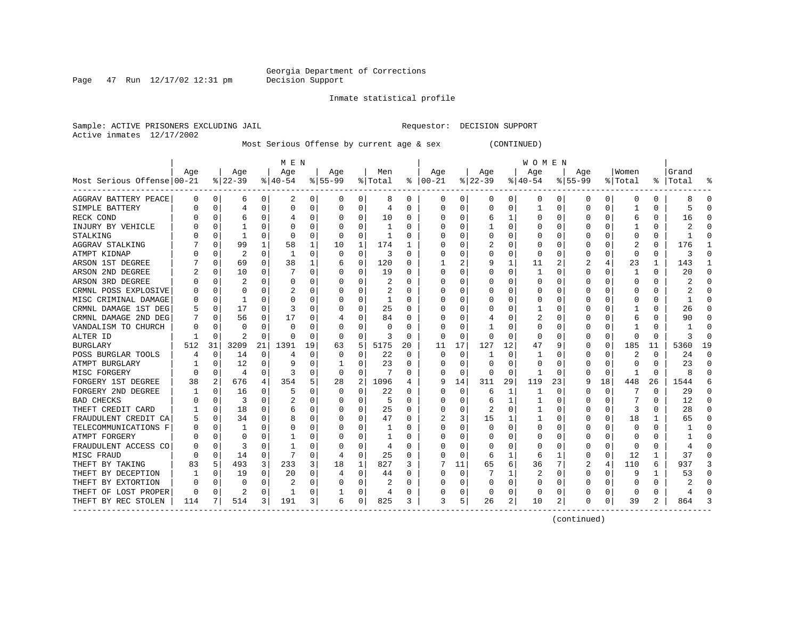Page  $47$  Run  $12/17/02$  12:31 pm

#### Inmate statistical profile

Sample: ACTIVE PRISONERS EXCLUDING JAIL **Requestor: DECISION SUPPORT** Active inmates 12/17/2002

Most Serious Offense by current age & sex (CONTINUED)

|                            |     |             |           |          | M E N     |    |           |          |         |                  |          |          |          |          | <b>WOMEN</b> |          |              |          |         |          |           |          |
|----------------------------|-----|-------------|-----------|----------|-----------|----|-----------|----------|---------|------------------|----------|----------|----------|----------|--------------|----------|--------------|----------|---------|----------|-----------|----------|
|                            | Age |             | Age       |          | Age       |    | Age       |          | Men     |                  | Age      |          | Age      |          | Age          |          | Aqe          |          | Women   |          | Grand     |          |
| Most Serious Offense 00-21 |     |             | $8 22-39$ |          | $8 40-54$ |    | $8 55-99$ |          | % Total | ႜ                | $ 00-21$ |          | $ 22-39$ |          | $ 40-54$     |          | $8155 - 99$  |          | % Total |          | %   Total |          |
| AGGRAV BATTERY PEACE       | 0   | 0           | 6         | 0        | 2         | 0  | 0         | 0        | 8       | 0                | 0        | 0        | 0        | 0        | 0            | 0        | 0            | 0        | 0       | 0        | 8         | 0        |
| SIMPLE BATTERY             |     | $\mathbf 0$ | 4         | 0        | 0         | 0  |           | 0        | 4       | O                | 0        | 0        | $\Omega$ | $\Omega$ |              | $\Omega$ | <sup>0</sup> | 0        |         | 0        | 5         | ſ        |
| RECK COND                  |     | $\mathbf 0$ | 6         | O        |           | 0  |           | $\Omega$ | 10      | 0                |          | U        | 6        |          | 0            | C        |              | O        | 6       | 0        | 16        |          |
| INJURY BY VEHICLE          |     | $\Omega$    |           |          | O         | U  |           | $\Omega$ |         | N                |          | U        |          | $\Omega$ | O            | C        |              |          |         | U        |           |          |
| STALKING                   |     | $\Omega$    | 1         |          | 0         | 0  |           | $\Omega$ |         | U                |          | U        | O        | O        | C            | C        |              |          | O       | U        |           |          |
| AGGRAV STALKING            |     | $\Omega$    | 99        |          | 58        | 1  | 10        | 1        | 174     |                  |          | U        |          | $\Omega$ | 0            | C        |              |          | 2       | 0        | 176       |          |
| ATMPT KIDNAP               |     | $\Omega$    | 2         | O        | -1        | 0  | O         | 0        | 3       | O                |          | O        | O        | $\Omega$ | 0            | C        |              | U        | O       | 0        | 3         |          |
| ARSON 1ST DEGREE           |     | $\Omega$    | 69        | 0        | 38        | 1  | b         | 0        | 120     | 0                |          | 2        |          |          | 11           |          |              |          | 23      | 1        | 143       |          |
| ARSON 2ND DEGREE           |     | 0           | 10        | 0        |           | 0  |           | $\Omega$ | 19      | O                | C        | O        | O        | $\Omega$ |              | $\Omega$ |              | O        | -1      | 0        | 20        | ſ        |
| ARSON 3RD DEGREE           |     | 0           |           | O        | 0         | 0  |           | $\Omega$ | 2       | O                |          | 0        |          | 0        | 0            | 0        |              |          | 0       | 0        |           |          |
| CRMNL POSS EXPLOSIVE       |     | $\mathbf 0$ | $\Omega$  |          |           | 0  |           | 0        |         | O                |          | U        |          | $\Omega$ |              | C        |              |          |         | 0        |           |          |
| MISC CRIMINAL DAMAGE       |     | $\mathbf 0$ | 1         | U        | C         | 0  |           | $\Omega$ | 1       | U                |          | U        |          | $\Omega$ | Ω            | C        |              |          |         | $\Omega$ |           | ſ        |
| CRMNL DAMAGE 1ST DEG       |     | 0           | 17        | O        | 3         | U  |           | $\Omega$ | 25      | O                |          | 0        |          | $\Omega$ |              | C        |              | O        |         | U        | 26        | ∩        |
| CRMNL DAMAGE 2ND DEG       |     | $\Omega$    | 56        | 0        | 17        | 0  |           | $\Omega$ | 84      | 0                | O        | 0        |          | 0        | 2            | C        |              |          | 6       | 0        | 90        | O        |
| VANDALISM TO CHURCH        |     | $\Omega$    | $\Omega$  | O        | $\Omega$  | 0  |           | 0        | 0       | $\left( \right)$ | O        | 0        |          | O        | 0            | C        |              | O        |         | 0        |           | O        |
| ALTER ID                   |     | $\Omega$    | 2         | 0        | O         | 0  | O         | 0        | 3       | 0                | 0        | 0        | O        | $\Omega$ | 0            | C        | $\left($     | $\Omega$ | O       | 0        | 3         | $\Omega$ |
| BURGLARY                   | 512 | 31          | 3209      | 21       | 1391      | 19 | 63        | 5        | 5175    | 20               | 11       | 17       | 127      | 12       | 47           | 9        |              | $\Omega$ | 185     | 11       | 5360      | 19       |
| POSS BURGLAR TOOLS         |     | 0           | 14        | 0        | 4         | 0  |           | $\Omega$ | 22      | O                | 0        | 0        |          | O        |              |          |              |          | 2       | 0        | 24        | ſ        |
| ATMPT BURGLARY             |     | $\Omega$    | 12        | O        |           | 0  |           | $\Omega$ | 23      | O                | C        | U        | $\Omega$ | $\Omega$ | 0            | C        |              | O        | O       | U        | 23        | ſ        |
| MISC FORGERY               |     | $\Omega$    | 4         | O        | 3         | 0  | O         | $\Omega$ | 7       | U                | U        | 0        | ∩        | $\Omega$ |              | C        |              | $\Omega$ |         | 0        | ጸ         |          |
| FORGERY 1ST DEGREE         | 38  | 2           | 676       | 4        | 354       | 5  | 28        | 2        | 1096    |                  | 9        | 14       | 311      | 29       | 119          | 23       |              | 18       | 448     | 26       | 1544      |          |
| FORGERY 2ND DEGREE         |     | $\Omega$    | 16        | O        | 5         | U  | O         | $\Omega$ | 22      | O                |          | $\Omega$ | 6        | 1        |              | C        |              | $\Omega$ |         | 0        | 29        |          |
| <b>BAD CHECKS</b>          |     | $\Omega$    | 3         | 0        |           | U  |           | $\Omega$ | 5       | 0                |          | O        | 6        | 1        |              | C        |              | $\Omega$ |         | U        | 12        | n        |
| THEFT CREDIT CARD          |     | $\Omega$    | 18        | 0        | 6         | 0  |           | $\Omega$ | 25      | 0                |          | 0        | 2        | $\Omega$ |              | 0        |              | $\Omega$ | 3       | 0        | 28        | n        |
| FRAUDULENT CREDIT CA       |     | $\mathbf 0$ | 34        | $\Omega$ | 8         | 0  |           | 0        | 47      | O                |          | 3        | 15       |          |              | C        |              | 0        | 18      | 1        | 65        |          |
| TELECOMMUNICATIONS F       |     | 0           |           | O        | C         | 0  |           | $\Omega$ |         | O                |          | U        | $\Omega$ | $\Omega$ | ი            | C        |              | O        |         | 0        |           | ſ        |
| ATMPT FORGERY              |     | $\Omega$    | O         | O        |           | 0  |           | $\Omega$ |         | O                |          | 0        | 0        | O        | 0            | C        |              | O        |         | 0        |           | r        |
| FRAUDULENT ACCESS CO       |     | $\Omega$    | 3         | O        |           | U  |           | $\Omega$ | 4       | O                |          | U        | O        | O        | O            | C        |              | O        | O       | 0        |           | C        |
| MISC FRAUD                 |     | $\Omega$    | 14        | $\Omega$ |           | 0  |           | $\Omega$ | 25      | O                | n        | $\Omega$ | 6        | 1        | 6            | -1       | n            | $\Omega$ | 12      | 1        | 37        | n        |
| THEFT BY TAKING            | 83  | 5           | 493       | 3        | 233       | 3  | 18        | 1        | 827     | 3                |          | 11       | 65       | 6        | 36           | 7        |              | 4        | 110     | 6        | 937       |          |
| THEFT BY DECEPTION         |     | 0           | 19        | 0        | 20        | 0  | 4         | 0        | 44      | O                | O        | 0        |          |          | 2            | C        |              | 0        | 9       | 1        | 53        | O        |
| THEFT BY EXTORTION         |     | $\Omega$    | 0         | 0        |           | 0  |           | $\Omega$ | 2       | 0                |          | 0        | 0        | $\Omega$ | 0            | C        |              | 0        |         | 0        |           |          |
| THEFT OF LOST PROPER       | 0   | 0           | 2         | 0        |           | 0  |           | 0        | 4       | 0                |          | 0        | 0        | 0        | 0            | C        |              |          | 0       | 0        |           |          |
| THEFT BY REC STOLEN        | 114 |             | 514       | 3        | 191       | 3  | 6         | 0        | 825     | 3                | 3        | 5        | 26       | 2        | 10           | 2        | 0            | 0        | 39      | 2        | 864       |          |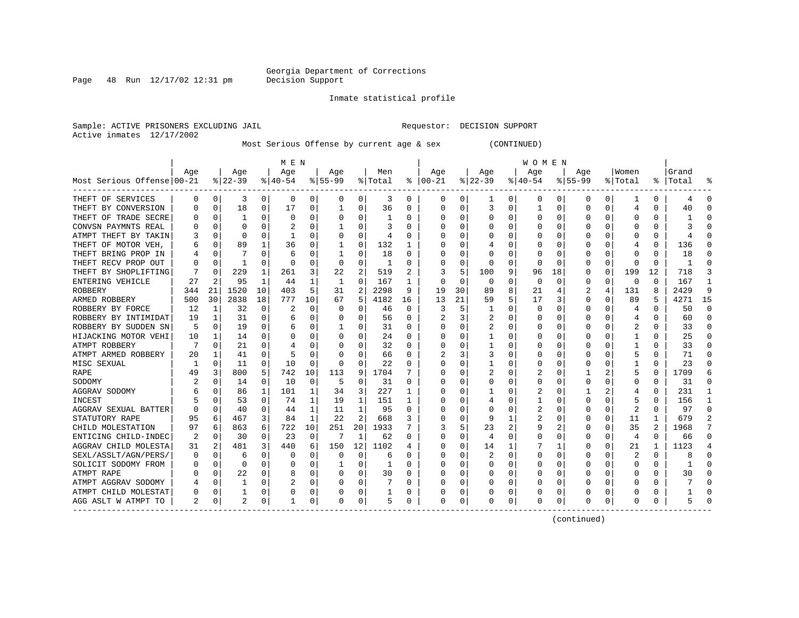Page  $48$  Run  $12/17/02$  12:31 pm

Inmate statistical profile

Sample: ACTIVE PRISONERS EXCLUDING JAIL **Requestor: DECISION SUPPORT** Active inmates 12/17/2002

Most Serious Offense by current age & sex (CONTINUED)

|                            |     |             |           |          | M E N    |              |           |                |                |          |               |          |              |          | W O M E N |             |             |          |                         |          |           |          |
|----------------------------|-----|-------------|-----------|----------|----------|--------------|-----------|----------------|----------------|----------|---------------|----------|--------------|----------|-----------|-------------|-------------|----------|-------------------------|----------|-----------|----------|
|                            | Age |             | Age       |          | Age      |              | Age       |                | Men            |          | Age           |          | Age          |          | Age       |             | Age         |          | Women                   |          | Grand     |          |
| Most Serious Offense 00-21 |     |             | $8 22-39$ |          | $ 40-54$ |              | $8 55-99$ |                | % Total        |          | $8   00 - 21$ |          | $ 22-39$     |          | $ 40-54 $ |             | $8155 - 99$ |          | % Total                 |          | %   Total | °        |
| THEFT OF SERVICES          | 0   | $\mathbf 0$ | 3         | $\Omega$ | 0        | 0            | $\Omega$  | 0              | 3              | 0        | 0             | 0        | 1            | 0        | 0         | 0           | 0           | $\Omega$ | 1                       | 0        | 4         | $\Omega$ |
| THEFT BY CONVERSION        | O   | $\Omega$    | 18        | 0        | 17       | 0            |           | $\Omega$       | 36             | 0        | O             | $\Omega$ | 3            | $\Omega$ |           | $\mathbf 0$ | 0           | 0        | 4                       | N        | 40        |          |
| THEFT OF TRADE SECRE       |     | 0           |           | 0        | 0        | 0            | 0         | 0              |                | 0        | O             | 0        | C            | $\Omega$ | $\Omega$  | 0           | 0           | 0        | 0                       | 0        |           |          |
| CONVSN PAYMNTS REAL        |     | $\Omega$    | O         |          |          | 0            |           | $\Omega$       | 3              | U        |               | 0        |              | $\Omega$ |           | 0           | O           | O        | C                       | O        |           |          |
| ATMPT THEFT BY TAKIN       |     | $\Omega$    | O         | O        |          | U            |           | O              | $\overline{4}$ | U        |               | U        |              | 0        |           | $\Omega$    | O           |          | C                       | O        |           |          |
| THEFT OF MOTOR VEH         |     | 0           | 89        |          | 36       | 0            |           | 0              | 132            | 1        |               | 0        |              | 0        |           | 0           | O           | U        |                         | 0        | 136       |          |
| THEFT BRING PROP IN        |     | $\Omega$    |           |          | 6        | 0            |           | 0              | 18             | U        |               | 0        | O            | 0        | 0         | 0           |             | U        | O                       | 0        | 18        |          |
| THEFT RECV PROP OUT        | O   | $\Omega$    | 1         | O        | 0        | 0            | $\Omega$  | 0              | -1             | 0        | 0             | 0        | 0            | 0        | 0         | 0           | 0           | 0        | $\Omega$                | 0        |           |          |
| THEFT BY SHOPLIFTING       |     | $\Omega$    | 229       | 1        | 261      | 3            | 22        | 2              | 519            | 2        | 3             | 5        | 100          | 9        | 96        | 18          | 0           | 0        | 199                     | 12       | 718       | ঽ        |
| ENTERING VEHICLE           | 27  | 2           | 95        | 1        | 44       | 1            | 1         | 0              | 167            |          | C             | 0        | $\Omega$     | $\Omega$ | 0         | 0           | 0           | 0        | 0                       | $\Omega$ | 167       |          |
| ROBBERY                    | 344 | 21          | 1520      | 10       | 403      | 5            | 31        | 2              | 2298           | 9        | 19            | 30       | 89           | 8        | 21        | 4           | 2           | 4        | 131                     | 8        | 2429      | 9        |
| ARMED ROBBERY              | 500 | 30          | 2838      | 18       | 777      | 10           | 67        | 5              | 4182           | 16       | 13            | 21       | 59           | 5        | 17        | 3           | $\Omega$    | $\Omega$ | 89                      | 5        | 4271      | 15       |
| ROBBERY BY FORCE           | 12  | 1           | 32        | $\Omega$ | 2        | 0            | $\Omega$  | $\Omega$       | 46             | $\Omega$ | 3             | 5        | $\mathbf{1}$ | $\Omega$ | $\Omega$  | $\Omega$    | $\Omega$    | $\Omega$ | 4                       | $\Omega$ | 50        | $\Omega$ |
| ROBBERY BY INTIMIDAT       | 19  | 1           | 31        | 0        | 6        | 0            |           | O              | 56             | 0        |               | 3        | 2            | 0        | U         | 0           | O           | O        | 4                       | 0        | 60        | $\Omega$ |
| ROBBERY BY SUDDEN SN       | 5   | $\Omega$    | 19        | 0        | 6        | 0            |           | 0              | 31             | 0        | C             | 0        | 2            | 0        | 0         | 0           | 0           | 0        | 2                       | 0        | 33        | ∩        |
| HIJACKING MOTOR VEHI       | 10  | 1           | 14        | 0        | 0        | 0            |           | 0              | 24             | 0        | O             | $\Omega$ | 1            | 0        | 0         | 0           | 0           | 0        |                         | 0        | 25        | ∩        |
| ATMPT ROBBERY              |     | $\Omega$    | 21        | 0        |          | 0            | $\left($  | 0              | 32             | 0        | C             | 0        | 1            | 0        | 0         | 0           | 0           | 0        |                         | 0        | 33        | ∩        |
| ATMPT ARMED ROBBERY        | 20  |             | 41        | 0        | 5        | U            |           | 0              | 66             | U        |               | 3        | 3            | 0        |           | 0           | O           | O        |                         |          | 71        |          |
| MISC SEXUAL                |     | $\Omega$    | 11        | 0        | 10       | U            | $\Omega$  | O              | 22             | U        |               | 0        | -1           | 0        | 0         | C           | O           | O        |                         | U        | 23        |          |
| <b>RAPE</b>                | 49  | 3           | 800       | 5        | 742      | 10           | 113       | 9              | 1704           |          |               | 0        |              | 0        |           | $\Omega$    |             |          | 5                       | U        | 1709      | б        |
| SODOMY                     |     | $\Omega$    | 14        | 0        | 10       | $\Omega$     | 5         | $\Omega$       | 31             | U        | C             | 0        | $\Omega$     | 0        | U         | 0           | O           | U        | $\Omega$                | 0        | 31        | $\cap$   |
| AGGRAV SODOMY              | 6   | n           | 86        | 1        | 101      | 1            | 34        | 3              | 227            | 1        |               | 0        |              | O        | 2         | $\Omega$    |             |          |                         | 0        | 231       |          |
| INCEST                     |     | $\cap$      | 53        | 0        | 74       | 1            | 19        | 1              | 151            | 1        |               | 0        |              | O        |           | $\Omega$    | O           | 0        |                         | 0        | 156       |          |
| AGGRAV SEXUAL BATTER       | O   | $\Omega$    | 40        | 0        | 44       | 1            | 11        | 1              | 95             | U        |               | $\Omega$ | $\Omega$     | $\Omega$ | 2         | $\Omega$    | O           | $\Omega$ | 2                       | 0        | 97        | ∩        |
| STATUTORY RAPE             | 95  | 6           | 467       | 3        | 84       | $\mathbf{1}$ | 2.2       | $\overline{2}$ | 668            | 3        |               | $\Omega$ | 9            | 1        | 2         | 0           | 0           | $\Omega$ | 11                      |          | 679       |          |
| CHILD MOLESTATION          | 97  | 6           | 863       | 6        | 722      | 10           | 251       | 20             | 1933           |          |               | 5.       | 23           | 2        | 9         | 2           | 0           | $\Omega$ | 35                      | 2        | 1968      |          |
| ENTICING CHILD-INDEC       |     | 0           | 30        | 0        | 23       | 0            | 7         | 1              | 62             | 0        |               | 0        | 4            | 0        | U         | 0           | O           | O        | 4                       | 0        | 66        | $\cap$   |
| AGGRAV CHILD MOLESTA       | 31  | 2           | 481       | 3        | 440      | 6            | 150       | 12             | 1102           | 4        |               | 0        | 14           | 1        |           | 1           | O           | O        | 21                      | 1        | 1123      |          |
| SEXL/ASSLT/AGN/PERS/       | O   | $\Omega$    | 6         | 0        | 0        | 0            | O         | $\Omega$       | б              | U        |               | $\Omega$ | 2            | $\Omega$ | $\Omega$  | $\Omega$    | O           | O        | $\overline{\mathbf{c}}$ | $\Omega$ |           | $\cap$   |
| SOLICIT SODOMY FROM        | O   | $\Omega$    | 0         | 0        | 0        | 0            |           | 0              | -1             | U        | O             | $\Omega$ | 0            | 0        | 0         | $\Omega$    | 0           | 0        | 0                       | 0        |           | $\cap$   |
| ATMPT RAPE                 |     | $\mathbf 0$ | 22        | $\Omega$ | 8        | 0            | O         | 0              | 30             | 0        | C             | 0        | 0            | $\Omega$ | 0         | 0           | 0           | 0        | O                       | 0        | 30        | ∩        |
| ATMPT AGGRAV SODOMY        |     | 0           |           | 0        |          | 0            | O         | 0              |                | 0        | C             | 0        |              | 0        | O         | 0           | O           | 0        | <sup>0</sup>            | 0        |           |          |
| ATMPT CHILD MOLESTAT       | 0   | 0           |           | 0        | 0        | 0            | 0         | 0              |                | 0        | 0             | 0        |              | 0        |           | 0           | 0           | 0        | 0                       | 0        |           |          |
| AGG ASLT W ATMPT TO        | 2   | 0           | 2         | 0        |          | 0            | 0         | 0              | 5              | 0        | $\Omega$      | 0        | 0            | 0        | 0         | 0           | 0           | 0        | 0                       | 0        |           |          |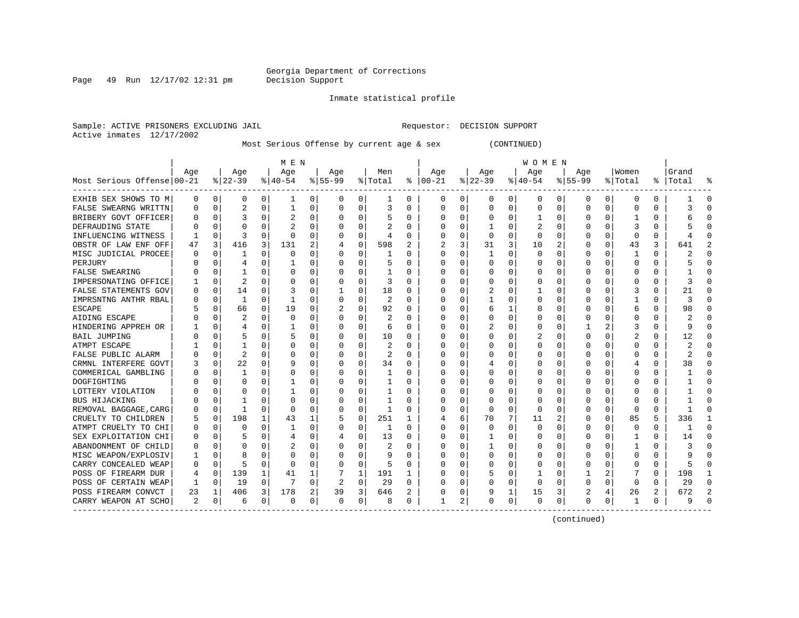Page 49 Run  $12/17/02$  12:31 pm

#### Inmate statistical profile

Sample: ACTIVE PRISONERS EXCLUDING JAIL **Requestor: DECISION SUPPORT** Active inmates 12/17/2002

Most Serious Offense by current age & sex (CONTINUED)

|                            |     |                |                |             | M E N       |          |                |             |                |          |                         |              |              |             | W O M E N    |          |             |              |              |   |           |             |
|----------------------------|-----|----------------|----------------|-------------|-------------|----------|----------------|-------------|----------------|----------|-------------------------|--------------|--------------|-------------|--------------|----------|-------------|--------------|--------------|---|-----------|-------------|
|                            | Age |                | Age            |             | Aqe         |          | Age            |             | Men            |          | Age                     |              | Age          |             | Aqe          |          | Aqe         |              | Women        |   | Grand     |             |
| Most Serious Offense 00-21 |     |                | $8 22-39$      |             | $8140 - 54$ |          | $ 55-99$       |             | % Total        |          | $8   00 - 21$           |              | $ 22-39 $    |             | $8 40-54$    |          | $8155 - 99$ |              | % Total      |   | %   Total | ু           |
| EXHIB SEX SHOWS TO M       | 0   | $\overline{0}$ | 0              | 0           | 1           | 0        | 0              | 0           | 1              | 0        | 0                       | $\mathbf{0}$ | 0            | 0           | 0            | 0        | 0           | 0            | 0            | 0 |           | $\mathbf 0$ |
| FALSE SWEARNG WRITTN       |     | 0              | 2              | 0           | 1           | 0        | $\Omega$       | 0           | 3              | O        | $\Omega$                | 0            | 0            | 0           | 0            | 0        | 0           | 0            | 0            | 0 | 3         | $\cap$      |
| BRIBERY GOVT OFFICER       |     | $\Omega$       | 3              | 0           | 2           | 0        | O              | 0           | 5              | 0        | <sup>0</sup>            | 0            | $\Omega$     | $\Omega$    |              | 0        | U           | 0            |              | 0 |           | $\cap$      |
| DEFRAUDING STATE           |     | $\Omega$       | O              |             |             | 0        |                | $\Omega$    | 2              |          |                         | $\Omega$     | -1           | $\Omega$    |              | $\Omega$ | U           |              | 3            | U |           |             |
| INFLUENCING WITNESS        |     | $\Omega$       | ζ              | U           | $\cap$      | 0        | U              | $\Omega$    | $\overline{4}$ | U        | $\cap$                  | $\Omega$     | $\Omega$     | $\Omega$    | $\Omega$     | $\Omega$ | ∩           | <sup>n</sup> | $\Omega$     | 0 |           |             |
| OBSTR OF LAW ENF OFF       | 47  | 3              | 416            | 3           | 131         | 2        |                | $\Omega$    | 598            | 2        | $\overline{\mathbf{c}}$ | 3            | 31           | 3           | 10           | 2        | U           | <sup>0</sup> | 43           | 3 | 641       |             |
| MISC JUDICIAL PROCEE       |     | $\Omega$       | 1              | U           | $\Omega$    | 0        | O              | 0           |                | 0        | <sup>0</sup>            | 0            | -1           | $\Omega$    | <sup>0</sup> | $\Omega$ | O           | <sup>0</sup> | -1           | 0 |           |             |
| PERJURY                    |     | $\cap$         |                | U           |             | 0        | O              | $\Omega$    |                | 0        | <sup>0</sup>            | $\Omega$     | $\Omega$     | $\Omega$    | O            | $\Omega$ | O           | $\Omega$     | $\Omega$     | 0 |           |             |
| <b>FALSE SWEARING</b>      |     | $\Omega$       |                | 0           | $\Omega$    | $\Omega$ | O              | $\Omega$    |                | 0        |                         | $\Omega$     | $\Omega$     | $\Omega$    | O            | $\Omega$ | U           | <sup>0</sup> | <sup>0</sup> | 0 |           |             |
| IMPERSONATING OFFICE       |     | 0              | $\overline{2}$ | 0           | 0           | 0        | 0              | $\mathbf 0$ | 3              | O        |                         | $\mathbf 0$  | 0            | 0           | 0            | 0        | 0           | 0            | 0            | 0 | 3         |             |
| FALSE STATEMENTS GOV       |     | 0              | 14             | $\Omega$    | 3           | 0        |                | 0           | 18             | O        |                         | 0            | 2            | 0           |              | 0        | O           | <sup>0</sup> | 3            | U | 21        |             |
| IMPRSNTNG ANTHR RBAL       |     | $\Omega$       | 1              | 0           | 1           | $\Omega$ | O              | $\Omega$    | 2              | O        | ∩                       | $\Omega$     | $\mathbf{1}$ | 0           | O            | $\Omega$ | U           | 0            | $\mathbf{1}$ | 0 | 3         | $\cap$      |
| <b>ESCAPE</b>              |     | $\Omega$       | 66             | $\Omega$    | 19          | 0        | 2              | 0           | 92             | $\Omega$ | $\cap$                  | $\Omega$     | 6            | 1           | O            | $\Omega$ | U           | 0            | 6            | 0 | 98        | $\cap$      |
| AIDING ESCAPE              |     | $\Omega$       | 2              | 0           | 0           | 0        | O              | 0           | 2              | $\Omega$ | <sup>0</sup>            | $\Omega$     | $\Omega$     | 0           | O            | $\Omega$ | U           | <sup>0</sup> | <sup>0</sup> | 0 |           | $\cap$      |
| HINDERING APPREH OR        |     | $\Omega$       | 4              | 0           |             | 0        | O              | 0           | 6              | 0        | <sup>0</sup>            | $\Omega$     |              | $\Omega$    | 0            | 0        |             | 2            | 3            | 0 | q         | $\Omega$    |
| <b>BAIL JUMPING</b>        |     | $\Omega$       | 5              | U           | 5           | 0        | O              | 0           | 10             | 0        | <sup>0</sup>            | 0            | 0            | $\Omega$    | 2            | 0        | U           | 0            | 2            | 0 | 12        | 0           |
| ATMPT ESCAPE               |     | $\Omega$       |                |             | 0           | 0        | O              | 0           | 2              | $\Omega$ | <sup>0</sup>            | 0            | U            | 0           | O            | 0        | U           |              | <sup>0</sup> | U |           |             |
| FALSE PUBLIC ALARM         |     | $\Omega$       | 2              | U           | $\Omega$    | $\Omega$ | O              | $\Omega$    | 2              | U        | <sup>0</sup>            | $\Omega$     | 0            | 0           | 0            | $\Omega$ | U           |              | 0            | U |           |             |
| CRMNL INTERFERE GOVT       |     | $\Omega$       | 22             | 0           | 9           | $\Omega$ | U              | $\Omega$    | 34             | $\Omega$ | $\cap$                  | $\Omega$     | 4            | $\Omega$    | U            | $\Omega$ | ∩           |              | 4            | 0 | 38        |             |
| COMMERICAL GAMBLING        |     | U              | 1              | U           | $\Omega$    | $\Omega$ |                | O           | -1             | 0        | n                       | $\Omega$     | $\Omega$     | 0           | O            | n        |             |              | <sup>0</sup> | 0 |           |             |
| DOGFIGHTING                |     | ∩              | U              | C.          |             | 0        | U              | $\Omega$    | 1              | O        | n                       | $\Omega$     | $\Omega$     | $\Omega$    | O            | $\Omega$ | U           | $\Omega$     | <sup>0</sup> | 0 |           | n           |
| LOTTERY VIOLATION          |     | $\Omega$       |                | U           |             | 0        |                | $\Omega$    |                | O        |                         | $\Omega$     | $\Omega$     | $\Omega$    | O            | $\Omega$ |             | $\Omega$     | O            | 0 |           | n           |
| BUS HIJACKING              |     | $\Omega$       |                | 0           | $\Omega$    | $\Omega$ | O              | $\Omega$    | 1              | O        |                         | $\Omega$     | $\Omega$     | $\Omega$    | <sup>0</sup> | 0        | U           | <sup>0</sup> | $\Omega$     | U |           | C           |
| REMOVAL BAGGAGE, CARG      |     | 0              | 1              | 0           | $\mathbf 0$ | 0        |                | $\mathbf 0$ | $\mathbf{1}$   | O        |                         | $\mathbf 0$  | $\Omega$     | $\mathbf 0$ | $\Omega$     | 0        |             | 0            | $\Omega$     | 0 |           |             |
| CRUELTY TO CHILDREN        |     | 0              | 198            | $\mathbf 1$ | 43          | 1        |                | 0           | 251            | 1        |                         | 6            | 70           | 7           | 11           | 2        | U           | 0            | 85           | 5 | 336       | 1           |
| ATMPT CRUELTY TO CHI       |     | $\Omega$       | U              | 0           | 1           | $\Omega$ |                | 0           | 1              | 0        | ∩                       | $\Omega$     | $\Omega$     | $\Omega$    | $\Omega$     | $\Omega$ | 0           | 0            | $\Omega$     | 0 | -1        | $\Omega$    |
| SEX EXPLOITATION CHI       |     | $\Omega$       | 5              | $\Omega$    | 4           | 0        | 4              | 0           | 13             | 0        | $\cap$                  | 0            | 1            | 0           | 0            | 0        | U           | 0            | -1           | 0 | 14        | $\Omega$    |
| ABANDONMENT OF CHILD       |     | $\Omega$       | U              | 0           | 2           | 0        | U              | 0           | 2              | 0        | ∩                       | 0            | 1            | $\Omega$    | O            | 0        | U           | 0            |              | 0 |           | $\cap$      |
| MISC WEAPON/EXPLOSIV       |     | $\Omega$       | 8              | U           | 0           | $\Omega$ | O              | $\Omega$    | q              | 0        | <sup>0</sup>            | $\Omega$     | $\Omega$     | $\Omega$    | 0            | $\Omega$ | U           | 0            | 0            | 0 |           | -C          |
| CARRY CONCEALED WEAP       |     | 0              | 5              | 0           | $\Omega$    | 0        | O              | 0           | 5              | 0        | <sup>0</sup>            | 0            | C            | $\Omega$    | 0            | 0        | O           | 0            | <sup>0</sup> | U |           | n           |
| POSS OF FIREARM DUR        |     | 0              | 139            | 1           | 41          | 1        |                | 1           | 191            |          | <sup>0</sup>            | 0            |              | $\Omega$    |              | 0        |             |              |              | U | 198       |             |
| POSS OF CERTAIN WEAP       |     | $\Omega$       | 19             | $\Omega$    |             | $\Omega$ | $\overline{c}$ | $\Omega$    | 29             | 0        | ∩                       | $\Omega$     | $\Omega$     | $\Omega$    | $\Omega$     | $\Omega$ | U           | 0            | $\Omega$     | 0 | 29        |             |
| POSS FIREARM CONVCT        | 23  | 1              | 406            | 3           | 178         | 2        | 39             | 3           | 646            |          |                         | 0            | 9            | 1           | 15           | 3        |             | 4            | 26           | 2 | 672       |             |
| CARRY WEAPON AT SCHO       | 2   | 0              | 6              | 0           | $\Omega$    | 0        | $\Omega$       | 0           | 8              | 0        | -1                      | 2            | $\Omega$     | 0           | $\Omega$     | $\Omega$ | ∩           | 0            | -1           | 0 |           |             |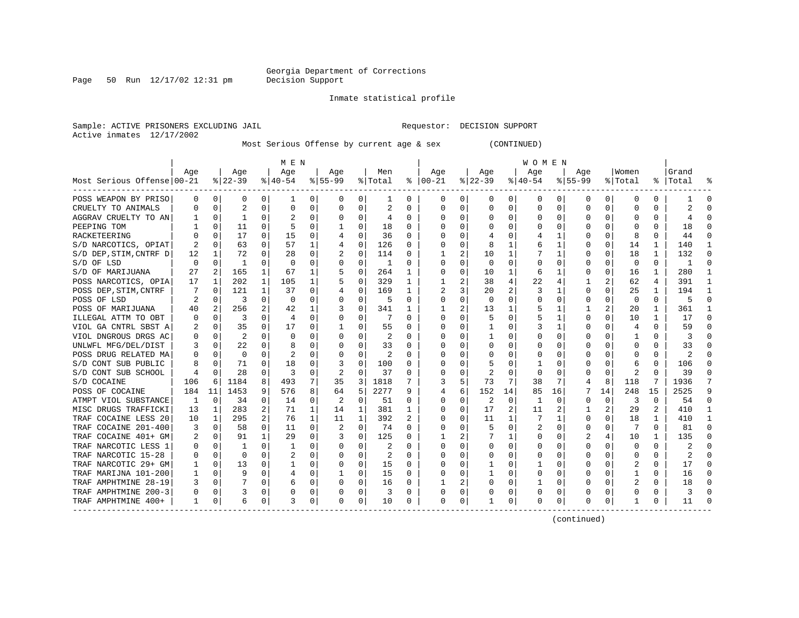Page 50 Run  $12/17/02$  12:31 pm

#### Inmate statistical profile

Sample: ACTIVE PRISONERS EXCLUDING JAIL **Requestor: DECISION SUPPORT** Active inmates 12/17/2002

Most Serious Offense by current age & sex (CONTINUED)

| M E N                      |          |                |              |                |                |          |           |              |         |          |              |          |          |          |          |              |             |          |          |          |           |    |
|----------------------------|----------|----------------|--------------|----------------|----------------|----------|-----------|--------------|---------|----------|--------------|----------|----------|----------|----------|--------------|-------------|----------|----------|----------|-----------|----|
|                            | Aqe      |                | Age          |                | Age            |          | Aqe       |              | Men     |          | Aqe          |          | Aqe      |          | Age      |              | Aqe         |          | Women    |          | Grand     |    |
| Most Serious Offense 00-21 |          |                | $ 22-39 $    |                | $8 40-54$      |          | $8 55-99$ |              | % Total | ႜ        | $ 00-21$     |          | $ 22-39$ |          | $ 40-54$ |              | $8155 - 99$ |          | % Total  |          | %   Total |    |
| POSS WEAPON BY PRISO       | 0        | 0              | 0            | 0              | 1              | 0        | 0         | 0            | 1       | 0        | 0            | 0        | 0        | 0        | 0        | 0            | 0           | 0        | 0        | 0        |           | 0  |
| CRUELTY TO ANIMALS         | O        | 0              | 2            | 0              | $\mathbf 0$    | 0        | O         | 0            | 2       | U        | 0            | 0        | $\Omega$ | 0        | 0        | $\Omega$     | $\Omega$    | $\Omega$ | O        | 0        | 2         |    |
| AGGRAV CRUELTY TO AN       |          | $\Omega$       | $\mathbf{1}$ | U              |                | O        | O         | $\Omega$     | 4       | $\Omega$ | <sup>0</sup> | 0        | $\Omega$ | $\Omega$ | U        | $\Omega$     | ∩           | 0        | U        | O        |           |    |
| PEEPING TOM                |          | $\Omega$       | 11           | U              |                | $\Omega$ |           | 0            | 18      | U        | <sup>0</sup> | 0        | O        | O        | U        | <sup>0</sup> |             |          |          | U        | 18        |    |
| RACKETEERING               |          | $\Omega$       | 17           | $\Omega$       | 15             | 0        |           | $\Omega$     | 36      | U        | O            | 0        |          | O        |          |              |             | $\Omega$ | Я        | U        | 44        |    |
| S/D NARCOTICS, OPIAT       | 2        | $\Omega$       | 63           | 0              | 57             | 1        | 4         | $\Omega$     | 126     | U        | O            | $\Omega$ | 8        | 1        | 6        |              |             | $\Omega$ | 14       | 1        | 140       |    |
| S/D DEP, STIM, CNTRF D     | 12       | 1              | 72           | $\Omega$       | 28             | 0        | 2         | $\mathbf 0$  | 114     | 0        |              | 2        | 10       | 1        |          |              |             | 0        | 18       | 1        | 132       | C  |
| S/D OF LSD                 | $\Omega$ | 0              | -1           | 0              | 0              | $\Omega$ | 0         | 0            | 1       | U        | 0            | 0        | $\Omega$ | $\Omega$ | Ω        | 0            |             | $\Omega$ | 0        | 0        |           | ſ  |
| S/D OF MARIJUANA           | 27       | $\overline{2}$ | 165          | 1              | 67             |          |           | 0            | 264     | 1        |              | 0        | 10       | 1        | 6        |              |             | $\Omega$ | 16       | 1        | 280       |    |
| POSS NARCOTICS, OPIA       | 17       | $\mathbf 1$    | 202          | 1              | 105            | 1        |           | 0            | 329     | 1        |              | 2        | 38       | 4        | 22       | 4            |             | 2        | 62       | 4        | 391       |    |
| POSS DEP, STIM, CNTRF      | 7        | 0              | 121          | 1              | 37             | 0        |           | 0            | 169     | 1        | 2            | 3        | 20       | 2        | 3        | -1           | $\Omega$    | $\Omega$ | 25       | 1        | 194       | -1 |
| POSS OF LSD                |          | $\Omega$       | 3            | $\Omega$       | 0              | $\Omega$ | O         | $\Omega$     | .5      | 0        | <sup>0</sup> | $\Omega$ | $\Omega$ | 0        | 0        | 0            | O           | O        | $\Omega$ | 0        | 5         | ∩  |
| POSS OF MARIJUANA          | 40       | 2              | 256          |                | 42             | 1        |           | $\Omega$     | 341     |          |              | 2        | 13       |          | 5        |              |             | 2        | 20       | 1        | 361       |    |
| ILLEGAL ATTM TO OBT        |          | 0              | 3            |                | 4              | 0        |           | 0            |         | U        |              | 0        |          | 0        |          |              | O           |          | 10       | 1        | 17        | ſ  |
| VIOL GA CNTRL SBST A       |          | 0              | 35           | U              | 17             | 0        |           | $\Omega$     | 55      | U        | O            | 0        |          | O        | 3        |              | ∩           |          | 4        | 0        | 59        |    |
| VIOL DNGROUS DRGS AC       |          | $\Omega$       | 2            |                | $\Omega$       | O        | O         | U            | 2       | U        | O            | 0        |          | U        | U        |              |             |          |          | O        | 3         |    |
| UNLWFL MFG/DEL/DIST        |          | $\Omega$       | 22           | U              | 8              | 0        | O         | O            | 33      | U        | O            | 0        | O        | O        | U        | n            |             |          | O        | 0        | 33        |    |
| POSS DRUG RELATED MA       |          | $\Omega$       | 0            | U              | $\overline{c}$ | 0        | O         | $\Omega$     | 2       | U        | O            | 0        | O        | O        | Ω        | n            |             |          | O        | 0        | 2         |    |
| S/D CONT SUB PUBLIC        | 8        | $\Omega$       | 71           | 0              | 18             | O        | 3         | $\Omega$     | 100     | U        | O            | 0        |          | O        |          | n            |             | 0        | 6        | 0        | 106       |    |
| S/D CONT SUB SCHOOL        |          | 0              | 28           | 0              | 3              | 0        | 2         | $\mathbf 0$  | 37      | U        | 0            | 0        | 2        | $\Omega$ | $\Omega$ | 0            |             | 0        | 2        | U        | 39        |    |
| S/D COCAINE                | 106      | 6              | 1184         | 8              | 493            | 7        | 35        | 3            | 1818    |          |              | 5        | 73       | 7        | 38       | 7            |             | 8        | 118      | 7        | 1936      |    |
| POSS OF COCAINE            | 184      | 11             | 1453         | 9              | 576            | 8        | 64        | 5            | 2277    | 9        | 4            | 6        | 152      | 14       | 85       | 16           |             | 14       | 248      | 15       | 2525      | q  |
| ATMPT VIOL SUBSTANCE       | 1        | 0              | 34           | 0              | 14             | $\Omega$ | 2         | $\mathbf 0$  | 51      | U        | 0            | $\Omega$ | 2        | 0        | 1        | $\Omega$     | $\Omega$    | $\Omega$ | 3        | $\Omega$ | 54        | ∩  |
| MISC DRUGS TRAFFICKI       | 13       | 1              | 283          | 2              | 71             | 1        | 14        | 1            | 381     | 1        | <sup>0</sup> | $\Omega$ | 17       | 2        | 11       | 2            |             | 2        | 29       | 2        | 410       |    |
| TRAF COCAINE LESS 20       | 10       | 1              | 295          | $\overline{a}$ | 76             | 1        | 11        | $\mathbf{1}$ | 392     | 2        | 0            | 0        | 11       | 1        | 7        | -1           | O           | $\Omega$ | 18       | 1        | 410       |    |
| TRAF COCAINE 201-400       | 3        | 0              | 58           | $\Omega$       | 11             | 0        | 2         | $\Omega$     | 74      | U        | 0            | 0        |          | $\Omega$ | 2        | 0            | $\Omega$    | O        |          | O        | 81        | ∩  |
| TRAF COCAINE 401+ GM       | 2        | 0              | 91           | $\mathbf{1}$   | 29             | $\Omega$ |           | $\Omega$     | 125     | 0        |              | 2        |          | 1        | 0        | 0            |             |          | 10       | 1        | 135       |    |
| TRAF NARCOTIC LESS 1       |          | 0              |              | O              |                | 0        | 0         | 0            | 2       | U        | 0            | 0        | 0        | 0        | 0        | 0            | O           |          | 0        | 0        |           |    |
| TRAF NARCOTIC 15-28        |          | 0              | $\Omega$     |                |                | $\Omega$ | O         | $\Omega$     | 2       | U        | O            | 0        | U        | O        | U        | n            | ∩           |          | O        | O        |           |    |
| TRAF NARCOTIC 29+ GM       |          | $\Omega$       | 13           |                |                | $\Omega$ | 0         | 0            | 15      | 0        | 0            | 0        |          | 0        |          | n            | O           |          | 2        | U        | 17        |    |
| TRAF MARIJNA 101-200       |          | $\Omega$       | 9            | 0              | 4              | 0        |           | 0            | 15      | 0        | <sup>0</sup> | 0        |          | O        | 0        | n            | ∩           |          |          | U        | 16        |    |
| TRAF AMPHTMINE 28-19       | 3        | $\Omega$       |              | 0              | 6              | $\Omega$ | O         | 0            | 16      | 0        |              | 2        | U        | 0        |          | $\Omega$     |             | 0        |          | U        | 18        |    |
| TRAF AMPHTMINE 200-3       |          | $\Omega$       | 3            | 0              | 0              | 0        |           | $\Omega$     | 3       | 0        | 0            | $\Omega$ |          | 0        | 0        | 0            |             | 0        | 0        | 0        | 3         |    |
| TRAF AMPHTMINE 400+        | 1        | 0              | 6            | 0              | 3              | 0        | 0         | 0            | 10      | 0        | 0            | 0        |          | 0        | 0        | $\Omega$     | $\Omega$    | 0        |          | 0        | 11        |    |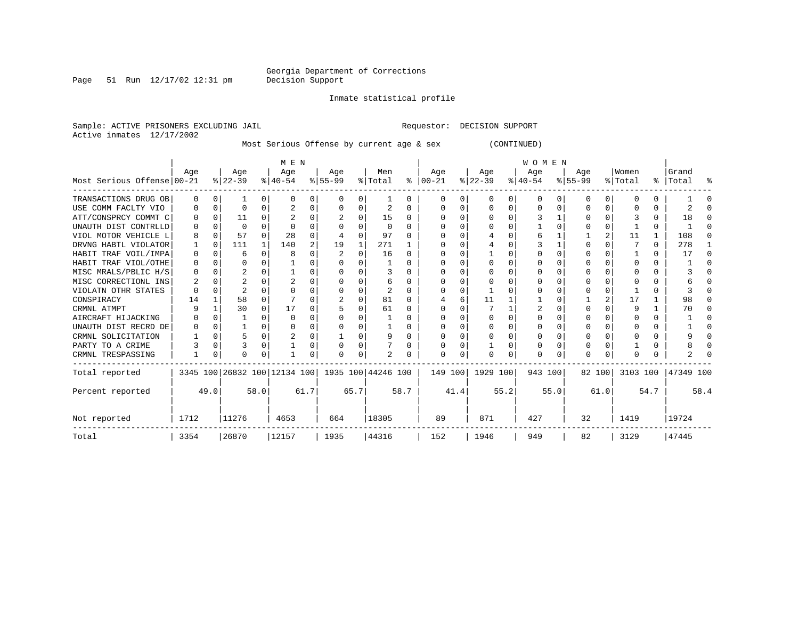Page 51 Run  $12/17/02$  12:31 pm

Inmate statistical profile

Sample: ACTIVE PRISONERS EXCLUDING JAIL **Requestor: DECISION SUPPORT** Active inmates 12/17/2002

Most Serious Offense by current age & sex (CONTINUED)

|                            |      |          |           |          | M E N                                               |      |           |      |          |              | <b>WOMEN</b> |         |           |      |          |          |           |          |          |      |           |      |  |
|----------------------------|------|----------|-----------|----------|-----------------------------------------------------|------|-----------|------|----------|--------------|--------------|---------|-----------|------|----------|----------|-----------|----------|----------|------|-----------|------|--|
|                            | Age  |          | Age       |          | Age                                                 |      | Age       |      | Men      |              | Age          |         | Age       |      | Age      |          | Age       |          | Women    |      | Grand     |      |  |
| Most Serious Offense 00-21 |      |          | $ 22-39 $ |          | $ 40-54 $                                           |      | $8 55-99$ |      | % Total  | ႜၟ           | $ 00-21$     |         | $ 22-39 $ |      | $ 40-54$ |          | $8 55-99$ |          | % Total  |      | %   Total | ႜ    |  |
| TRANSACTIONS DRUG OB       | 0    | 0        |           | 0        | <sup>0</sup>                                        | 0    | 0         | 0    |          | $\Omega$     | <sup>0</sup> |         | $\Omega$  | 0    | $\Omega$ | $\Omega$ | O         | $\Omega$ | $\Omega$ | U    |           |      |  |
| USE COMM FACLTY VIO        |      | $\Omega$ |           |          |                                                     |      |           | U    | 2        | $\Omega$     |              |         |           |      |          | ∩        |           | U        |          | U    |           |      |  |
| ATT/CONSPRCY COMMT C       |      |          | 11        |          |                                                     |      |           | U    | 15       | <sup>0</sup> |              |         |           |      |          |          |           |          |          | 0    | 18        |      |  |
| UNAUTH DIST CONTRLLD       |      |          |           |          |                                                     |      |           | U    | $\Omega$ | $\Omega$     |              |         |           |      |          |          |           |          |          | 0    |           |      |  |
| VIOL MOTOR VEHICLE L       |      |          | 57        |          | 28                                                  |      |           | U    | 97       |              |              |         |           |      |          |          |           |          | 11       | 1    | 108       |      |  |
| DRVNG HABTL VIOLATOR       |      |          | 111       |          | 140                                                 | 2    | 19        |      | 271      |              |              |         |           |      |          |          |           |          |          | 0    | 278       |      |  |
| HABIT TRAF VOIL/IMPA       | O    |          | 6         | n.       |                                                     |      |           | U    | 16       | $\Omega$     |              |         |           |      |          |          |           |          |          | 0    | 17        |      |  |
| HABIT TRAF VIOL/OTHE       |      |          |           |          |                                                     |      |           |      |          | <sup>0</sup> |              |         |           |      |          |          |           |          |          | U    |           |      |  |
| MISC MRALS/PBLIC H/S       |      |          |           |          |                                                     |      |           | U    | 3        | $\Omega$     |              |         |           |      |          |          |           |          |          |      |           |      |  |
| MISC CORRECTIONL INS       |      |          |           |          |                                                     |      |           | U    | 6        |              |              |         |           |      |          |          |           |          |          |      |           |      |  |
| VIOLATN OTHR STATES        |      |          |           |          |                                                     |      |           | U    |          | $\Omega$     |              |         |           |      |          |          |           |          |          | U    |           |      |  |
| CONSPIRACY                 | 14   |          | 58        |          |                                                     |      |           | U    | 81       | $\cap$       |              |         | 11        |      |          |          |           |          | 17       |      | 98        |      |  |
| CRMNL ATMPT                |      |          | 30        |          | 17                                                  |      |           | U    | 61       |              |              |         |           |      |          |          |           |          | q        |      | 70        |      |  |
| AIRCRAFT HIJACKING         |      |          |           | U        |                                                     |      |           | U    |          | $\Omega$     |              |         |           |      |          |          |           |          |          | 0    |           |      |  |
| UNAUTH DIST RECRD DE       |      |          |           | U        |                                                     |      |           | U    |          | <sup>0</sup> |              |         | U         |      |          |          |           |          |          | 0    |           |      |  |
| CRMNL SOLICITATION         |      |          |           | $\Omega$ |                                                     |      |           | U    | 9        | $\Omega$     |              |         |           |      |          |          |           |          |          | U    |           |      |  |
| PARTY TO A CRIME           |      |          |           | 0        |                                                     |      |           | O    |          | 0            |              |         |           |      |          |          | O         |          |          | U    |           |      |  |
| CRMNL TRESPASSING          |      | 0        |           | 0        |                                                     |      |           | 0    |          |              |              |         |           |      |          |          | O         |          |          |      |           |      |  |
| Total reported             |      |          |           |          | 3345 100 26832 100 12134 100   1935 100   44246 100 |      |           |      |          |              |              | 149 100 | 1929 100  |      | 943 100  |          |           | 82 100   | 3103 100 |      | 47349 100 |      |  |
| Percent reported           |      | 49.0     |           | 58.0     |                                                     | 61.7 |           | 65.7 |          | 58.7         |              | 41.4    |           | 55.2 |          | 55.0     |           | 61.0     |          | 54.7 |           | 58.4 |  |
| Not reported               | 1712 |          | 11276     |          | 4653                                                |      | 664       |      | 18305    |              | 89           |         | 871       |      | 427      |          | 32        |          | 1419     |      | 19724     |      |  |
| Total                      | 3354 |          | 26870     |          | 12157                                               |      | 1935      |      | 44316    |              | 152          |         | 1946      |      | 949      |          | 82        |          | 3129     |      | 47445     |      |  |